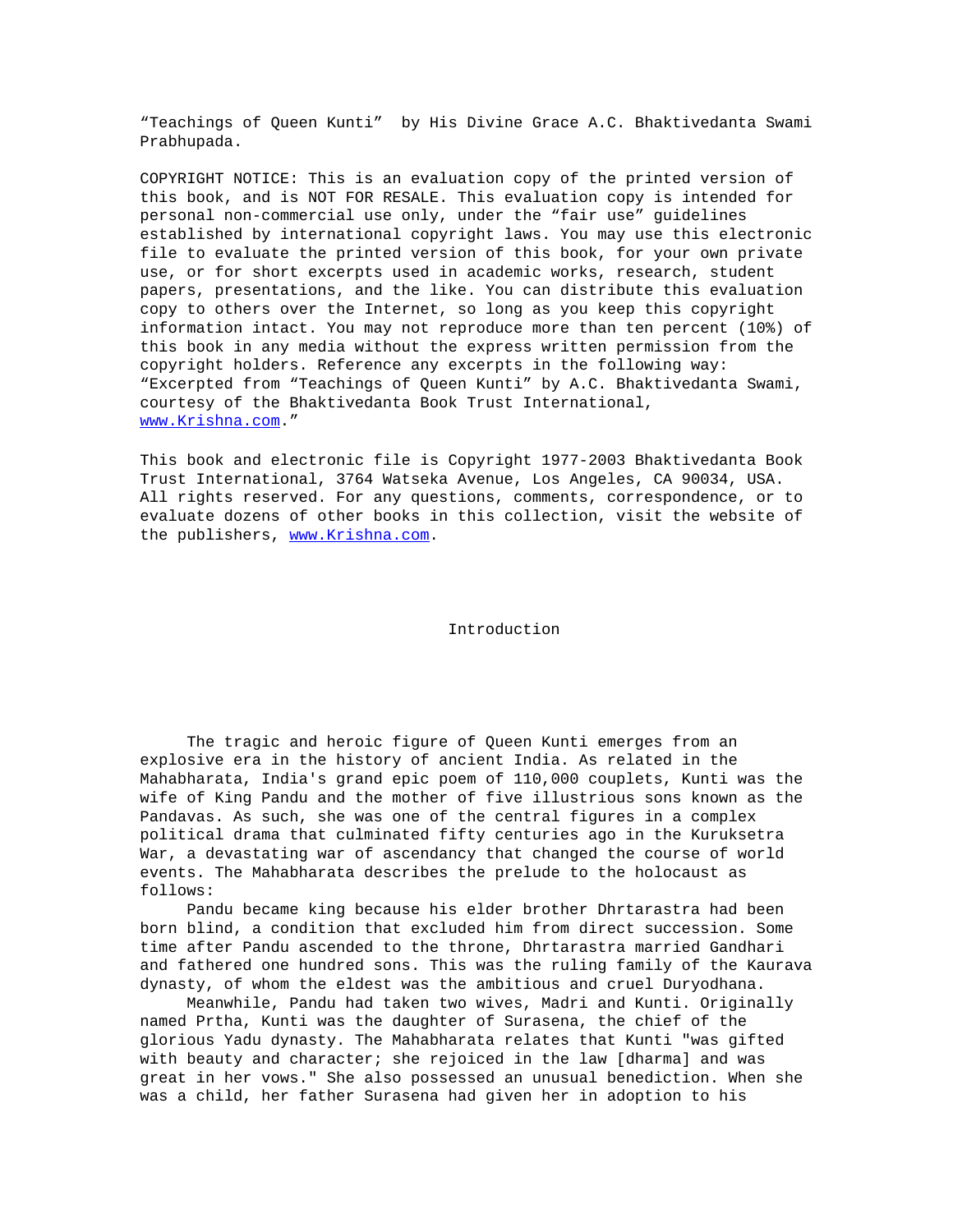"Teachings of Queen Kunti" by His Divine Grace A.C. Bhaktivedanta Swami Prabhupada.

COPYRIGHT NOTICE: This is an evaluation copy of the printed version of this book, and is NOT FOR RESALE. This evaluation copy is intended for personal non-commercial use only, under the "fair use" guidelines established by international copyright laws. You may use this electronic file to evaluate the printed version of this book, for your own private use, or for short excerpts used in academic works, research, student papers, presentations, and the like. You can distribute this evaluation copy to others over the Internet, so long as you keep this copyright information intact. You may not reproduce more than ten percent (10%) of this book in any media without the express written permission from the copyright holders. Reference any excerpts in the following way: "Excerpted from "Teachings of Queen Kunti" by A.C. Bhaktivedanta Swami, courtesy of the Bhaktivedanta Book Trust International, www.Krishna.com ."

This book and electronic file is Copyright 1977-2003 Bhaktivedanta Book Trust International, 3764 Watseka Avenue, Los Angeles, CA 90034, USA. All rights reserved. For any questions, comments, correspondence, or to evaluate dozens of other books in this collection, visit the website of the publishers, www.Krishna.com.

Introduction

 The tragic and heroic figure of Queen Kunti emerges from an explosive era in the history of ancient India. As related in the Mahabharata, India's grand epic poem of 110,000 couplets, Kunti was the wife of King Pandu and the mother of five illustrious sons known as the Pandavas. As such, she was one of the central figures in a complex political drama that culminated fifty centuries ago in the Kuruksetra War, a devastating war of ascendancy that changed the course of world events. The Mahabharata describes the prelude to the holocaust as follows:

 Pandu became king because his elder brother Dhrtarastra had been born blind, a condition that excluded him from direct succession. Some time after Pandu ascended to the throne, Dhrtarastra married Gandhari and fathered one hundred sons. This was the ruling family of the Kaurava dynasty, of whom the eldest was the ambitious and cruel Duryodhana.

 Meanwhile, Pandu had taken two wives, Madri and Kunti. Originally named Prtha, Kunti was the daughter of Surasena, the chief of the glorious Yadu dynasty. The Mahabharata relates that Kunti "was gifted with beauty and character; she rejoiced in the law [dharma] and was great in her vows." She also possessed an unusual benediction. When she was a child, her father Surasena had given her in adoption to his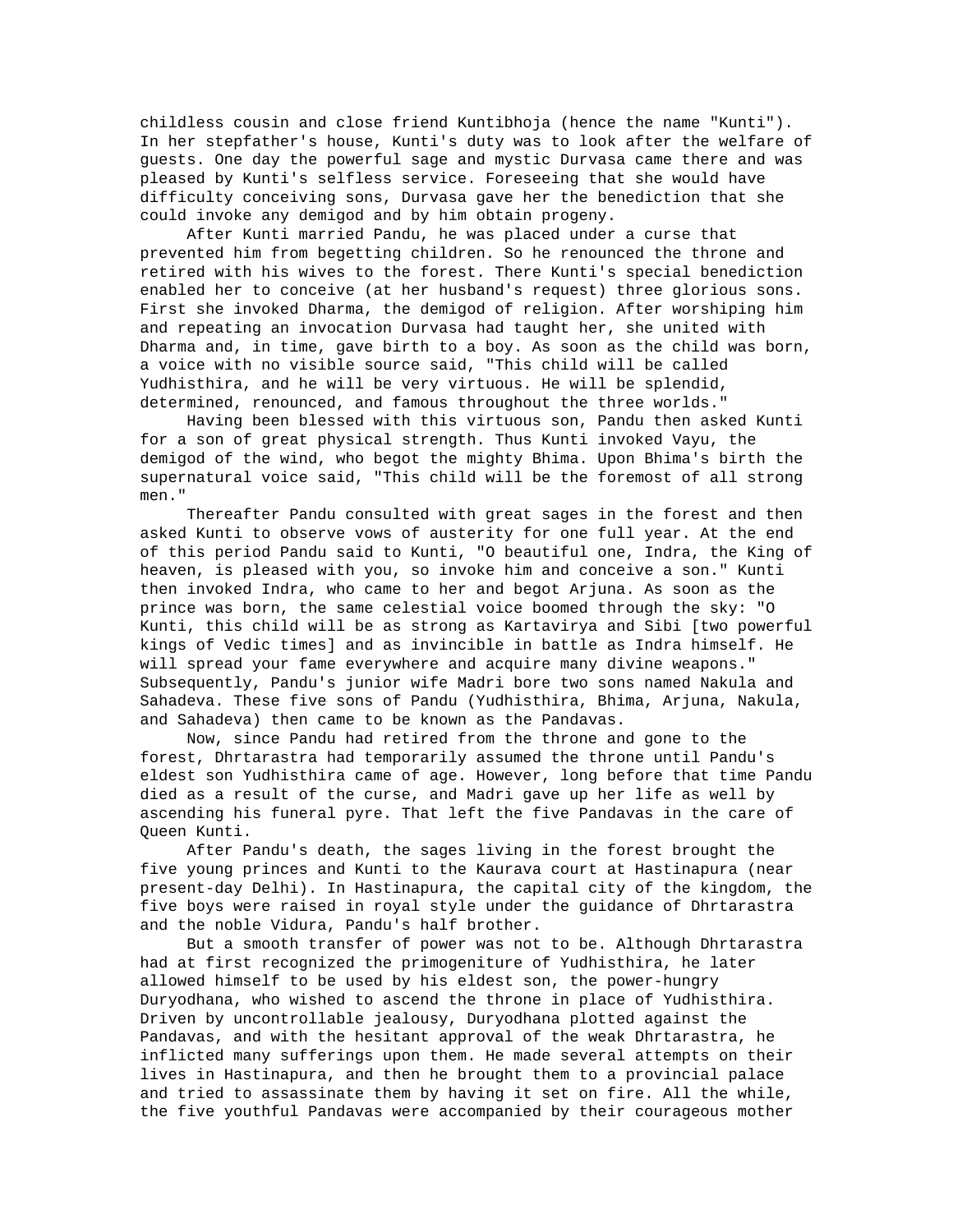childless cousin and close friend Kuntibhoja (hence the name "Kunti"). In her stepfather's house, Kunti's duty was to look after the welfare of guests. One day the powerful sage and mystic Durvasa came there and was pleased by Kunti's selfless service. Foreseeing that she would have difficulty conceiving sons, Durvasa gave her the benediction that she could invoke any demigod and by him obtain progeny.

 After Kunti married Pandu, he was placed under a curse that prevented him from begetting children. So he renounced the throne and retired with his wives to the forest. There Kunti's special benediction enabled her to conceive (at her husband's request) three glorious sons. First she invoked Dharma, the demigod of religion. After worshiping him and repeating an invocation Durvasa had taught her, she united with Dharma and, in time, gave birth to a boy. As soon as the child was born, a voice with no visible source said, "This child will be called Yudhisthira, and he will be very virtuous. He will be splendid, determined, renounced, and famous throughout the three worlds."

 Having been blessed with this virtuous son, Pandu then asked Kunti for a son of great physical strength. Thus Kunti invoked Vayu, the demigod of the wind, who begot the mighty Bhima. Upon Bhima's birth the supernatural voice said, "This child will be the foremost of all strong men."

 Thereafter Pandu consulted with great sages in the forest and then asked Kunti to observe vows of austerity for one full year. At the end of this period Pandu said to Kunti, "O beautiful one, Indra, the King of heaven, is pleased with you, so invoke him and conceive a son." Kunti then invoked Indra, who came to her and begot Arjuna. As soon as the prince was born, the same celestial voice boomed through the sky: "O Kunti, this child will be as strong as Kartavirya and Sibi [two powerful kings of Vedic times] and as invincible in battle as Indra himself. He will spread your fame everywhere and acquire many divine weapons." Subsequently, Pandu's junior wife Madri bore two sons named Nakula and Sahadeva. These five sons of Pandu (Yudhisthira, Bhima, Arjuna, Nakula, and Sahadeva) then came to be known as the Pandavas.

 Now, since Pandu had retired from the throne and gone to the forest, Dhrtarastra had temporarily assumed the throne until Pandu's eldest son Yudhisthira came of age. However, long before that time Pandu died as a result of the curse, and Madri gave up her life as well by ascending his funeral pyre. That left the five Pandavas in the care of Queen Kunti.

 After Pandu's death, the sages living in the forest brought the five young princes and Kunti to the Kaurava court at Hastinapura (near present-day Delhi). In Hastinapura, the capital city of the kingdom, the five boys were raised in royal style under the guidance of Dhrtarastra and the noble Vidura, Pandu's half brother.

 But a smooth transfer of power was not to be. Although Dhrtarastra had at first recognized the primogeniture of Yudhisthira, he later allowed himself to be used by his eldest son, the power-hungry Duryodhana, who wished to ascend the throne in place of Yudhisthira. Driven by uncontrollable jealousy, Duryodhana plotted against the Pandavas, and with the hesitant approval of the weak Dhrtarastra, he inflicted many sufferings upon them. He made several attempts on their lives in Hastinapura, and then he brought them to a provincial palace and tried to assassinate them by having it set on fire. All the while, the five youthful Pandavas were accompanied by their courageous mother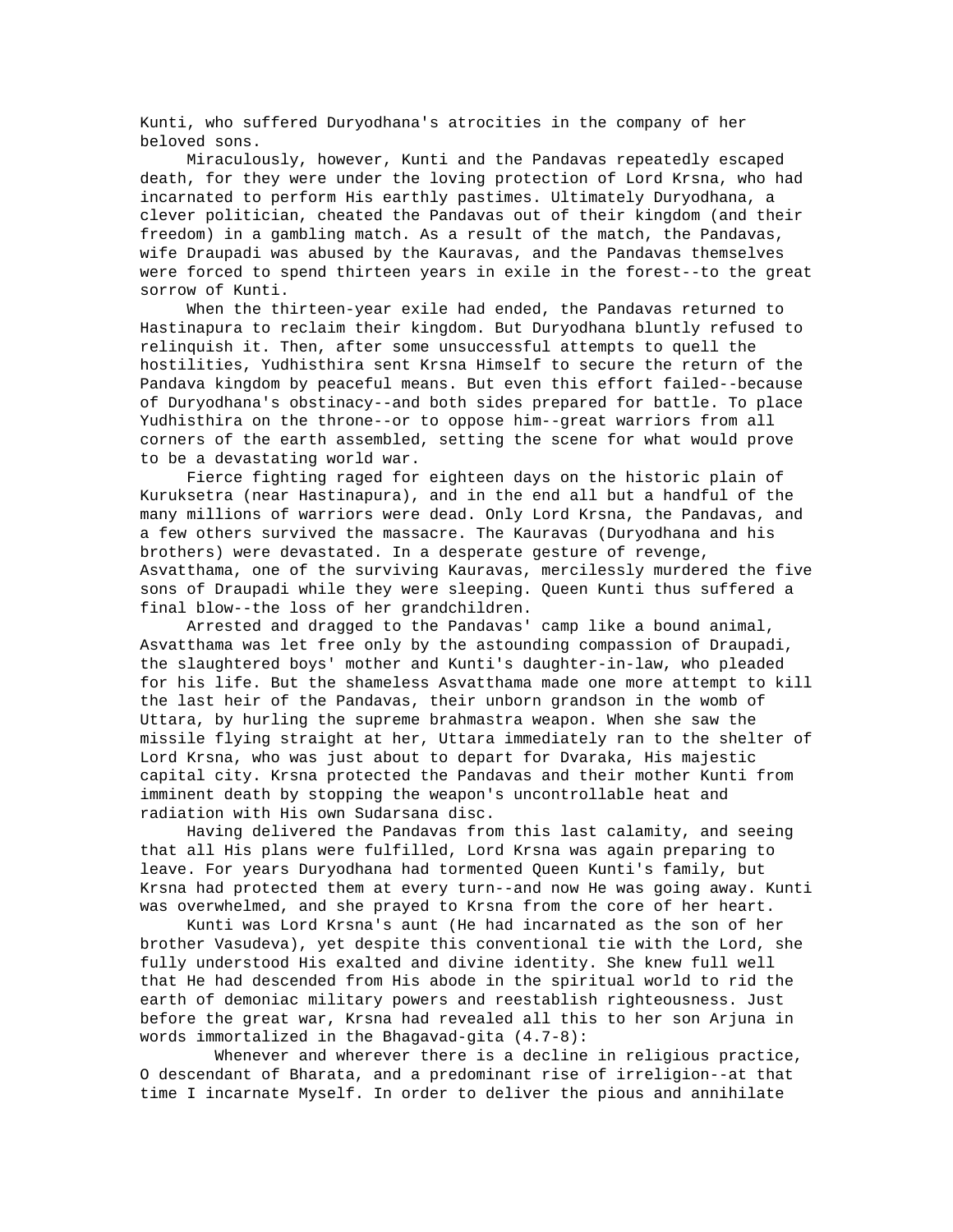Kunti, who suffered Duryodhana's atrocities in the company of her beloved sons.

 Miraculously, however, Kunti and the Pandavas repeatedly escaped death, for they were under the loving protection of Lord Krsna, who had incarnated to perform His earthly pastimes. Ultimately Duryodhana, a clever politician, cheated the Pandavas out of their kingdom (and their freedom) in a gambling match. As a result of the match, the Pandavas, wife Draupadi was abused by the Kauravas, and the Pandavas themselves were forced to spend thirteen years in exile in the forest--to the great sorrow of Kunti.

 When the thirteen-year exile had ended, the Pandavas returned to Hastinapura to reclaim their kingdom. But Duryodhana bluntly refused to relinquish it. Then, after some unsuccessful attempts to quell the hostilities, Yudhisthira sent Krsna Himself to secure the return of the Pandava kingdom by peaceful means. But even this effort failed--because of Duryodhana's obstinacy--and both sides prepared for battle. To place Yudhisthira on the throne--or to oppose him--great warriors from all corners of the earth assembled, setting the scene for what would prove to be a devastating world war.

 Fierce fighting raged for eighteen days on the historic plain of Kuruksetra (near Hastinapura), and in the end all but a handful of the many millions of warriors were dead. Only Lord Krsna, the Pandavas, and a few others survived the massacre. The Kauravas (Duryodhana and his brothers) were devastated. In a desperate gesture of revenge, Asvatthama, one of the surviving Kauravas, mercilessly murdered the five sons of Draupadi while they were sleeping. Queen Kunti thus suffered a final blow--the loss of her grandchildren.

 Arrested and dragged to the Pandavas' camp like a bound animal, Asvatthama was let free only by the astounding compassion of Draupadi, the slaughtered boys' mother and Kunti's daughter-in-law, who pleaded for his life. But the shameless Asvatthama made one more attempt to kill the last heir of the Pandavas, their unborn grandson in the womb of Uttara, by hurling the supreme brahmastra weapon. When she saw the missile flying straight at her, Uttara immediately ran to the shelter of Lord Krsna, who was just about to depart for Dvaraka, His majestic capital city. Krsna protected the Pandavas and their mother Kunti from imminent death by stopping the weapon's uncontrollable heat and radiation with His own Sudarsana disc.

 Having delivered the Pandavas from this last calamity, and seeing that all His plans were fulfilled, Lord Krsna was again preparing to leave. For years Duryodhana had tormented Queen Kunti's family, but Krsna had protected them at every turn--and now He was going away. Kunti was overwhelmed, and she prayed to Krsna from the core of her heart.

 Kunti was Lord Krsna's aunt (He had incarnated as the son of her brother Vasudeva), yet despite this conventional tie with the Lord, she fully understood His exalted and divine identity. She knew full well that He had descended from His abode in the spiritual world to rid the earth of demoniac military powers and reestablish righteousness. Just before the great war, Krsna had revealed all this to her son Arjuna in words immortalized in the Bhagavad-gita (4.7-8):

 Whenever and wherever there is a decline in religious practice, O descendant of Bharata, and a predominant rise of irreligion--at that time I incarnate Myself. In order to deliver the pious and annihilate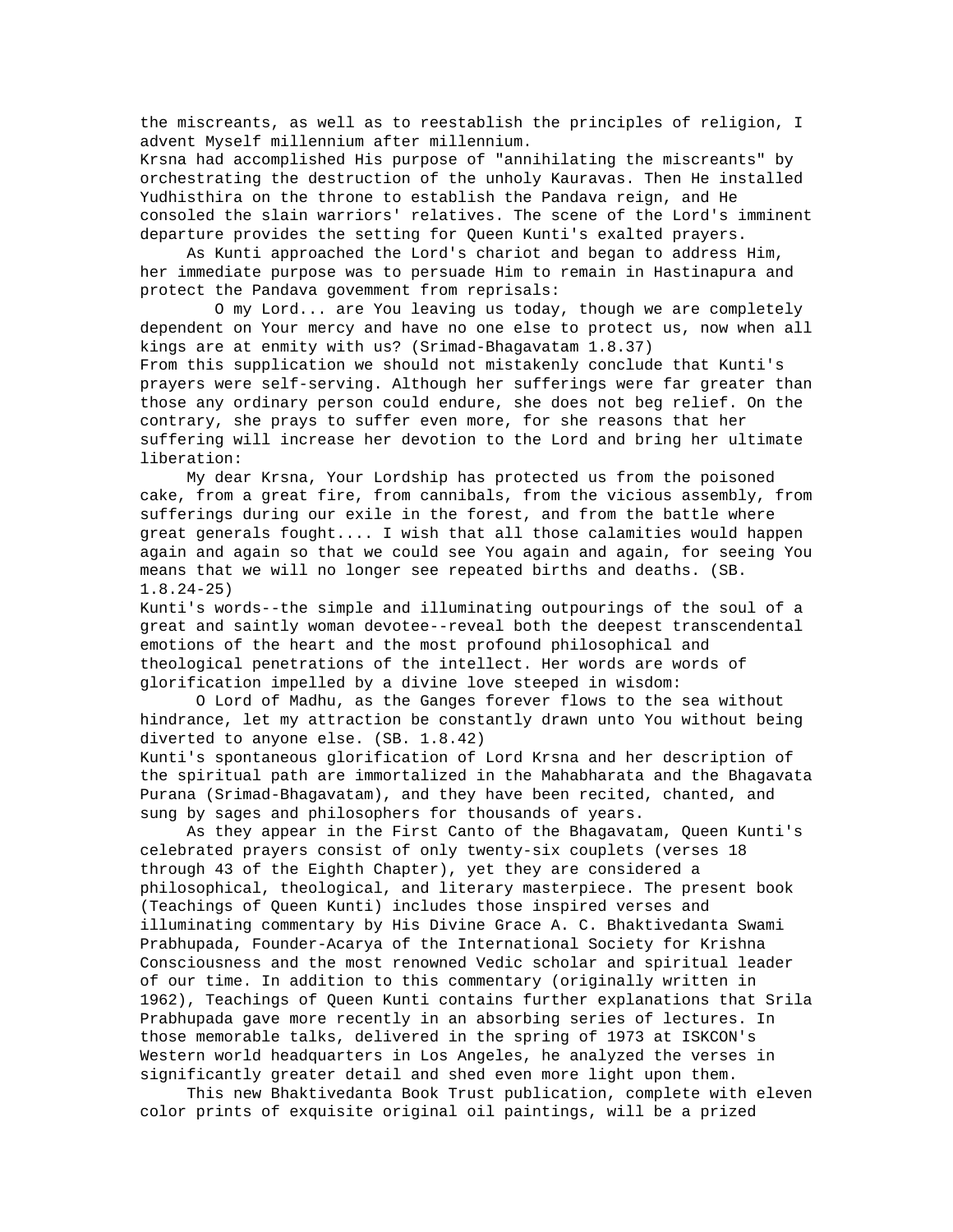the miscreants, as well as to reestablish the principles of religion, I advent Myself millennium after millennium.

Krsna had accomplished His purpose of "annihilating the miscreants" by orchestrating the destruction of the unholy Kauravas. Then He installed Yudhisthira on the throne to establish the Pandava reign, and He consoled the slain warriors' relatives. The scene of the Lord's imminent departure provides the setting for Queen Kunti's exalted prayers.

 As Kunti approached the Lord's chariot and began to address Him, her immediate purpose was to persuade Him to remain in Hastinapura and protect the Pandava govemment from reprisals:

 O my Lord... are You leaving us today, though we are completely dependent on Your mercy and have no one else to protect us, now when all kings are at enmity with us? (Srimad-Bhagavatam 1.8.37)

From this supplication we should not mistakenly conclude that Kunti's prayers were self-serving. Although her sufferings were far greater than those any ordinary person could endure, she does not beg relief. On the contrary, she prays to suffer even more, for she reasons that her suffering will increase her devotion to the Lord and bring her ultimate liberation:

 My dear Krsna, Your Lordship has protected us from the poisoned cake, from a great fire, from cannibals, from the vicious assembly, from sufferings during our exile in the forest, and from the battle where great generals fought.... I wish that all those calamities would happen again and again so that we could see You again and again, for seeing You means that we will no longer see repeated births and deaths. (SB. 1.8.24-25)

Kunti's words--the simple and illuminating outpourings of the soul of a great and saintly woman devotee--reveal both the deepest transcendental emotions of the heart and the most profound philosophical and theological penetrations of the intellect. Her words are words of glorification impelled by a divine love steeped in wisdom:

 O Lord of Madhu, as the Ganges forever flows to the sea without hindrance, let my attraction be constantly drawn unto You without being diverted to anyone else. (SB. 1.8.42)

Kunti's spontaneous glorification of Lord Krsna and her description of the spiritual path are immortalized in the Mahabharata and the Bhagavata Purana (Srimad-Bhagavatam), and they have been recited, chanted, and sung by sages and philosophers for thousands of years.

 As they appear in the First Canto of the Bhagavatam, Queen Kunti's celebrated prayers consist of only twenty-six couplets (verses 18 through 43 of the Eighth Chapter), yet they are considered a philosophical, theological, and literary masterpiece. The present book (Teachings of Queen Kunti) includes those inspired verses and illuminating commentary by His Divine Grace A. C. Bhaktivedanta Swami Prabhupada, Founder-Acarya of the International Society for Krishna Consciousness and the most renowned Vedic scholar and spiritual leader of our time. In addition to this commentary (originally written in 1962), Teachings of Queen Kunti contains further explanations that Srila Prabhupada gave more recently in an absorbing series of lectures. In those memorable talks, delivered in the spring of 1973 at ISKCON's Western world headquarters in Los Angeles, he analyzed the verses in significantly greater detail and shed even more light upon them.

 This new Bhaktivedanta Book Trust publication, complete with eleven color prints of exquisite original oil paintings, will be a prized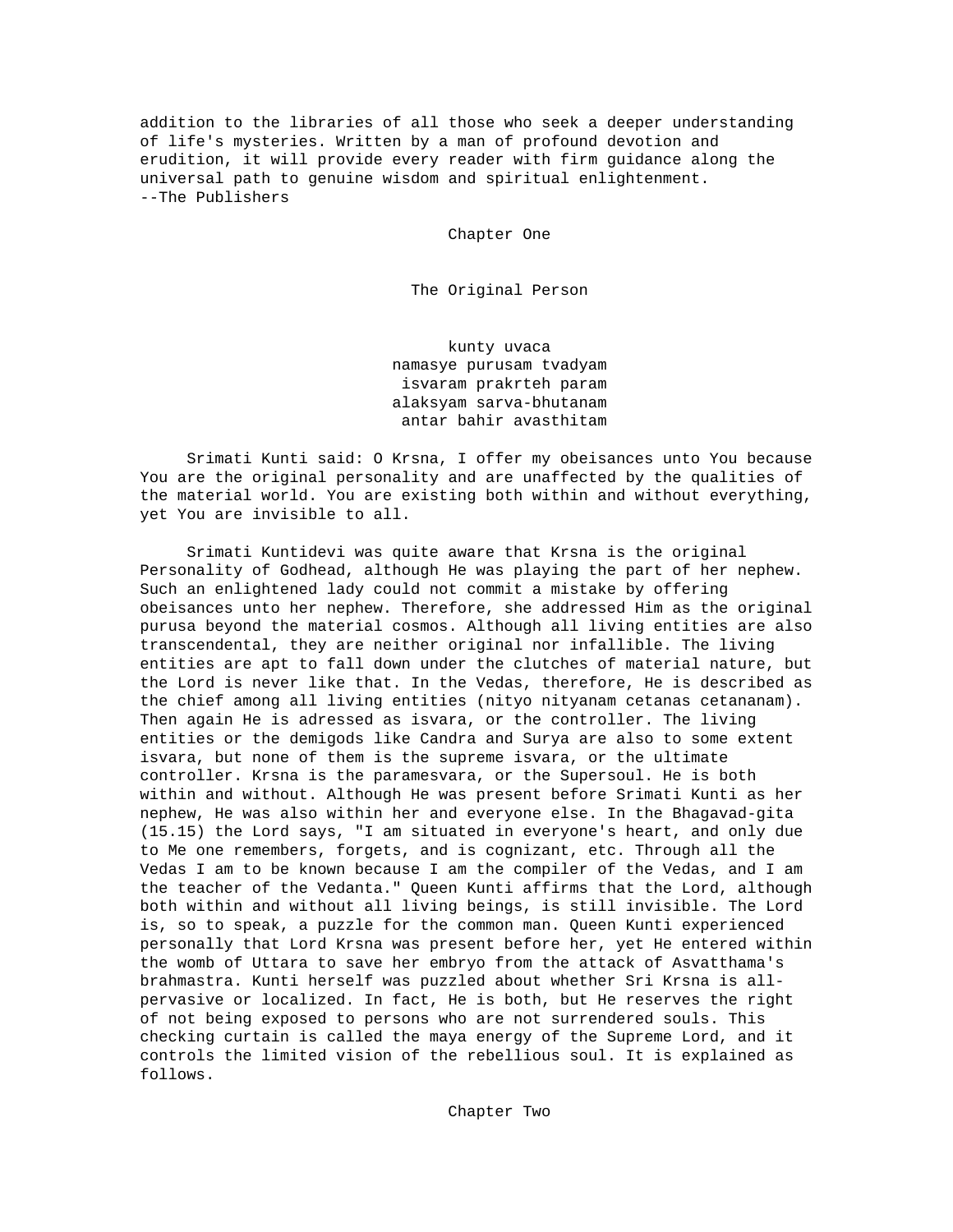addition to the libraries of all those who seek a deeper understanding of life's mysteries. Written by a man of profound devotion and erudition, it will provide every reader with firm guidance along the universal path to genuine wisdom and spiritual enlightenment. --The Publishers

Chapter One

The Original Person

 kunty uvaca namasye purusam tvadyam isvaram prakrteh param alaksyam sarva-bhutanam antar bahir avasthitam

 Srimati Kunti said: O Krsna, I offer my obeisances unto You because You are the original personality and are unaffected by the qualities of the material world. You are existing both within and without everything, yet You are invisible to all.

 Srimati Kuntidevi was quite aware that Krsna is the original Personality of Godhead, although He was playing the part of her nephew. Such an enlightened lady could not commit a mistake by offering obeisances unto her nephew. Therefore, she addressed Him as the original purusa beyond the material cosmos. Although all living entities are also transcendental, they are neither original nor infallible. The living entities are apt to fall down under the clutches of material nature, but the Lord is never like that. In the Vedas, therefore, He is described as the chief among all living entities (nityo nityanam cetanas cetananam). Then again He is adressed as isvara, or the controller. The living entities or the demigods like Candra and Surya are also to some extent isvara, but none of them is the supreme isvara, or the ultimate controller. Krsna is the paramesvara, or the Supersoul. He is both within and without. Although He was present before Srimati Kunti as her nephew, He was also within her and everyone else. In the Bhagavad-gita (15.15) the Lord says, "I am situated in everyone's heart, and only due to Me one remembers, forgets, and is cognizant, etc. Through all the Vedas I am to be known because I am the compiler of the Vedas, and I am the teacher of the Vedanta." Queen Kunti affirms that the Lord, although both within and without all living beings, is still invisible. The Lord is, so to speak, a puzzle for the common man. Queen Kunti experienced personally that Lord Krsna was present before her, yet He entered within the womb of Uttara to save her embryo from the attack of Asvatthama's brahmastra. Kunti herself was puzzled about whether Sri Krsna is allpervasive or localized. In fact, He is both, but He reserves the right of not being exposed to persons who are not surrendered souls. This checking curtain is called the maya energy of the Supreme Lord, and it controls the limited vision of the rebellious soul. It is explained as follows.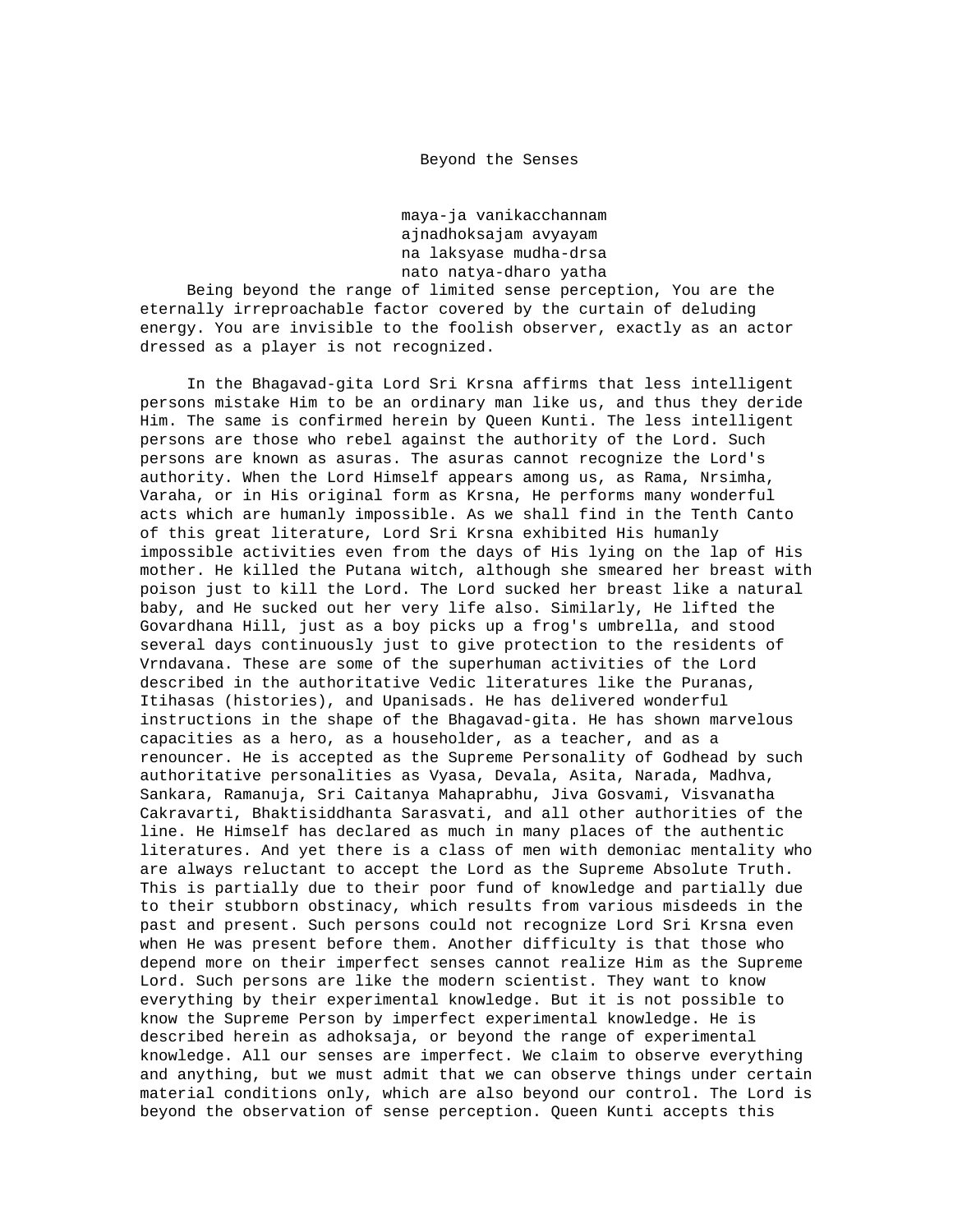## Beyond the Senses

 maya-ja vanikacchannam ajnadhoksajam avyayam na laksyase mudha-drsa nato natya-dharo yatha

 Being beyond the range of limited sense perception, You are the eternally irreproachable factor covered by the curtain of deluding energy. You are invisible to the foolish observer, exactly as an actor dressed as a player is not recognized.

 In the Bhagavad-gita Lord Sri Krsna affirms that less intelligent persons mistake Him to be an ordinary man like us, and thus they deride Him. The same is confirmed herein by Queen Kunti. The less intelligent persons are those who rebel against the authority of the Lord. Such persons are known as asuras. The asuras cannot recognize the Lord's authority. When the Lord Himself appears among us, as Rama, Nrsimha, Varaha, or in His original form as Krsna, He performs many wonderful acts which are humanly impossible. As we shall find in the Tenth Canto of this great literature, Lord Sri Krsna exhibited His humanly impossible activities even from the days of His lying on the lap of His mother. He killed the Putana witch, although she smeared her breast with poison just to kill the Lord. The Lord sucked her breast like a natural baby, and He sucked out her very life also. Similarly, He lifted the Govardhana Hill, just as a boy picks up a frog's umbrella, and stood several days continuously just to give protection to the residents of Vrndavana. These are some of the superhuman activities of the Lord described in the authoritative Vedic literatures like the Puranas, Itihasas (histories), and Upanisads. He has delivered wonderful instructions in the shape of the Bhagavad-gita. He has shown marvelous capacities as a hero, as a householder, as a teacher, and as a renouncer. He is accepted as the Supreme Personality of Godhead by such authoritative personalities as Vyasa, Devala, Asita, Narada, Madhva, Sankara, Ramanuja, Sri Caitanya Mahaprabhu, Jiva Gosvami, Visvanatha Cakravarti, Bhaktisiddhanta Sarasvati, and all other authorities of the line. He Himself has declared as much in many places of the authentic literatures. And yet there is a class of men with demoniac mentality who are always reluctant to accept the Lord as the Supreme Absolute Truth. This is partially due to their poor fund of knowledge and partially due to their stubborn obstinacy, which results from various misdeeds in the past and present. Such persons could not recognize Lord Sri Krsna even when He was present before them. Another difficulty is that those who depend more on their imperfect senses cannot realize Him as the Supreme Lord. Such persons are like the modern scientist. They want to know everything by their experimental knowledge. But it is not possible to know the Supreme Person by imperfect experimental knowledge. He is described herein as adhoksaja, or beyond the range of experimental knowledge. All our senses are imperfect. We claim to observe everything and anything, but we must admit that we can observe things under certain material conditions only, which are also beyond our control. The Lord is beyond the observation of sense perception. Queen Kunti accepts this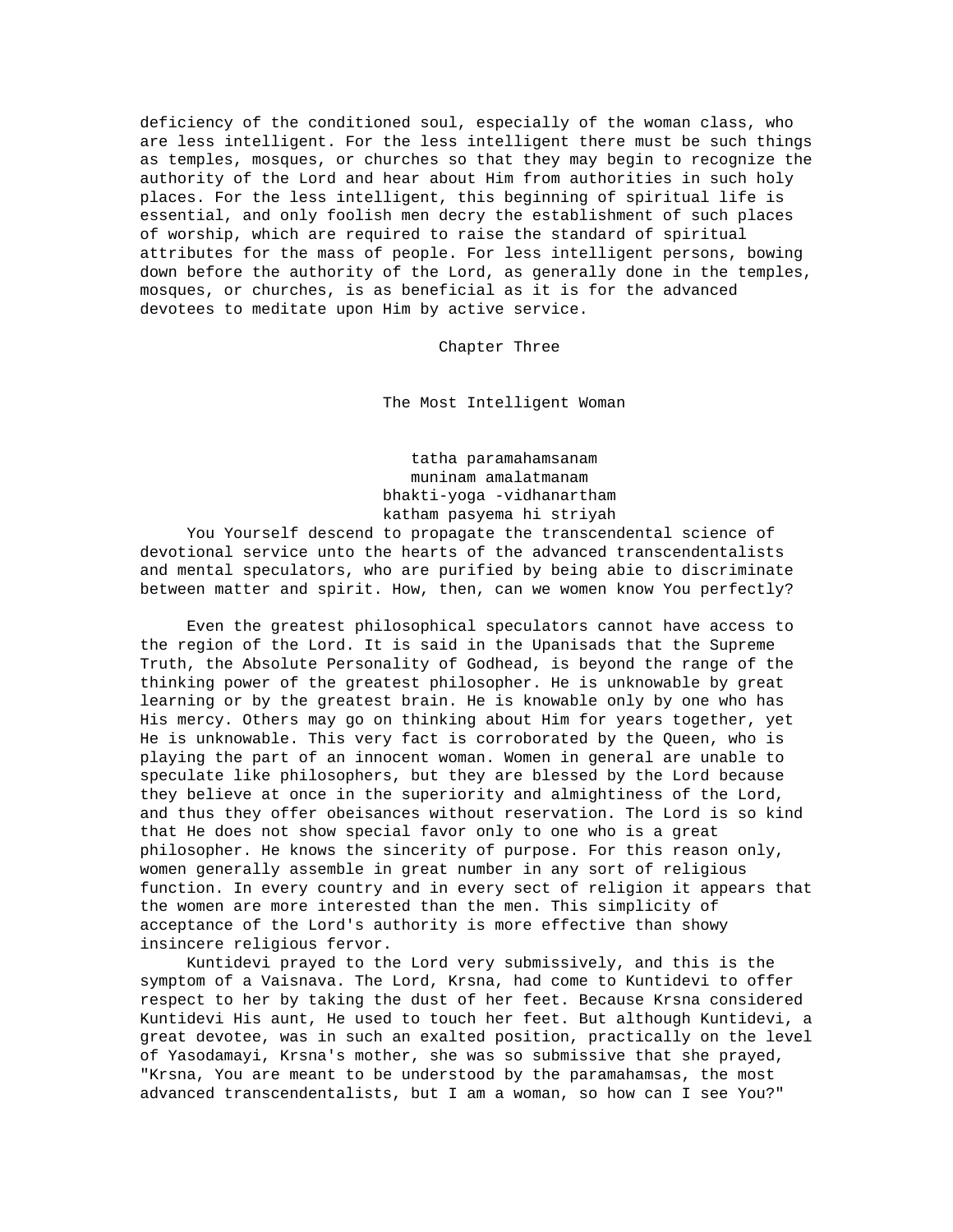deficiency of the conditioned soul, especially of the woman class, who are less intelligent. For the less intelligent there must be such things as temples, mosques, or churches so that they may begin to recognize the authority of the Lord and hear about Him from authorities in such holy places. For the less intelligent, this beginning of spiritual life is essential, and only foolish men decry the establishment of such places of worship, which are required to raise the standard of spiritual attributes for the mass of people. For less intelligent persons, bowing down before the authority of the Lord, as generally done in the temples, mosques, or churches, is as beneficial as it is for the advanced devotees to meditate upon Him by active service.

Chapter Three

The Most Intelligent Woman

 tatha paramahamsanam muninam amalatmanam bhakti-yoga -vidhanartham katham pasyema hi striyah

 You Yourself descend to propagate the transcendental science of devotional service unto the hearts of the advanced transcendentalists and mental speculators, who are purified by being abie to discriminate between matter and spirit. How, then, can we women know You perfectly?

 Even the greatest philosophical speculators cannot have access to the region of the Lord. It is said in the Upanisads that the Supreme Truth, the Absolute Personality of Godhead, is beyond the range of the thinking power of the greatest philosopher. He is unknowable by great learning or by the greatest brain. He is knowable only by one who has His mercy. Others may go on thinking about Him for years together, yet He is unknowable. This very fact is corroborated by the Queen, who is playing the part of an innocent woman. Women in general are unable to speculate like philosophers, but they are blessed by the Lord because they believe at once in the superiority and almightiness of the Lord, and thus they offer obeisances without reservation. The Lord is so kind that He does not show special favor only to one who is a great philosopher. He knows the sincerity of purpose. For this reason only, women generally assemble in great number in any sort of religious function. In every country and in every sect of religion it appears that the women are more interested than the men. This simplicity of acceptance of the Lord's authority is more effective than showy insincere religious fervor.

 Kuntidevi prayed to the Lord very submissively, and this is the symptom of a Vaisnava. The Lord, Krsna, had come to Kuntidevi to offer respect to her by taking the dust of her feet. Because Krsna considered Kuntidevi His aunt, He used to touch her feet. But although Kuntidevi, a great devotee, was in such an exalted position, practically on the level of Yasodamayi, Krsna's mother, she was so submissive that she prayed, "Krsna, You are meant to be understood by the paramahamsas, the most advanced transcendentalists, but I am a woman, so how can I see You?"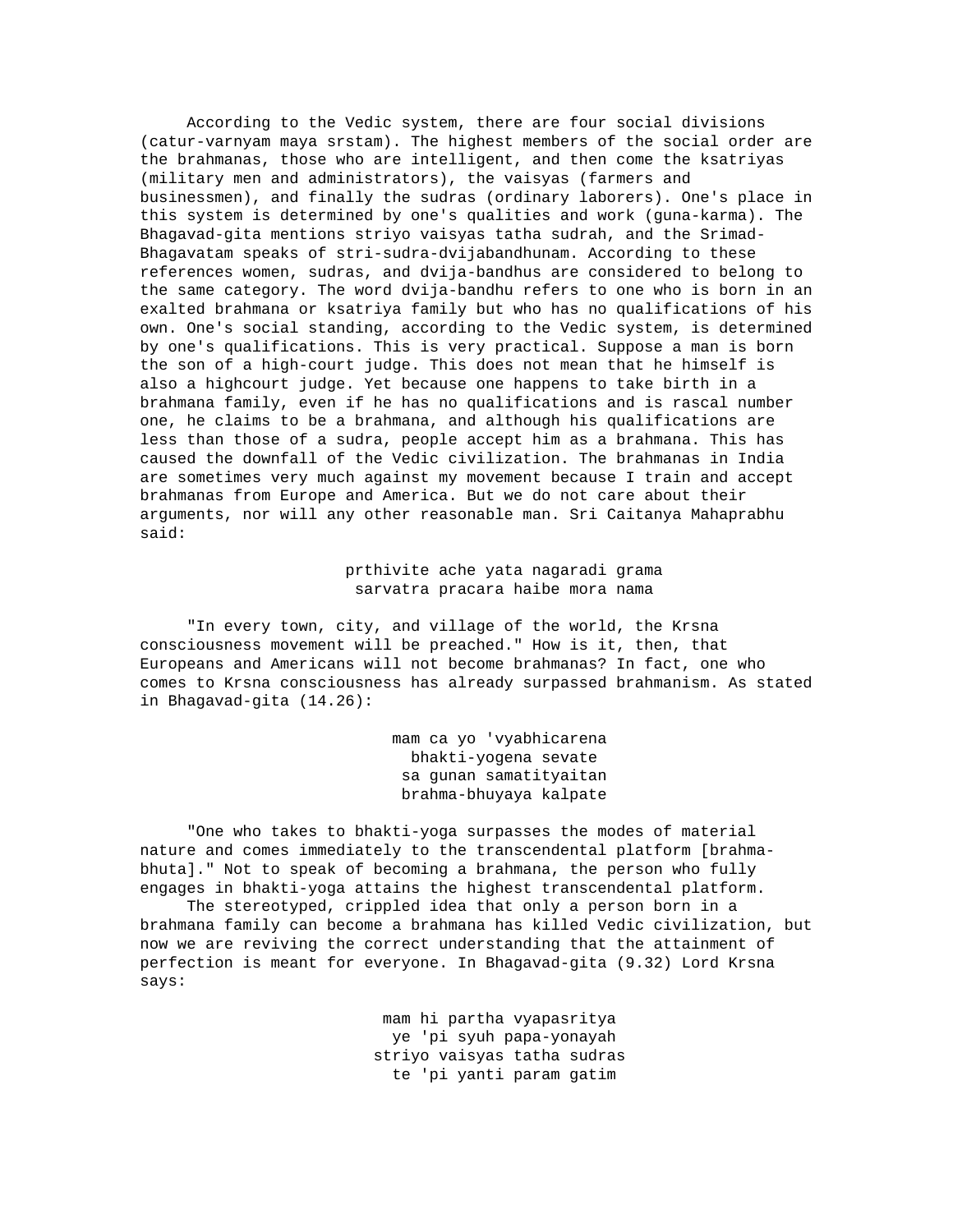According to the Vedic system, there are four social divisions (catur-varnyam maya srstam). The highest members of the social order are the brahmanas, those who are intelligent, and then come the ksatriyas (military men and administrators), the vaisyas (farmers and businessmen), and finally the sudras (ordinary laborers). One's place in this system is determined by one's qualities and work (guna-karma). The Bhagavad-gita mentions striyo vaisyas tatha sudrah, and the Srimad-Bhagavatam speaks of stri-sudra-dvijabandhunam. According to these references women, sudras, and dvija-bandhus are considered to belong to the same category. The word dvija-bandhu refers to one who is born in an exalted brahmana or ksatriya family but who has no qualifications of his own. One's social standing, according to the Vedic system, is determined by one's qualifications. This is very practical. Suppose a man is born the son of a high-court judge. This does not mean that he himself is also a highcourt judge. Yet because one happens to take birth in a brahmana family, even if he has no qualifications and is rascal number one, he claims to be a brahmana, and although his qualifications are less than those of a sudra, people accept him as a brahmana. This has caused the downfall of the Vedic civilization. The brahmanas in India are sometimes very much against my movement because I train and accept brahmanas from Europe and America. But we do not care about their arguments, nor will any other reasonable man. Sri Caitanya Mahaprabhu said:

## prthivite ache yata nagaradi grama sarvatra pracara haibe mora nama

 "In every town, city, and village of the world, the Krsna consciousness movement will be preached." How is it, then, that Europeans and Americans will not become brahmanas? In fact, one who comes to Krsna consciousness has already surpassed brahmanism. As stated in Bhagavad-gita (14.26):

> mam ca yo 'vyabhicarena bhakti-yogena sevate sa gunan samatityaitan brahma-bhuyaya kalpate

 "One who takes to bhakti-yoga surpasses the modes of material nature and comes immediately to the transcendental platform [brahmabhuta]." Not to speak of becoming a brahmana, the person who fully engages in bhakti-yoga attains the highest transcendental platform.

 The stereotyped, crippled idea that only a person born in a brahmana family can become a brahmana has killed Vedic civilization, but now we are reviving the correct understanding that the attainment of perfection is meant for everyone. In Bhagavad-gita (9.32) Lord Krsna says:

> mam hi partha vyapasritya ye 'pi syuh papa-yonayah striyo vaisyas tatha sudras te 'pi yanti param gatim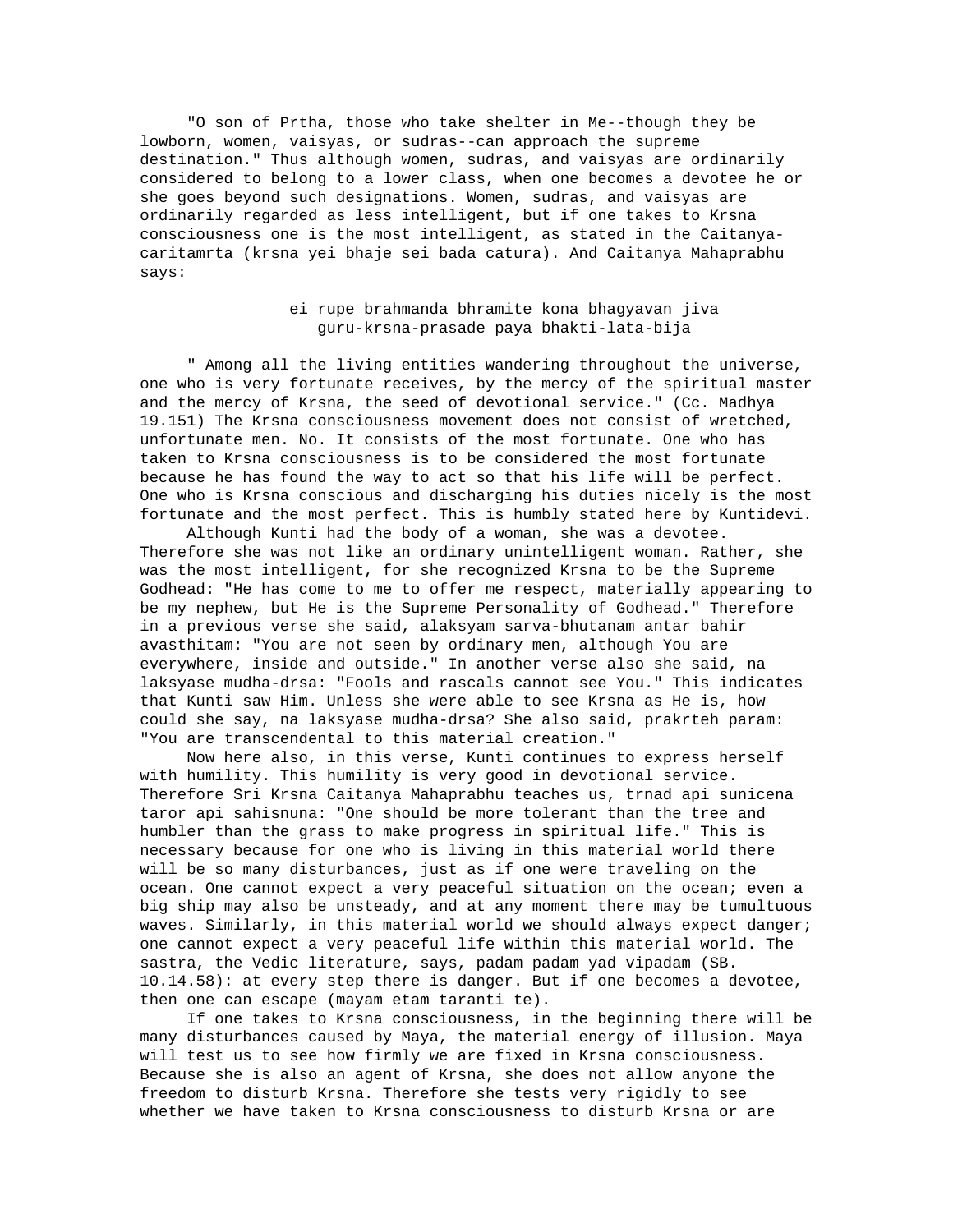"O son of Prtha, those who take shelter in Me--though they be lowborn, women, vaisyas, or sudras--can approach the supreme destination." Thus although women, sudras, and vaisyas are ordinarily considered to belong to a lower class, when one becomes a devotee he or she goes beyond such designations. Women, sudras, and vaisyas are ordinarily regarded as less intelligent, but if one takes to Krsna consciousness one is the most intelligent, as stated in the Caitanyacaritamrta (krsna yei bhaje sei bada catura). And Caitanya Mahaprabhu says:

## ei rupe brahmanda bhramite kona bhagyavan jiva guru-krsna-prasade paya bhakti-lata-bija

 " Among all the living entities wandering throughout the universe, one who is very fortunate receives, by the mercy of the spiritual master and the mercy of Krsna, the seed of devotional service." (Cc. Madhya 19.151) The Krsna consciousness movement does not consist of wretched, unfortunate men. No. It consists of the most fortunate. One who has taken to Krsna consciousness is to be considered the most fortunate because he has found the way to act so that his life will be perfect. One who is Krsna conscious and discharging his duties nicely is the most fortunate and the most perfect. This is humbly stated here by Kuntidevi.

 Although Kunti had the body of a woman, she was a devotee. Therefore she was not like an ordinary unintelligent woman. Rather, she was the most intelligent, for she recognized Krsna to be the Supreme Godhead: "He has come to me to offer me respect, materially appearing to be my nephew, but He is the Supreme Personality of Godhead." Therefore in a previous verse she said, alaksyam sarva-bhutanam antar bahir avasthitam: "You are not seen by ordinary men, although You are everywhere, inside and outside." In another verse also she said, na laksyase mudha-drsa: "Fools and rascals cannot see You." This indicates that Kunti saw Him. Unless she were able to see Krsna as He is, how could she say, na laksyase mudha-drsa? She also said, prakrteh param: "You are transcendental to this material creation."

 Now here also, in this verse, Kunti continues to express herself with humility. This humility is very good in devotional service. Therefore Sri Krsna Caitanya Mahaprabhu teaches us, trnad api sunicena taror api sahisnuna: "One should be more tolerant than the tree and humbler than the grass to make progress in spiritual life." This is necessary because for one who is living in this material world there will be so many disturbances, just as if one were traveling on the ocean. One cannot expect a very peaceful situation on the ocean; even a big ship may also be unsteady, and at any moment there may be tumultuous waves. Similarly, in this material world we should always expect danger; one cannot expect a very peaceful life within this material world. The sastra, the Vedic literature, says, padam padam yad vipadam (SB. 10.14.58): at every step there is danger. But if one becomes a devotee, then one can escape (mayam etam taranti te).

 If one takes to Krsna consciousness, in the beginning there will be many disturbances caused by Maya, the material energy of illusion. Maya will test us to see how firmly we are fixed in Krsna consciousness. Because she is also an agent of Krsna, she does not allow anyone the freedom to disturb Krsna. Therefore she tests very rigidly to see whether we have taken to Krsna consciousness to disturb Krsna or are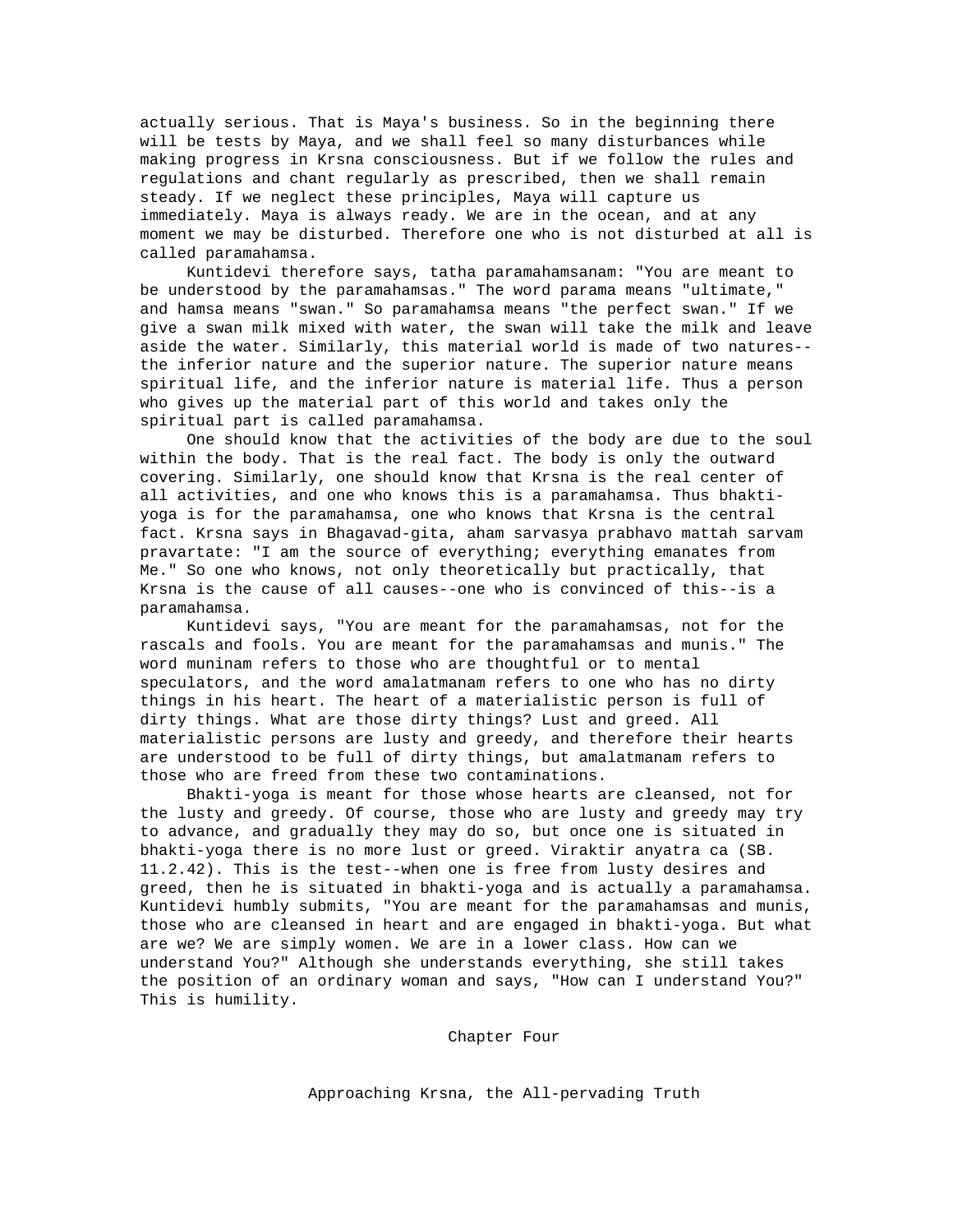actually serious. That is Maya's business. So in the beginning there will be tests by Maya, and we shall feel so many disturbances while making progress in Krsna consciousness. But if we follow the rules and regulations and chant regularly as prescribed, then we shall remain steady. If we neglect these principles, Maya will capture us immediately. Maya is always ready. We are in the ocean, and at any moment we may be disturbed. Therefore one who is not disturbed at all is called paramahamsa.

 Kuntidevi therefore says, tatha paramahamsanam: "You are meant to be understood by the paramahamsas." The word parama means "ultimate," and hamsa means "swan." So paramahamsa means "the perfect swan." If we give a swan milk mixed with water, the swan will take the milk and leave aside the water. Similarly, this material world is made of two natures- the inferior nature and the superior nature. The superior nature means spiritual life, and the inferior nature is material life. Thus a person who gives up the material part of this world and takes only the spiritual part is called paramahamsa.

 One should know that the activities of the body are due to the soul within the body. That is the real fact. The body is only the outward covering. Similarly, one should know that Krsna is the real center of all activities, and one who knows this is a paramahamsa. Thus bhaktiyoga is for the paramahamsa, one who knows that Krsna is the central fact. Krsna says in Bhagavad-gita, aham sarvasya prabhavo mattah sarvam pravartate: "I am the source of everything; everything emanates from Me." So one who knows, not only theoretically but practically, that Krsna is the cause of all causes--one who is convinced of this--is a paramahamsa.

 Kuntidevi says, "You are meant for the paramahamsas, not for the rascals and fools. You are meant for the paramahamsas and munis." The word muninam refers to those who are thoughtful or to mental speculators, and the word amalatmanam refers to one who has no dirty things in his heart. The heart of a materialistic person is full of dirty things. What are those dirty things? Lust and greed. All materialistic persons are lusty and greedy, and therefore their hearts are understood to be full of dirty things, but amalatmanam refers to those who are freed from these two contaminations.

 Bhakti-yoga is meant for those whose hearts are cleansed, not for the lusty and greedy. Of course, those who are lusty and greedy may try to advance, and gradually they may do so, but once one is situated in bhakti-yoga there is no more lust or greed. Viraktir anyatra ca (SB. 11.2.42). This is the test--when one is free from lusty desires and greed, then he is situated in bhakti-yoga and is actually a paramahamsa. Kuntidevi humbly submits, "You are meant for the paramahamsas and munis, those who are cleansed in heart and are engaged in bhakti-yoga. But what are we? We are simply women. We are in a lower class. How can we understand You?" Although she understands everything, she still takes the position of an ordinary woman and says, "How can I understand You?" This is humility.

Chapter Four

Approaching Krsna, the All-pervading Truth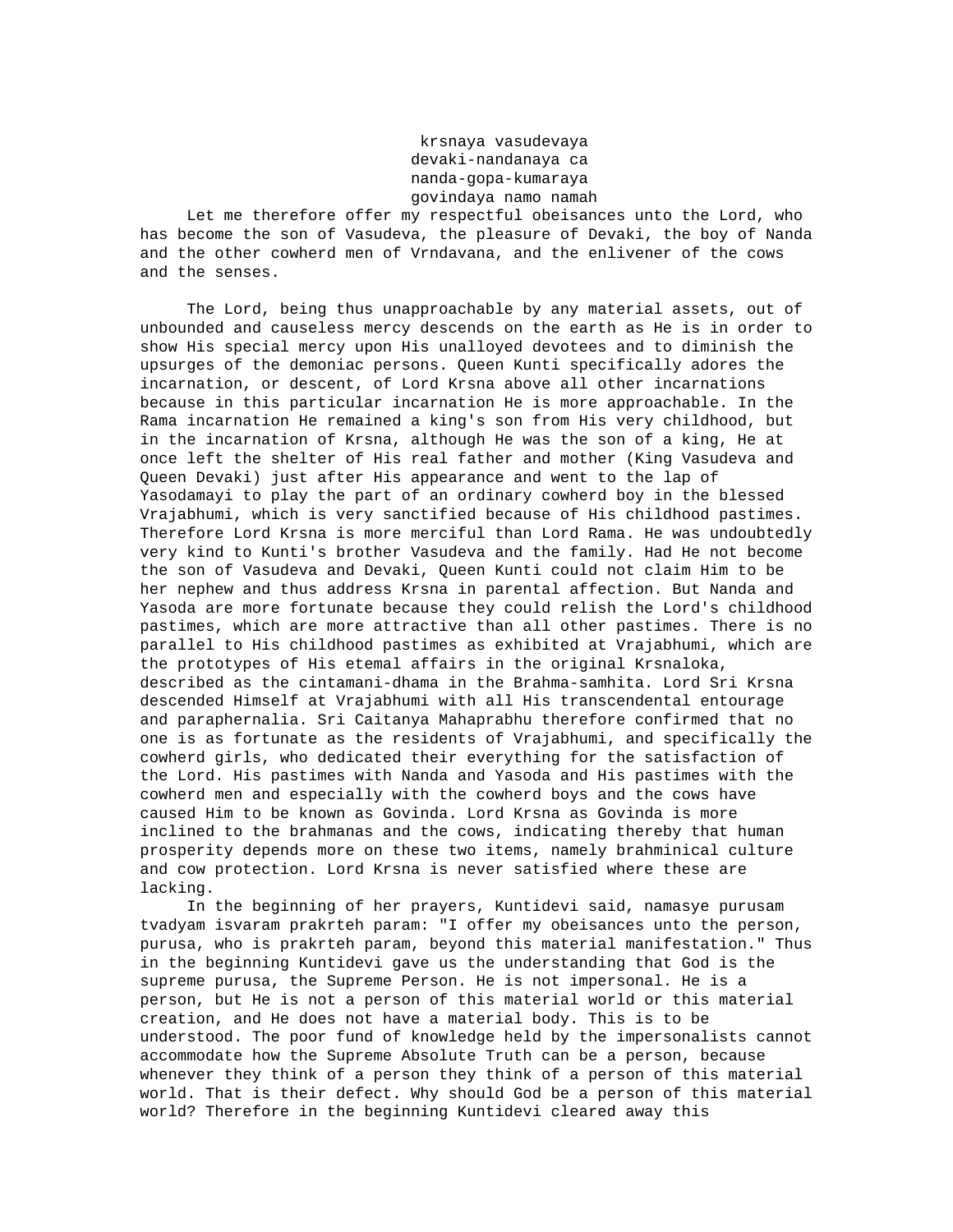krsnaya vasudevaya devaki-nandanaya ca nanda-gopa-kumaraya govindaya namo namah

 Let me therefore offer my respectful obeisances unto the Lord, who has become the son of Vasudeva, the pleasure of Devaki, the boy of Nanda and the other cowherd men of Vrndavana, and the enlivener of the cows and the senses.

 The Lord, being thus unapproachable by any material assets, out of unbounded and causeless mercy descends on the earth as He is in order to show His special mercy upon His unalloyed devotees and to diminish the upsurges of the demoniac persons. Queen Kunti specifically adores the incarnation, or descent, of Lord Krsna above all other incarnations because in this particular incarnation He is more approachable. In the Rama incarnation He remained a king's son from His very childhood, but in the incarnation of Krsna, although He was the son of a king, He at once left the shelter of His real father and mother (King Vasudeva and Queen Devaki) just after His appearance and went to the lap of Yasodamayi to play the part of an ordinary cowherd boy in the blessed Vrajabhumi, which is very sanctified because of His childhood pastimes. Therefore Lord Krsna is more merciful than Lord Rama. He was undoubtedly very kind to Kunti's brother Vasudeva and the family. Had He not become the son of Vasudeva and Devaki, Queen Kunti could not claim Him to be her nephew and thus address Krsna in parental affection. But Nanda and Yasoda are more fortunate because they could relish the Lord's childhood pastimes, which are more attractive than all other pastimes. There is no parallel to His childhood pastimes as exhibited at Vrajabhumi, which are the prototypes of His etemal affairs in the original Krsnaloka, described as the cintamani-dhama in the Brahma-samhita. Lord Sri Krsna descended Himself at Vrajabhumi with all His transcendental entourage and paraphernalia. Sri Caitanya Mahaprabhu therefore confirmed that no one is as fortunate as the residents of Vrajabhumi, and specifically the cowherd girls, who dedicated their everything for the satisfaction of the Lord. His pastimes with Nanda and Yasoda and His pastimes with the cowherd men and especially with the cowherd boys and the cows have caused Him to be known as Govinda. Lord Krsna as Govinda is more inclined to the brahmanas and the cows, indicating thereby that human prosperity depends more on these two items, namely brahminical culture and cow protection. Lord Krsna is never satisfied where these are lacking.

 In the beginning of her prayers, Kuntidevi said, namasye purusam tvadyam isvaram prakrteh param: "I offer my obeisances unto the person, purusa, who is prakrteh param, beyond this material manifestation." Thus in the beginning Kuntidevi gave us the understanding that God is the supreme purusa, the Supreme Person. He is not impersonal. He is a person, but He is not a person of this material world or this material creation, and He does not have a material body. This is to be understood. The poor fund of knowledge held by the impersonalists cannot accommodate how the Supreme Absolute Truth can be a person, because whenever they think of a person they think of a person of this material world. That is their defect. Why should God be a person of this material world? Therefore in the beginning Kuntidevi cleared away this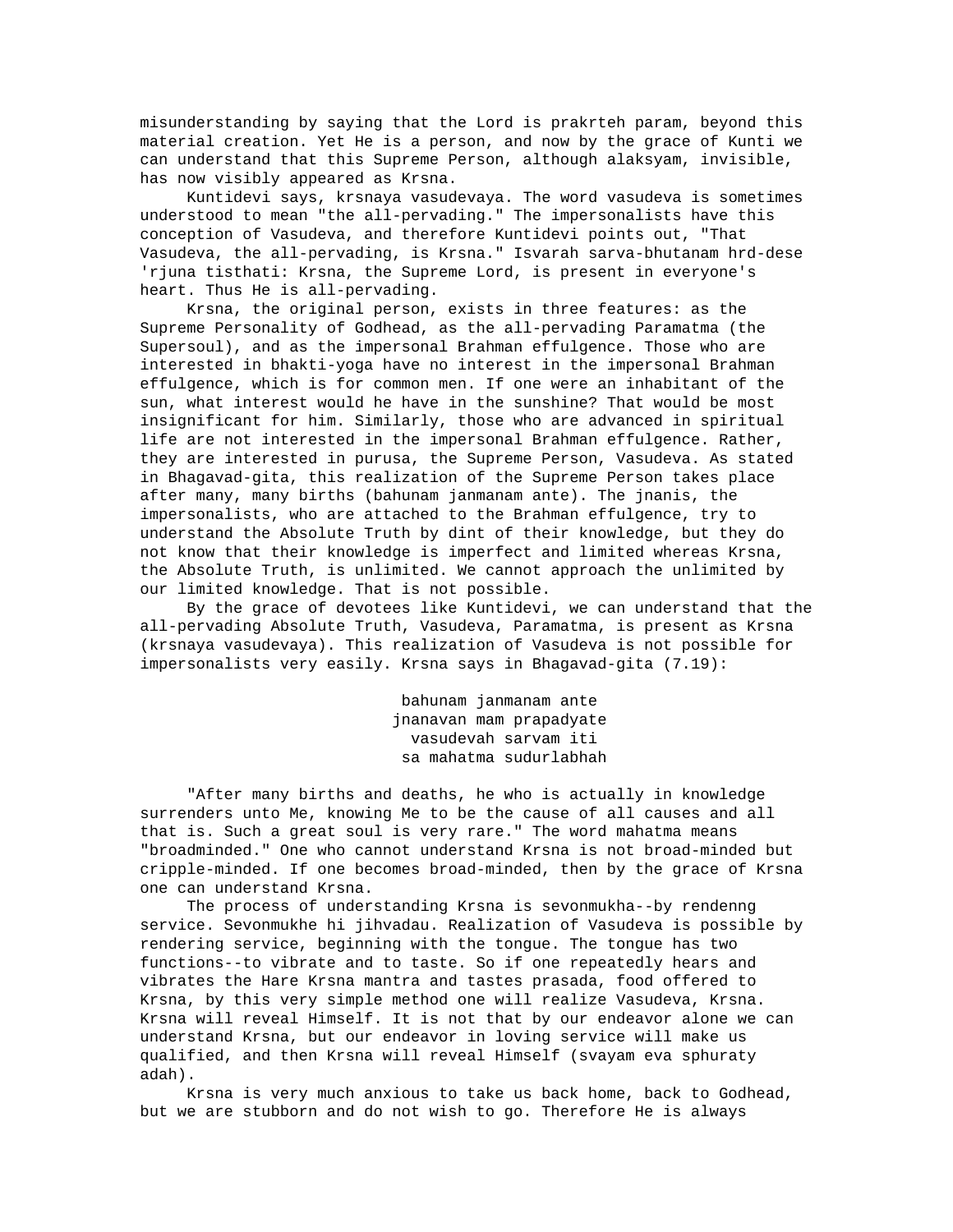misunderstanding by saying that the Lord is prakrteh param, beyond this material creation. Yet He is a person, and now by the grace of Kunti we can understand that this Supreme Person, although alaksyam, invisible, has now visibly appeared as Krsna.

 Kuntidevi says, krsnaya vasudevaya. The word vasudeva is sometimes understood to mean "the all-pervading." The impersonalists have this conception of Vasudeva, and therefore Kuntidevi points out, "That Vasudeva, the all-pervading, is Krsna." Isvarah sarva-bhutanam hrd-dese 'rjuna tisthati: Krsna, the Supreme Lord, is present in everyone's heart. Thus He is all-pervading.

 Krsna, the original person, exists in three features: as the Supreme Personality of Godhead, as the all-pervading Paramatma (the Supersoul), and as the impersonal Brahman effulgence. Those who are interested in bhakti-yoga have no interest in the impersonal Brahman effulgence, which is for common men. If one were an inhabitant of the sun, what interest would he have in the sunshine? That would be most insignificant for him. Similarly, those who are advanced in spiritual life are not interested in the impersonal Brahman effulgence. Rather, they are interested in purusa, the Supreme Person, Vasudeva. As stated in Bhagavad-gita, this realization of the Supreme Person takes place after many, many births (bahunam janmanam ante). The jnanis, the impersonalists, who are attached to the Brahman effulgence, try to understand the Absolute Truth by dint of their knowledge, but they do not know that their knowledge is imperfect and limited whereas Krsna, the Absolute Truth, is unlimited. We cannot approach the unlimited by our limited knowledge. That is not possible.

 By the grace of devotees like Kuntidevi, we can understand that the all-pervading Absolute Truth, Vasudeva, Paramatma, is present as Krsna (krsnaya vasudevaya). This realization of Vasudeva is not possible for impersonalists very easily. Krsna says in Bhagavad-gita (7.19):

> bahunam janmanam ante jnanavan mam prapadyate vasudevah sarvam iti sa mahatma sudurlabhah

 "After many births and deaths, he who is actually in knowledge surrenders unto Me, knowing Me to be the cause of all causes and all that is. Such a great soul is very rare." The word mahatma means "broadminded." One who cannot understand Krsna is not broad-minded but cripple-minded. If one becomes broad-minded, then by the grace of Krsna one can understand Krsna.

 The process of understanding Krsna is sevonmukha--by rendenng service. Sevonmukhe hi jihvadau. Realization of Vasudeva is possible by rendering service, beginning with the tongue. The tongue has two functions--to vibrate and to taste. So if one repeatedly hears and vibrates the Hare Krsna mantra and tastes prasada, food offered to Krsna, by this very simple method one will realize Vasudeva, Krsna. Krsna will reveal Himself. It is not that by our endeavor alone we can understand Krsna, but our endeavor in loving service will make us qualified, and then Krsna will reveal Himself (svayam eva sphuraty adah).

 Krsna is very much anxious to take us back home, back to Godhead, but we are stubborn and do not wish to go. Therefore He is always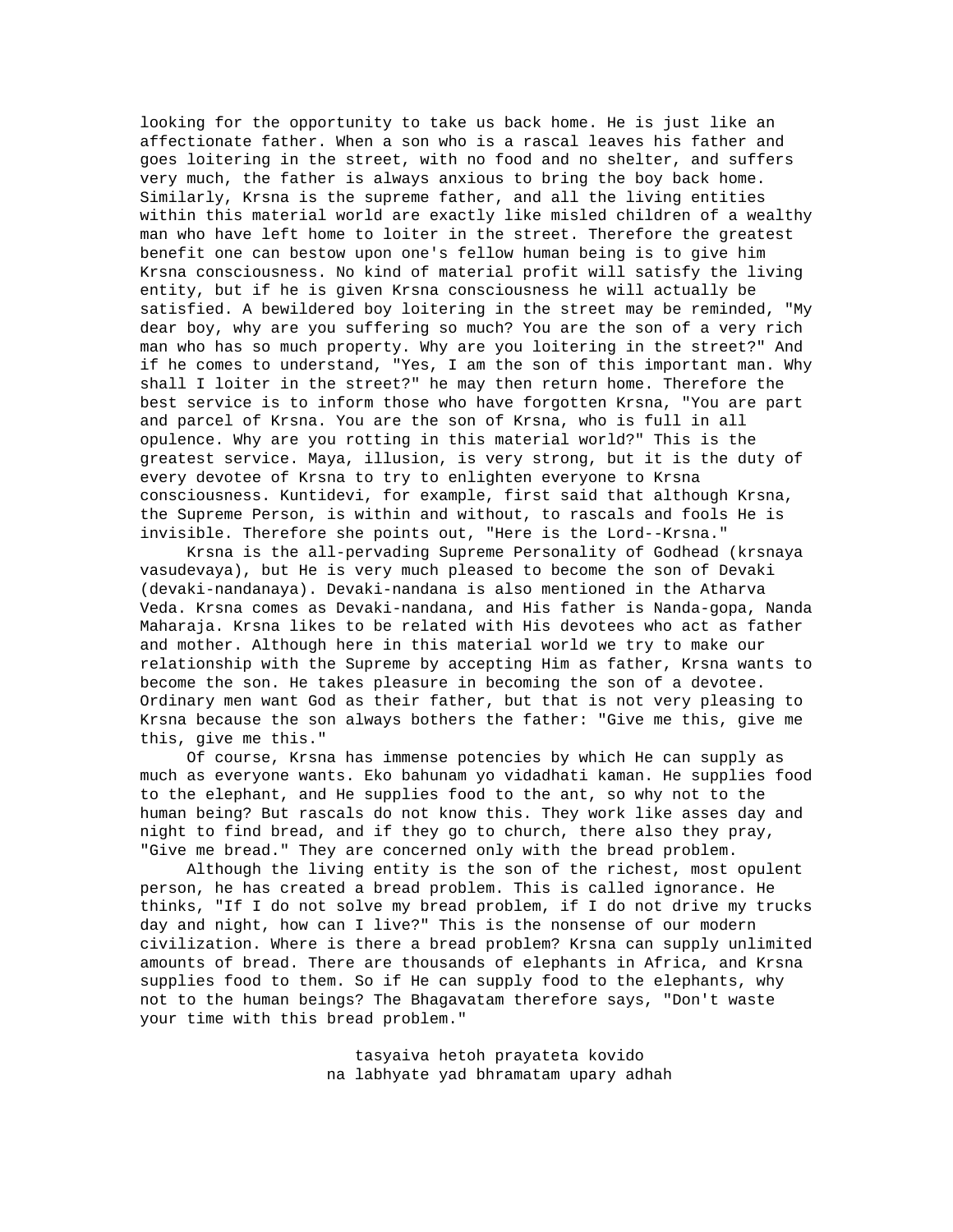looking for the opportunity to take us back home. He is just like an affectionate father. When a son who is a rascal leaves his father and goes loitering in the street, with no food and no shelter, and suffers very much, the father is always anxious to bring the boy back home. Similarly, Krsna is the supreme father, and all the living entities within this material world are exactly like misled children of a wealthy man who have left home to loiter in the street. Therefore the greatest benefit one can bestow upon one's fellow human being is to give him Krsna consciousness. No kind of material profit will satisfy the living entity, but if he is given Krsna consciousness he will actually be satisfied. A bewildered boy loitering in the street may be reminded, "My dear boy, why are you suffering so much? You are the son of a very rich man who has so much property. Why are you loitering in the street?" And if he comes to understand, "Yes, I am the son of this important man. Why shall I loiter in the street?" he may then return home. Therefore the best service is to inform those who have forgotten Krsna, "You are part and parcel of Krsna. You are the son of Krsna, who is full in all opulence. Why are you rotting in this material world?" This is the greatest service. Maya, illusion, is very strong, but it is the duty of every devotee of Krsna to try to enlighten everyone to Krsna consciousness. Kuntidevi, for example, first said that although Krsna, the Supreme Person, is within and without, to rascals and fools He is invisible. Therefore she points out, "Here is the Lord--Krsna."

 Krsna is the all-pervading Supreme Personality of Godhead (krsnaya vasudevaya), but He is very much pleased to become the son of Devaki (devaki-nandanaya). Devaki-nandana is also mentioned in the Atharva Veda. Krsna comes as Devaki-nandana, and His father is Nanda-gopa, Nanda Maharaja. Krsna likes to be related with His devotees who act as father and mother. Although here in this material world we try to make our relationship with the Supreme by accepting Him as father, Krsna wants to become the son. He takes pleasure in becoming the son of a devotee. Ordinary men want God as their father, but that is not very pleasing to Krsna because the son always bothers the father: "Give me this, give me this, give me this."

 Of course, Krsna has immense potencies by which He can supply as much as everyone wants. Eko bahunam yo vidadhati kaman. He supplies food to the elephant, and He supplies food to the ant, so why not to the human being? But rascals do not know this. They work like asses day and night to find bread, and if they go to church, there also they pray, "Give me bread." They are concerned only with the bread problem.

 Although the living entity is the son of the richest, most opulent person, he has created a bread problem. This is called ignorance. He thinks, "If I do not solve my bread problem, if I do not drive my trucks day and night, how can I live?" This is the nonsense of our modern civilization. Where is there a bread problem? Krsna can supply unlimited amounts of bread. There are thousands of elephants in Africa, and Krsna supplies food to them. So if He can supply food to the elephants, why not to the human beings? The Bhagavatam therefore says, "Don't waste your time with this bread problem."

> tasyaiva hetoh prayateta kovido na labhyate yad bhramatam upary adhah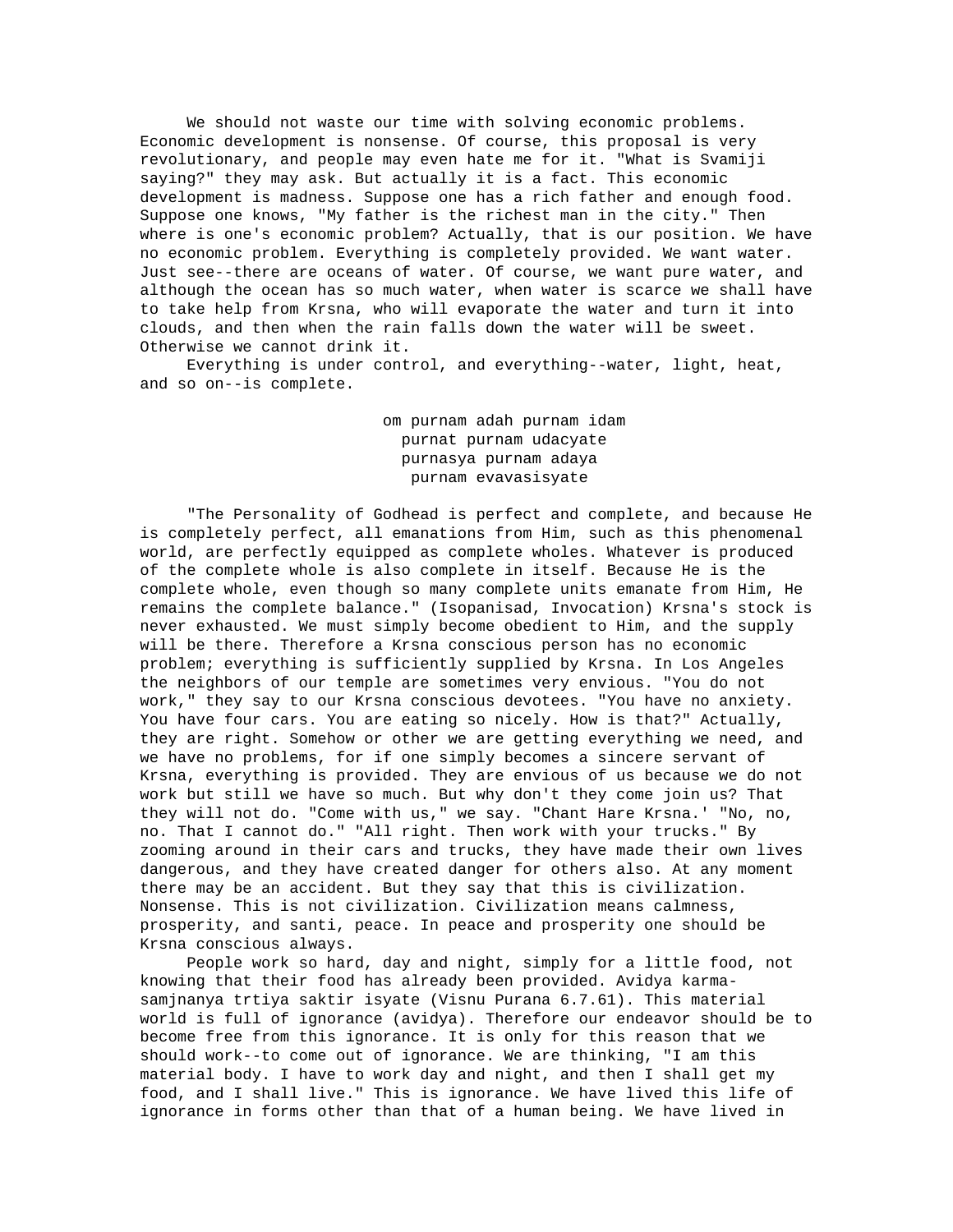We should not waste our time with solving economic problems. Economic development is nonsense. Of course, this proposal is very revolutionary, and people may even hate me for it. "What is Svamiji saying?" they may ask. But actually it is a fact. This economic development is madness. Suppose one has a rich father and enough food. Suppose one knows, "My father is the richest man in the city." Then where is one's economic problem? Actually, that is our position. We have no economic problem. Everything is completely provided. We want water. Just see--there are oceans of water. Of course, we want pure water, and although the ocean has so much water, when water is scarce we shall have to take help from Krsna, who will evaporate the water and turn it into clouds, and then when the rain falls down the water will be sweet. Otherwise we cannot drink it.

 Everything is under control, and everything--water, light, heat, and so on--is complete.

> om purnam adah purnam idam purnat purnam udacyate purnasya purnam adaya purnam evavasisyate

 "The Personality of Godhead is perfect and complete, and because He is completely perfect, all emanations from Him, such as this phenomenal world, are perfectly equipped as complete wholes. Whatever is produced of the complete whole is also complete in itself. Because He is the complete whole, even though so many complete units emanate from Him, He remains the complete balance." (Isopanisad, Invocation) Krsna's stock is never exhausted. We must simply become obedient to Him, and the supply will be there. Therefore a Krsna conscious person has no economic problem; everything is sufficiently supplied by Krsna. In Los Angeles the neighbors of our temple are sometimes very envious. "You do not work," they say to our Krsna conscious devotees. "You have no anxiety. You have four cars. You are eating so nicely. How is that?" Actually, they are right. Somehow or other we are getting everything we need, and we have no problems, for if one simply becomes a sincere servant of Krsna, everything is provided. They are envious of us because we do not work but still we have so much. But why don't they come join us? That they will not do. "Come with us," we say. "Chant Hare Krsna.' "No, no, no. That I cannot do." "All right. Then work with your trucks." By zooming around in their cars and trucks, they have made their own lives dangerous, and they have created danger for others also. At any moment there may be an accident. But they say that this is civilization. Nonsense. This is not civilization. Civilization means calmness, prosperity, and santi, peace. In peace and prosperity one should be Krsna conscious always.

 People work so hard, day and night, simply for a little food, not knowing that their food has already been provided. Avidya karmasamjnanya trtiya saktir isyate (Visnu Purana 6.7.61). This material world is full of ignorance (avidya). Therefore our endeavor should be to become free from this ignorance. It is only for this reason that we should work--to come out of ignorance. We are thinking, "I am this material body. I have to work day and night, and then I shall get my food, and I shall live." This is ignorance. We have lived this life of ignorance in forms other than that of a human being. We have lived in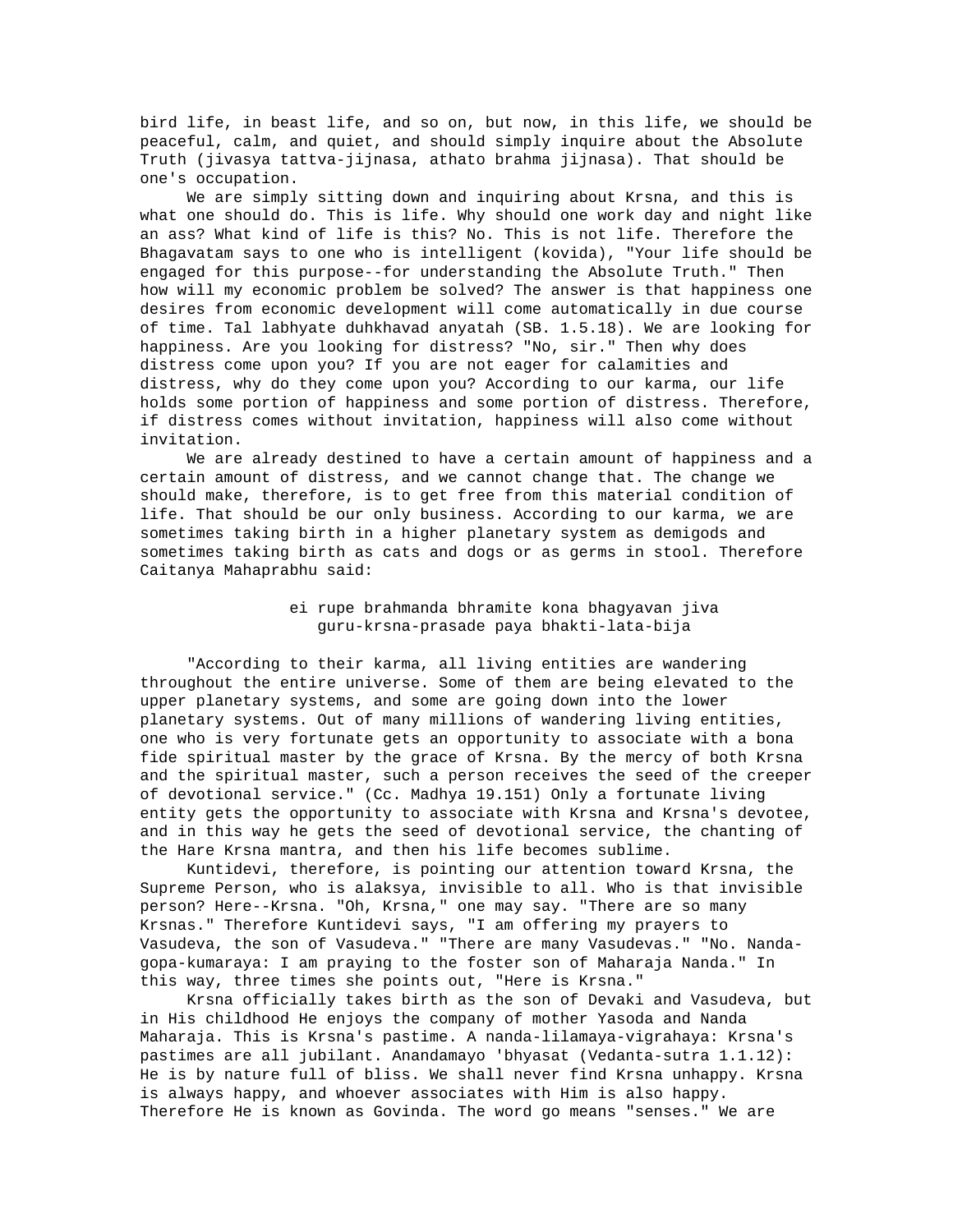bird life, in beast life, and so on, but now, in this life, we should be peaceful, calm, and quiet, and should simply inquire about the Absolute Truth (jivasya tattva-jijnasa, athato brahma jijnasa). That should be one's occupation.

 We are simply sitting down and inquiring about Krsna, and this is what one should do. This is life. Why should one work day and night like an ass? What kind of life is this? No. This is not life. Therefore the Bhagavatam says to one who is intelligent (kovida), "Your life should be engaged for this purpose--for understanding the Absolute Truth." Then how will my economic problem be solved? The answer is that happiness one desires from economic development will come automatically in due course of time. Tal labhyate duhkhavad anyatah (SB. 1.5.18). We are looking for happiness. Are you looking for distress? "No, sir." Then why does distress come upon you? If you are not eager for calamities and distress, why do they come upon you? According to our karma, our life holds some portion of happiness and some portion of distress. Therefore, if distress comes without invitation, happiness will also come without invitation.

 We are already destined to have a certain amount of happiness and a certain amount of distress, and we cannot change that. The change we should make, therefore, is to get free from this material condition of life. That should be our only business. According to our karma, we are sometimes taking birth in a higher planetary system as demigods and sometimes taking birth as cats and dogs or as germs in stool. Therefore Caitanya Mahaprabhu said:

## ei rupe brahmanda bhramite kona bhagyavan jiva guru-krsna-prasade paya bhakti-lata-bija

 "According to their karma, all living entities are wandering throughout the entire universe. Some of them are being elevated to the upper planetary systems, and some are going down into the lower planetary systems. Out of many millions of wandering living entities, one who is very fortunate gets an opportunity to associate with a bona fide spiritual master by the grace of Krsna. By the mercy of both Krsna and the spiritual master, such a person receives the seed of the creeper of devotional service." (Cc. Madhya 19.151) Only a fortunate living entity gets the opportunity to associate with Krsna and Krsna's devotee, and in this way he gets the seed of devotional service, the chanting of the Hare Krsna mantra, and then his life becomes sublime.

 Kuntidevi, therefore, is pointing our attention toward Krsna, the Supreme Person, who is alaksya, invisible to all. Who is that invisible person? Here--Krsna. "Oh, Krsna," one may say. "There are so many Krsnas." Therefore Kuntidevi says, "I am offering my prayers to Vasudeva, the son of Vasudeva." "There are many Vasudevas." "No. Nandagopa-kumaraya: I am praying to the foster son of Maharaja Nanda." In this way, three times she points out, "Here is Krsna."

 Krsna officially takes birth as the son of Devaki and Vasudeva, but in His childhood He enjoys the company of mother Yasoda and Nanda Maharaja. This is Krsna's pastime. A nanda-lilamaya-vigrahaya: Krsna's pastimes are all jubilant. Anandamayo 'bhyasat (Vedanta-sutra 1.1.12): He is by nature full of bliss. We shall never find Krsna unhappy. Krsna is always happy, and whoever associates with Him is also happy. Therefore He is known as Govinda. The word go means "senses." We are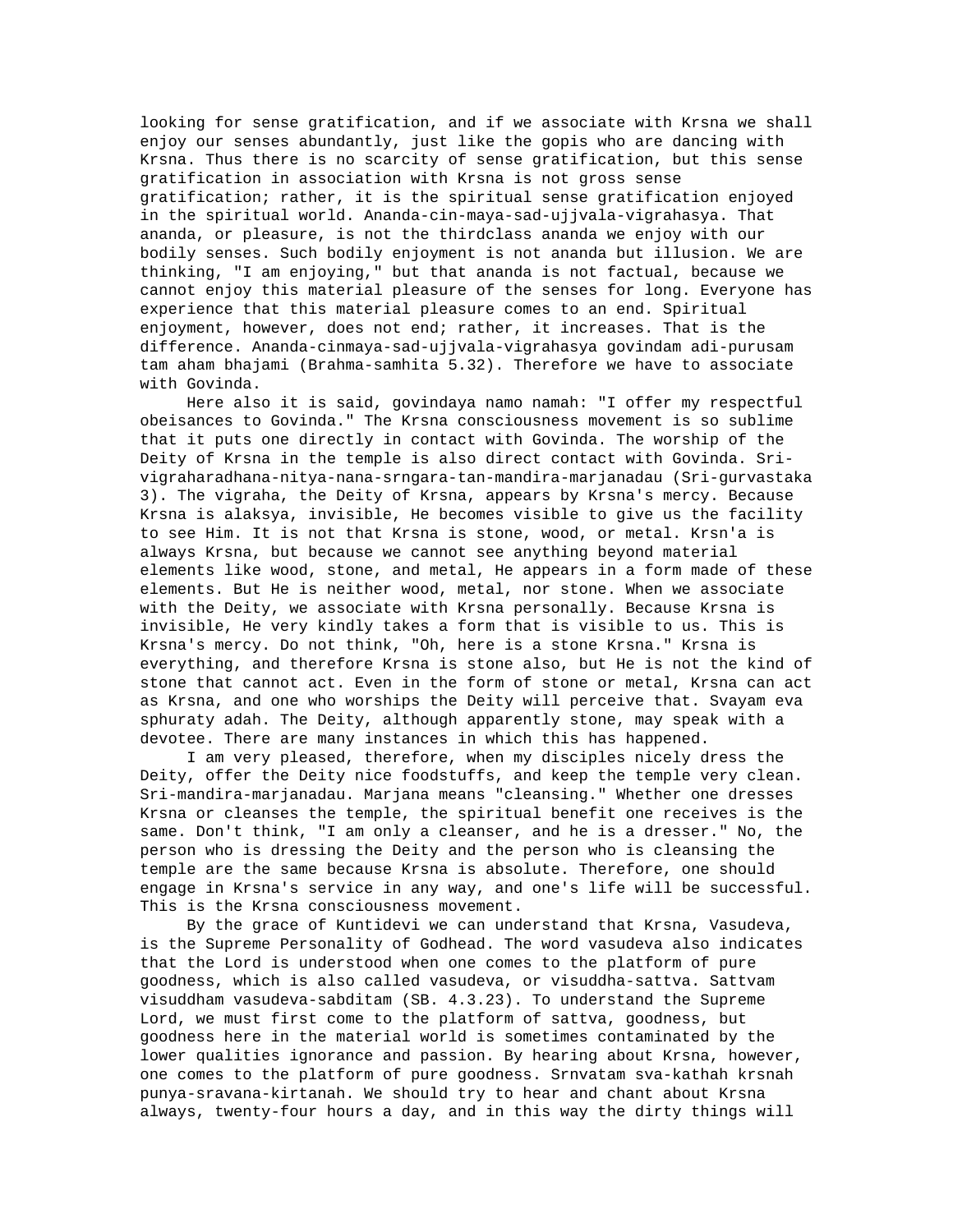looking for sense gratification, and if we associate with Krsna we shall enjoy our senses abundantly, just like the gopis who are dancing with Krsna. Thus there is no scarcity of sense gratification, but this sense gratification in association with Krsna is not gross sense gratification; rather, it is the spiritual sense gratification enjoyed in the spiritual world. Ananda-cin-maya-sad-ujjvala-vigrahasya. That ananda, or pleasure, is not the thirdclass ananda we enjoy with our bodily senses. Such bodily enjoyment is not ananda but illusion. We are thinking, "I am enjoying," but that ananda is not factual, because we cannot enjoy this material pleasure of the senses for long. Everyone has experience that this material pleasure comes to an end. Spiritual enjoyment, however, does not end; rather, it increases. That is the difference. Ananda-cinmaya-sad-ujjvala-vigrahasya govindam adi-purusam tam aham bhajami (Brahma-samhita 5.32). Therefore we have to associate with Govinda.

 Here also it is said, govindaya namo namah: "I offer my respectful obeisances to Govinda." The Krsna consciousness movement is so sublime that it puts one directly in contact with Govinda. The worship of the Deity of Krsna in the temple is also direct contact with Govinda. Srivigraharadhana-nitya-nana-srngara-tan-mandira-marjanadau (Sri-gurvastaka 3). The vigraha, the Deity of Krsna, appears by Krsna's mercy. Because Krsna is alaksya, invisible, He becomes visible to give us the facility to see Him. It is not that Krsna is stone, wood, or metal. Krsn'a is always Krsna, but because we cannot see anything beyond material elements like wood, stone, and metal, He appears in a form made of these elements. But He is neither wood, metal, nor stone. When we associate with the Deity, we associate with Krsna personally. Because Krsna is invisible, He very kindly takes a form that is visible to us. This is Krsna's mercy. Do not think, "Oh, here is a stone Krsna." Krsna is everything, and therefore Krsna is stone also, but He is not the kind of stone that cannot act. Even in the form of stone or metal, Krsna can act as Krsna, and one who worships the Deity will perceive that. Svayam eva sphuraty adah. The Deity, although apparently stone, may speak with a devotee. There are many instances in which this has happened.

 I am very pleased, therefore, when my disciples nicely dress the Deity, offer the Deity nice foodstuffs, and keep the temple very clean. Sri-mandira-marjanadau. Marjana means "cleansing." Whether one dresses Krsna or cleanses the temple, the spiritual benefit one receives is the same. Don't think, "I am only a cleanser, and he is a dresser." No, the person who is dressing the Deity and the person who is cleansing the temple are the same because Krsna is absolute. Therefore, one should engage in Krsna's service in any way, and one's life will be successful. This is the Krsna consciousness movement.

 By the grace of Kuntidevi we can understand that Krsna, Vasudeva, is the Supreme Personality of Godhead. The word vasudeva also indicates that the Lord is understood when one comes to the platform of pure goodness, which is also called vasudeva, or visuddha-sattva. Sattvam visuddham vasudeva-sabditam (SB. 4.3.23). To understand the Supreme Lord, we must first come to the platform of sattva, goodness, but goodness here in the material world is sometimes contaminated by the lower qualities ignorance and passion. By hearing about Krsna, however, one comes to the platform of pure goodness. Srnvatam sva-kathah krsnah punya-sravana-kirtanah. We should try to hear and chant about Krsna always, twenty-four hours a day, and in this way the dirty things will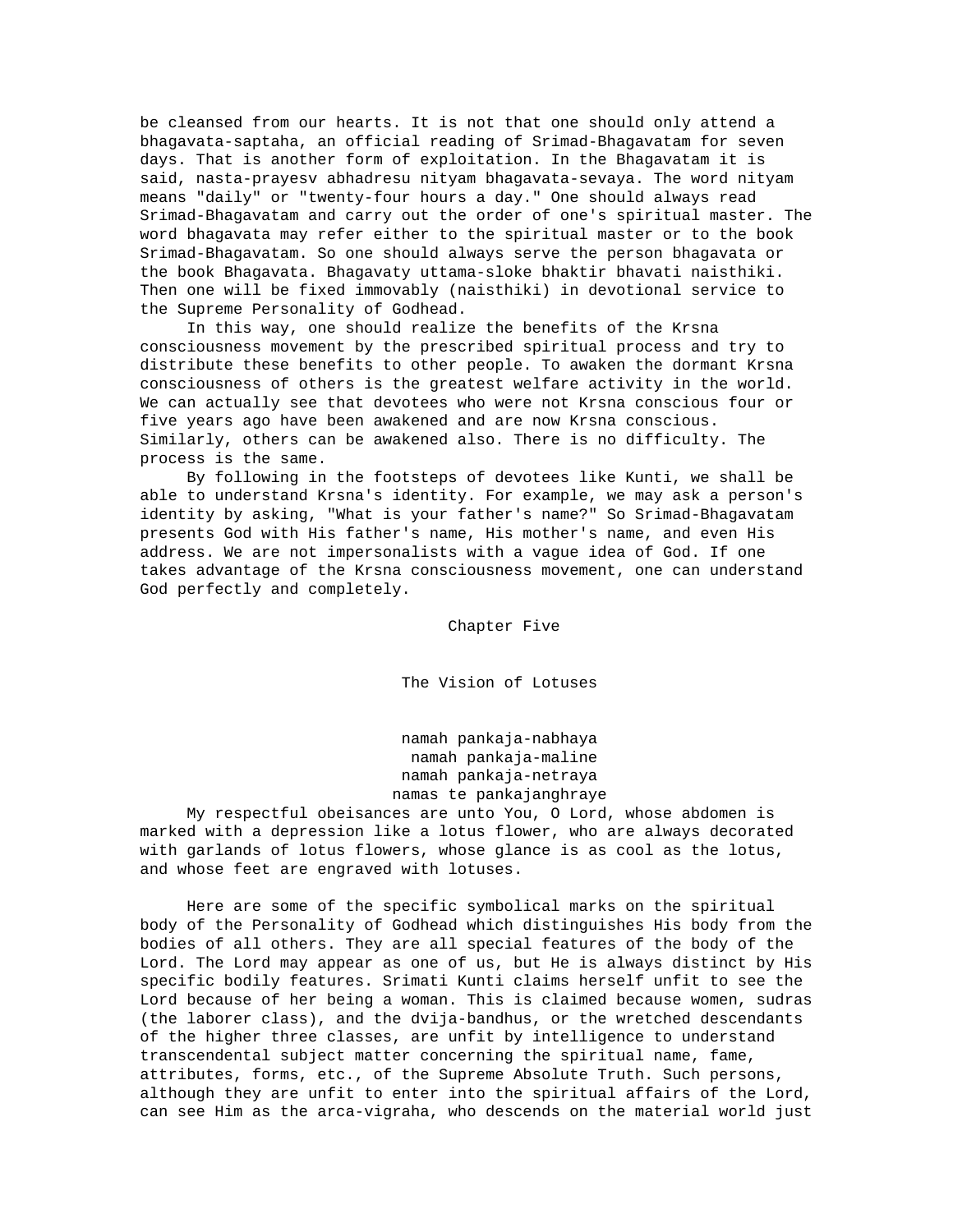be cleansed from our hearts. It is not that one should only attend a bhagavata-saptaha, an official reading of Srimad-Bhagavatam for seven days. That is another form of exploitation. In the Bhagavatam it is said, nasta-prayesv abhadresu nityam bhagavata-sevaya. The word nityam means "daily" or "twenty-four hours a day." One should always read Srimad-Bhagavatam and carry out the order of one's spiritual master. The word bhagavata may refer either to the spiritual master or to the book Srimad-Bhagavatam. So one should always serve the person bhagavata or the book Bhagavata. Bhagavaty uttama-sloke bhaktir bhavati naisthiki. Then one will be fixed immovably (naisthiki) in devotional service to the Supreme Personality of Godhead.

 In this way, one should realize the benefits of the Krsna consciousness movement by the prescribed spiritual process and try to distribute these benefits to other people. To awaken the dormant Krsna consciousness of others is the greatest welfare activity in the world. We can actually see that devotees who were not Krsna conscious four or five years ago have been awakened and are now Krsna conscious. Similarly, others can be awakened also. There is no difficulty. The process is the same.

 By following in the footsteps of devotees like Kunti, we shall be able to understand Krsna's identity. For example, we may ask a person's identity by asking, "What is your father's name?" So Srimad-Bhagavatam presents God with His father's name, His mother's name, and even His address. We are not impersonalists with a vague idea of God. If one takes advantage of the Krsna consciousness movement, one can understand God perfectly and completely.

Chapter Five

The Vision of Lotuses

 namah pankaja-nabhaya namah pankaja-maline namah pankaja-netraya namas te pankajanghraye

 My respectful obeisances are unto You, O Lord, whose abdomen is marked with a depression like a lotus flower, who are always decorated with garlands of lotus flowers, whose glance is as cool as the lotus, and whose feet are engraved with lotuses.

 Here are some of the specific symbolical marks on the spiritual body of the Personality of Godhead which distinguishes His body from the bodies of all others. They are all special features of the body of the Lord. The Lord may appear as one of us, but He is always distinct by His specific bodily features. Srimati Kunti claims herself unfit to see the Lord because of her being a woman. This is claimed because women, sudras (the laborer class), and the dvija-bandhus, or the wretched descendants of the higher three classes, are unfit by intelligence to understand transcendental subject matter concerning the spiritual name, fame, attributes, forms, etc., of the Supreme Absolute Truth. Such persons, although they are unfit to enter into the spiritual affairs of the Lord, can see Him as the arca-vigraha, who descends on the material world just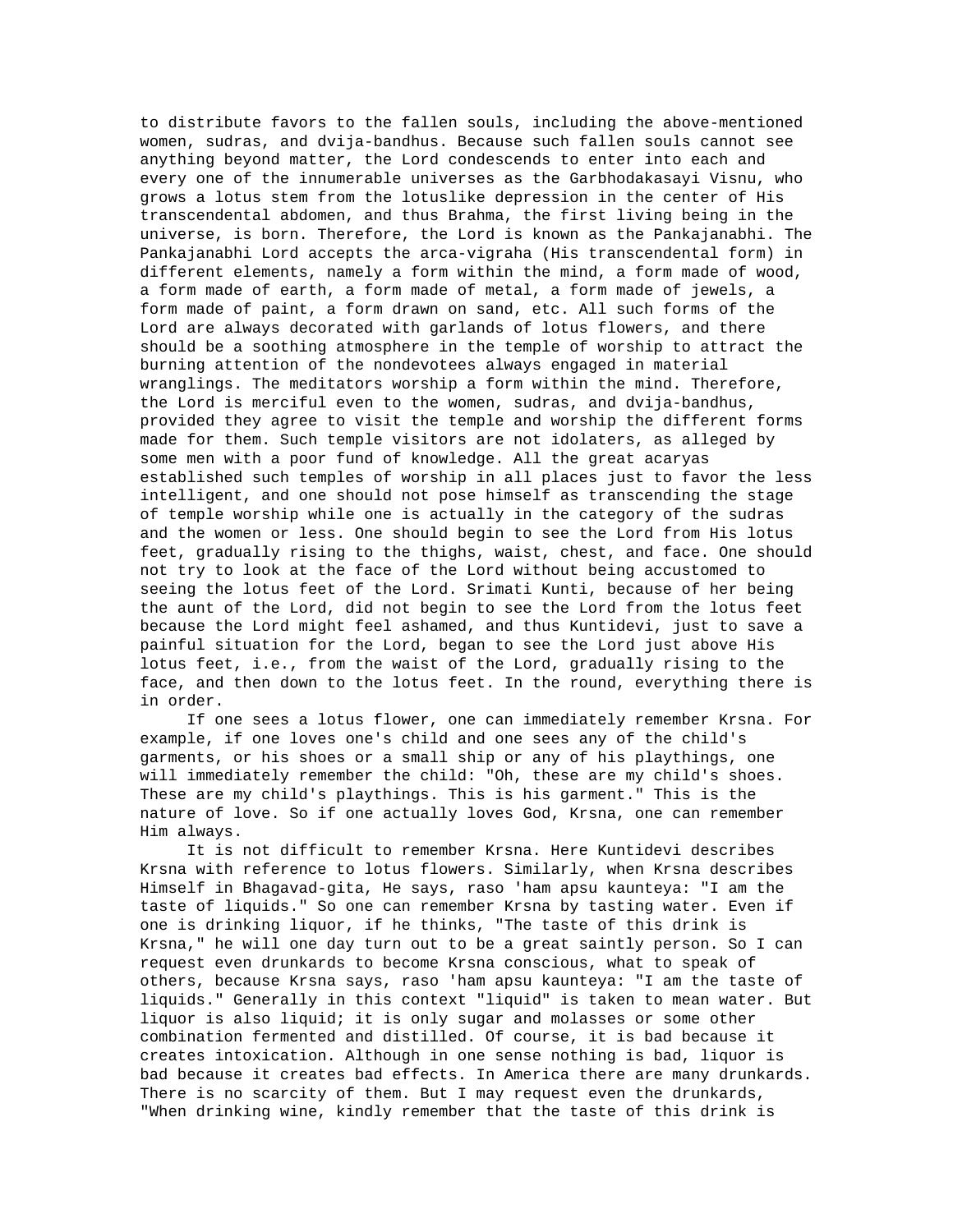to distribute favors to the fallen souls, including the above-mentioned women, sudras, and dvija-bandhus. Because such fallen souls cannot see anything beyond matter, the Lord condescends to enter into each and every one of the innumerable universes as the Garbhodakasayi Visnu, who grows a lotus stem from the lotuslike depression in the center of His transcendental abdomen, and thus Brahma, the first living being in the universe, is born. Therefore, the Lord is known as the Pankajanabhi. The Pankajanabhi Lord accepts the arca-vigraha (His transcendental form) in different elements, namely a form within the mind, a form made of wood, a form made of earth, a form made of metal, a form made of jewels, a form made of paint, a form drawn on sand, etc. All such forms of the Lord are always decorated with garlands of lotus flowers, and there should be a soothing atmosphere in the temple of worship to attract the burning attention of the nondevotees always engaged in material wranglings. The meditators worship a form within the mind. Therefore, the Lord is merciful even to the women, sudras, and dvija-bandhus, provided they agree to visit the temple and worship the different forms made for them. Such temple visitors are not idolaters, as alleged by some men with a poor fund of knowledge. All the great acaryas established such temples of worship in all places just to favor the less intelligent, and one should not pose himself as transcending the stage of temple worship while one is actually in the category of the sudras and the women or less. One should begin to see the Lord from His lotus feet, gradually rising to the thighs, waist, chest, and face. One should not try to look at the face of the Lord without being accustomed to seeing the lotus feet of the Lord. Srimati Kunti, because of her being the aunt of the Lord, did not begin to see the Lord from the lotus feet because the Lord might feel ashamed, and thus Kuntidevi, just to save a painful situation for the Lord, began to see the Lord just above His lotus feet, i.e., from the waist of the Lord, gradually rising to the face, and then down to the lotus feet. In the round, everything there is in order.

 If one sees a lotus flower, one can immediately remember Krsna. For example, if one loves one's child and one sees any of the child's garments, or his shoes or a small ship or any of his playthings, one will immediately remember the child: "Oh, these are my child's shoes. These are my child's playthings. This is his garment." This is the nature of love. So if one actually loves God, Krsna, one can remember Him always.

 It is not difficult to remember Krsna. Here Kuntidevi describes Krsna with reference to lotus flowers. Similarly, when Krsna describes Himself in Bhagavad-gita, He says, raso 'ham apsu kaunteya: "I am the taste of liquids." So one can remember Krsna by tasting water. Even if one is drinking liquor, if he thinks, "The taste of this drink is Krsna," he will one day turn out to be a great saintly person. So I can request even drunkards to become Krsna conscious, what to speak of others, because Krsna says, raso 'ham apsu kaunteya: "I am the taste of liquids." Generally in this context "liquid" is taken to mean water. But liquor is also liquid; it is only sugar and molasses or some other combination fermented and distilled. Of course, it is bad because it creates intoxication. Although in one sense nothing is bad, liquor is bad because it creates bad effects. In America there are many drunkards. There is no scarcity of them. But I may request even the drunkards, "When drinking wine, kindly remember that the taste of this drink is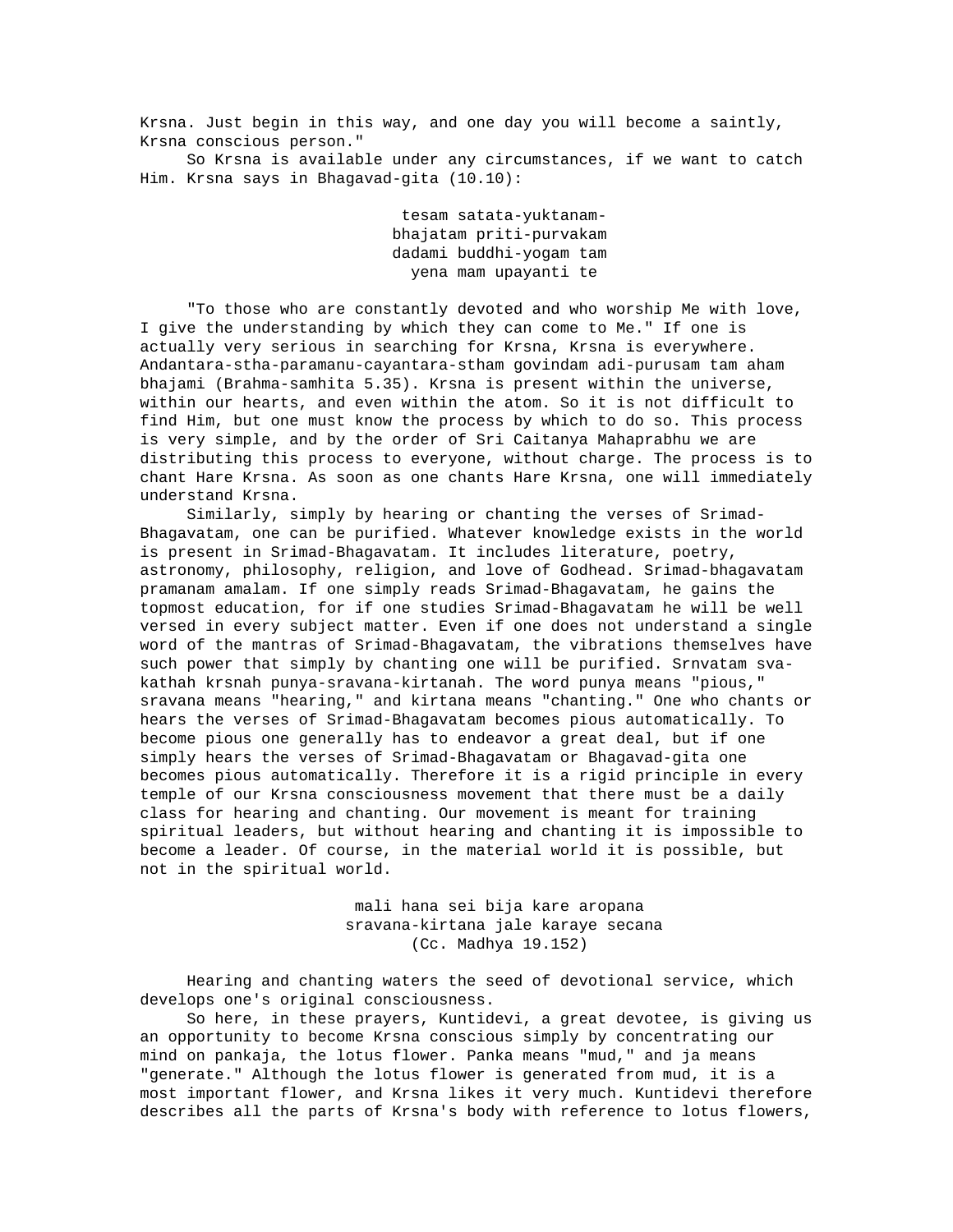Krsna. Just begin in this way, and one day you will become a saintly, Krsna conscious person."

 So Krsna is available under any circumstances, if we want to catch Him. Krsna says in Bhagavad-gita (10.10):

> tesam satata-yuktanam bhajatam priti-purvakam dadami buddhi-yogam tam yena mam upayanti te

 "To those who are constantly devoted and who worship Me with love, I give the understanding by which they can come to Me." If one is actually very serious in searching for Krsna, Krsna is everywhere. Andantara-stha-paramanu-cayantara-stham govindam adi-purusam tam aham bhajami (Brahma-samhita 5.35). Krsna is present within the universe, within our hearts, and even within the atom. So it is not difficult to find Him, but one must know the process by which to do so. This process is very simple, and by the order of Sri Caitanya Mahaprabhu we are distributing this process to everyone, without charge. The process is to chant Hare Krsna. As soon as one chants Hare Krsna, one will immediately understand Krsna.

 Similarly, simply by hearing or chanting the verses of Srimad-Bhagavatam, one can be purified. Whatever knowledge exists in the world is present in Srimad-Bhagavatam. It includes literature, poetry, astronomy, philosophy, religion, and love of Godhead. Srimad-bhagavatam pramanam amalam. If one simply reads Srimad-Bhagavatam, he gains the topmost education, for if one studies Srimad-Bhagavatam he will be well versed in every subject matter. Even if one does not understand a single word of the mantras of Srimad-Bhagavatam, the vibrations themselves have such power that simply by chanting one will be purified. Srnvatam svakathah krsnah punya-sravana-kirtanah. The word punya means "pious," sravana means "hearing," and kirtana means "chanting." One who chants or hears the verses of Srimad-Bhagavatam becomes pious automatically. To become pious one generally has to endeavor a great deal, but if one simply hears the verses of Srimad-Bhagavatam or Bhagavad-gita one becomes pious automatically. Therefore it is a rigid principle in every temple of our Krsna consciousness movement that there must be a daily class for hearing and chanting. Our movement is meant for training spiritual leaders, but without hearing and chanting it is impossible to become a leader. Of course, in the material world it is possible, but not in the spiritual world.

> mali hana sei bija kare aropana sravana-kirtana jale karaye secana (Cc. Madhya 19.152)

 Hearing and chanting waters the seed of devotional service, which develops one's original consciousness.

 So here, in these prayers, Kuntidevi, a great devotee, is giving us an opportunity to become Krsna conscious simply by concentrating our mind on pankaja, the lotus flower. Panka means "mud," and ja means "generate." Although the lotus flower is generated from mud, it is a most important flower, and Krsna likes it very much. Kuntidevi therefore describes all the parts of Krsna's body with reference to lotus flowers,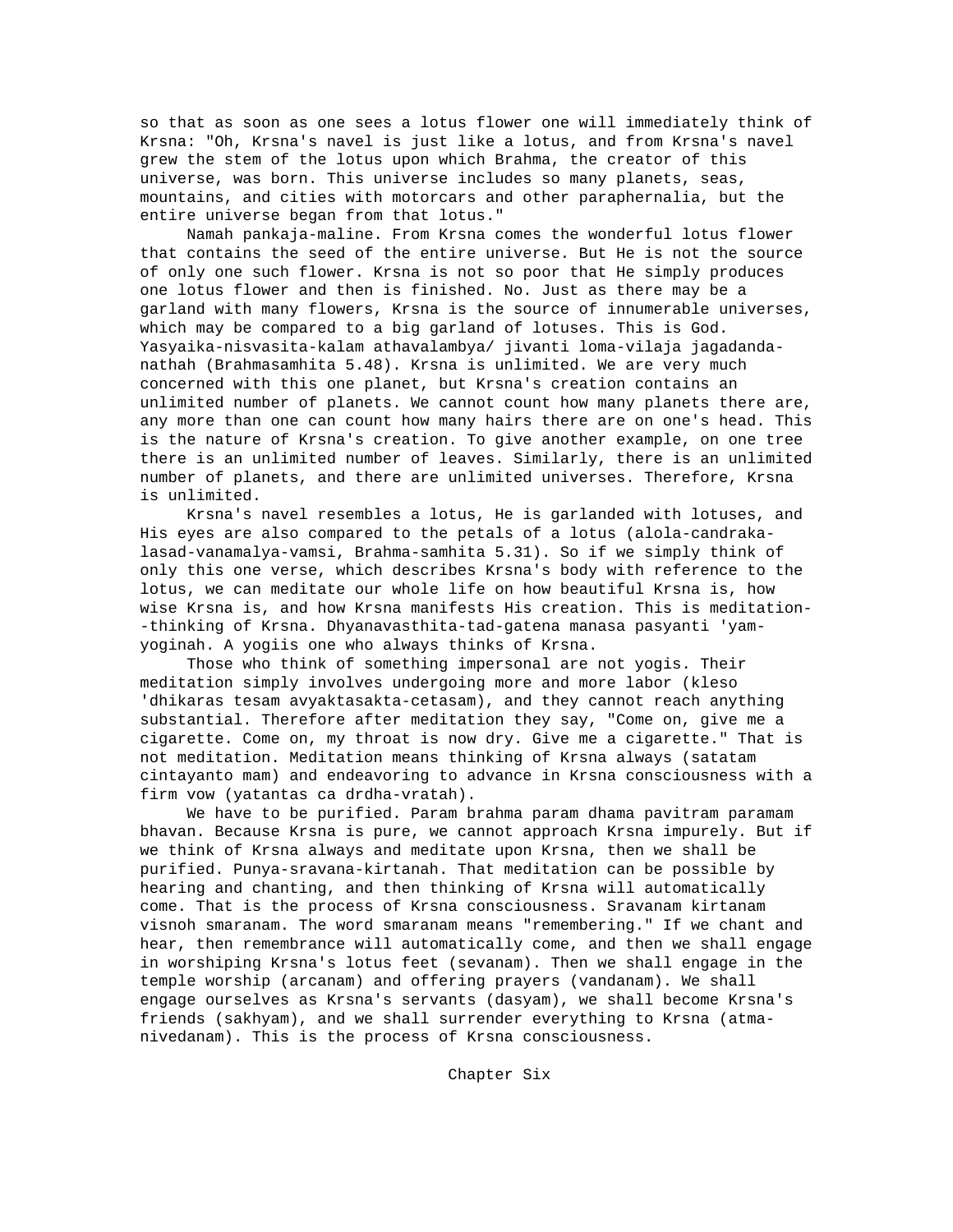so that as soon as one sees a lotus flower one will immediately think of Krsna: "Oh, Krsna's navel is just like a lotus, and from Krsna's navel grew the stem of the lotus upon which Brahma, the creator of this universe, was born. This universe includes so many planets, seas, mountains, and cities with motorcars and other paraphernalia, but the entire universe began from that lotus."

 Namah pankaja-maline. From Krsna comes the wonderful lotus flower that contains the seed of the entire universe. But He is not the source of only one such flower. Krsna is not so poor that He simply produces one lotus flower and then is finished. No. Just as there may be a garland with many flowers, Krsna is the source of innumerable universes, which may be compared to a big garland of lotuses. This is God. Yasyaika-nisvasita-kalam athavalambya/ jivanti loma-vilaja jagadandanathah (Brahmasamhita 5.48). Krsna is unlimited. We are very much concerned with this one planet, but Krsna's creation contains an unlimited number of planets. We cannot count how many planets there are, any more than one can count how many hairs there are on one's head. This is the nature of Krsna's creation. To give another example, on one tree there is an unlimited number of leaves. Similarly, there is an unlimited number of planets, and there are unlimited universes. Therefore, Krsna is unlimited.

 Krsna's navel resembles a lotus, He is garlanded with lotuses, and His eyes are also compared to the petals of a lotus (alola-candrakalasad-vanamalya-vamsi, Brahma-samhita 5.31). So if we simply think of only this one verse, which describes Krsna's body with reference to the lotus, we can meditate our whole life on how beautiful Krsna is, how wise Krsna is, and how Krsna manifests His creation. This is meditation- -thinking of Krsna. Dhyanavasthita-tad-gatena manasa pasyanti 'yamyoginah. A yogiis one who always thinks of Krsna.

 Those who think of something impersonal are not yogis. Their meditation simply involves undergoing more and more labor (kleso 'dhikaras tesam avyaktasakta-cetasam), and they cannot reach anything substantial. Therefore after meditation they say, "Come on, give me a cigarette. Come on, my throat is now dry. Give me a cigarette." That is not meditation. Meditation means thinking of Krsna always (satatam cintayanto mam) and endeavoring to advance in Krsna consciousness with a firm vow (yatantas ca drdha-vratah).

 We have to be purified. Param brahma param dhama pavitram paramam bhavan. Because Krsna is pure, we cannot approach Krsna impurely. But if we think of Krsna always and meditate upon Krsna, then we shall be purified. Punya-sravana-kirtanah. That meditation can be possible by hearing and chanting, and then thinking of Krsna will automatically come. That is the process of Krsna consciousness. Sravanam kirtanam visnoh smaranam. The word smaranam means "remembering." If we chant and hear, then remembrance will automatically come, and then we shall engage in worshiping Krsna's lotus feet (sevanam). Then we shall engage in the temple worship (arcanam) and offering prayers (vandanam). We shall engage ourselves as Krsna's servants (dasyam), we shall become Krsna's friends (sakhyam), and we shall surrender everything to Krsna (atmanivedanam). This is the process of Krsna consciousness.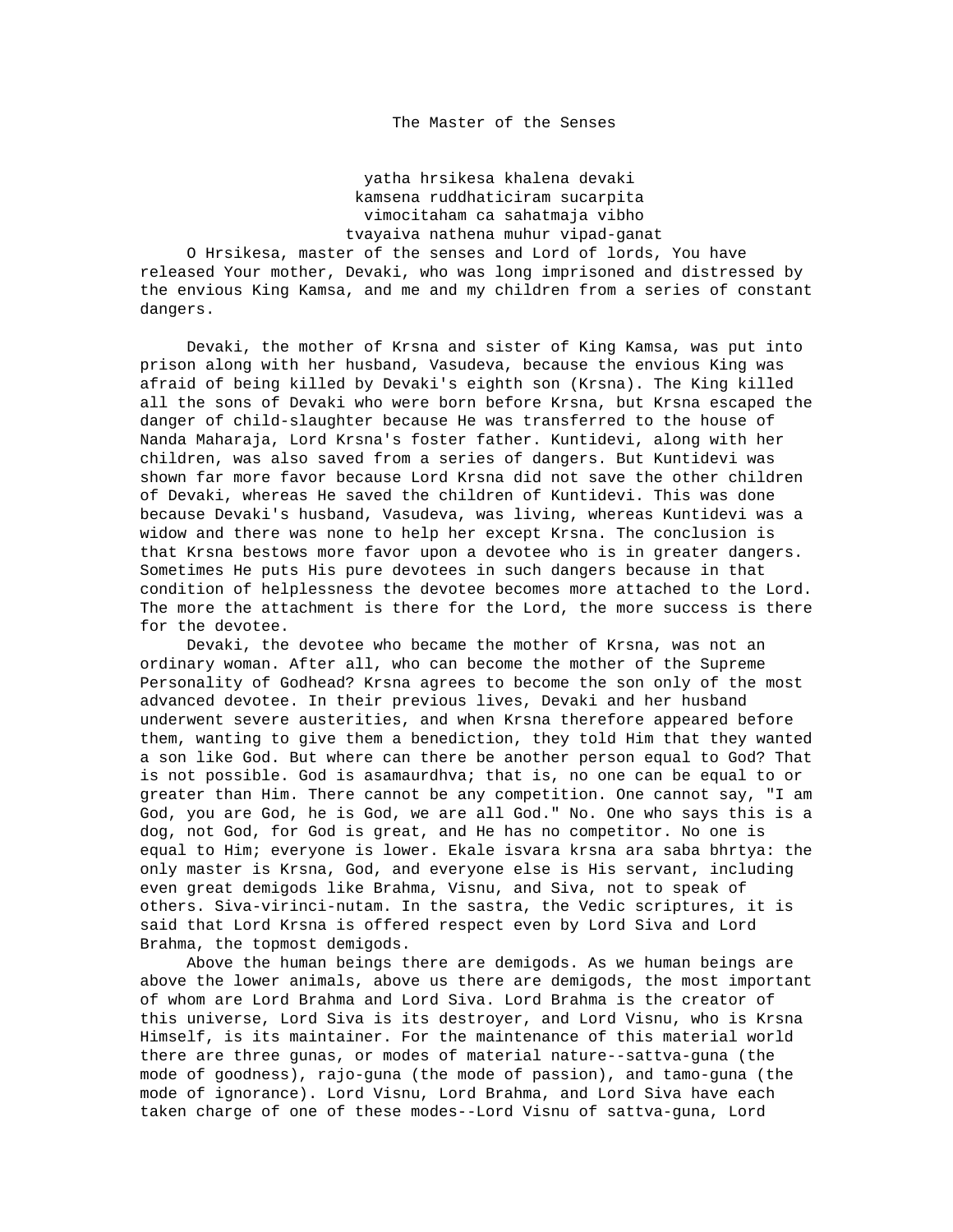yatha hrsikesa khalena devaki kamsena ruddhaticiram sucarpita vimocitaham ca sahatmaja vibho tvayaiva nathena muhur vipad-ganat O Hrsikesa, master of the senses and Lord of lords, You have

released Your mother, Devaki, who was long imprisoned and distressed by the envious King Kamsa, and me and my children from a series of constant dangers.

 Devaki, the mother of Krsna and sister of King Kamsa, was put into prison along with her husband, Vasudeva, because the envious King was afraid of being killed by Devaki's eighth son (Krsna). The King killed all the sons of Devaki who were born before Krsna, but Krsna escaped the danger of child-slaughter because He was transferred to the house of Nanda Maharaja, Lord Krsna's foster father. Kuntidevi, along with her children, was also saved from a series of dangers. But Kuntidevi was shown far more favor because Lord Krsna did not save the other children of Devaki, whereas He saved the children of Kuntidevi. This was done because Devaki's husband, Vasudeva, was living, whereas Kuntidevi was a widow and there was none to help her except Krsna. The conclusion is that Krsna bestows more favor upon a devotee who is in greater dangers. Sometimes He puts His pure devotees in such dangers because in that condition of helplessness the devotee becomes more attached to the Lord. The more the attachment is there for the Lord, the more success is there for the devotee.

 Devaki, the devotee who became the mother of Krsna, was not an ordinary woman. After all, who can become the mother of the Supreme Personality of Godhead? Krsna agrees to become the son only of the most advanced devotee. In their previous lives, Devaki and her husband underwent severe austerities, and when Krsna therefore appeared before them, wanting to give them a benediction, they told Him that they wanted a son like God. But where can there be another person equal to God? That is not possible. God is asamaurdhva; that is, no one can be equal to or greater than Him. There cannot be any competition. One cannot say, "I am God, you are God, he is God, we are all God." No. One who says this is a dog, not God, for God is great, and He has no competitor. No one is equal to Him; everyone is lower. Ekale isvara krsna ara saba bhrtya: the only master is Krsna, God, and everyone else is His servant, including even great demigods like Brahma, Visnu, and Siva, not to speak of others. Siva-virinci-nutam. In the sastra, the Vedic scriptures, it is said that Lord Krsna is offered respect even by Lord Siva and Lord Brahma, the topmost demigods.

 Above the human beings there are demigods. As we human beings are above the lower animals, above us there are demigods, the most important of whom are Lord Brahma and Lord Siva. Lord Brahma is the creator of this universe, Lord Siva is its destroyer, and Lord Visnu, who is Krsna Himself, is its maintainer. For the maintenance of this material world there are three gunas, or modes of material nature--sattva-guna (the mode of goodness), rajo-guna (the mode of passion), and tamo-guna (the mode of ignorance). Lord Visnu, Lord Brahma, and Lord Siva have each taken charge of one of these modes--Lord Visnu of sattva-guna, Lord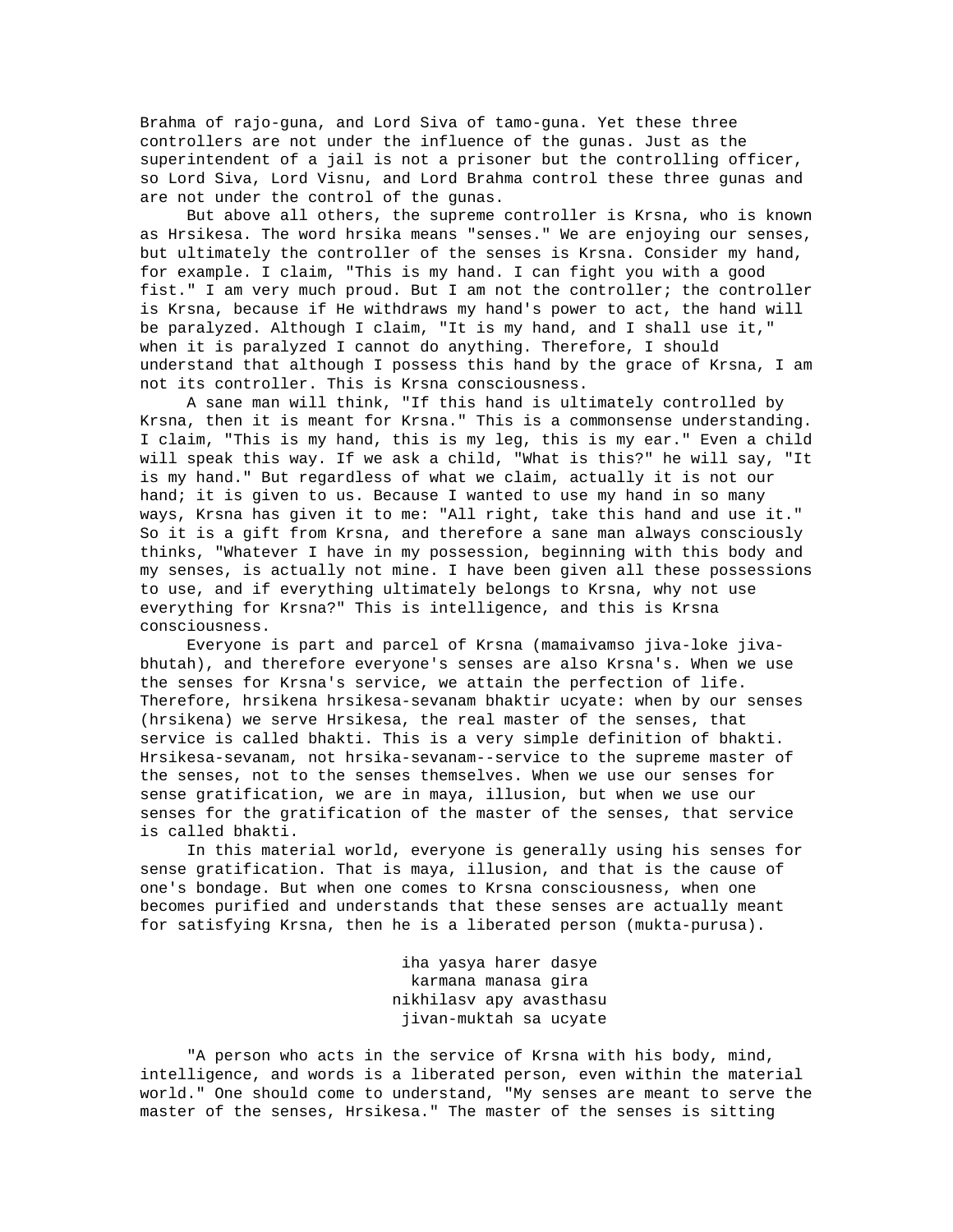Brahma of rajo-guna, and Lord Siva of tamo-guna. Yet these three controllers are not under the influence of the gunas. Just as the superintendent of a jail is not a prisoner but the controlling officer, so Lord Siva, Lord Visnu, and Lord Brahma control these three gunas and are not under the control of the gunas.

 But above all others, the supreme controller is Krsna, who is known as Hrsikesa. The word hrsika means "senses." We are enjoying our senses, but ultimately the controller of the senses is Krsna. Consider my hand, for example. I claim, "This is my hand. I can fight you with a good fist." I am very much proud. But I am not the controller; the controller is Krsna, because if He withdraws my hand's power to act, the hand will be paralyzed. Although I claim, "It is my hand, and I shall use it," when it is paralyzed I cannot do anything. Therefore, I should understand that although I possess this hand by the grace of Krsna, I am not its controller. This is Krsna consciousness.

 A sane man will think, "If this hand is ultimately controlled by Krsna, then it is meant for Krsna." This is a commonsense understanding. I claim, "This is my hand, this is my leg, this is my ear." Even a child will speak this way. If we ask a child, "What is this?" he will say, "It is my hand." But regardless of what we claim, actually it is not our hand; it is given to us. Because I wanted to use my hand in so many ways, Krsna has given it to me: "All right, take this hand and use it." So it is a gift from Krsna, and therefore a sane man always consciously thinks, "Whatever I have in my possession, beginning with this body and my senses, is actually not mine. I have been given all these possessions to use, and if everything ultimately belongs to Krsna, why not use everything for Krsna?" This is intelligence, and this is Krsna consciousness.

 Everyone is part and parcel of Krsna (mamaivamso jiva-loke jivabhutah), and therefore everyone's senses are also Krsna's. When we use the senses for Krsna's service, we attain the perfection of life. Therefore, hrsikena hrsikesa-sevanam bhaktir ucyate: when by our senses (hrsikena) we serve Hrsikesa, the real master of the senses, that service is called bhakti. This is a very simple definition of bhakti. Hrsikesa-sevanam, not hrsika-sevanam--service to the supreme master of the senses, not to the senses themselves. When we use our senses for sense gratification, we are in maya, illusion, but when we use our senses for the gratification of the master of the senses, that service is called bhakti.

 In this material world, everyone is generally using his senses for sense gratification. That is maya, illusion, and that is the cause of one's bondage. But when one comes to Krsna consciousness, when one becomes purified and understands that these senses are actually meant for satisfying Krsna, then he is a liberated person (mukta-purusa).

> iha yasya harer dasye karmana manasa gira nikhilasv apy avasthasu jivan-muktah sa ucyate

 "A person who acts in the service of Krsna with his body, mind, intelligence, and words is a liberated person, even within the material world." One should come to understand, "My senses are meant to serve the master of the senses, Hrsikesa." The master of the senses is sitting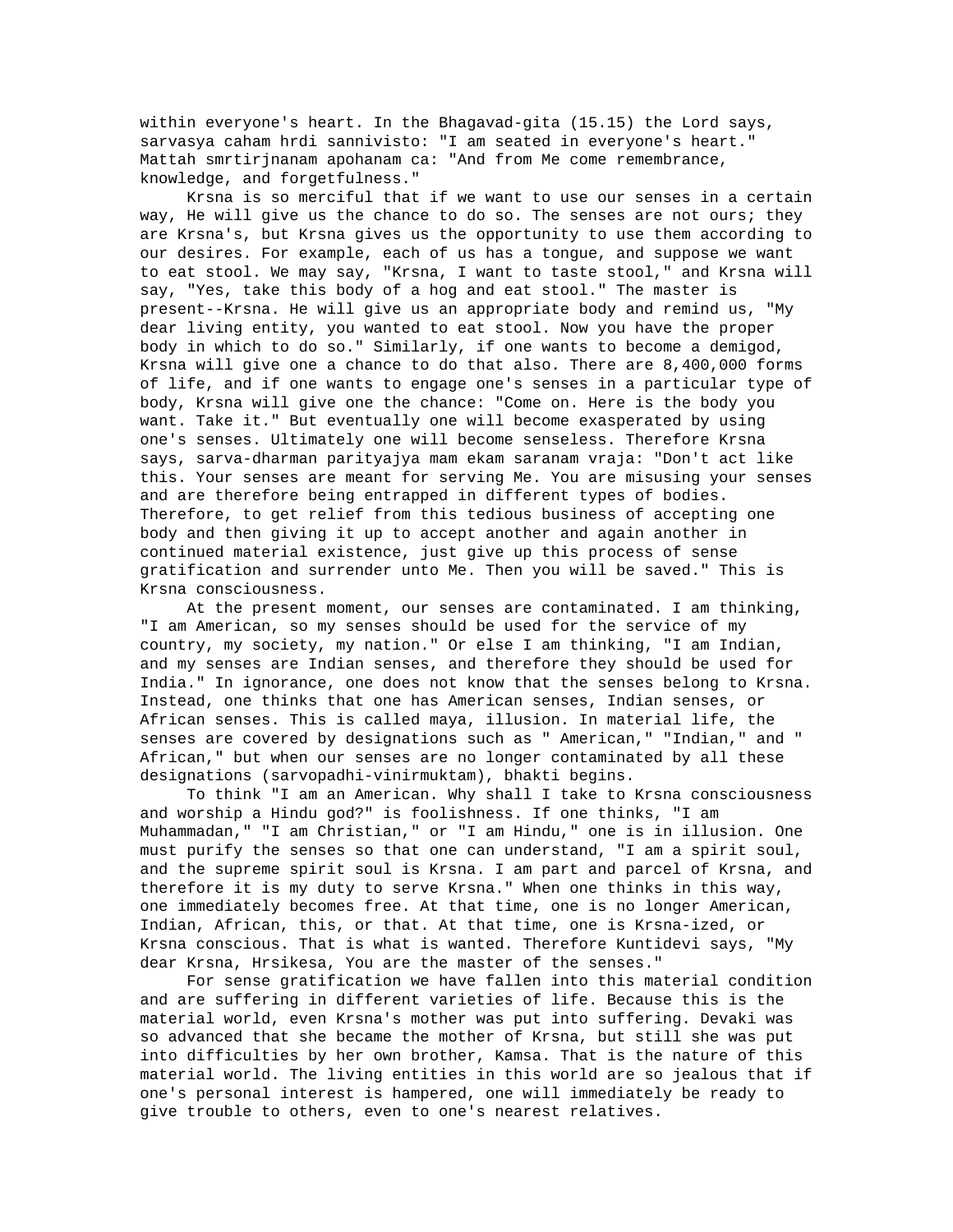within everyone's heart. In the Bhagavad-gita (15.15) the Lord says, sarvasya caham hrdi sannivisto: "I am seated in everyone's heart." Mattah smrtirjnanam apohanam ca: "And from Me come remembrance, knowledge, and forgetfulness."

 Krsna is so merciful that if we want to use our senses in a certain way, He will give us the chance to do so. The senses are not ours; they are Krsna's, but Krsna gives us the opportunity to use them according to our desires. For example, each of us has a tongue, and suppose we want to eat stool. We may say, "Krsna, I want to taste stool," and Krsna will say, "Yes, take this body of a hog and eat stool." The master is present--Krsna. He will give us an appropriate body and remind us, "My dear living entity, you wanted to eat stool. Now you have the proper body in which to do so." Similarly, if one wants to become a demigod, Krsna will give one a chance to do that also. There are 8,400,000 forms of life, and if one wants to engage one's senses in a particular type of body, Krsna will give one the chance: "Come on. Here is the body you want. Take it." But eventually one will become exasperated by using one's senses. Ultimately one will become senseless. Therefore Krsna says, sarva-dharman parityajya mam ekam saranam vraja: "Don't act like this. Your senses are meant for serving Me. You are misusing your senses and are therefore being entrapped in different types of bodies. Therefore, to get relief from this tedious business of accepting one body and then giving it up to accept another and again another in continued material existence, just give up this process of sense gratification and surrender unto Me. Then you will be saved." This is Krsna consciousness.

 At the present moment, our senses are contaminated. I am thinking, "I am American, so my senses should be used for the service of my country, my society, my nation." Or else I am thinking, "I am Indian, and my senses are Indian senses, and therefore they should be used for India." In ignorance, one does not know that the senses belong to Krsna. Instead, one thinks that one has American senses, Indian senses, or African senses. This is called maya, illusion. In material life, the senses are covered by designations such as " American," "Indian," and " African," but when our senses are no longer contaminated by all these designations (sarvopadhi-vinirmuktam), bhakti begins.

 To think "I am an American. Why shall I take to Krsna consciousness and worship a Hindu god?" is foolishness. If one thinks, "I am Muhammadan," "I am Christian," or "I am Hindu," one is in illusion. One must purify the senses so that one can understand, "I am a spirit soul, and the supreme spirit soul is Krsna. I am part and parcel of Krsna, and therefore it is my duty to serve Krsna." When one thinks in this way, one immediately becomes free. At that time, one is no longer American, Indian, African, this, or that. At that time, one is Krsna-ized, or Krsna conscious. That is what is wanted. Therefore Kuntidevi says, "My dear Krsna, Hrsikesa, You are the master of the senses."

 For sense gratification we have fallen into this material condition and are suffering in different varieties of life. Because this is the material world, even Krsna's mother was put into suffering. Devaki was so advanced that she became the mother of Krsna, but still she was put into difficulties by her own brother, Kamsa. That is the nature of this material world. The living entities in this world are so jealous that if one's personal interest is hampered, one will immediately be ready to give trouble to others, even to one's nearest relatives.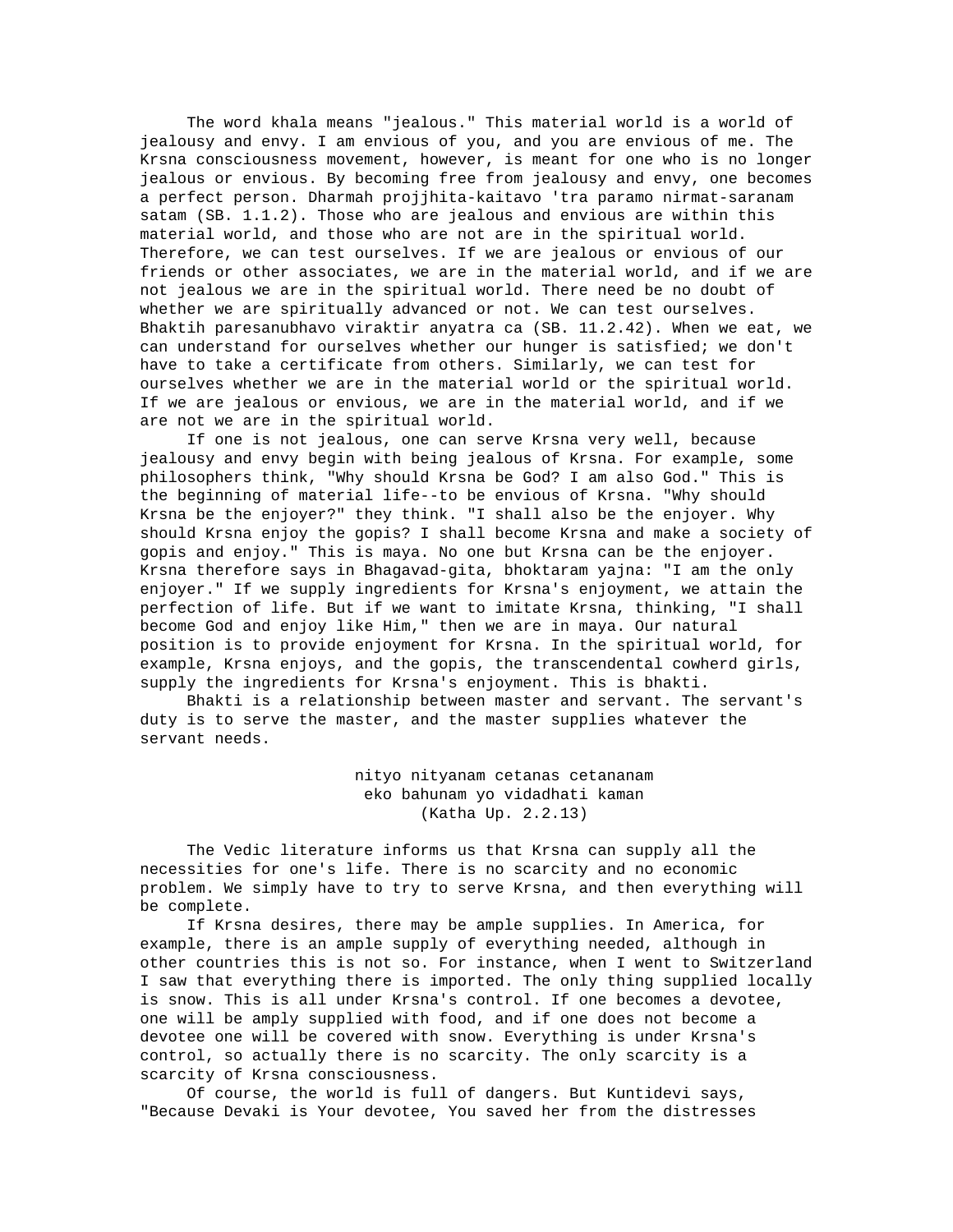The word khala means "jealous." This material world is a world of jealousy and envy. I am envious of you, and you are envious of me. The Krsna consciousness movement, however, is meant for one who is no longer jealous or envious. By becoming free from jealousy and envy, one becomes a perfect person. Dharmah projjhita-kaitavo 'tra paramo nirmat-saranam satam (SB. 1.1.2). Those who are jealous and envious are within this material world, and those who are not are in the spiritual world. Therefore, we can test ourselves. If we are jealous or envious of our friends or other associates, we are in the material world, and if we are not jealous we are in the spiritual world. There need be no doubt of whether we are spiritually advanced or not. We can test ourselves. Bhaktih paresanubhavo viraktir anyatra ca (SB. 11.2.42). When we eat, we can understand for ourselves whether our hunger is satisfied; we don't have to take a certificate from others. Similarly, we can test for ourselves whether we are in the material world or the spiritual world. If we are jealous or envious, we are in the material world, and if we are not we are in the spiritual world.

 If one is not jealous, one can serve Krsna very well, because jealousy and envy begin with being jealous of Krsna. For example, some philosophers think, "Why should Krsna be God? I am also God." This is the beginning of material life--to be envious of Krsna. "Why should Krsna be the enjoyer?" they think. "I shall also be the enjoyer. Why should Krsna enjoy the gopis? I shall become Krsna and make a society of gopis and enjoy." This is maya. No one but Krsna can be the enjoyer. Krsna therefore says in Bhagavad-gita, bhoktaram yajna: "I am the only enjoyer." If we supply ingredients for Krsna's enjoyment, we attain the perfection of life. But if we want to imitate Krsna, thinking, "I shall become God and enjoy like Him," then we are in maya. Our natural position is to provide enjoyment for Krsna. In the spiritual world, for example, Krsna enjoys, and the gopis, the transcendental cowherd girls, supply the ingredients for Krsna's enjoyment. This is bhakti.

 Bhakti is a relationship between master and servant. The servant's duty is to serve the master, and the master supplies whatever the servant needs.

> nityo nityanam cetanas cetananam eko bahunam yo vidadhati kaman (Katha Up. 2.2.13)

 The Vedic literature informs us that Krsna can supply all the necessities for one's life. There is no scarcity and no economic problem. We simply have to try to serve Krsna, and then everything will be complete.

 If Krsna desires, there may be ample supplies. In America, for example, there is an ample supply of everything needed, although in other countries this is not so. For instance, when I went to Switzerland I saw that everything there is imported. The only thing supplied locally is snow. This is all under Krsna's control. If one becomes a devotee, one will be amply supplied with food, and if one does not become a devotee one will be covered with snow. Everything is under Krsna's control, so actually there is no scarcity. The only scarcity is a scarcity of Krsna consciousness.

 Of course, the world is full of dangers. But Kuntidevi says, "Because Devaki is Your devotee, You saved her from the distresses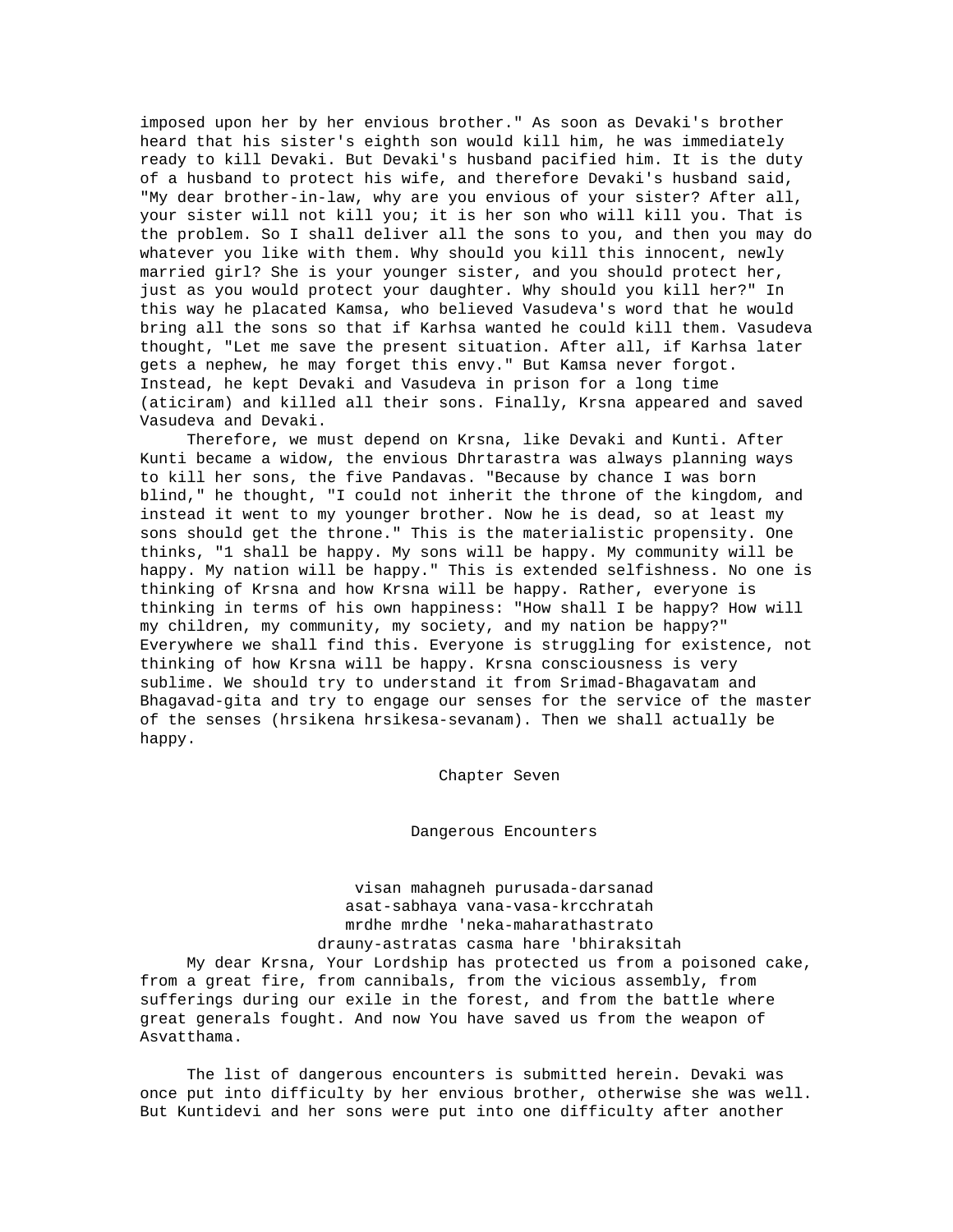imposed upon her by her envious brother." As soon as Devaki's brother heard that his sister's eighth son would kill him, he was immediately ready to kill Devaki. But Devaki's husband pacified him. It is the duty of a husband to protect his wife, and therefore Devaki's husband said, "My dear brother-in-law, why are you envious of your sister? After all, your sister will not kill you; it is her son who will kill you. That is the problem. So I shall deliver all the sons to you, and then you may do whatever you like with them. Why should you kill this innocent, newly married girl? She is your younger sister, and you should protect her, just as you would protect your daughter. Why should you kill her?" In this way he placated Kamsa, who believed Vasudeva's word that he would bring all the sons so that if Karhsa wanted he could kill them. Vasudeva thought, "Let me save the present situation. After all, if Karhsa later gets a nephew, he may forget this envy." But Kamsa never forgot. Instead, he kept Devaki and Vasudeva in prison for a long time (aticiram) and killed all their sons. Finally, Krsna appeared and saved Vasudeva and Devaki.

 Therefore, we must depend on Krsna, like Devaki and Kunti. After Kunti became a widow, the envious Dhrtarastra was always planning ways to kill her sons, the five Pandavas. "Because by chance I was born blind," he thought, "I could not inherit the throne of the kingdom, and instead it went to my younger brother. Now he is dead, so at least my sons should get the throne." This is the materialistic propensity. One thinks, "1 shall be happy. My sons will be happy. My community will be happy. My nation will be happy." This is extended selfishness. No one is thinking of Krsna and how Krsna will be happy. Rather, everyone is thinking in terms of his own happiness: "How shall I be happy? How will my children, my community, my society, and my nation be happy?" Everywhere we shall find this. Everyone is struggling for existence, not thinking of how Krsna will be happy. Krsna consciousness is very sublime. We should try to understand it from Srimad-Bhagavatam and Bhagavad-gita and try to engage our senses for the service of the master of the senses (hrsikena hrsikesa-sevanam). Then we shall actually be happy.

Chapter Seven

Dangerous Encounters

 visan mahagneh purusada-darsanad asat-sabhaya vana-vasa-krcchratah mrdhe mrdhe 'neka-maharathastrato drauny-astratas casma hare 'bhiraksitah My dear Krsna, Your Lordship has protected us from a poisoned cake, from a great fire, from cannibals, from the vicious assembly, from sufferings during our exile in the forest, and from the battle where great generals fought. And now You have saved us from the weapon of Asvatthama.

 The list of dangerous encounters is submitted herein. Devaki was once put into difficulty by her envious brother, otherwise she was well. But Kuntidevi and her sons were put into one difficulty after another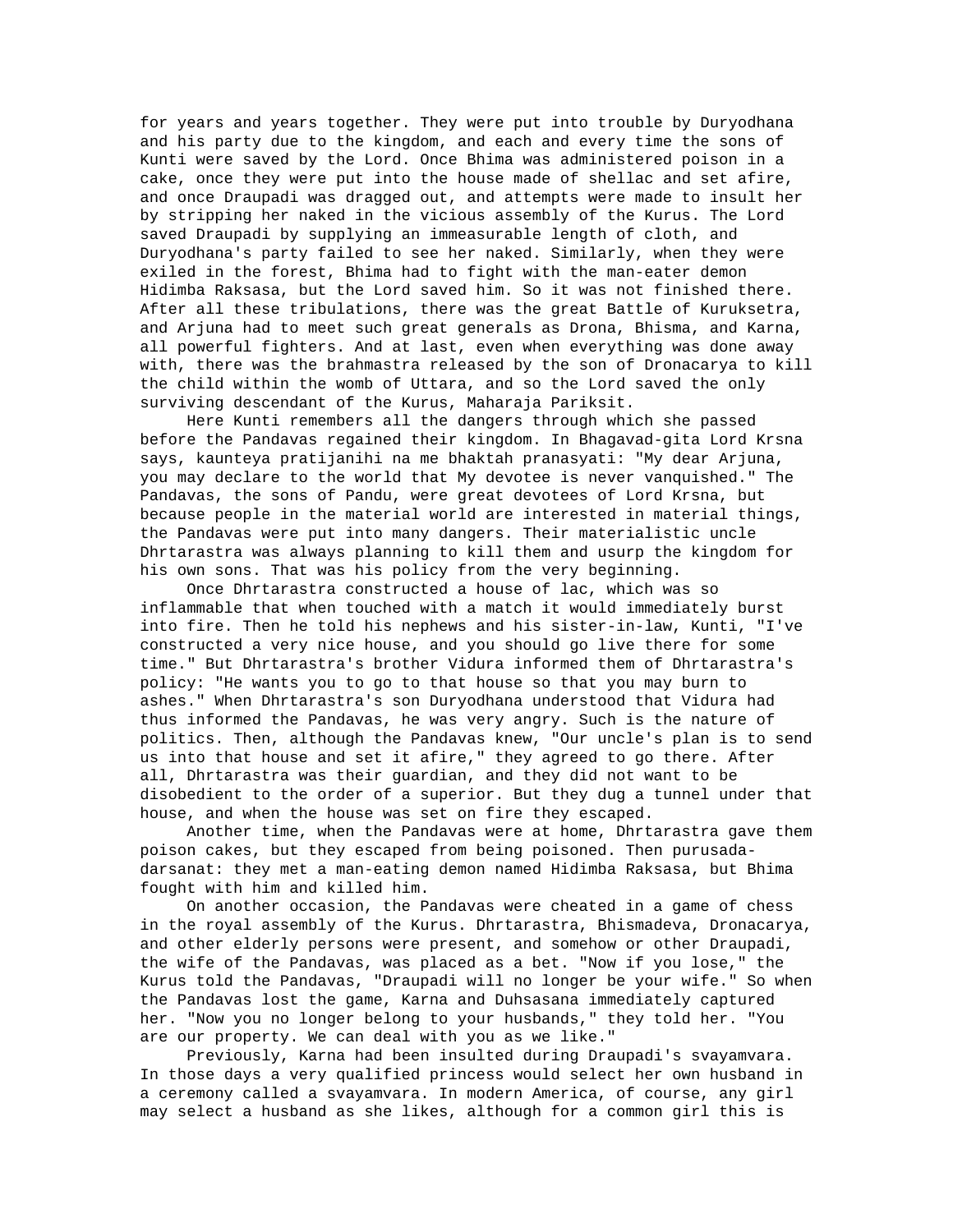for years and years together. They were put into trouble by Duryodhana and his party due to the kingdom, and each and every time the sons of Kunti were saved by the Lord. Once Bhima was administered poison in a cake, once they were put into the house made of shellac and set afire, and once Draupadi was dragged out, and attempts were made to insult her by stripping her naked in the vicious assembly of the Kurus. The Lord saved Draupadi by supplying an immeasurable length of cloth, and Duryodhana's party failed to see her naked. Similarly, when they were exiled in the forest, Bhima had to fight with the man-eater demon Hidimba Raksasa, but the Lord saved him. So it was not finished there. After all these tribulations, there was the great Battle of Kuruksetra, and Arjuna had to meet such great generals as Drona, Bhisma, and Karna, all powerful fighters. And at last, even when everything was done away with, there was the brahmastra released by the son of Dronacarya to kill the child within the womb of Uttara, and so the Lord saved the only surviving descendant of the Kurus, Maharaja Pariksit.

 Here Kunti remembers all the dangers through which she passed before the Pandavas regained their kingdom. In Bhagavad-gita Lord Krsna says, kaunteya pratijanihi na me bhaktah pranasyati: "My dear Arjuna, you may declare to the world that My devotee is never vanquished." The Pandavas, the sons of Pandu, were great devotees of Lord Krsna, but because people in the material world are interested in material things, the Pandavas were put into many dangers. Their materialistic uncle Dhrtarastra was always planning to kill them and usurp the kingdom for his own sons. That was his policy from the very beginning.

 Once Dhrtarastra constructed a house of lac, which was so inflammable that when touched with a match it would immediately burst into fire. Then he told his nephews and his sister-in-law, Kunti, "I've constructed a very nice house, and you should go live there for some time." But Dhrtarastra's brother Vidura informed them of Dhrtarastra's policy: "He wants you to go to that house so that you may burn to ashes." When Dhrtarastra's son Duryodhana understood that Vidura had thus informed the Pandavas, he was very angry. Such is the nature of politics. Then, although the Pandavas knew, "Our uncle's plan is to send us into that house and set it afire," they agreed to go there. After all, Dhrtarastra was their guardian, and they did not want to be disobedient to the order of a superior. But they dug a tunnel under that house, and when the house was set on fire they escaped.

 Another time, when the Pandavas were at home, Dhrtarastra gave them poison cakes, but they escaped from being poisoned. Then purusadadarsanat: they met a man-eating demon named Hidimba Raksasa, but Bhima fought with him and killed him.

 On another occasion, the Pandavas were cheated in a game of chess in the royal assembly of the Kurus. Dhrtarastra, Bhismadeva, Dronacarya, and other elderly persons were present, and somehow or other Draupadi, the wife of the Pandavas, was placed as a bet. "Now if you lose," the Kurus told the Pandavas, "Draupadi will no longer be your wife." So when the Pandavas lost the game, Karna and Duhsasana immediately captured her. "Now you no longer belong to your husbands," they told her. "You are our property. We can deal with you as we like."

 Previously, Karna had been insulted during Draupadi's svayamvara. In those days a very qualified princess would select her own husband in a ceremony called a svayamvara. In modern America, of course, any girl may select a husband as she likes, although for a common girl this is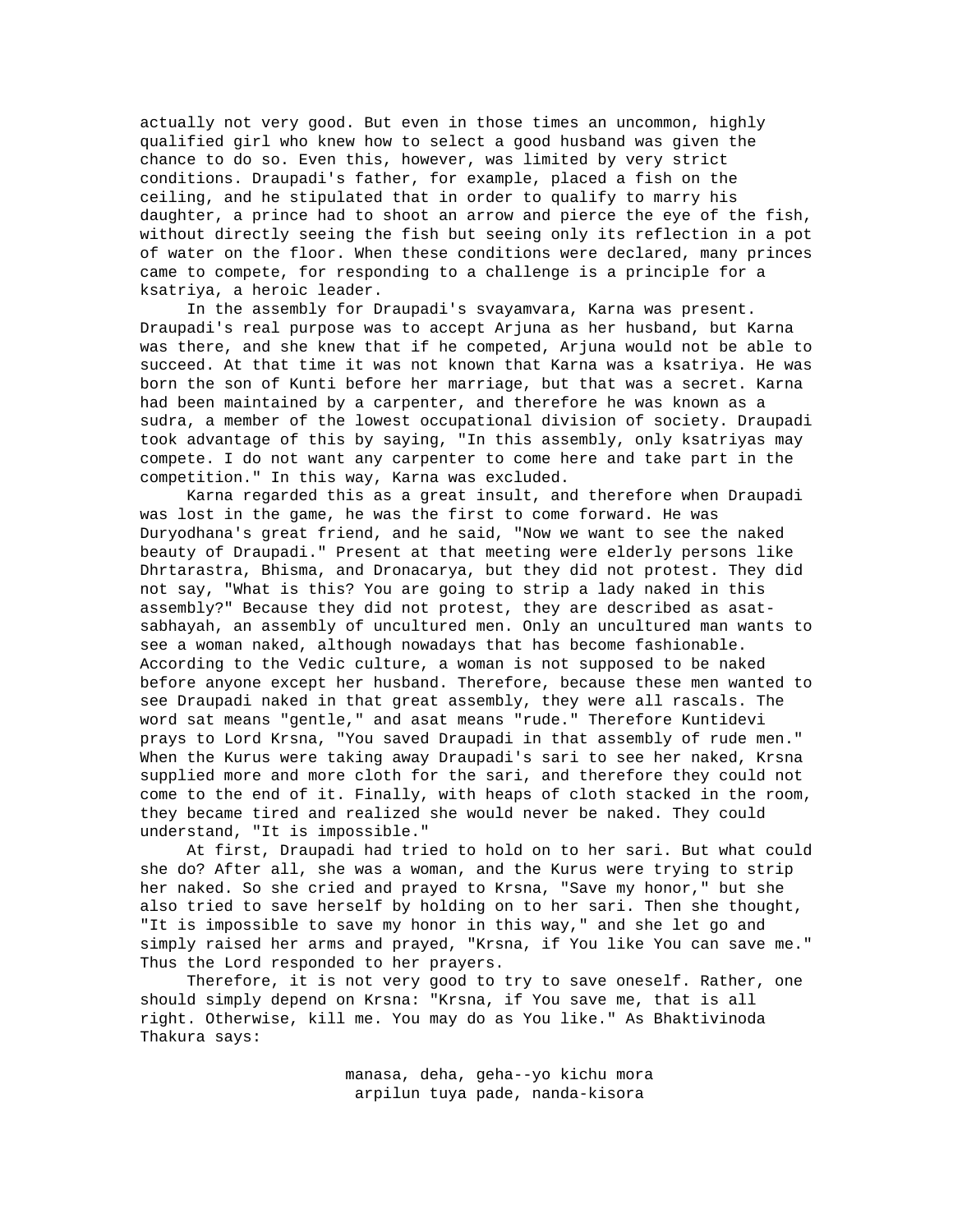actually not very good. But even in those times an uncommon, highly qualified girl who knew how to select a good husband was given the chance to do so. Even this, however, was limited by very strict conditions. Draupadi's father, for example, placed a fish on the ceiling, and he stipulated that in order to qualify to marry his daughter, a prince had to shoot an arrow and pierce the eye of the fish, without directly seeing the fish but seeing only its reflection in a pot of water on the floor. When these conditions were declared, many princes came to compete, for responding to a challenge is a principle for a ksatriya, a heroic leader.

 In the assembly for Draupadi's svayamvara, Karna was present. Draupadi's real purpose was to accept Arjuna as her husband, but Karna was there, and she knew that if he competed, Arjuna would not be able to succeed. At that time it was not known that Karna was a ksatriya. He was born the son of Kunti before her marriage, but that was a secret. Karna had been maintained by a carpenter, and therefore he was known as a sudra, a member of the lowest occupational division of society. Draupadi took advantage of this by saying, "In this assembly, only ksatriyas may compete. I do not want any carpenter to come here and take part in the competition." In this way, Karna was excluded.

 Karna regarded this as a great insult, and therefore when Draupadi was lost in the game, he was the first to come forward. He was Duryodhana's great friend, and he said, "Now we want to see the naked beauty of Draupadi." Present at that meeting were elderly persons like Dhrtarastra, Bhisma, and Dronacarya, but they did not protest. They did not say, "What is this? You are going to strip a lady naked in this assembly?" Because they did not protest, they are described as asatsabhayah, an assembly of uncultured men. Only an uncultured man wants to see a woman naked, although nowadays that has become fashionable. According to the Vedic culture, a woman is not supposed to be naked before anyone except her husband. Therefore, because these men wanted to see Draupadi naked in that great assembly, they were all rascals. The word sat means "gentle," and asat means "rude." Therefore Kuntidevi prays to Lord Krsna, "You saved Draupadi in that assembly of rude men." When the Kurus were taking away Draupadi's sari to see her naked, Krsna supplied more and more cloth for the sari, and therefore they could not come to the end of it. Finally, with heaps of cloth stacked in the room, they became tired and realized she would never be naked. They could understand, "It is impossible."

 At first, Draupadi had tried to hold on to her sari. But what could she do? After all, she was a woman, and the Kurus were trying to strip her naked. So she cried and prayed to Krsna, "Save my honor," but she also tried to save herself by holding on to her sari. Then she thought, "It is impossible to save my honor in this way," and she let go and simply raised her arms and prayed, "Krsna, if You like You can save me." Thus the Lord responded to her prayers.

 Therefore, it is not very good to try to save oneself. Rather, one should simply depend on Krsna: "Krsna, if You save me, that is all right. Otherwise, kill me. You may do as You like." As Bhaktivinoda Thakura says:

> manasa, deha, geha--yo kichu mora arpilun tuya pade, nanda-kisora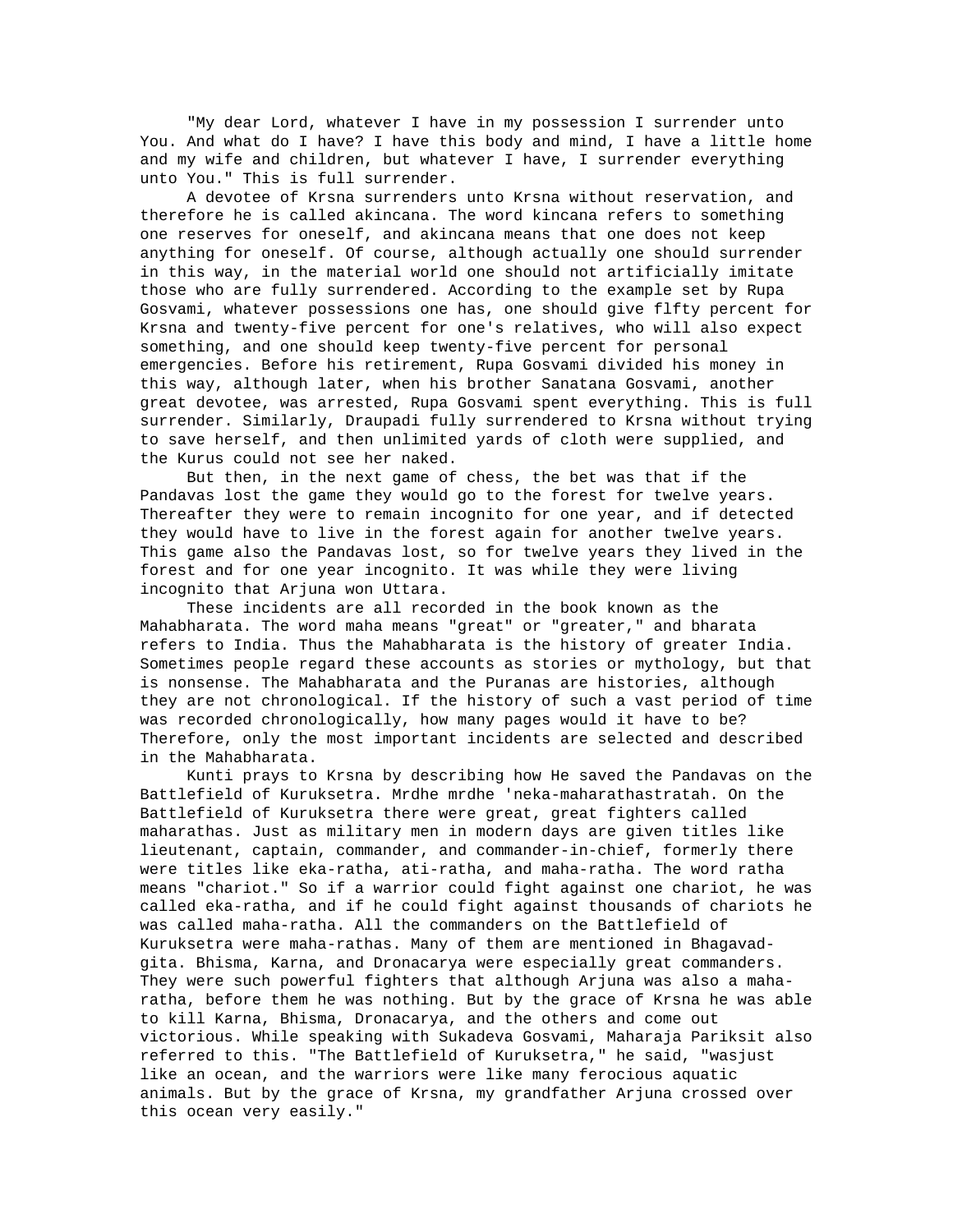"My dear Lord, whatever I have in my possession I surrender unto You. And what do I have? I have this body and mind, I have a little home and my wife and children, but whatever I have, I surrender everything unto You." This is full surrender.

 A devotee of Krsna surrenders unto Krsna without reservation, and therefore he is called akincana. The word kincana refers to something one reserves for oneself, and akincana means that one does not keep anything for oneself. Of course, although actually one should surrender in this way, in the material world one should not artificially imitate those who are fully surrendered. According to the example set by Rupa Gosvami, whatever possessions one has, one should give flfty percent for Krsna and twenty-five percent for one's relatives, who will also expect something, and one should keep twenty-five percent for personal emergencies. Before his retirement, Rupa Gosvami divided his money in this way, although later, when his brother Sanatana Gosvami, another great devotee, was arrested, Rupa Gosvami spent everything. This is full surrender. Similarly, Draupadi fully surrendered to Krsna without trying to save herself, and then unlimited yards of cloth were supplied, and the Kurus could not see her naked.

 But then, in the next game of chess, the bet was that if the Pandavas lost the game they would go to the forest for twelve years. Thereafter they were to remain incognito for one year, and if detected they would have to live in the forest again for another twelve years. This game also the Pandavas lost, so for twelve years they lived in the forest and for one year incognito. It was while they were living incognito that Arjuna won Uttara.

 These incidents are all recorded in the book known as the Mahabharata. The word maha means "great" or "greater," and bharata refers to India. Thus the Mahabharata is the history of greater India. Sometimes people regard these accounts as stories or mythology, but that is nonsense. The Mahabharata and the Puranas are histories, although they are not chronological. If the history of such a vast period of time was recorded chronologically, how many pages would it have to be? Therefore, only the most important incidents are selected and described in the Mahabharata.

 Kunti prays to Krsna by describing how He saved the Pandavas on the Battlefield of Kuruksetra. Mrdhe mrdhe 'neka-maharathastratah. On the Battlefield of Kuruksetra there were great, great fighters called maharathas. Just as military men in modern days are given titles like lieutenant, captain, commander, and commander-in-chief, formerly there were titles like eka-ratha, ati-ratha, and maha-ratha. The word ratha means "chariot." So if a warrior could fight against one chariot, he was called eka-ratha, and if he could fight against thousands of chariots he was called maha-ratha. All the commanders on the Battlefield of Kuruksetra were maha-rathas. Many of them are mentioned in Bhagavadgita. Bhisma, Karna, and Dronacarya were especially great commanders. They were such powerful fighters that although Arjuna was also a maharatha, before them he was nothing. But by the grace of Krsna he was able to kill Karna, Bhisma, Dronacarya, and the others and come out victorious. While speaking with Sukadeva Gosvami, Maharaja Pariksit also referred to this. "The Battlefield of Kuruksetra," he said, "wasjust like an ocean, and the warriors were like many ferocious aquatic animals. But by the grace of Krsna, my grandfather Arjuna crossed over this ocean very easily."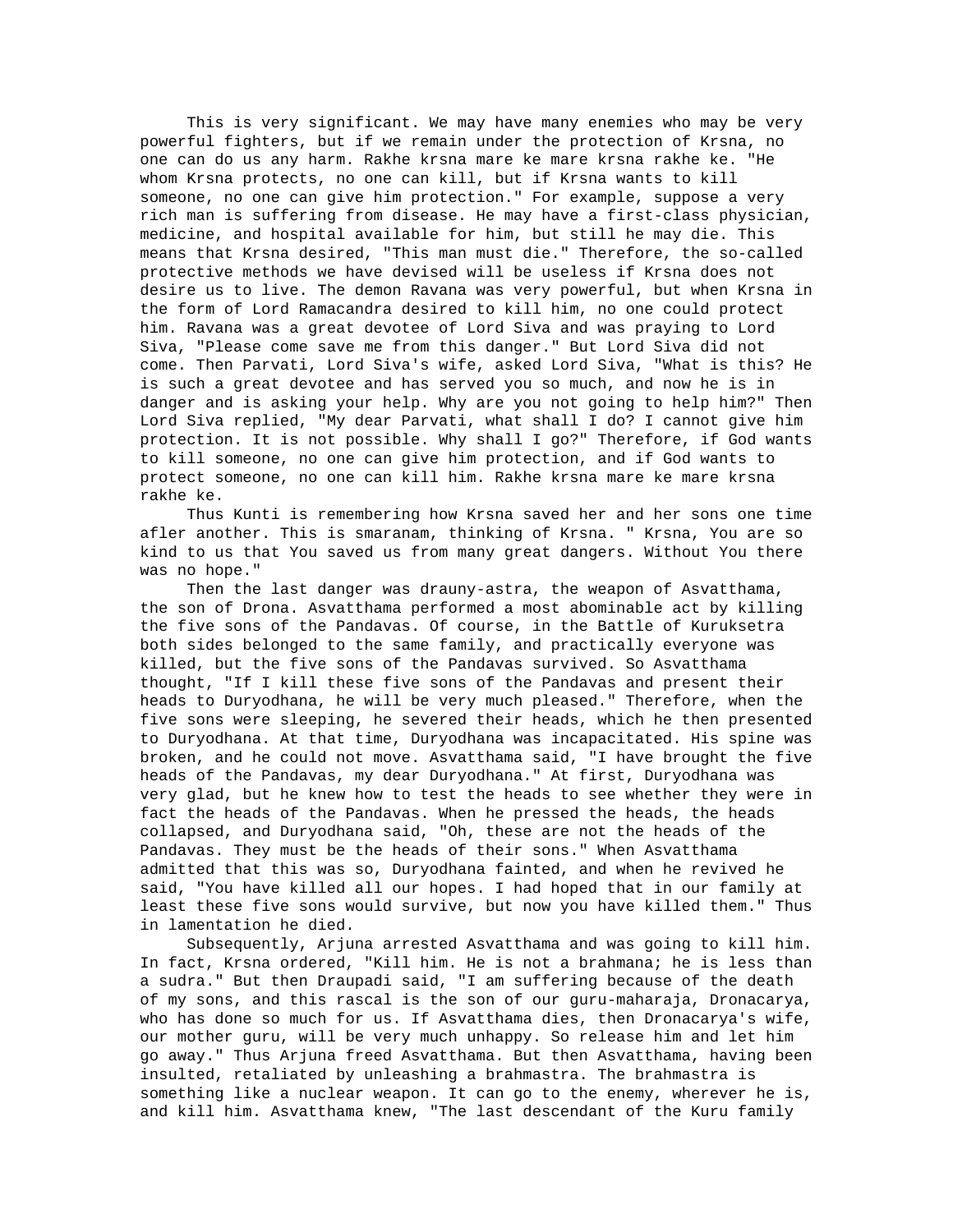This is very significant. We may have many enemies who may be very powerful fighters, but if we remain under the protection of Krsna, no one can do us any harm. Rakhe krsna mare ke mare krsna rakhe ke. "He whom Krsna protects, no one can kill, but if Krsna wants to kill someone, no one can give him protection." For example, suppose a very rich man is suffering from disease. He may have a first-class physician, medicine, and hospital available for him, but still he may die. This means that Krsna desired, "This man must die." Therefore, the so-called protective methods we have devised will be useless if Krsna does not desire us to live. The demon Ravana was very powerful, but when Krsna in the form of Lord Ramacandra desired to kill him, no one could protect him. Ravana was a great devotee of Lord Siva and was praying to Lord Siva, "Please come save me from this danger." But Lord Siva did not come. Then Parvati, Lord Siva's wife, asked Lord Siva, "What is this? He is such a great devotee and has served you so much, and now he is in danger and is asking your help. Why are you not going to help him?" Then Lord Siva replied, "My dear Parvati, what shall I do? I cannot give him protection. It is not possible. Why shall I go?" Therefore, if God wants to kill someone, no one can give him protection, and if God wants to protect someone, no one can kill him. Rakhe krsna mare ke mare krsna rakhe ke.

 Thus Kunti is remembering how Krsna saved her and her sons one time afler another. This is smaranam, thinking of Krsna. " Krsna, You are so kind to us that You saved us from many great dangers. Without You there was no hope."

 Then the last danger was drauny-astra, the weapon of Asvatthama, the son of Drona. Asvatthama performed a most abominable act by killing the five sons of the Pandavas. Of course, in the Battle of Kuruksetra both sides belonged to the same family, and practically everyone was killed, but the five sons of the Pandavas survived. So Asvatthama thought, "If I kill these five sons of the Pandavas and present their heads to Duryodhana, he will be very much pleased." Therefore, when the five sons were sleeping, he severed their heads, which he then presented to Duryodhana. At that time, Duryodhana was incapacitated. His spine was broken, and he could not move. Asvatthama said, "I have brought the five heads of the Pandavas, my dear Duryodhana." At first, Duryodhana was very glad, but he knew how to test the heads to see whether they were in fact the heads of the Pandavas. When he pressed the heads, the heads collapsed, and Duryodhana said, "Oh, these are not the heads of the Pandavas. They must be the heads of their sons." When Asvatthama admitted that this was so, Duryodhana fainted, and when he revived he said, "You have killed all our hopes. I had hoped that in our family at least these five sons would survive, but now you have killed them." Thus in lamentation he died.

 Subsequently, Arjuna arrested Asvatthama and was going to kill him. In fact, Krsna ordered, "Kill him. He is not a brahmana; he is less than a sudra." But then Draupadi said, "I am suffering because of the death of my sons, and this rascal is the son of our guru-maharaja, Dronacarya, who has done so much for us. If Asvatthama dies, then Dronacarya's wife, our mother guru, will be very much unhappy. So release him and let him go away." Thus Arjuna freed Asvatthama. But then Asvatthama, having been insulted, retaliated by unleashing a brahmastra. The brahmastra is something like a nuclear weapon. It can go to the enemy, wherever he is, and kill him. Asvatthama knew, "The last descendant of the Kuru family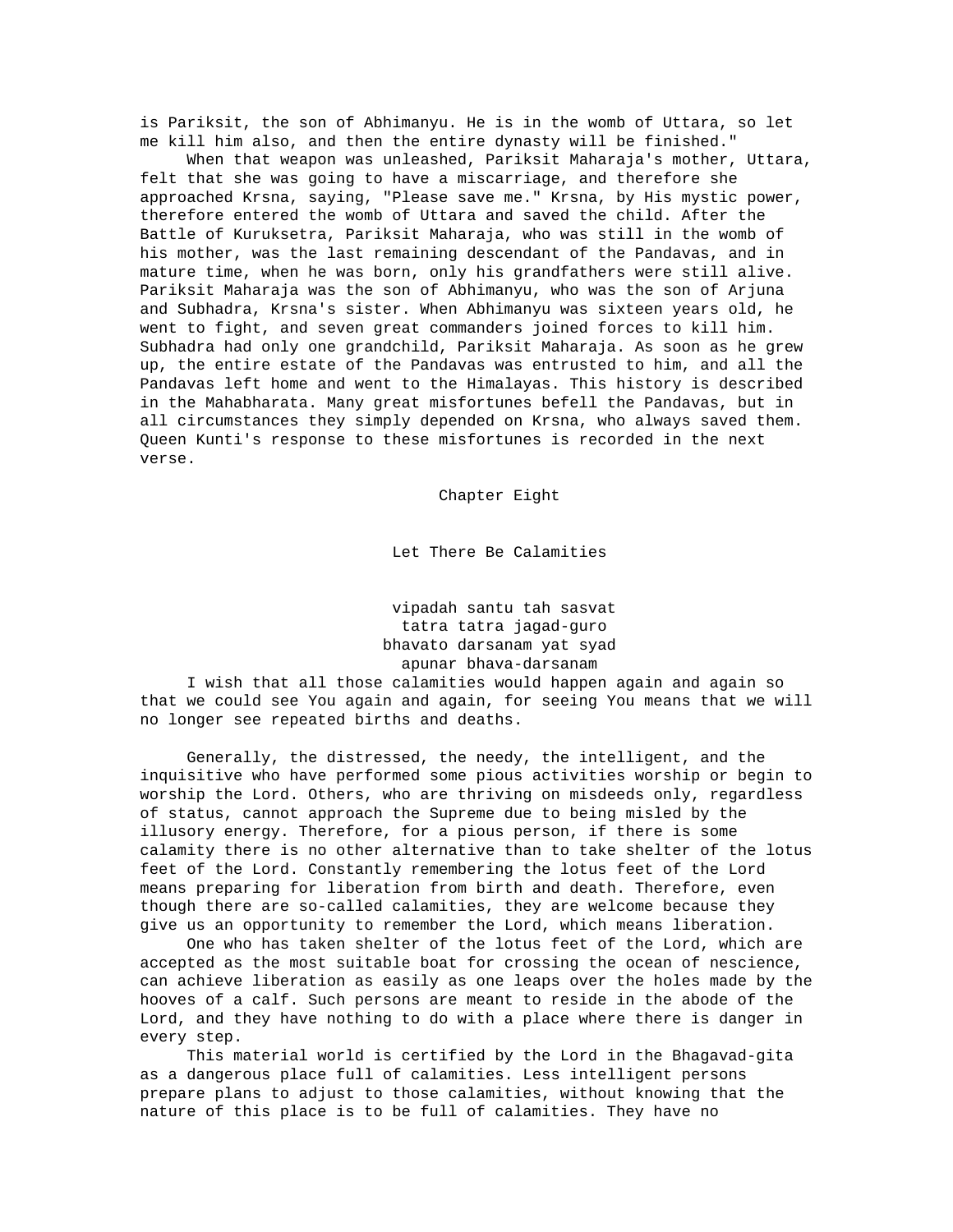is Pariksit, the son of Abhimanyu. He is in the womb of Uttara, so let me kill him also, and then the entire dynasty will be finished."

 When that weapon was unleashed, Pariksit Maharaja's mother, Uttara, felt that she was going to have a miscarriage, and therefore she approached Krsna, saying, "Please save me." Krsna, by His mystic power, therefore entered the womb of Uttara and saved the child. After the Battle of Kuruksetra, Pariksit Maharaja, who was still in the womb of his mother, was the last remaining descendant of the Pandavas, and in mature time, when he was born, only his grandfathers were still alive. Pariksit Maharaja was the son of Abhimanyu, who was the son of Arjuna and Subhadra, Krsna's sister. When Abhimanyu was sixteen years old, he went to fight, and seven great commanders joined forces to kill him. Subhadra had only one grandchild, Pariksit Maharaja. As soon as he grew up, the entire estate of the Pandavas was entrusted to him, and all the Pandavas left home and went to the Himalayas. This history is described in the Mahabharata. Many great misfortunes befell the Pandavas, but in all circumstances they simply depended on Krsna, who always saved them. Queen Kunti's response to these misfortunes is recorded in the next verse.

Chapter Eight

Let There Be Calamities

 vipadah santu tah sasvat tatra tatra jagad-guro bhavato darsanam yat syad apunar bhava-darsanam

 I wish that all those calamities would happen again and again so that we could see You again and again, for seeing You means that we will no longer see repeated births and deaths.

 Generally, the distressed, the needy, the intelligent, and the inquisitive who have performed some pious activities worship or begin to worship the Lord. Others, who are thriving on misdeeds only, regardless of status, cannot approach the Supreme due to being misled by the illusory energy. Therefore, for a pious person, if there is some calamity there is no other alternative than to take shelter of the lotus feet of the Lord. Constantly remembering the lotus feet of the Lord means preparing for liberation from birth and death. Therefore, even though there are so-called calamities, they are welcome because they give us an opportunity to remember the Lord, which means liberation.

 One who has taken shelter of the lotus feet of the Lord, which are accepted as the most suitable boat for crossing the ocean of nescience, can achieve liberation as easily as one leaps over the holes made by the hooves of a calf. Such persons are meant to reside in the abode of the Lord, and they have nothing to do with a place where there is danger in every step.

 This material world is certified by the Lord in the Bhagavad-gita as a dangerous place full of calamities. Less intelligent persons prepare plans to adjust to those calamities, without knowing that the nature of this place is to be full of calamities. They have no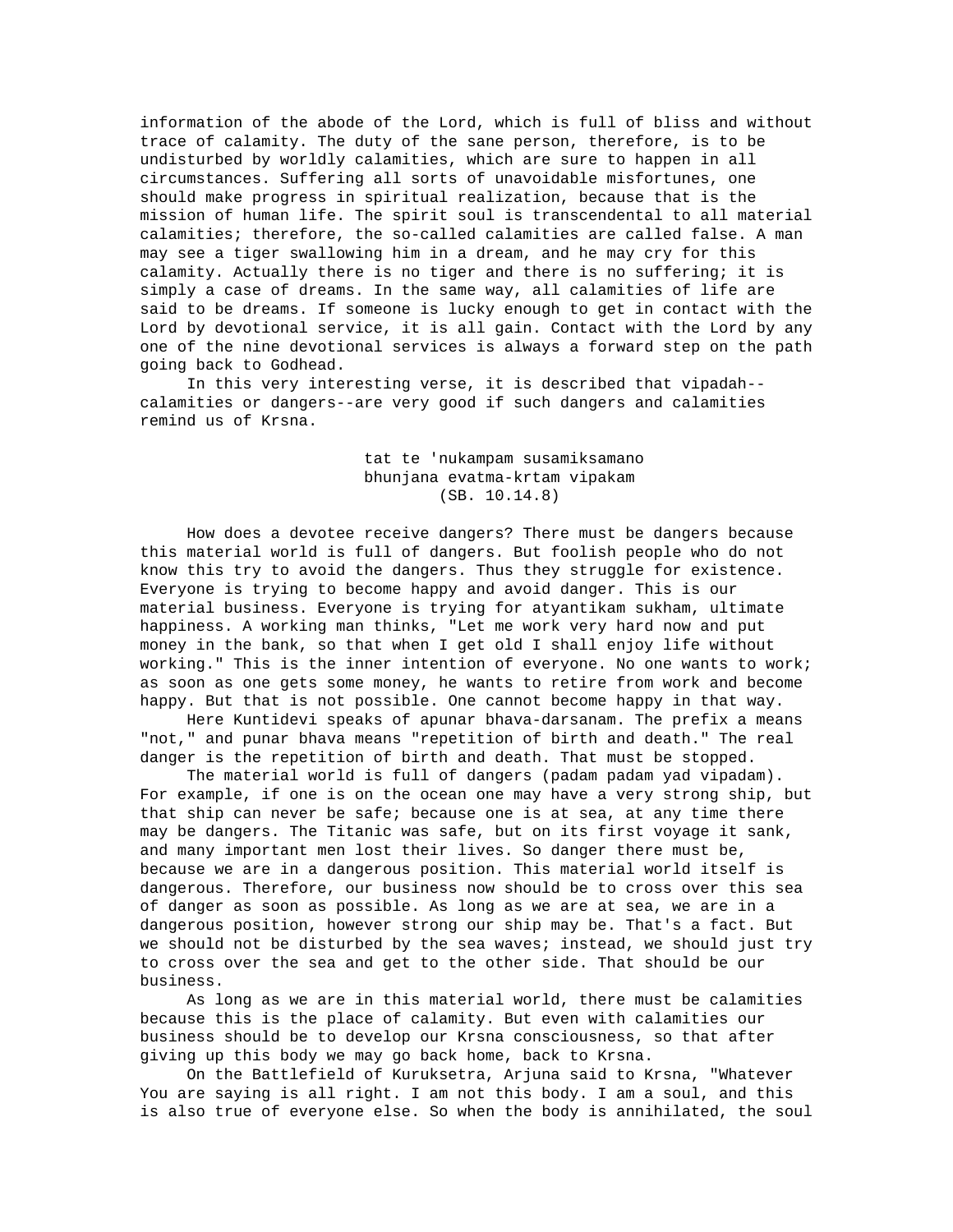information of the abode of the Lord, which is full of bliss and without trace of calamity. The duty of the sane person, therefore, is to be undisturbed by worldly calamities, which are sure to happen in all circumstances. Suffering all sorts of unavoidable misfortunes, one should make progress in spiritual realization, because that is the mission of human life. The spirit soul is transcendental to all material calamities; therefore, the so-called calamities are called false. A man may see a tiger swallowing him in a dream, and he may cry for this calamity. Actually there is no tiger and there is no suffering; it is simply a case of dreams. In the same way, all calamities of life are said to be dreams. If someone is lucky enough to get in contact with the Lord by devotional service, it is all gain. Contact with the Lord by any one of the nine devotional services is always a forward step on the path going back to Godhead.

 In this very interesting verse, it is described that vipadah- calamities or dangers--are very good if such dangers and calamities remind us of Krsna.

> tat te 'nukampam susamiksamano bhunjana evatma-krtam vipakam (SB. 10.14.8)

 How does a devotee receive dangers? There must be dangers because this material world is full of dangers. But foolish people who do not know this try to avoid the dangers. Thus they struggle for existence. Everyone is trying to become happy and avoid danger. This is our material business. Everyone is trying for atyantikam sukham, ultimate happiness. A working man thinks, "Let me work very hard now and put money in the bank, so that when I get old I shall enjoy life without working." This is the inner intention of everyone. No one wants to work; as soon as one gets some money, he wants to retire from work and become happy. But that is not possible. One cannot become happy in that way.

 Here Kuntidevi speaks of apunar bhava-darsanam. The prefix a means "not," and punar bhava means "repetition of birth and death." The real danger is the repetition of birth and death. That must be stopped.

 The material world is full of dangers (padam padam yad vipadam). For example, if one is on the ocean one may have a very strong ship, but that ship can never be safe; because one is at sea, at any time there may be dangers. The Titanic was safe, but on its first voyage it sank, and many important men lost their lives. So danger there must be, because we are in a dangerous position. This material world itself is dangerous. Therefore, our business now should be to cross over this sea of danger as soon as possible. As long as we are at sea, we are in a dangerous position, however strong our ship may be. That's a fact. But we should not be disturbed by the sea waves; instead, we should just try to cross over the sea and get to the other side. That should be our business.

 As long as we are in this material world, there must be calamities because this is the place of calamity. But even with calamities our business should be to develop our Krsna consciousness, so that after giving up this body we may go back home, back to Krsna.

 On the Battlefield of Kuruksetra, Arjuna said to Krsna, "Whatever You are saying is all right. I am not this body. I am a soul, and this is also true of everyone else. So when the body is annihilated, the soul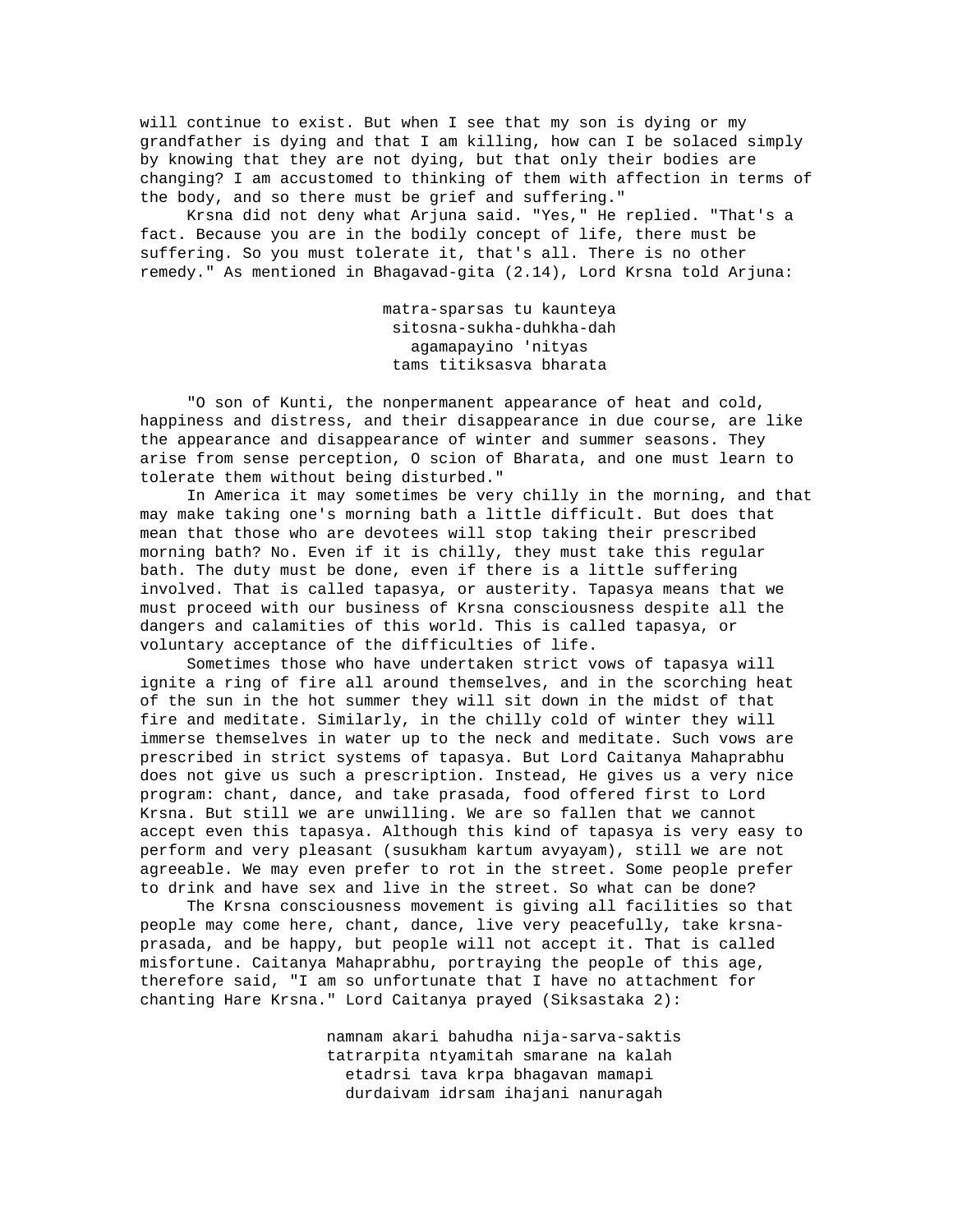will continue to exist. But when I see that my son is dying or my grandfather is dying and that I am killing, how can I be solaced simply by knowing that they are not dying, but that only their bodies are changing? I am accustomed to thinking of them with affection in terms of the body, and so there must be grief and suffering."

 Krsna did not deny what Arjuna said. "Yes," He replied. "That's a fact. Because you are in the bodily concept of life, there must be suffering. So you must tolerate it, that's all. There is no other remedy." As mentioned in Bhagavad-gita (2.14), Lord Krsna told Arjuna:

> matra-sparsas tu kaunteya sitosna-sukha-duhkha-dah agamapayino 'nityas tams titiksasva bharata

 "O son of Kunti, the nonpermanent appearance of heat and cold, happiness and distress, and their disappearance in due course, are like the appearance and disappearance of winter and summer seasons. They arise from sense perception, O scion of Bharata, and one must learn to tolerate them without being disturbed."

 In America it may sometimes be very chilly in the morning, and that may make taking one's morning bath a little difficult. But does that mean that those who are devotees will stop taking their prescribed morning bath? No. Even if it is chilly, they must take this regular bath. The duty must be done, even if there is a little suffering involved. That is called tapasya, or austerity. Tapasya means that we must proceed with our business of Krsna consciousness despite all the dangers and calamities of this world. This is called tapasya, or voluntary acceptance of the difficulties of life.

 Sometimes those who have undertaken strict vows of tapasya will ignite a ring of fire all around themselves, and in the scorching heat of the sun in the hot summer they will sit down in the midst of that fire and meditate. Similarly, in the chilly cold of winter they will immerse themselves in water up to the neck and meditate. Such vows are prescribed in strict systems of tapasya. But Lord Caitanya Mahaprabhu does not give us such a prescription. Instead, He gives us a very nice program: chant, dance, and take prasada, food offered first to Lord Krsna. But still we are unwilling. We are so fallen that we cannot accept even this tapasya. Although this kind of tapasya is very easy to perform and very pleasant (susukham kartum avyayam), still we are not agreeable. We may even prefer to rot in the street. Some people prefer to drink and have sex and live in the street. So what can be done?

 The Krsna consciousness movement is giving all facilities so that people may come here, chant, dance, live very peacefully, take krsnaprasada, and be happy, but people will not accept it. That is called misfortune. Caitanya Mahaprabhu, portraying the people of this age, therefore said, "I am so unfortunate that I have no attachment for chanting Hare Krsna." Lord Caitanya prayed (Siksastaka 2):

> namnam akari bahudha nija-sarva-saktis tatrarpita ntyamitah smarane na kalah etadrsi tava krpa bhagavan mamapi durdaivam idrsam ihajani nanuragah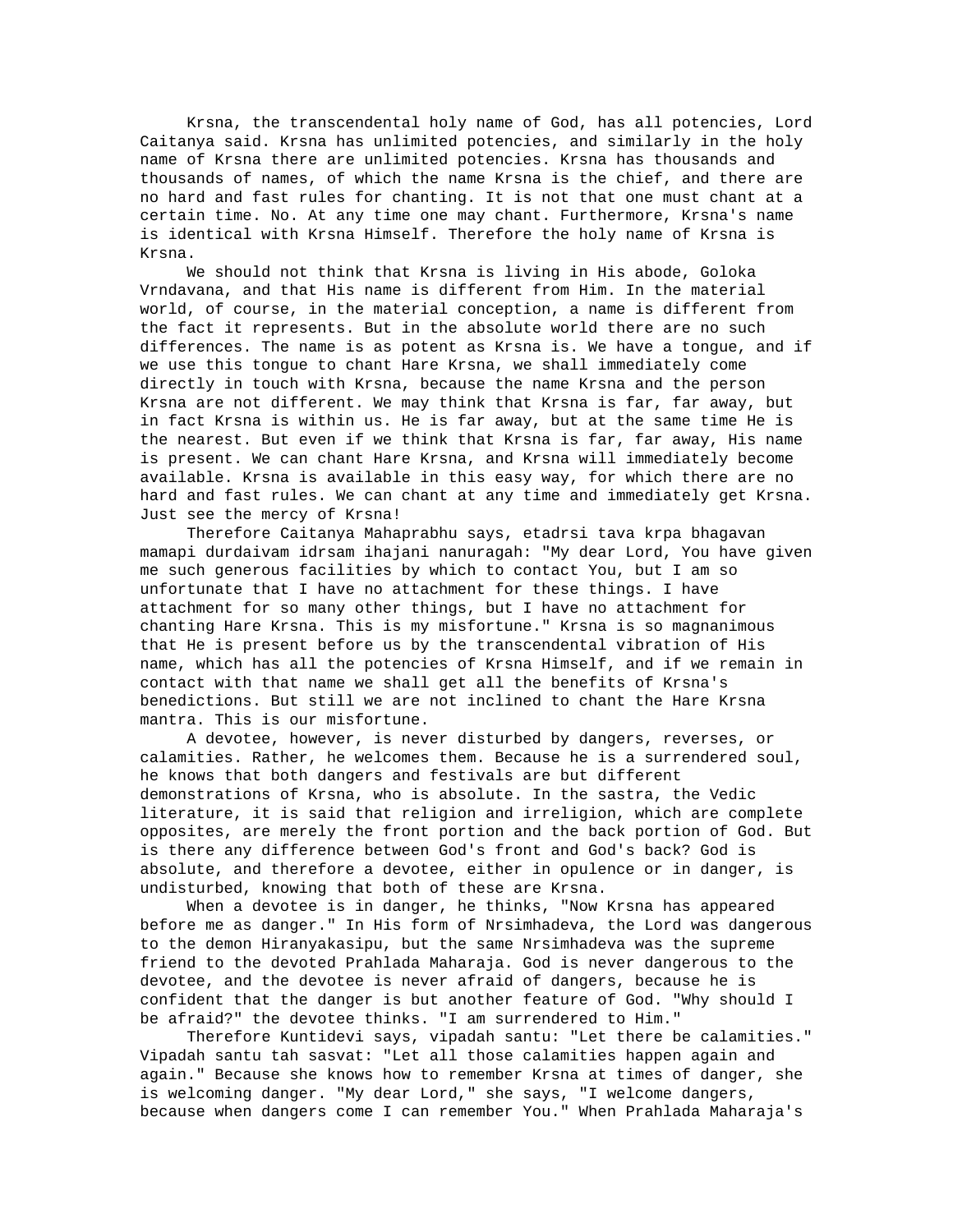Krsna, the transcendental holy name of God, has all potencies, Lord Caitanya said. Krsna has unlimited potencies, and similarly in the holy name of Krsna there are unlimited potencies. Krsna has thousands and thousands of names, of which the name Krsna is the chief, and there are no hard and fast rules for chanting. It is not that one must chant at a certain time. No. At any time one may chant. Furthermore, Krsna's name is identical with Krsna Himself. Therefore the holy name of Krsna is Krsna.

 We should not think that Krsna is living in His abode, Goloka Vrndavana, and that His name is different from Him. In the material world, of course, in the material conception, a name is different from the fact it represents. But in the absolute world there are no such differences. The name is as potent as Krsna is. We have a tongue, and if we use this tongue to chant Hare Krsna, we shall immediately come directly in touch with Krsna, because the name Krsna and the person Krsna are not different. We may think that Krsna is far, far away, but in fact Krsna is within us. He is far away, but at the same time He is the nearest. But even if we think that Krsna is far, far away, His name is present. We can chant Hare Krsna, and Krsna will immediately become available. Krsna is available in this easy way, for which there are no hard and fast rules. We can chant at any time and immediately get Krsna. Just see the mercy of Krsna!

 Therefore Caitanya Mahaprabhu says, etadrsi tava krpa bhagavan mamapi durdaivam idrsam ihajani nanuragah: "My dear Lord, You have given me such generous facilities by which to contact You, but I am so unfortunate that I have no attachment for these things. I have attachment for so many other things, but I have no attachment for chanting Hare Krsna. This is my misfortune." Krsna is so magnanimous that He is present before us by the transcendental vibration of His name, which has all the potencies of Krsna Himself, and if we remain in contact with that name we shall get all the benefits of Krsna's benedictions. But still we are not inclined to chant the Hare Krsna mantra. This is our misfortune.

 A devotee, however, is never disturbed by dangers, reverses, or calamities. Rather, he welcomes them. Because he is a surrendered soul, he knows that both dangers and festivals are but different demonstrations of Krsna, who is absolute. In the sastra, the Vedic literature, it is said that religion and irreligion, which are complete opposites, are merely the front portion and the back portion of God. But is there any difference between God's front and God's back? God is absolute, and therefore a devotee, either in opulence or in danger, is undisturbed, knowing that both of these are Krsna.

 When a devotee is in danger, he thinks, "Now Krsna has appeared before me as danger." In His form of Nrsimhadeva, the Lord was dangerous to the demon Hiranyakasipu, but the same Nrsimhadeva was the supreme friend to the devoted Prahlada Maharaja. God is never dangerous to the devotee, and the devotee is never afraid of dangers, because he is confident that the danger is but another feature of God. "Why should I be afraid?" the devotee thinks. "I am surrendered to Him."

 Therefore Kuntidevi says, vipadah santu: "Let there be calamities." Vipadah santu tah sasvat: "Let all those calamities happen again and again." Because she knows how to remember Krsna at times of danger, she is welcoming danger. "My dear Lord," she says, "I welcome dangers, because when dangers come I can remember You." When Prahlada Maharaja's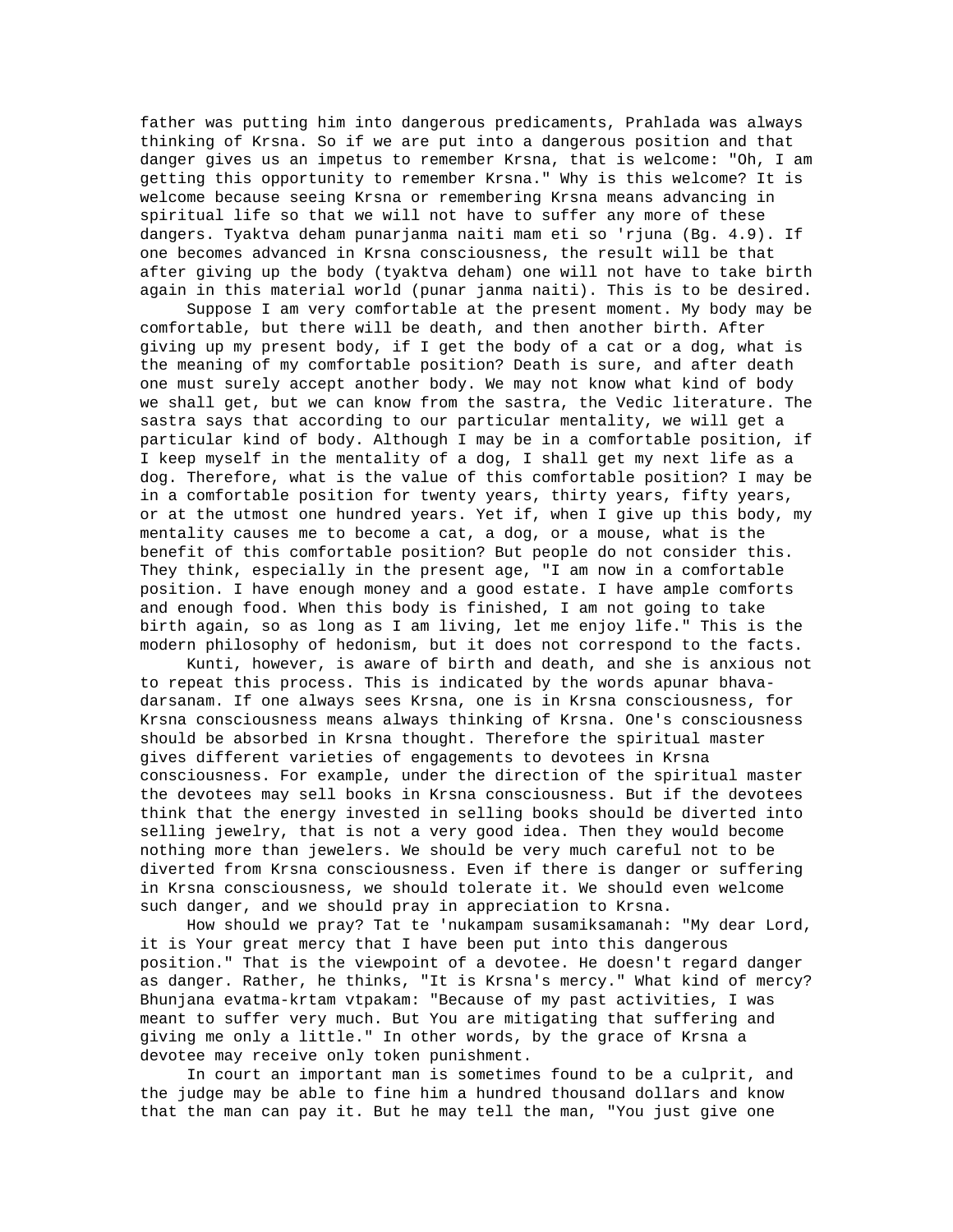father was putting him into dangerous predicaments, Prahlada was always thinking of Krsna. So if we are put into a dangerous position and that danger gives us an impetus to remember Krsna, that is welcome: "Oh, I am getting this opportunity to remember Krsna." Why is this welcome? It is welcome because seeing Krsna or remembering Krsna means advancing in spiritual life so that we will not have to suffer any more of these dangers. Tyaktva deham punarjanma naiti mam eti so 'rjuna (Bg. 4.9). If one becomes advanced in Krsna consciousness, the result will be that after giving up the body (tyaktva deham) one will not have to take birth again in this material world (punar janma naiti). This is to be desired.

 Suppose I am very comfortable at the present moment. My body may be comfortable, but there will be death, and then another birth. After giving up my present body, if I get the body of a cat or a dog, what is the meaning of my comfortable position? Death is sure, and after death one must surely accept another body. We may not know what kind of body we shall get, but we can know from the sastra, the Vedic literature. The sastra says that according to our particular mentality, we will get a particular kind of body. Although I may be in a comfortable position, if I keep myself in the mentality of a dog, I shall get my next life as a dog. Therefore, what is the value of this comfortable position? I may be in a comfortable position for twenty years, thirty years, fifty years, or at the utmost one hundred years. Yet if, when I give up this body, my mentality causes me to become a cat, a dog, or a mouse, what is the benefit of this comfortable position? But people do not consider this. They think, especially in the present age, "I am now in a comfortable position. I have enough money and a good estate. I have ample comforts and enough food. When this body is finished, I am not going to take birth again, so as long as I am living, let me enjoy life." This is the modern philosophy of hedonism, but it does not correspond to the facts.

 Kunti, however, is aware of birth and death, and she is anxious not to repeat this process. This is indicated by the words apunar bhavadarsanam. If one always sees Krsna, one is in Krsna consciousness, for Krsna consciousness means always thinking of Krsna. One's consciousness should be absorbed in Krsna thought. Therefore the spiritual master gives different varieties of engagements to devotees in Krsna consciousness. For example, under the direction of the spiritual master the devotees may sell books in Krsna consciousness. But if the devotees think that the energy invested in selling books should be diverted into selling jewelry, that is not a very good idea. Then they would become nothing more than jewelers. We should be very much careful not to be diverted from Krsna consciousness. Even if there is danger or suffering in Krsna consciousness, we should tolerate it. We should even welcome such danger, and we should pray in appreciation to Krsna.

 How should we pray? Tat te 'nukampam susamiksamanah: "My dear Lord, it is Your great mercy that I have been put into this dangerous position." That is the viewpoint of a devotee. He doesn't regard danger as danger. Rather, he thinks, "It is Krsna's mercy." What kind of mercy? Bhunjana evatma-krtam vtpakam: "Because of my past activities, I was meant to suffer very much. But You are mitigating that suffering and giving me only a little." In other words, by the grace of Krsna a devotee may receive only token punishment.

 In court an important man is sometimes found to be a culprit, and the judge may be able to fine him a hundred thousand dollars and know that the man can pay it. But he may tell the man, "You just give one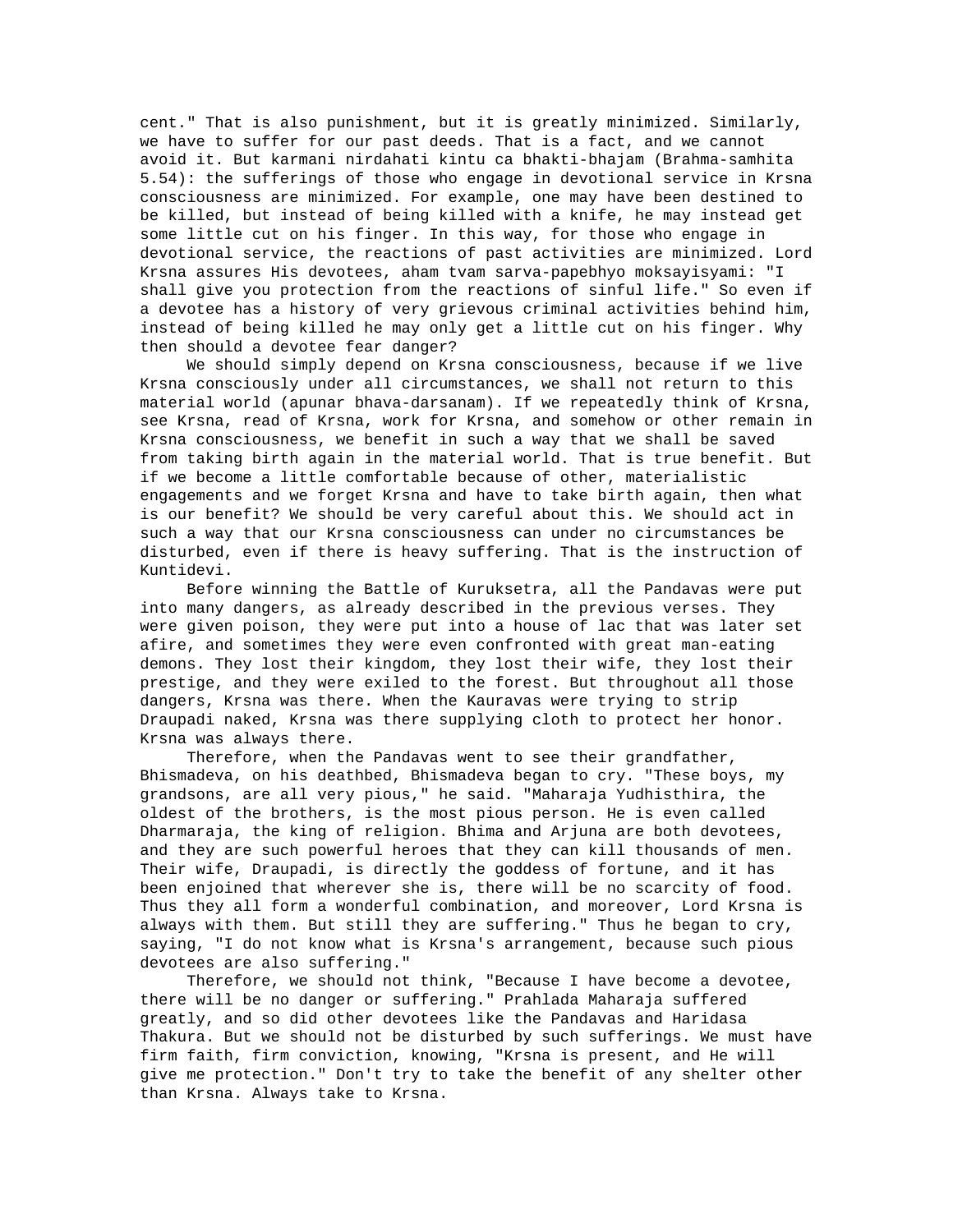cent." That is also punishment, but it is greatly minimized. Similarly, we have to suffer for our past deeds. That is a fact, and we cannot avoid it. But karmani nirdahati kintu ca bhakti-bhajam (Brahma-samhita 5.54): the sufferings of those who engage in devotional service in Krsna consciousness are minimized. For example, one may have been destined to be killed, but instead of being killed with a knife, he may instead get some little cut on his finger. In this way, for those who engage in devotional service, the reactions of past activities are minimized. Lord Krsna assures His devotees, aham tvam sarva-papebhyo moksayisyami: "I shall give you protection from the reactions of sinful life." So even if a devotee has a history of very grievous criminal activities behind him, instead of being killed he may only get a little cut on his finger. Why then should a devotee fear danger?

 We should simply depend on Krsna consciousness, because if we live Krsna consciously under all circumstances, we shall not return to this material world (apunar bhava-darsanam). If we repeatedly think of Krsna, see Krsna, read of Krsna, work for Krsna, and somehow or other remain in Krsna consciousness, we benefit in such a way that we shall be saved from taking birth again in the material world. That is true benefit. But if we become a little comfortable because of other, materialistic engagements and we forget Krsna and have to take birth again, then what is our benefit? We should be very careful about this. We should act in such a way that our Krsna consciousness can under no circumstances be disturbed, even if there is heavy suffering. That is the instruction of Kuntidevi.

 Before winning the Battle of Kuruksetra, all the Pandavas were put into many dangers, as already described in the previous verses. They were given poison, they were put into a house of lac that was later set afire, and sometimes they were even confronted with great man-eating demons. They lost their kingdom, they lost their wife, they lost their prestige, and they were exiled to the forest. But throughout all those dangers, Krsna was there. When the Kauravas were trying to strip Draupadi naked, Krsna was there supplying cloth to protect her honor. Krsna was always there.

 Therefore, when the Pandavas went to see their grandfather, Bhismadeva, on his deathbed, Bhismadeva began to cry. "These boys, my grandsons, are all very pious," he said. "Maharaja Yudhisthira, the oldest of the brothers, is the most pious person. He is even called Dharmaraja, the king of religion. Bhima and Arjuna are both devotees, and they are such powerful heroes that they can kill thousands of men. Their wife, Draupadi, is directly the goddess of fortune, and it has been enjoined that wherever she is, there will be no scarcity of food. Thus they all form a wonderful combination, and moreover, Lord Krsna is always with them. But still they are suffering." Thus he began to cry, saying, "I do not know what is Krsna's arrangement, because such pious devotees are also suffering."

 Therefore, we should not think, "Because I have become a devotee, there will be no danger or suffering." Prahlada Maharaja suffered greatly, and so did other devotees like the Pandavas and Haridasa Thakura. But we should not be disturbed by such sufferings. We must have firm faith, firm conviction, knowing, "Krsna is present, and He will give me protection." Don't try to take the benefit of any shelter other than Krsna. Always take to Krsna.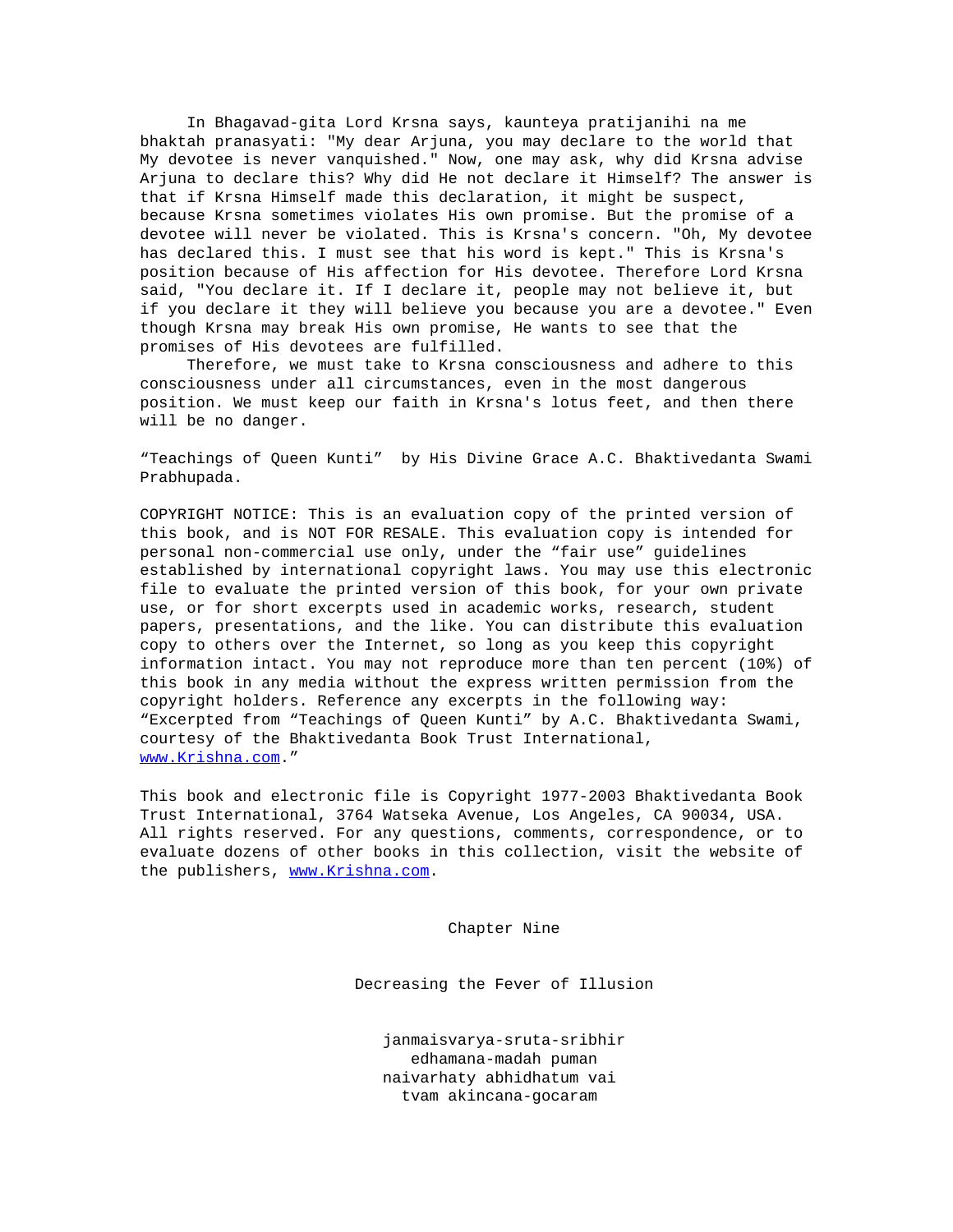In Bhagavad-gita Lord Krsna says, kaunteya pratijanihi na me bhaktah pranasyati: "My dear Arjuna, you may declare to the world that My devotee is never vanquished." Now, one may ask, why did Krsna advise Arjuna to declare this? Why did He not declare it Himself? The answer is that if Krsna Himself made this declaration, it might be suspect, because Krsna sometimes violates His own promise. But the promise of a devotee will never be violated. This is Krsna's concern. "Oh, My devotee has declared this. I must see that his word is kept." This is Krsna's position because of His affection for His devotee. Therefore Lord Krsna said, "You declare it. If I declare it, people may not believe it, but if you declare it they will believe you because you are a devotee." Even though Krsna may break His own promise, He wants to see that the promises of His devotees are fulfilled.

 Therefore, we must take to Krsna consciousness and adhere to this consciousness under all circumstances, even in the most dangerous position. We must keep our faith in Krsna's lotus feet, and then there will be no danger.

"Teachings of Queen Kunti" by His Divine Grace A.C. Bhaktivedanta Swami Prabhupada.

COPYRIGHT NOTICE: This is an evaluation copy of the printed version of this book, and is NOT FOR RESALE. This evaluation copy is intended for personal non-commercial use only, under the "fair use" guidelines established by international copyright laws. You may use this electronic file to evaluate the printed version of this book, for your own private use, or for short excerpts used in academic works, research, student papers, presentations, and the like. You can distribute this evaluation copy to others over the Internet, so long as you keep this copyright information intact. You may not reproduce more than ten percent (10%) of this book in any media without the express written permission from the copyright holders. Reference any excerpts in the following way: "Excerpted from "Teachings of Queen Kunti" by A.C. Bhaktivedanta Swami, courtesy of the Bhaktivedanta Book Trust International, www.Krishna.com ."

This book and electronic file is Copyright 1977-2003 Bhaktivedanta Book Trust International, 3764 Watseka Avenue, Los Angeles, CA 90034, USA. All rights reserved. For any questions, comments, correspondence, or to evaluate dozens of other books in this collection, visit the website of the publishers, www.Krishna.com.

Chapter Nine

Decreasing the Fever of Illusion

 janmaisvarya-sruta-sribhir edhamana-madah puman naivarhaty abhidhatum vai tvam akincana-gocaram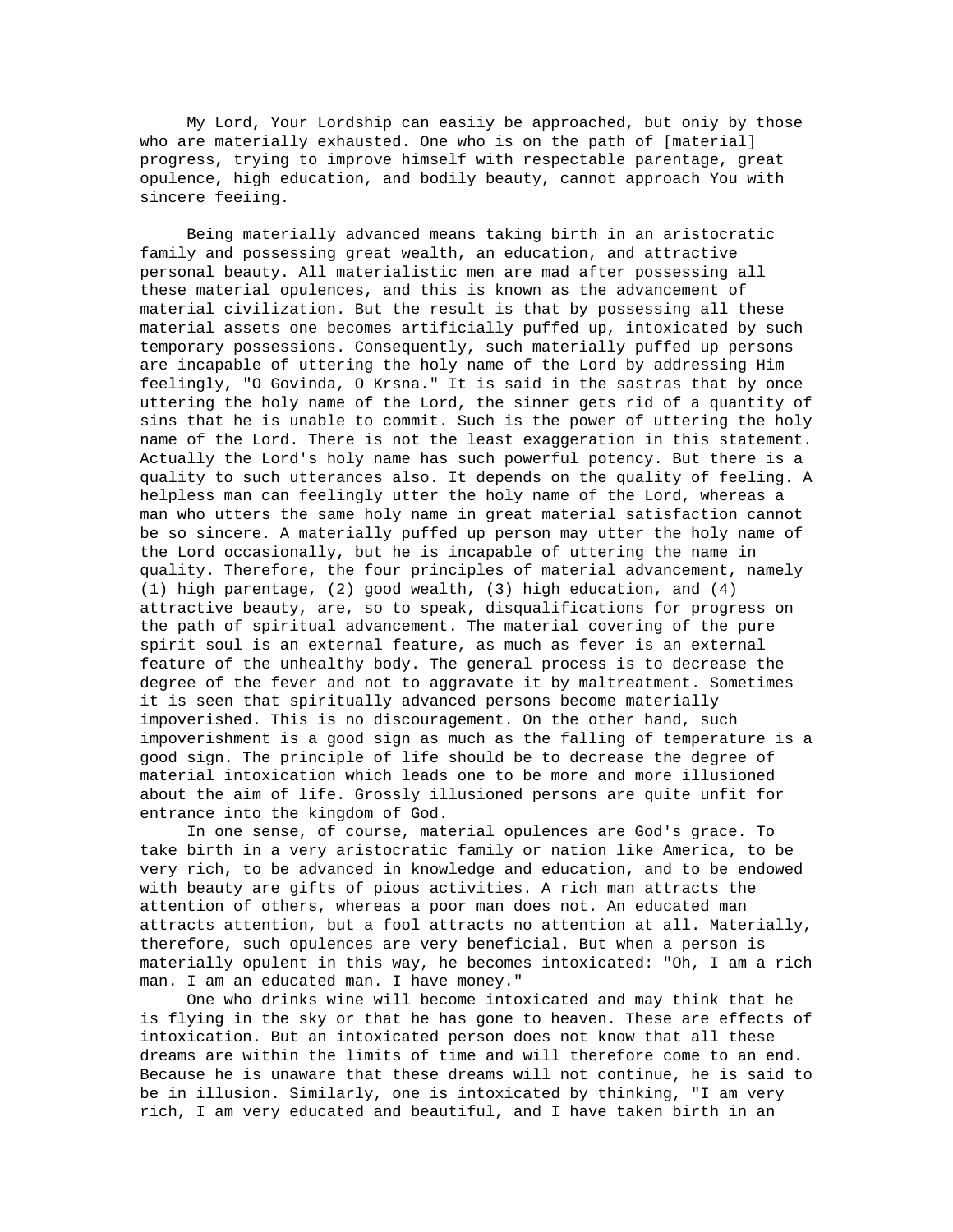My Lord, Your Lordship can easiiy be approached, but oniy by those who are materially exhausted. One who is on the path of [material] progress, trying to improve himself with respectable parentage, great opulence, high education, and bodily beauty, cannot approach You with sincere feeiing.

 Being materially advanced means taking birth in an aristocratic family and possessing great wealth, an education, and attractive personal beauty. All materialistic men are mad after possessing all these material opulences, and this is known as the advancement of material civilization. But the result is that by possessing all these material assets one becomes artificially puffed up, intoxicated by such temporary possessions. Consequently, such materially puffed up persons are incapable of uttering the holy name of the Lord by addressing Him feelingly, "O Govinda, O Krsna." It is said in the sastras that by once uttering the holy name of the Lord, the sinner gets rid of a quantity of sins that he is unable to commit. Such is the power of uttering the holy name of the Lord. There is not the least exaggeration in this statement. Actually the Lord's holy name has such powerful potency. But there is a quality to such utterances also. It depends on the quality of feeling. A helpless man can feelingly utter the holy name of the Lord, whereas a man who utters the same holy name in great material satisfaction cannot be so sincere. A materially puffed up person may utter the holy name of the Lord occasionally, but he is incapable of uttering the name in quality. Therefore, the four principles of material advancement, namely (1) high parentage, (2) good wealth, (3) high education, and (4) attractive beauty, are, so to speak, disqualifications for progress on the path of spiritual advancement. The material covering of the pure spirit soul is an external feature, as much as fever is an external feature of the unhealthy body. The general process is to decrease the degree of the fever and not to aggravate it by maltreatment. Sometimes it is seen that spiritually advanced persons become materially impoverished. This is no discouragement. On the other hand, such impoverishment is a good sign as much as the falling of temperature is a good sign. The principle of life should be to decrease the degree of material intoxication which leads one to be more and more illusioned about the aim of life. Grossly illusioned persons are quite unfit for entrance into the kingdom of God.

 In one sense, of course, material opulences are God's grace. To take birth in a very aristocratic family or nation like America, to be very rich, to be advanced in knowledge and education, and to be endowed with beauty are gifts of pious activities. A rich man attracts the attention of others, whereas a poor man does not. An educated man attracts attention, but a fool attracts no attention at all. Materially, therefore, such opulences are very beneficial. But when a person is materially opulent in this way, he becomes intoxicated: "Oh, I am a rich man. I am an educated man. I have money."

 One who drinks wine will become intoxicated and may think that he is flying in the sky or that he has gone to heaven. These are effects of intoxication. But an intoxicated person does not know that all these dreams are within the limits of time and will therefore come to an end. Because he is unaware that these dreams will not continue, he is said to be in illusion. Similarly, one is intoxicated by thinking, "I am very rich, I am very educated and beautiful, and I have taken birth in an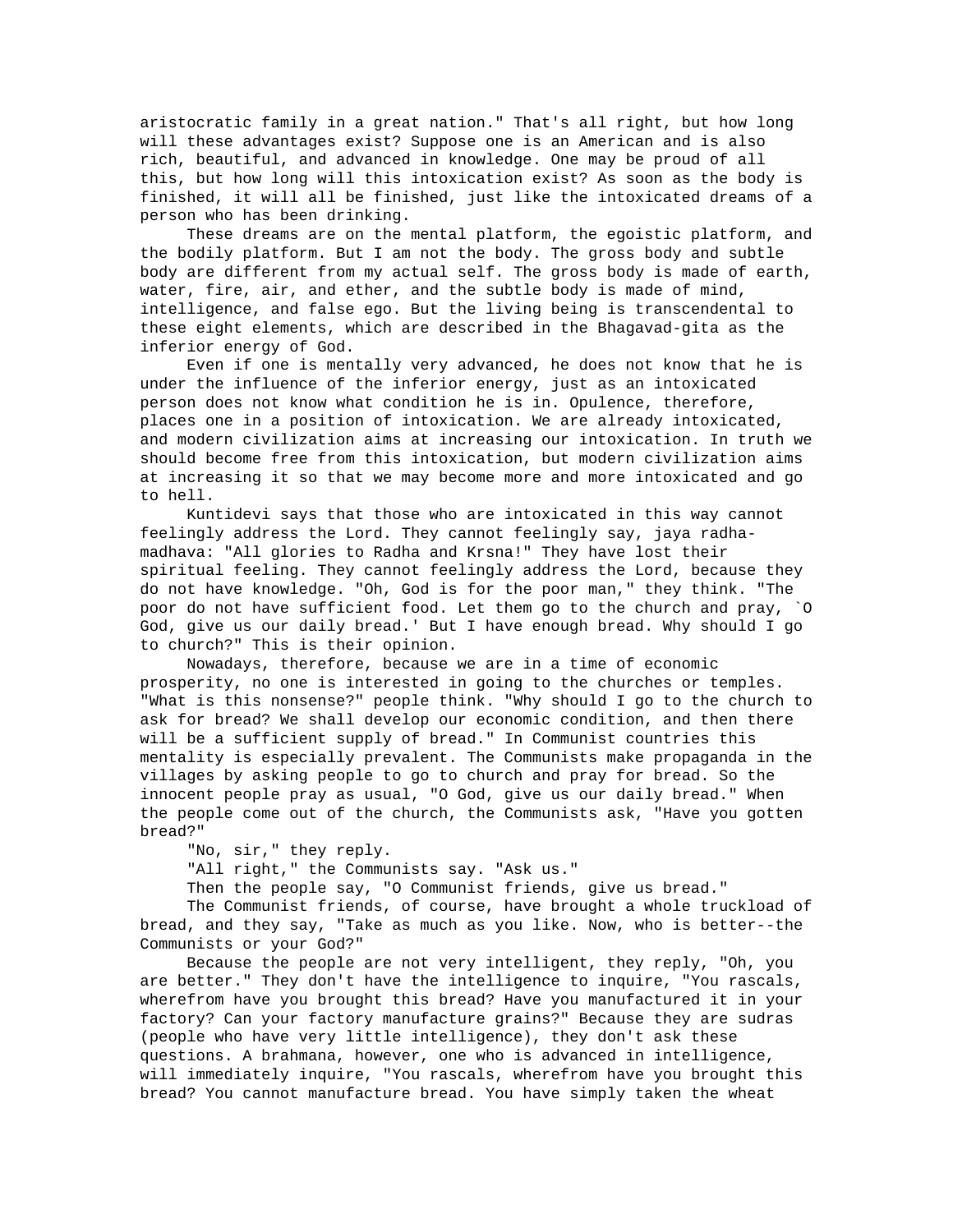aristocratic family in a great nation." That's all right, but how long will these advantages exist? Suppose one is an American and is also rich, beautiful, and advanced in knowledge. One may be proud of all this, but how long will this intoxication exist? As soon as the body is finished, it will all be finished, just like the intoxicated dreams of a person who has been drinking.

 These dreams are on the mental platform, the egoistic platform, and the bodily platform. But I am not the body. The gross body and subtle body are different from my actual self. The gross body is made of earth, water, fire, air, and ether, and the subtle body is made of mind, intelligence, and false ego. But the living being is transcendental to these eight elements, which are described in the Bhagavad-gita as the inferior energy of God.

 Even if one is mentally very advanced, he does not know that he is under the influence of the inferior energy, just as an intoxicated person does not know what condition he is in. Opulence, therefore, places one in a position of intoxication. We are already intoxicated, and modern civilization aims at increasing our intoxication. In truth we should become free from this intoxication, but modern civilization aims at increasing it so that we may become more and more intoxicated and go to hell.

 Kuntidevi says that those who are intoxicated in this way cannot feelingly address the Lord. They cannot feelingly say, jaya radhamadhava: "All glories to Radha and Krsna!" They have lost their spiritual feeling. They cannot feelingly address the Lord, because they do not have knowledge. "Oh, God is for the poor man," they think. "The poor do not have sufficient food. Let them go to the church and pray, `O God, give us our daily bread.' But I have enough bread. Why should I go to church?" This is their opinion.

 Nowadays, therefore, because we are in a time of economic prosperity, no one is interested in going to the churches or temples. "What is this nonsense?" people think. "Why should I go to the church to ask for bread? We shall develop our economic condition, and then there will be a sufficient supply of bread." In Communist countries this mentality is especially prevalent. The Communists make propaganda in the villages by asking people to go to church and pray for bread. So the innocent people pray as usual, "O God, give us our daily bread." When the people come out of the church, the Communists ask, "Have you gotten bread?"

"No, sir," they reply.

"All right," the Communists say. "Ask us."

Then the people say, "O Communist friends, give us bread."

 The Communist friends, of course, have brought a whole truckload of bread, and they say, "Take as much as you like. Now, who is better--the Communists or your God?"

 Because the people are not very intelligent, they reply, "Oh, you are better." They don't have the intelligence to inquire, "You rascals, wherefrom have you brought this bread? Have you manufactured it in your factory? Can your factory manufacture grains?" Because they are sudras (people who have very little intelligence), they don't ask these questions. A brahmana, however, one who is advanced in intelligence, will immediately inquire, "You rascals, wherefrom have you brought this bread? You cannot manufacture bread. You have simply taken the wheat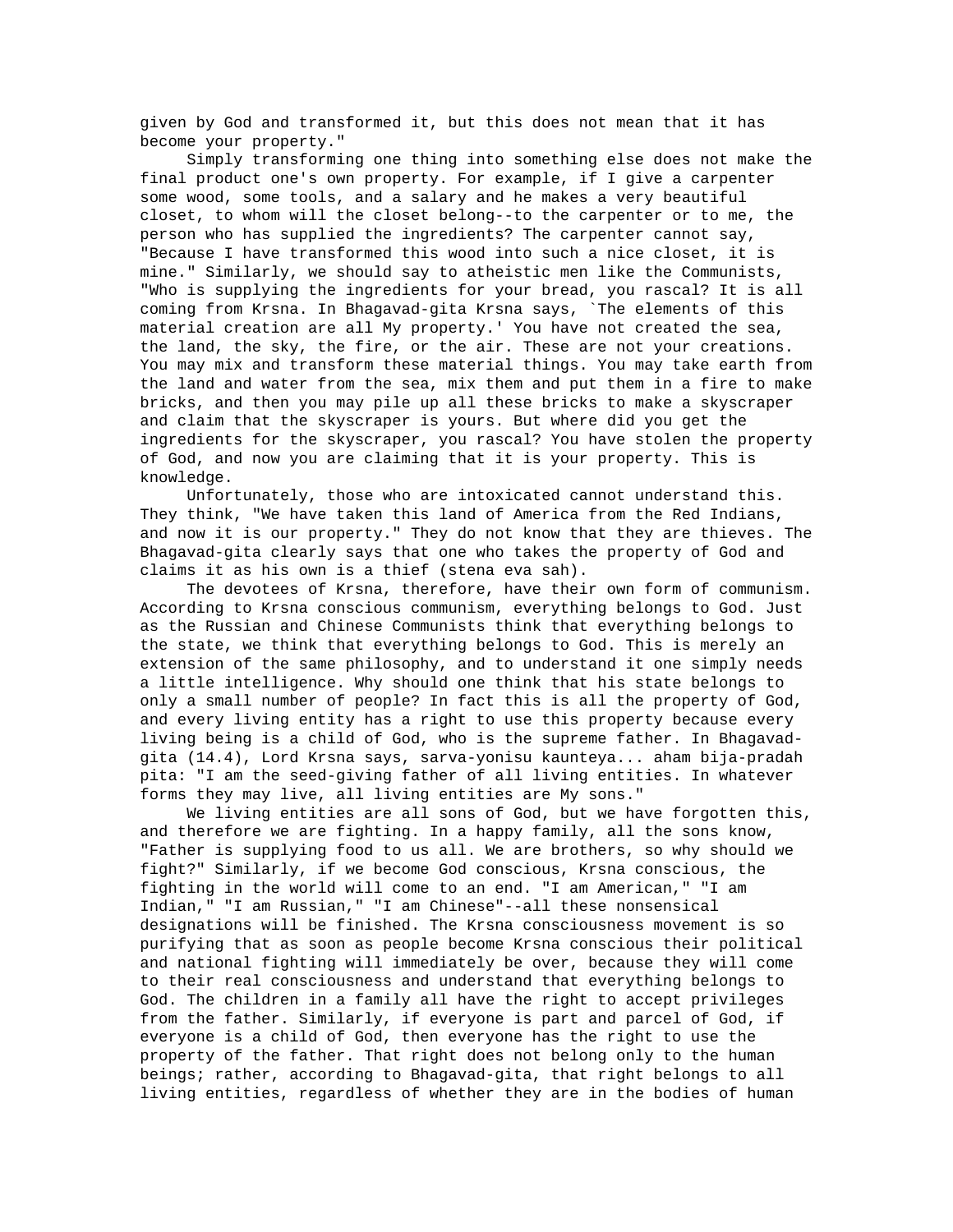given by God and transformed it, but this does not mean that it has become your property."

 Simply transforming one thing into something else does not make the final product one's own property. For example, if I give a carpenter some wood, some tools, and a salary and he makes a very beautiful closet, to whom will the closet belong--to the carpenter or to me, the person who has supplied the ingredients? The carpenter cannot say, "Because I have transformed this wood into such a nice closet, it is mine." Similarly, we should say to atheistic men like the Communists, "Who is supplying the ingredients for your bread, you rascal? It is all coming from Krsna. In Bhagavad-gita Krsna says, `The elements of this material creation are all My property.' You have not created the sea, the land, the sky, the fire, or the air. These are not your creations. You may mix and transform these material things. You may take earth from the land and water from the sea, mix them and put them in a fire to make bricks, and then you may pile up all these bricks to make a skyscraper and claim that the skyscraper is yours. But where did you get the ingredients for the skyscraper, you rascal? You have stolen the property of God, and now you are claiming that it is your property. This is knowledge.

 Unfortunately, those who are intoxicated cannot understand this. They think, "We have taken this land of America from the Red Indians, and now it is our property." They do not know that they are thieves. The Bhagavad-gita clearly says that one who takes the property of God and claims it as his own is a thief (stena eva sah).

 The devotees of Krsna, therefore, have their own form of communism. According to Krsna conscious communism, everything belongs to God. Just as the Russian and Chinese Communists think that everything belongs to the state, we think that everything belongs to God. This is merely an extension of the same philosophy, and to understand it one simply needs a little intelligence. Why should one think that his state belongs to only a small number of people? In fact this is all the property of God, and every living entity has a right to use this property because every living being is a child of God, who is the supreme father. In Bhagavadgita (14.4), Lord Krsna says, sarva-yonisu kaunteya... aham bija-pradah pita: "I am the seed-giving father of all living entities. In whatever forms they may live, all living entities are My sons."

 We living entities are all sons of God, but we have forgotten this, and therefore we are fighting. In a happy family, all the sons know, "Father is supplying food to us all. We are brothers, so why should we fight?" Similarly, if we become God conscious, Krsna conscious, the fighting in the world will come to an end. "I am American," "I am Indian," "I am Russian," "I am Chinese"--all these nonsensical designations will be finished. The Krsna consciousness movement is so purifying that as soon as people become Krsna conscious their political and national fighting will immediately be over, because they will come to their real consciousness and understand that everything belongs to God. The children in a family all have the right to accept privileges from the father. Similarly, if everyone is part and parcel of God, if everyone is a child of God, then everyone has the right to use the property of the father. That right does not belong only to the human beings; rather, according to Bhagavad-gita, that right belongs to all living entities, regardless of whether they are in the bodies of human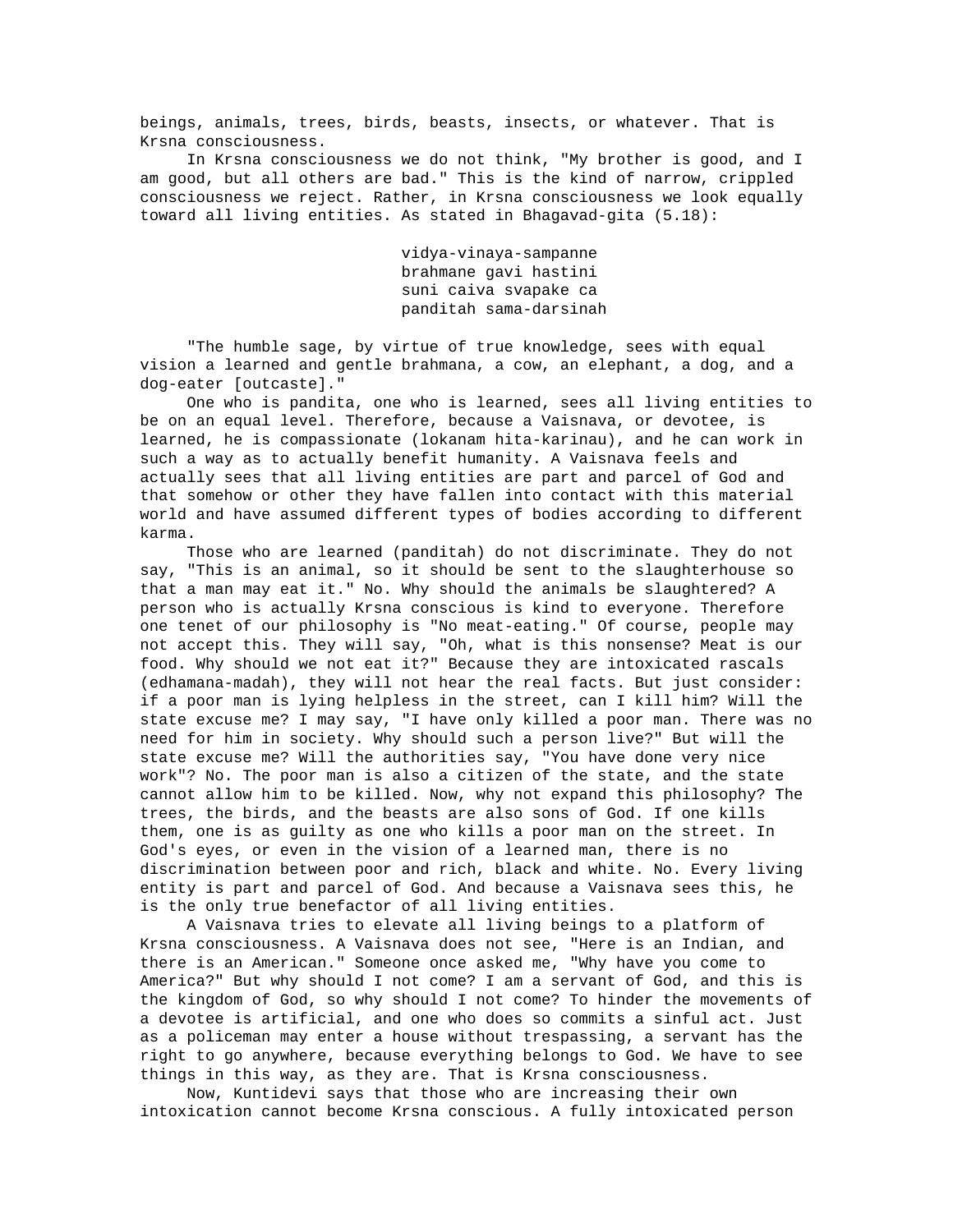beings, animals, trees, birds, beasts, insects, or whatever. That is Krsna consciousness.

 In Krsna consciousness we do not think, "My brother is good, and I am good, but all others are bad." This is the kind of narrow, crippled consciousness we reject. Rather, in Krsna consciousness we look equally toward all living entities. As stated in Bhagavad-gita (5.18):

> vidya-vinaya-sampanne brahmane gavi hastini suni caiva svapake ca panditah sama-darsinah

 "The humble sage, by virtue of true knowledge, sees with equal vision a learned and gentle brahmana, a cow, an elephant, a dog, and a dog-eater [outcaste]."

 One who is pandita, one who is learned, sees all living entities to be on an equal level. Therefore, because a Vaisnava, or devotee, is learned, he is compassionate (lokanam hita-karinau), and he can work in such a way as to actually benefit humanity. A Vaisnava feels and actually sees that all living entities are part and parcel of God and that somehow or other they have fallen into contact with this material world and have assumed different types of bodies according to different karma.

 Those who are learned (panditah) do not discriminate. They do not say, "This is an animal, so it should be sent to the slaughterhouse so that a man may eat it." No. Why should the animals be slaughtered? A person who is actually Krsna conscious is kind to everyone. Therefore one tenet of our philosophy is "No meat-eating." Of course, people may not accept this. They will say, "Oh, what is this nonsense? Meat is our food. Why should we not eat it?" Because they are intoxicated rascals (edhamana-madah), they will not hear the real facts. But just consider: if a poor man is lying helpless in the street, can I kill him? Will the state excuse me? I may say, "I have only killed a poor man. There was no need for him in society. Why should such a person live?" But will the state excuse me? Will the authorities say, "You have done very nice work"? No. The poor man is also a citizen of the state, and the state cannot allow him to be killed. Now, why not expand this philosophy? The trees, the birds, and the beasts are also sons of God. If one kills them, one is as guilty as one who kills a poor man on the street. In God's eyes, or even in the vision of a learned man, there is no discrimination between poor and rich, black and white. No. Every living entity is part and parcel of God. And because a Vaisnava sees this, he is the only true benefactor of all living entities.

 A Vaisnava tries to elevate all living beings to a platform of Krsna consciousness. A Vaisnava does not see, "Here is an Indian, and there is an American." Someone once asked me, "Why have you come to America?" But why should I not come? I am a servant of God, and this is the kingdom of God, so why should I not come? To hinder the movements of a devotee is artificial, and one who does so commits a sinful act. Just as a policeman may enter a house without trespassing, a servant has the right to go anywhere, because everything belongs to God. We have to see things in this way, as they are. That is Krsna consciousness.

 Now, Kuntidevi says that those who are increasing their own intoxication cannot become Krsna conscious. A fully intoxicated person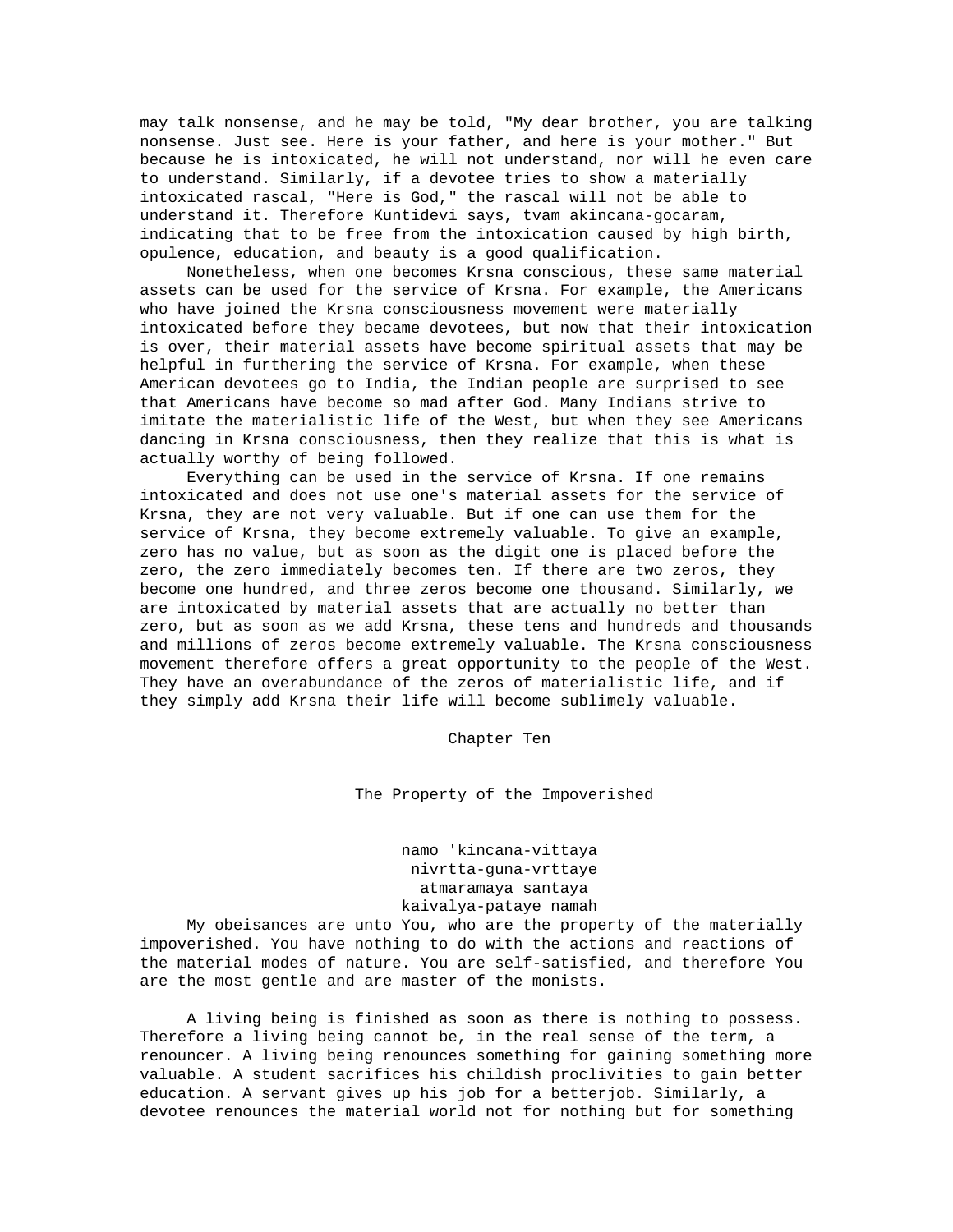may talk nonsense, and he may be told, "My dear brother, you are talking nonsense. Just see. Here is your father, and here is your mother." But because he is intoxicated, he will not understand, nor will he even care to understand. Similarly, if a devotee tries to show a materially intoxicated rascal, "Here is God," the rascal will not be able to understand it. Therefore Kuntidevi says, tvam akincana-gocaram, indicating that to be free from the intoxication caused by high birth, opulence, education, and beauty is a good qualification.

 Nonetheless, when one becomes Krsna conscious, these same material assets can be used for the service of Krsna. For example, the Americans who have joined the Krsna consciousness movement were materially intoxicated before they became devotees, but now that their intoxication is over, their material assets have become spiritual assets that may be helpful in furthering the service of Krsna. For example, when these American devotees go to India, the Indian people are surprised to see that Americans have become so mad after God. Many Indians strive to imitate the materialistic life of the West, but when they see Americans dancing in Krsna consciousness, then they realize that this is what is actually worthy of being followed.

 Everything can be used in the service of Krsna. If one remains intoxicated and does not use one's material assets for the service of Krsna, they are not very valuable. But if one can use them for the service of Krsna, they become extremely valuable. To give an example, zero has no value, but as soon as the digit one is placed before the zero, the zero immediately becomes ten. If there are two zeros, they become one hundred, and three zeros become one thousand. Similarly, we are intoxicated by material assets that are actually no better than zero, but as soon as we add Krsna, these tens and hundreds and thousands and millions of zeros become extremely valuable. The Krsna consciousness movement therefore offers a great opportunity to the people of the West. They have an overabundance of the zeros of materialistic life, and if they simply add Krsna their life will become sublimely valuable.

Chapter Ten

The Property of the Impoverished

 namo 'kincana-vittaya nivrtta-guna-vrttaye atmaramaya santaya kaivalya-pataye namah

 My obeisances are unto You, who are the property of the materially impoverished. You have nothing to do with the actions and reactions of the material modes of nature. You are self-satisfied, and therefore You are the most gentle and are master of the monists.

 A living being is finished as soon as there is nothing to possess. Therefore a living being cannot be, in the real sense of the term, a renouncer. A living being renounces something for gaining something more valuable. A student sacrifices his childish proclivities to gain better education. A servant gives up his job for a betterjob. Similarly, a devotee renounces the material world not for nothing but for something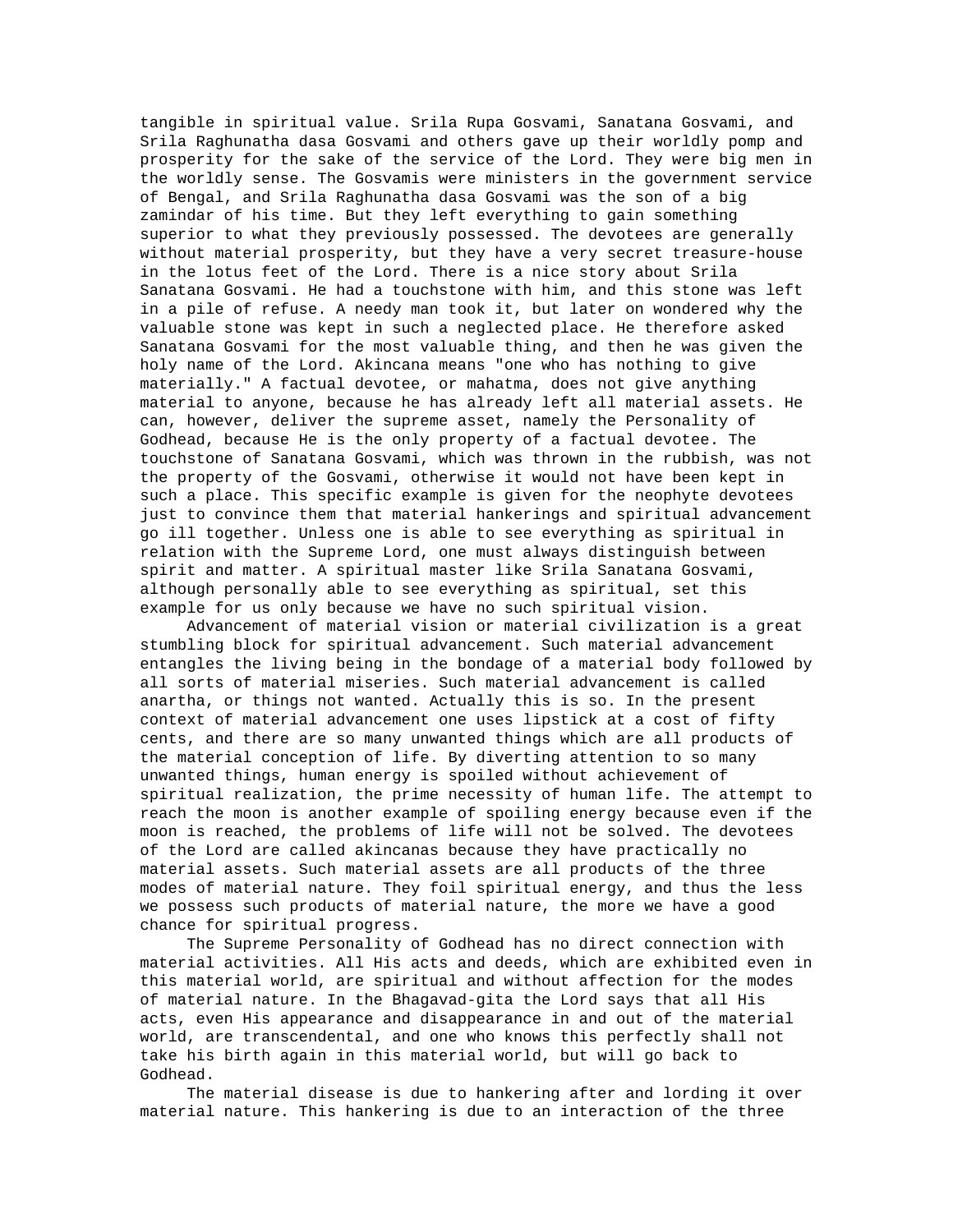tangible in spiritual value. Srila Rupa Gosvami, Sanatana Gosvami, and Srila Raghunatha dasa Gosvami and others gave up their worldly pomp and prosperity for the sake of the service of the Lord. They were big men in the worldly sense. The Gosvamis were ministers in the government service of Bengal, and Srila Raghunatha dasa Gosvami was the son of a big zamindar of his time. But they left everything to gain something superior to what they previously possessed. The devotees are generally without material prosperity, but they have a very secret treasure-house in the lotus feet of the Lord. There is a nice story about Srila Sanatana Gosvami. He had a touchstone with him, and this stone was left in a pile of refuse. A needy man took it, but later on wondered why the valuable stone was kept in such a neglected place. He therefore asked Sanatana Gosvami for the most valuable thing, and then he was given the holy name of the Lord. Akincana means "one who has nothing to give materially." A factual devotee, or mahatma, does not give anything material to anyone, because he has already left all material assets. He can, however, deliver the supreme asset, namely the Personality of Godhead, because He is the only property of a factual devotee. The touchstone of Sanatana Gosvami, which was thrown in the rubbish, was not the property of the Gosvami, otherwise it would not have been kept in such a place. This specific example is given for the neophyte devotees just to convince them that material hankerings and spiritual advancement go ill together. Unless one is able to see everything as spiritual in relation with the Supreme Lord, one must always distinguish between spirit and matter. A spiritual master like Srila Sanatana Gosvami, although personally able to see everything as spiritual, set this example for us only because we have no such spiritual vision.

 Advancement of material vision or material civilization is a great stumbling block for spiritual advancement. Such material advancement entangles the living being in the bondage of a material body followed by all sorts of material miseries. Such material advancement is called anartha, or things not wanted. Actually this is so. In the present context of material advancement one uses lipstick at a cost of fifty cents, and there are so many unwanted things which are all products of the material conception of life. By diverting attention to so many unwanted things, human energy is spoiled without achievement of spiritual realization, the prime necessity of human life. The attempt to reach the moon is another example of spoiling energy because even if the moon is reached, the problems of life will not be solved. The devotees of the Lord are called akincanas because they have practically no material assets. Such material assets are all products of the three modes of material nature. They foil spiritual energy, and thus the less we possess such products of material nature, the more we have a good chance for spiritual progress.

 The Supreme Personality of Godhead has no direct connection with material activities. All His acts and deeds, which are exhibited even in this material world, are spiritual and without affection for the modes of material nature. In the Bhagavad-gita the Lord says that all His acts, even His appearance and disappearance in and out of the material world, are transcendental, and one who knows this perfectly shall not take his birth again in this material world, but will go back to Godhead.

 The material disease is due to hankering after and lording it over material nature. This hankering is due to an interaction of the three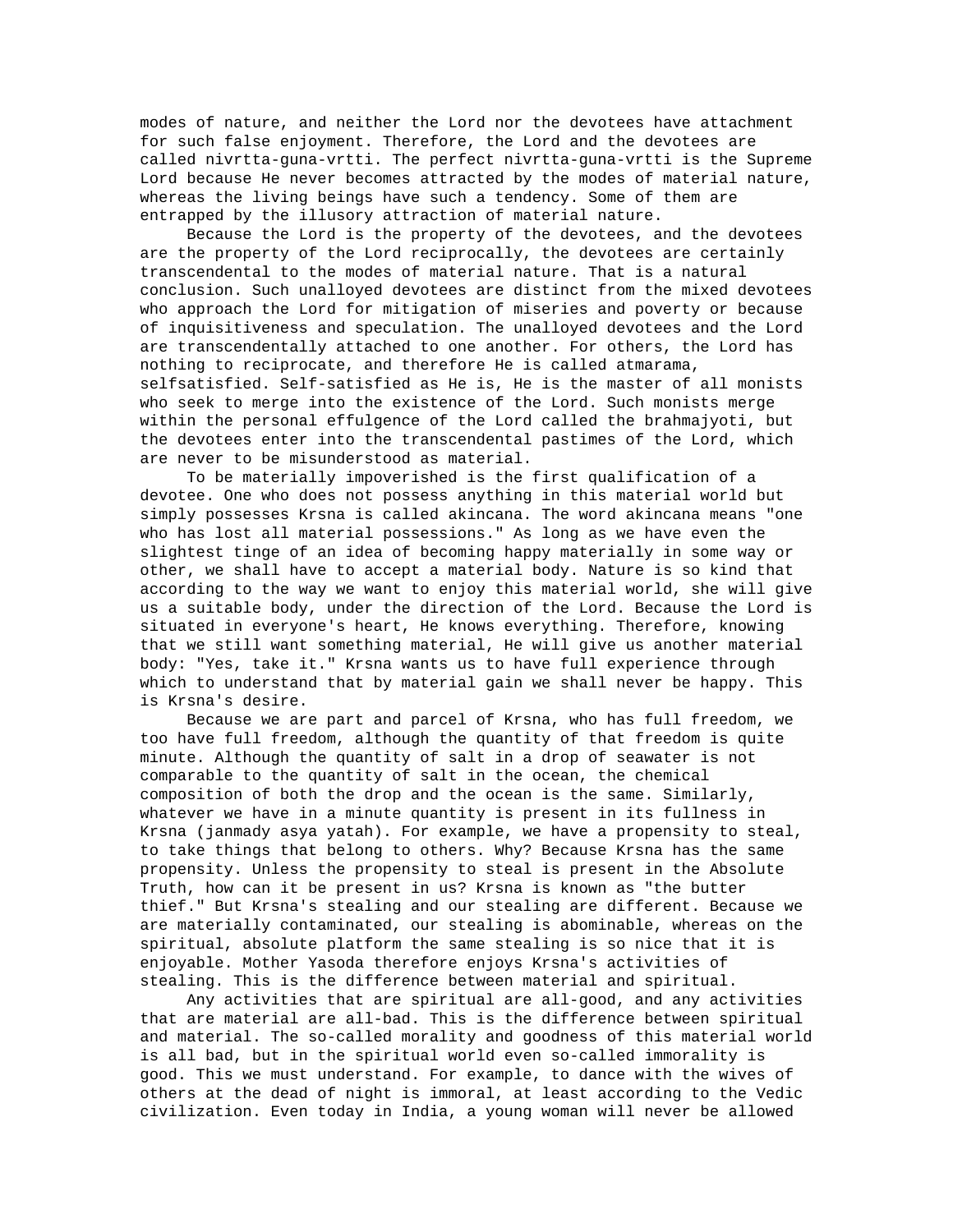modes of nature, and neither the Lord nor the devotees have attachment for such false enjoyment. Therefore, the Lord and the devotees are called nivrtta-guna-vrtti. The perfect nivrtta-guna-vrtti is the Supreme Lord because He never becomes attracted by the modes of material nature, whereas the living beings have such a tendency. Some of them are entrapped by the illusory attraction of material nature.

 Because the Lord is the property of the devotees, and the devotees are the property of the Lord reciprocally, the devotees are certainly transcendental to the modes of material nature. That is a natural conclusion. Such unalloyed devotees are distinct from the mixed devotees who approach the Lord for mitigation of miseries and poverty or because of inquisitiveness and speculation. The unalloyed devotees and the Lord are transcendentally attached to one another. For others, the Lord has nothing to reciprocate, and therefore He is called atmarama, selfsatisfied. Self-satisfied as He is, He is the master of all monists who seek to merge into the existence of the Lord. Such monists merge within the personal effulgence of the Lord called the brahmajyoti, but the devotees enter into the transcendental pastimes of the Lord, which are never to be misunderstood as material.

 To be materially impoverished is the first qualification of a devotee. One who does not possess anything in this material world but simply possesses Krsna is called akincana. The word akincana means "one who has lost all material possessions." As long as we have even the slightest tinge of an idea of becoming happy materially in some way or other, we shall have to accept a material body. Nature is so kind that according to the way we want to enjoy this material world, she will give us a suitable body, under the direction of the Lord. Because the Lord is situated in everyone's heart, He knows everything. Therefore, knowing that we still want something material, He will give us another material body: "Yes, take it." Krsna wants us to have full experience through which to understand that by material gain we shall never be happy. This is Krsna's desire.

 Because we are part and parcel of Krsna, who has full freedom, we too have full freedom, although the quantity of that freedom is quite minute. Although the quantity of salt in a drop of seawater is not comparable to the quantity of salt in the ocean, the chemical composition of both the drop and the ocean is the same. Similarly, whatever we have in a minute quantity is present in its fullness in Krsna (janmady asya yatah). For example, we have a propensity to steal, to take things that belong to others. Why? Because Krsna has the same propensity. Unless the propensity to steal is present in the Absolute Truth, how can it be present in us? Krsna is known as "the butter thief." But Krsna's stealing and our stealing are different. Because we are materially contaminated, our stealing is abominable, whereas on the spiritual, absolute platform the same stealing is so nice that it is enjoyable. Mother Yasoda therefore enjoys Krsna's activities of stealing. This is the difference between material and spiritual.

 Any activities that are spiritual are all-good, and any activities that are material are all-bad. This is the difference between spiritual and material. The so-called morality and goodness of this material world is all bad, but in the spiritual world even so-called immorality is good. This we must understand. For example, to dance with the wives of others at the dead of night is immoral, at least according to the Vedic civilization. Even today in India, a young woman will never be allowed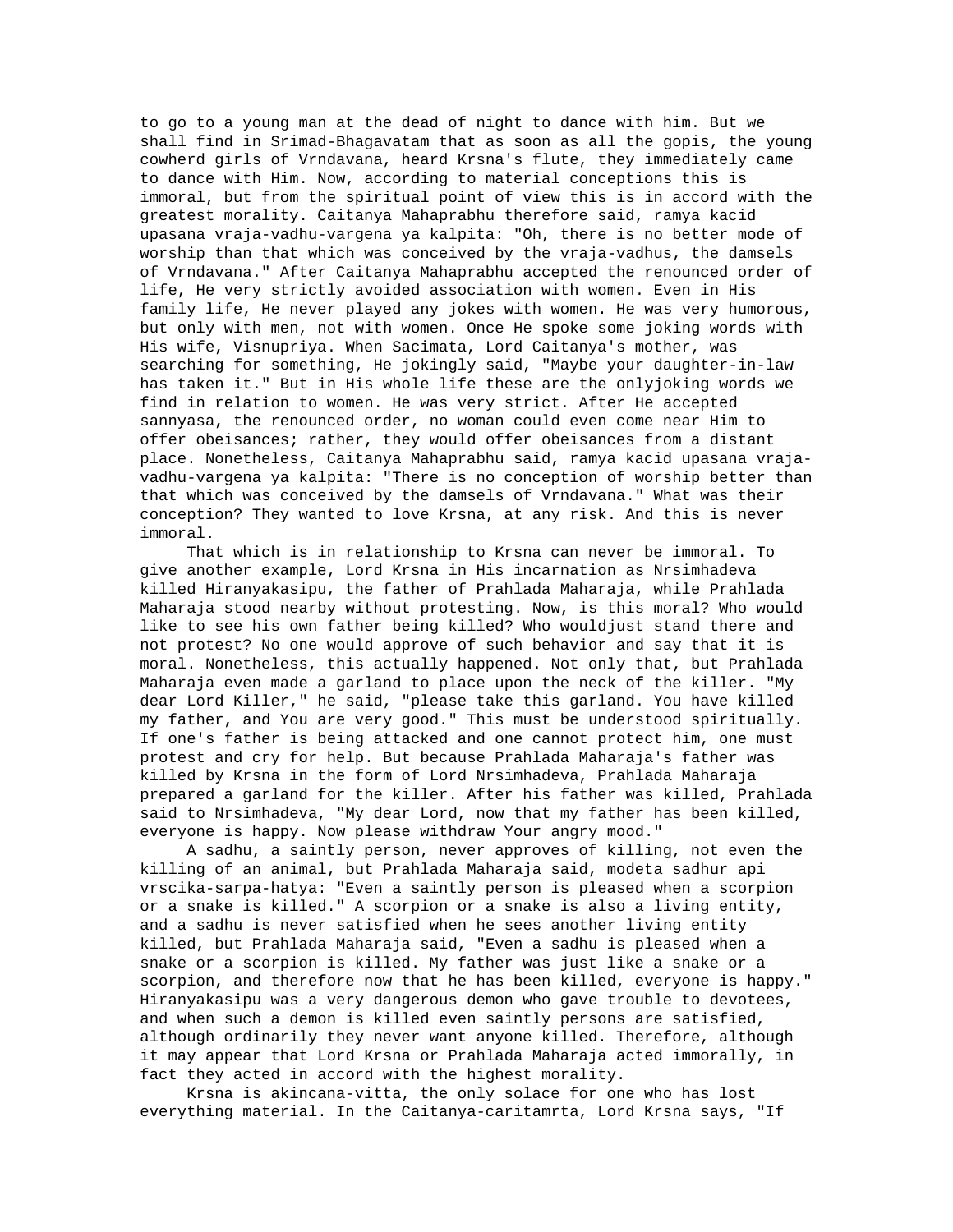to go to a young man at the dead of night to dance with him. But we shall find in Srimad-Bhagavatam that as soon as all the gopis, the young cowherd girls of Vrndavana, heard Krsna's flute, they immediately came to dance with Him. Now, according to material conceptions this is immoral, but from the spiritual point of view this is in accord with the greatest morality. Caitanya Mahaprabhu therefore said, ramya kacid upasana vraja-vadhu-vargena ya kalpita: "Oh, there is no better mode of worship than that which was conceived by the vraja-vadhus, the damsels of Vrndavana." After Caitanya Mahaprabhu accepted the renounced order of life, He very strictly avoided association with women. Even in His family life, He never played any jokes with women. He was very humorous, but only with men, not with women. Once He spoke some joking words with His wife, Visnupriya. When Sacimata, Lord Caitanya's mother, was searching for something, He jokingly said, "Maybe your daughter-in-law has taken it." But in His whole life these are the onlyjoking words we find in relation to women. He was very strict. After He accepted sannyasa, the renounced order, no woman could even come near Him to offer obeisances; rather, they would offer obeisances from a distant place. Nonetheless, Caitanya Mahaprabhu said, ramya kacid upasana vrajavadhu-vargena ya kalpita: "There is no conception of worship better than that which was conceived by the damsels of Vrndavana." What was their conception? They wanted to love Krsna, at any risk. And this is never immoral.

 That which is in relationship to Krsna can never be immoral. To give another example, Lord Krsna in His incarnation as Nrsimhadeva killed Hiranyakasipu, the father of Prahlada Maharaja, while Prahlada Maharaja stood nearby without protesting. Now, is this moral? Who would like to see his own father being killed? Who wouldjust stand there and not protest? No one would approve of such behavior and say that it is moral. Nonetheless, this actually happened. Not only that, but Prahlada Maharaja even made a garland to place upon the neck of the killer. "My dear Lord Killer," he said, "please take this garland. You have killed my father, and You are very good." This must be understood spiritually. If one's father is being attacked and one cannot protect him, one must protest and cry for help. But because Prahlada Maharaja's father was killed by Krsna in the form of Lord Nrsimhadeva, Prahlada Maharaja prepared a garland for the killer. After his father was killed, Prahlada said to Nrsimhadeva, "My dear Lord, now that my father has been killed, everyone is happy. Now please withdraw Your angry mood."

 A sadhu, a saintly person, never approves of killing, not even the killing of an animal, but Prahlada Maharaja said, modeta sadhur api vrscika-sarpa-hatya: "Even a saintly person is pleased when a scorpion or a snake is killed." A scorpion or a snake is also a living entity, and a sadhu is never satisfied when he sees another living entity killed, but Prahlada Maharaja said, "Even a sadhu is pleased when a snake or a scorpion is killed. My father was just like a snake or a scorpion, and therefore now that he has been killed, everyone is happy." Hiranyakasipu was a very dangerous demon who gave trouble to devotees, and when such a demon is killed even saintly persons are satisfied, although ordinarily they never want anyone killed. Therefore, although it may appear that Lord Krsna or Prahlada Maharaja acted immorally, in fact they acted in accord with the highest morality.

 Krsna is akincana-vitta, the only solace for one who has lost everything material. In the Caitanya-caritamrta, Lord Krsna says, "If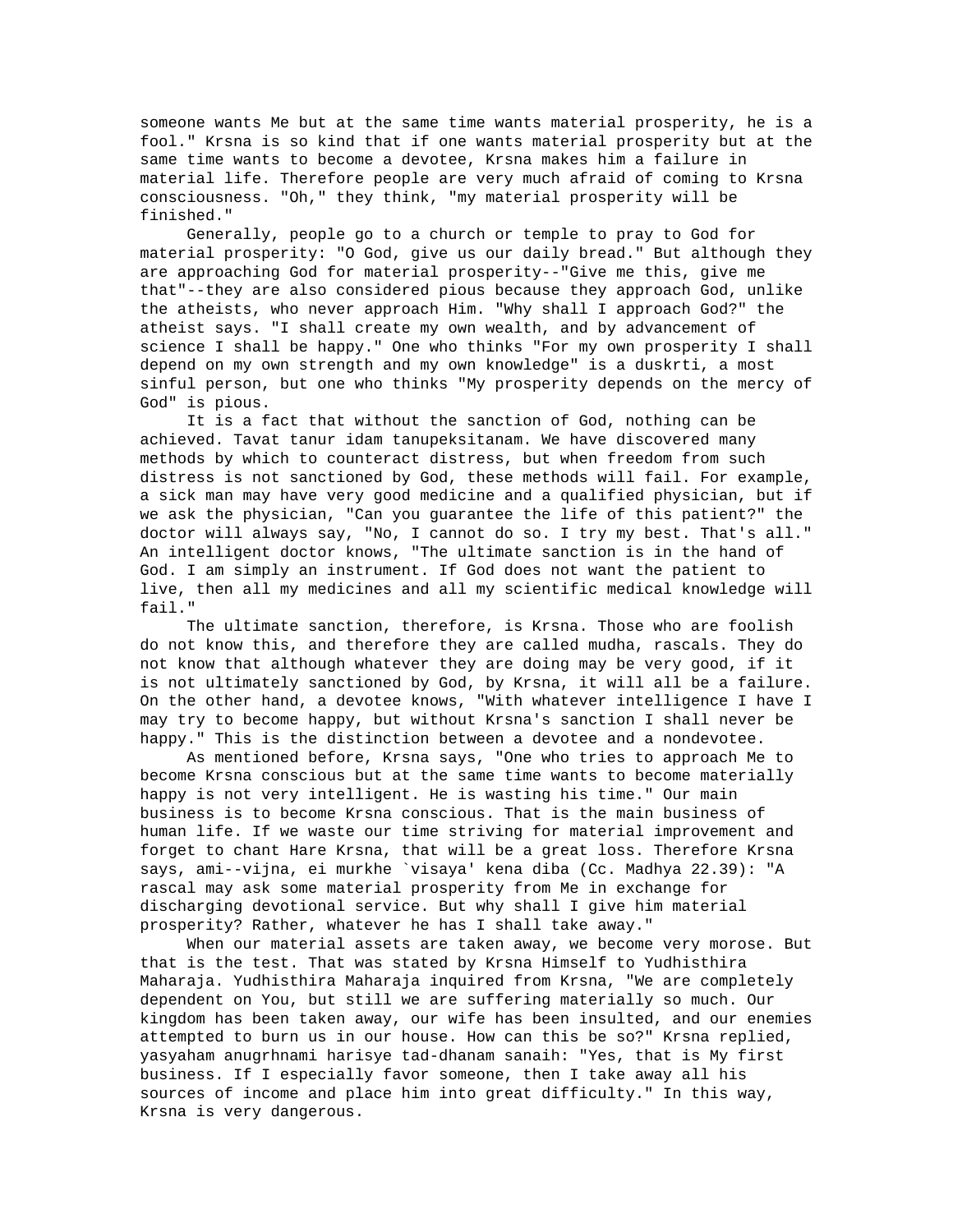someone wants Me but at the same time wants material prosperity, he is a fool." Krsna is so kind that if one wants material prosperity but at the same time wants to become a devotee, Krsna makes him a failure in material life. Therefore people are very much afraid of coming to Krsna consciousness. "Oh," they think, "my material prosperity will be finished."

 Generally, people go to a church or temple to pray to God for material prosperity: "O God, give us our daily bread." But although they are approaching God for material prosperity--"Give me this, give me that"--they are also considered pious because they approach God, unlike the atheists, who never approach Him. "Why shall I approach God?" the atheist says. "I shall create my own wealth, and by advancement of science I shall be happy." One who thinks "For my own prosperity I shall depend on my own strength and my own knowledge" is a duskrti, a most sinful person, but one who thinks "My prosperity depends on the mercy of God" is pious.

 It is a fact that without the sanction of God, nothing can be achieved. Tavat tanur idam tanupeksitanam. We have discovered many methods by which to counteract distress, but when freedom from such distress is not sanctioned by God, these methods will fail. For example, a sick man may have very good medicine and a qualified physician, but if we ask the physician, "Can you guarantee the life of this patient?" the doctor will always say, "No, I cannot do so. I try my best. That's all." An intelligent doctor knows, "The ultimate sanction is in the hand of God. I am simply an instrument. If God does not want the patient to live, then all my medicines and all my scientific medical knowledge will fail."

 The ultimate sanction, therefore, is Krsna. Those who are foolish do not know this, and therefore they are called mudha, rascals. They do not know that although whatever they are doing may be very good, if it is not ultimately sanctioned by God, by Krsna, it will all be a failure. On the other hand, a devotee knows, "With whatever intelligence I have I may try to become happy, but without Krsna's sanction I shall never be happy." This is the distinction between a devotee and a nondevotee.

 As mentioned before, Krsna says, "One who tries to approach Me to become Krsna conscious but at the same time wants to become materially happy is not very intelligent. He is wasting his time." Our main business is to become Krsna conscious. That is the main business of human life. If we waste our time striving for material improvement and forget to chant Hare Krsna, that will be a great loss. Therefore Krsna says, ami--vijna, ei murkhe `visaya' kena diba (Cc. Madhya 22.39): "A rascal may ask some material prosperity from Me in exchange for discharging devotional service. But why shall I give him material prosperity? Rather, whatever he has I shall take away."

 When our material assets are taken away, we become very morose. But that is the test. That was stated by Krsna Himself to Yudhisthira Maharaja. Yudhisthira Maharaja inquired from Krsna, "We are completely dependent on You, but still we are suffering materially so much. Our kingdom has been taken away, our wife has been insulted, and our enemies attempted to burn us in our house. How can this be so?" Krsna replied, yasyaham anugrhnami harisye tad-dhanam sanaih: "Yes, that is My first business. If I especially favor someone, then I take away all his sources of income and place him into great difficulty." In this way, Krsna is very dangerous.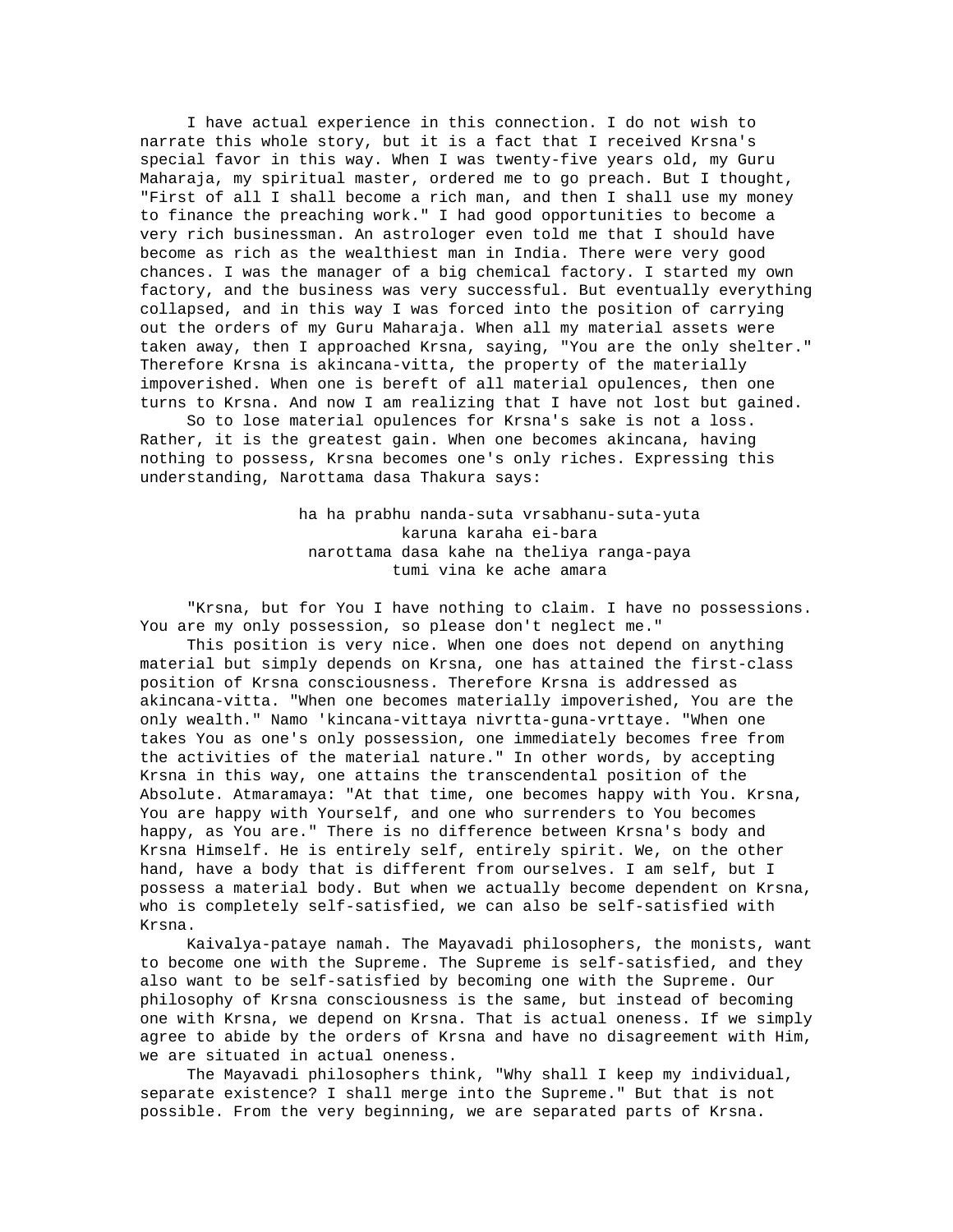I have actual experience in this connection. I do not wish to narrate this whole story, but it is a fact that I received Krsna's special favor in this way. When I was twenty-five years old, my Guru Maharaja, my spiritual master, ordered me to go preach. But I thought, "First of all I shall become a rich man, and then I shall use my money to finance the preaching work." I had good opportunities to become a very rich businessman. An astrologer even told me that I should have become as rich as the wealthiest man in India. There were very good chances. I was the manager of a big chemical factory. I started my own factory, and the business was very successful. But eventually everything collapsed, and in this way I was forced into the position of carrying out the orders of my Guru Maharaja. When all my material assets were taken away, then I approached Krsna, saying, "You are the only shelter." Therefore Krsna is akincana-vitta, the property of the materially impoverished. When one is bereft of all material opulences, then one turns to Krsna. And now I am realizing that I have not lost but gained.

 So to lose material opulences for Krsna's sake is not a loss. Rather, it is the greatest gain. When one becomes akincana, having nothing to possess, Krsna becomes one's only riches. Expressing this understanding, Narottama dasa Thakura says:

> ha ha prabhu nanda-suta vrsabhanu-suta-yuta karuna karaha ei-bara narottama dasa kahe na theliya ranga-paya tumi vina ke ache amara

 "Krsna, but for You I have nothing to claim. I have no possessions. You are my only possession, so please don't neglect me."

 This position is very nice. When one does not depend on anything material but simply depends on Krsna, one has attained the first-class position of Krsna consciousness. Therefore Krsna is addressed as akincana-vitta. "When one becomes materially impoverished, You are the only wealth." Namo 'kincana-vittaya nivrtta-guna-vrttaye. "When one takes You as one's only possession, one immediately becomes free from the activities of the material nature." In other words, by accepting Krsna in this way, one attains the transcendental position of the Absolute. Atmaramaya: "At that time, one becomes happy with You. Krsna, You are happy with Yourself, and one who surrenders to You becomes happy, as You are." There is no difference between Krsna's body and Krsna Himself. He is entirely self, entirely spirit. We, on the other hand, have a body that is different from ourselves. I am self, but I possess a material body. But when we actually become dependent on Krsna, who is completely self-satisfied, we can also be self-satisfied with Krsna.

 Kaivalya-pataye namah. The Mayavadi philosophers, the monists, want to become one with the Supreme. The Supreme is self-satisfied, and they also want to be self-satisfied by becoming one with the Supreme. Our philosophy of Krsna consciousness is the same, but instead of becoming one with Krsna, we depend on Krsna. That is actual oneness. If we simply agree to abide by the orders of Krsna and have no disagreement with Him, we are situated in actual oneness.

 The Mayavadi philosophers think, "Why shall I keep my individual, separate existence? I shall merge into the Supreme." But that is not possible. From the very beginning, we are separated parts of Krsna.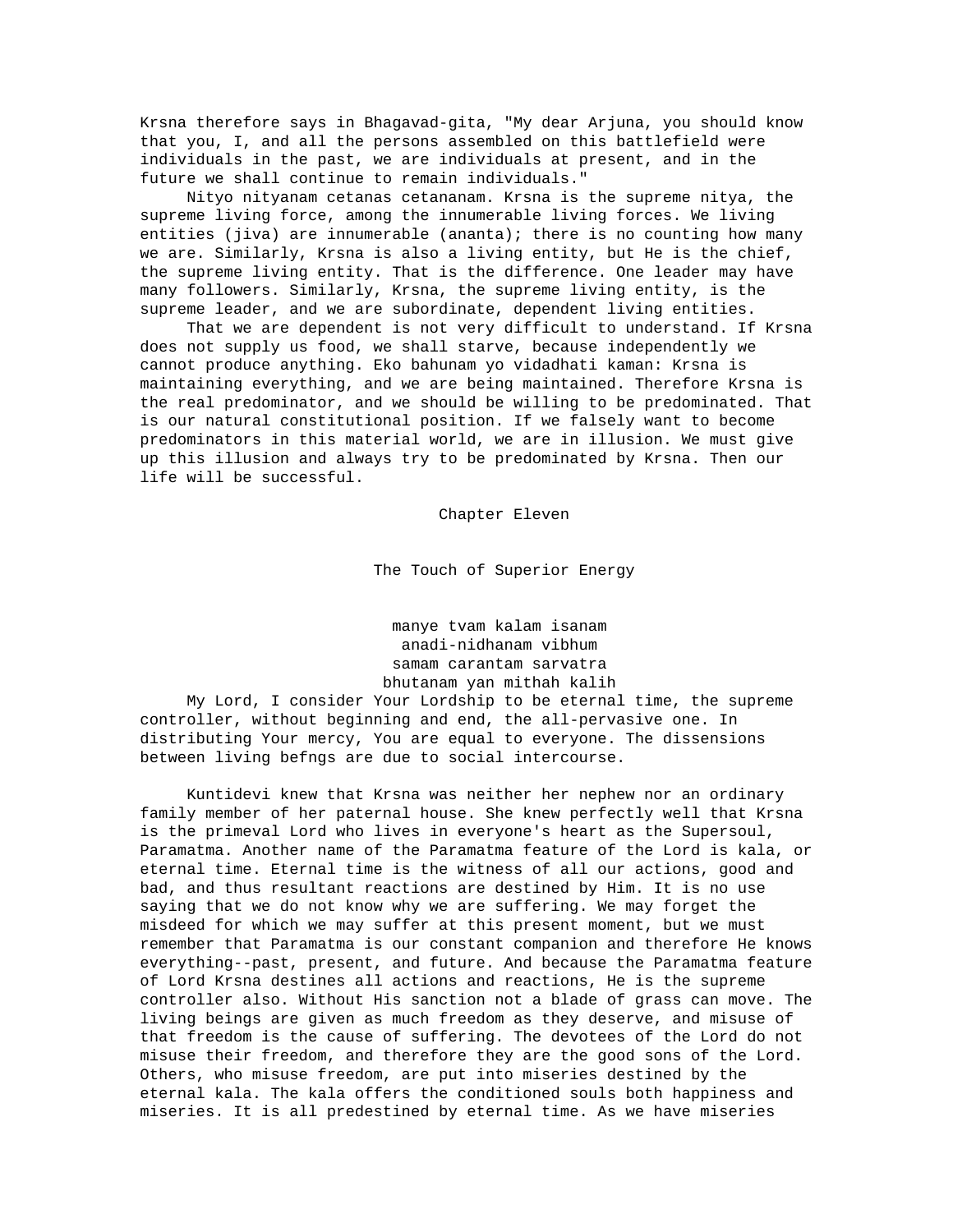Krsna therefore says in Bhagavad-gita, "My dear Arjuna, you should know that you, I, and all the persons assembled on this battlefield were individuals in the past, we are individuals at present, and in the future we shall continue to remain individuals."

 Nityo nityanam cetanas cetananam. Krsna is the supreme nitya, the supreme living force, among the innumerable living forces. We living entities (jiva) are innumerable (ananta); there is no counting how many we are. Similarly, Krsna is also a living entity, but He is the chief, the supreme living entity. That is the difference. One leader may have many followers. Similarly, Krsna, the supreme living entity, is the supreme leader, and we are subordinate, dependent living entities.

 That we are dependent is not very difficult to understand. If Krsna does not supply us food, we shall starve, because independently we cannot produce anything. Eko bahunam yo vidadhati kaman: Krsna is maintaining everything, and we are being maintained. Therefore Krsna is the real predominator, and we should be willing to be predominated. That is our natural constitutional position. If we falsely want to become predominators in this material world, we are in illusion. We must give up this illusion and always try to be predominated by Krsna. Then our life will be successful.

Chapter Eleven

The Touch of Superior Energy

 manye tvam kalam isanam anadi-nidhanam vibhum samam carantam sarvatra bhutanam yan mithah kalih

 My Lord, I consider Your Lordship to be eternal time, the supreme controller, without beginning and end, the all-pervasive one. In distributing Your mercy, You are equal to everyone. The dissensions between living befngs are due to social intercourse.

 Kuntidevi knew that Krsna was neither her nephew nor an ordinary family member of her paternal house. She knew perfectly well that Krsna is the primeval Lord who lives in everyone's heart as the Supersoul, Paramatma. Another name of the Paramatma feature of the Lord is kala, or eternal time. Eternal time is the witness of all our actions, good and bad, and thus resultant reactions are destined by Him. It is no use saying that we do not know why we are suffering. We may forget the misdeed for which we may suffer at this present moment, but we must remember that Paramatma is our constant companion and therefore He knows everything--past, present, and future. And because the Paramatma feature of Lord Krsna destines all actions and reactions, He is the supreme controller also. Without His sanction not a blade of grass can move. The living beings are given as much freedom as they deserve, and misuse of that freedom is the cause of suffering. The devotees of the Lord do not misuse their freedom, and therefore they are the good sons of the Lord. Others, who misuse freedom, are put into miseries destined by the eternal kala. The kala offers the conditioned souls both happiness and miseries. It is all predestined by eternal time. As we have miseries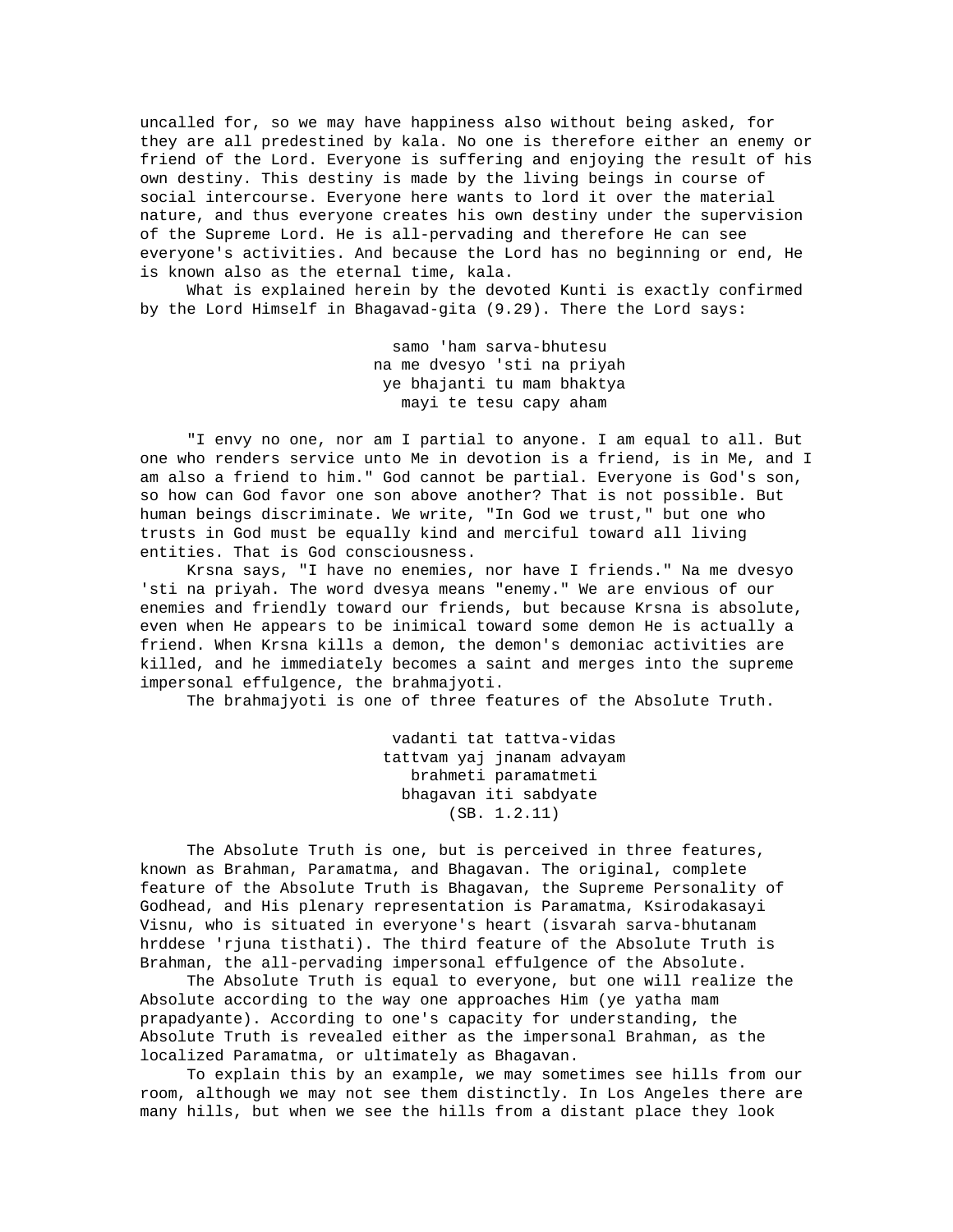uncalled for, so we may have happiness also without being asked, for they are all predestined by kala. No one is therefore either an enemy or friend of the Lord. Everyone is suffering and enjoying the result of his own destiny. This destiny is made by the living beings in course of social intercourse. Everyone here wants to lord it over the material nature, and thus everyone creates his own destiny under the supervision of the Supreme Lord. He is all-pervading and therefore He can see everyone's activities. And because the Lord has no beginning or end, He is known also as the eternal time, kala.

 What is explained herein by the devoted Kunti is exactly confirmed by the Lord Himself in Bhagavad-gita (9.29). There the Lord says:

> samo 'ham sarva-bhutesu na me dvesyo 'sti na priyah ye bhajanti tu mam bhaktya mayi te tesu capy aham

 "I envy no one, nor am I partial to anyone. I am equal to all. But one who renders service unto Me in devotion is a friend, is in Me, and I am also a friend to him." God cannot be partial. Everyone is God's son, so how can God favor one son above another? That is not possible. But human beings discriminate. We write, "In God we trust," but one who trusts in God must be equally kind and merciful toward all living entities. That is God consciousness.

 Krsna says, "I have no enemies, nor have I friends." Na me dvesyo 'sti na priyah. The word dvesya means "enemy." We are envious of our enemies and friendly toward our friends, but because Krsna is absolute, even when He appears to be inimical toward some demon He is actually a friend. When Krsna kills a demon, the demon's demoniac activities are killed, and he immediately becomes a saint and merges into the supreme impersonal effulgence, the brahmajyoti.

The brahmajyoti is one of three features of the Absolute Truth.

 vadanti tat tattva-vidas tattvam yaj jnanam advayam brahmeti paramatmeti bhagavan iti sabdyate (SB. 1.2.11)

 The Absolute Truth is one, but is perceived in three features, known as Brahman, Paramatma, and Bhagavan. The original, complete feature of the Absolute Truth is Bhagavan, the Supreme Personality of Godhead, and His plenary representation is Paramatma, Ksirodakasayi Visnu, who is situated in everyone's heart (isvarah sarva-bhutanam hrddese 'rjuna tisthati). The third feature of the Absolute Truth is Brahman, the all-pervading impersonal effulgence of the Absolute.

 The Absolute Truth is equal to everyone, but one will realize the Absolute according to the way one approaches Him (ye yatha mam prapadyante). According to one's capacity for understanding, the Absolute Truth is revealed either as the impersonal Brahman, as the localized Paramatma, or ultimately as Bhagavan.

 To explain this by an example, we may sometimes see hills from our room, although we may not see them distinctly. In Los Angeles there are many hills, but when we see the hills from a distant place they look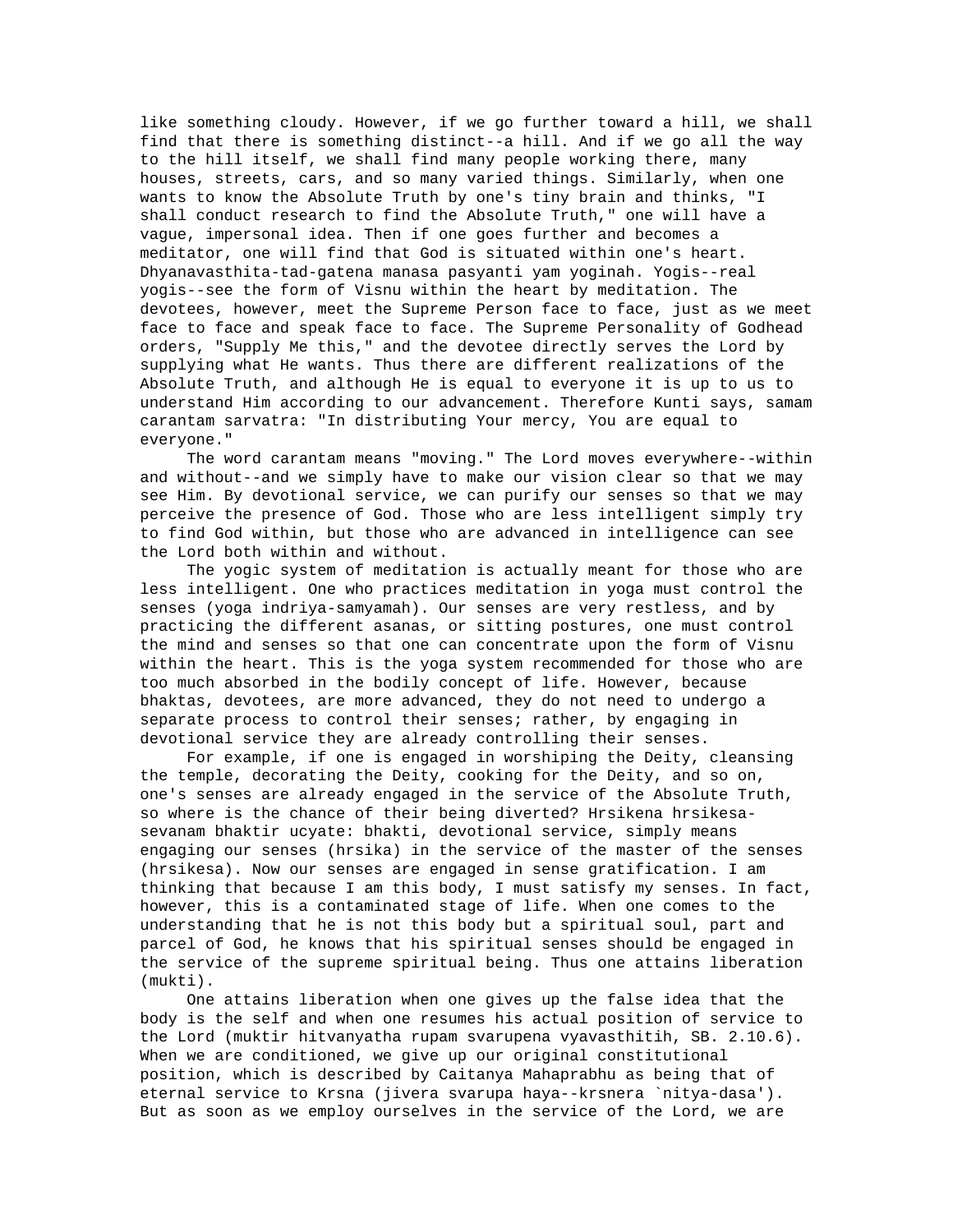like something cloudy. However, if we go further toward a hill, we shall find that there is something distinct--a hill. And if we go all the way to the hill itself, we shall find many people working there, many houses, streets, cars, and so many varied things. Similarly, when one wants to know the Absolute Truth by one's tiny brain and thinks, "I shall conduct research to find the Absolute Truth," one will have a vague, impersonal idea. Then if one goes further and becomes a meditator, one will find that God is situated within one's heart. Dhyanavasthita-tad-gatena manasa pasyanti yam yoginah. Yogis--real yogis--see the form of Visnu within the heart by meditation. The devotees, however, meet the Supreme Person face to face, just as we meet face to face and speak face to face. The Supreme Personality of Godhead orders, "Supply Me this," and the devotee directly serves the Lord by supplying what He wants. Thus there are different realizations of the Absolute Truth, and although He is equal to everyone it is up to us to understand Him according to our advancement. Therefore Kunti says, samam carantam sarvatra: "In distributing Your mercy, You are equal to everyone."

 The word carantam means "moving." The Lord moves everywhere--within and without--and we simply have to make our vision clear so that we may see Him. By devotional service, we can purify our senses so that we may perceive the presence of God. Those who are less intelligent simply try to find God within, but those who are advanced in intelligence can see the Lord both within and without.

 The yogic system of meditation is actually meant for those who are less intelligent. One who practices meditation in yoga must control the senses (yoga indriya-samyamah). Our senses are very restless, and by practicing the different asanas, or sitting postures, one must control the mind and senses so that one can concentrate upon the form of Visnu within the heart. This is the yoga system recommended for those who are too much absorbed in the bodily concept of life. However, because bhaktas, devotees, are more advanced, they do not need to undergo a separate process to control their senses; rather, by engaging in devotional service they are already controlling their senses.

 For example, if one is engaged in worshiping the Deity, cleansing the temple, decorating the Deity, cooking for the Deity, and so on, one's senses are already engaged in the service of the Absolute Truth, so where is the chance of their being diverted? Hrsikena hrsikesasevanam bhaktir ucyate: bhakti, devotional service, simply means engaging our senses (hrsika) in the service of the master of the senses (hrsikesa). Now our senses are engaged in sense gratification. I am thinking that because I am this body, I must satisfy my senses. In fact, however, this is a contaminated stage of life. When one comes to the understanding that he is not this body but a spiritual soul, part and parcel of God, he knows that his spiritual senses should be engaged in the service of the supreme spiritual being. Thus one attains liberation (mukti).

 One attains liberation when one gives up the false idea that the body is the self and when one resumes his actual position of service to the Lord (muktir hitvanyatha rupam svarupena vyavasthitih, SB. 2.10.6). When we are conditioned, we give up our original constitutional position, which is described by Caitanya Mahaprabhu as being that of eternal service to Krsna (jivera svarupa haya--krsnera `nitya-dasa'). But as soon as we employ ourselves in the service of the Lord, we are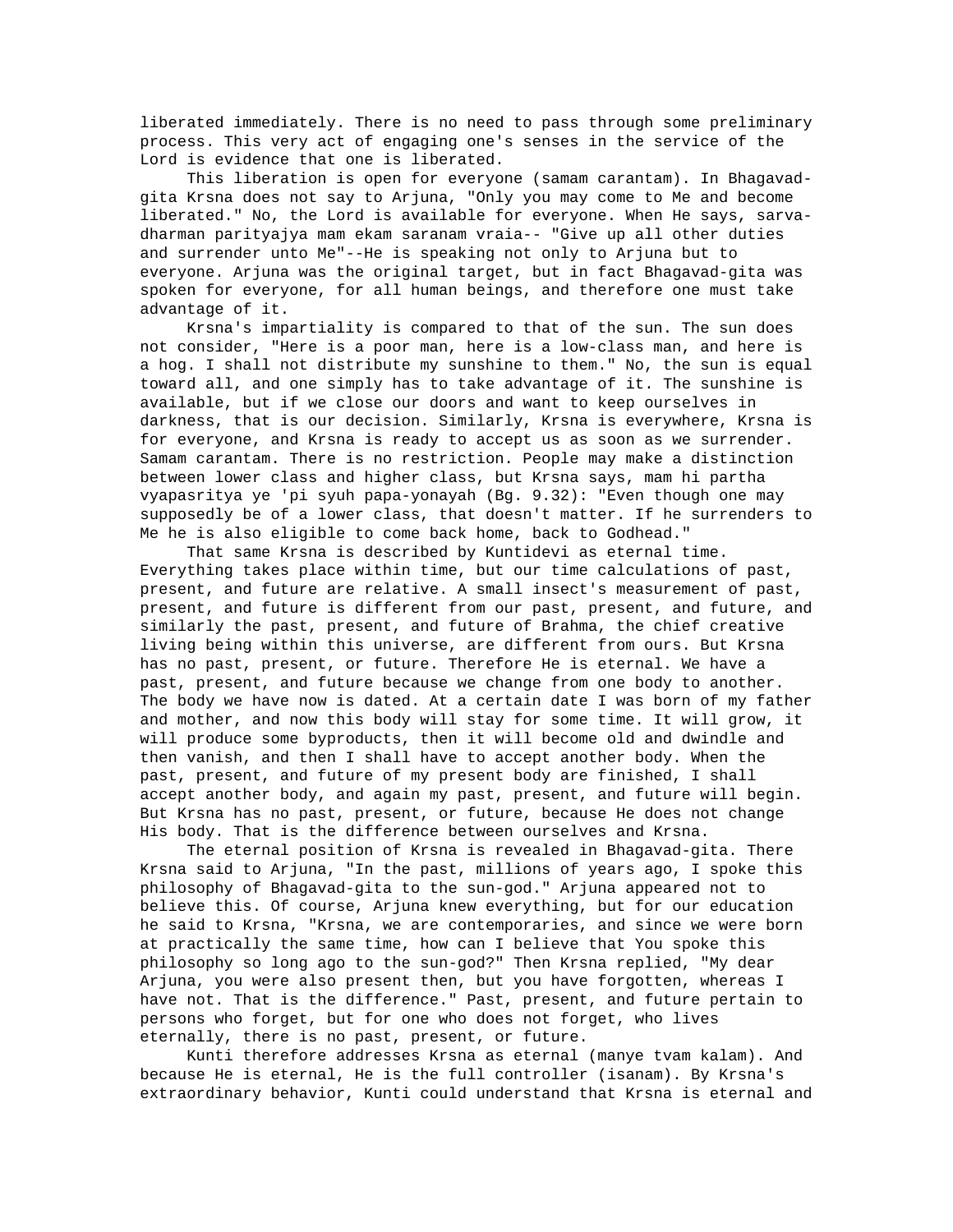liberated immediately. There is no need to pass through some preliminary process. This very act of engaging one's senses in the service of the Lord is evidence that one is liberated.

 This liberation is open for everyone (samam carantam). In Bhagavadgita Krsna does not say to Arjuna, "Only you may come to Me and become liberated." No, the Lord is available for everyone. When He says, sarvadharman parityajya mam ekam saranam vraia-- "Give up all other duties and surrender unto Me"--He is speaking not only to Arjuna but to everyone. Arjuna was the original target, but in fact Bhagavad-gita was spoken for everyone, for all human beings, and therefore one must take advantage of it.

 Krsna's impartiality is compared to that of the sun. The sun does not consider, "Here is a poor man, here is a low-class man, and here is a hog. I shall not distribute my sunshine to them." No, the sun is equal toward all, and one simply has to take advantage of it. The sunshine is available, but if we close our doors and want to keep ourselves in darkness, that is our decision. Similarly, Krsna is everywhere, Krsna is for everyone, and Krsna is ready to accept us as soon as we surrender. Samam carantam. There is no restriction. People may make a distinction between lower class and higher class, but Krsna says, mam hi partha vyapasritya ye 'pi syuh papa-yonayah (Bg. 9.32): "Even though one may supposedly be of a lower class, that doesn't matter. If he surrenders to Me he is also eligible to come back home, back to Godhead."

 That same Krsna is described by Kuntidevi as eternal time. Everything takes place within time, but our time calculations of past, present, and future are relative. A small insect's measurement of past, present, and future is different from our past, present, and future, and similarly the past, present, and future of Brahma, the chief creative living being within this universe, are different from ours. But Krsna has no past, present, or future. Therefore He is eternal. We have a past, present, and future because we change from one body to another. The body we have now is dated. At a certain date I was born of my father and mother, and now this body will stay for some time. It will grow, it will produce some byproducts, then it will become old and dwindle and then vanish, and then I shall have to accept another body. When the past, present, and future of my present body are finished, I shall accept another body, and again my past, present, and future will begin. But Krsna has no past, present, or future, because He does not change His body. That is the difference between ourselves and Krsna.

 The eternal position of Krsna is revealed in Bhagavad-gita. There Krsna said to Arjuna, "In the past, millions of years ago, I spoke this philosophy of Bhagavad-gita to the sun-god." Arjuna appeared not to believe this. Of course, Arjuna knew everything, but for our education he said to Krsna, "Krsna, we are contemporaries, and since we were born at practically the same time, how can I believe that You spoke this philosophy so long ago to the sun-god?" Then Krsna replied, "My dear Arjuna, you were also present then, but you have forgotten, whereas I have not. That is the difference." Past, present, and future pertain to persons who forget, but for one who does not forget, who lives eternally, there is no past, present, or future.

 Kunti therefore addresses Krsna as eternal (manye tvam kalam). And because He is eternal, He is the full controller (isanam). By Krsna's extraordinary behavior, Kunti could understand that Krsna is eternal and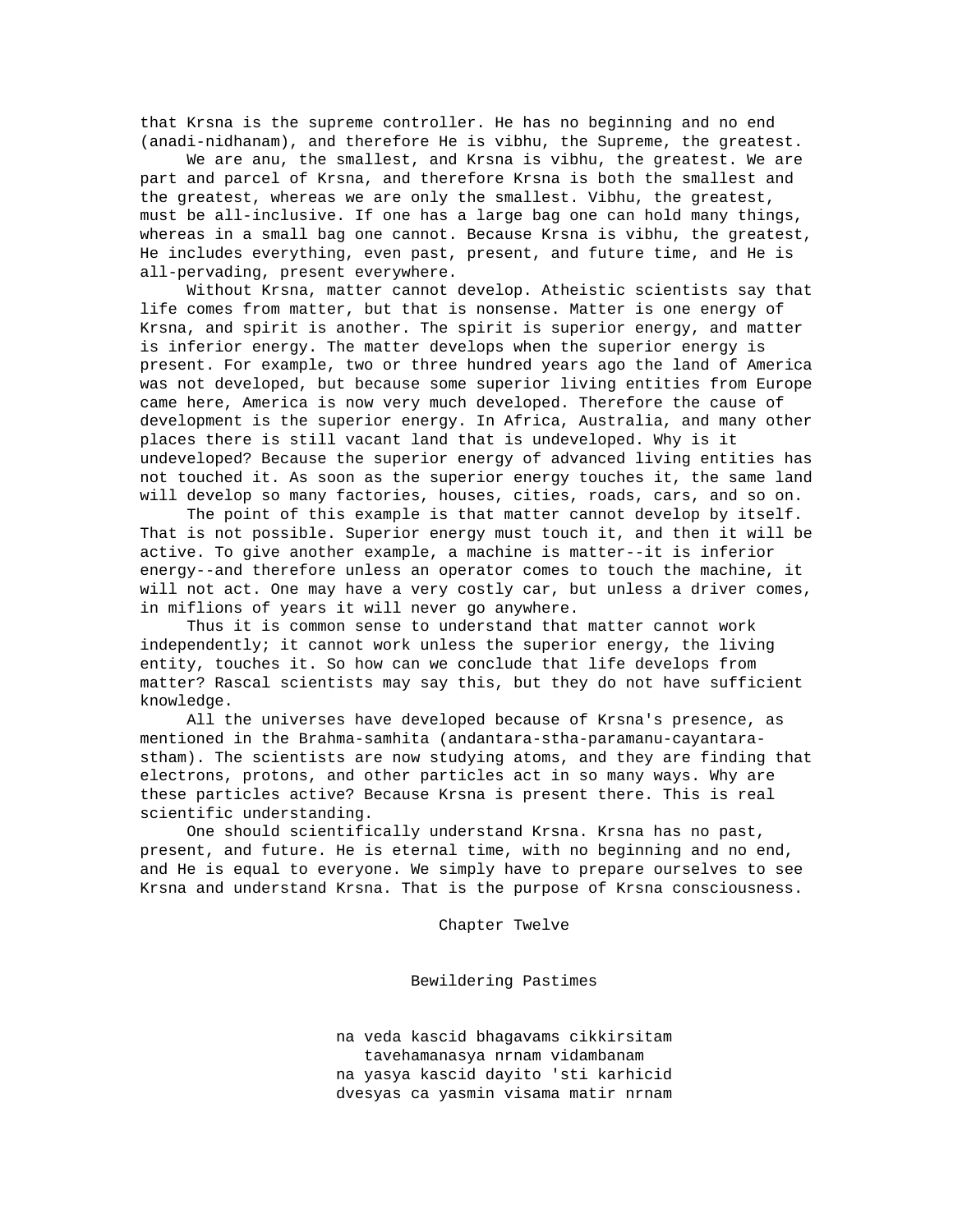that Krsna is the supreme controller. He has no beginning and no end (anadi-nidhanam), and therefore He is vibhu, the Supreme, the greatest.

 We are anu, the smallest, and Krsna is vibhu, the greatest. We are part and parcel of Krsna, and therefore Krsna is both the smallest and the greatest, whereas we are only the smallest. Vibhu, the greatest, must be all-inclusive. If one has a large bag one can hold many things, whereas in a small bag one cannot. Because Krsna is vibhu, the greatest, He includes everything, even past, present, and future time, and He is all-pervading, present everywhere.

 Without Krsna, matter cannot develop. Atheistic scientists say that life comes from matter, but that is nonsense. Matter is one energy of Krsna, and spirit is another. The spirit is superior energy, and matter is inferior energy. The matter develops when the superior energy is present. For example, two or three hundred years ago the land of America was not developed, but because some superior living entities from Europe came here, America is now very much developed. Therefore the cause of development is the superior energy. In Africa, Australia, and many other places there is still vacant land that is undeveloped. Why is it undeveloped? Because the superior energy of advanced living entities has not touched it. As soon as the superior energy touches it, the same land will develop so many factories, houses, cities, roads, cars, and so on.

 The point of this example is that matter cannot develop by itself. That is not possible. Superior energy must touch it, and then it will be active. To give another example, a machine is matter--it is inferior energy--and therefore unless an operator comes to touch the machine, it will not act. One may have a very costly car, but unless a driver comes, in miflions of years it will never go anywhere.

 Thus it is common sense to understand that matter cannot work independently; it cannot work unless the superior energy, the living entity, touches it. So how can we conclude that life develops from matter? Rascal scientists may say this, but they do not have sufficient knowledge.

 All the universes have developed because of Krsna's presence, as mentioned in the Brahma-samhita (andantara-stha-paramanu-cayantarastham). The scientists are now studying atoms, and they are finding that electrons, protons, and other particles act in so many ways. Why are these particles active? Because Krsna is present there. This is real scientific understanding.

 One should scientifically understand Krsna. Krsna has no past, present, and future. He is eternal time, with no beginning and no end, and He is equal to everyone. We simply have to prepare ourselves to see Krsna and understand Krsna. That is the purpose of Krsna consciousness.

Chapter Twelve

Bewildering Pastimes

 na veda kascid bhagavams cikkirsitam tavehamanasya nrnam vidambanam na yasya kascid dayito 'sti karhicid dvesyas ca yasmin visama matir nrnam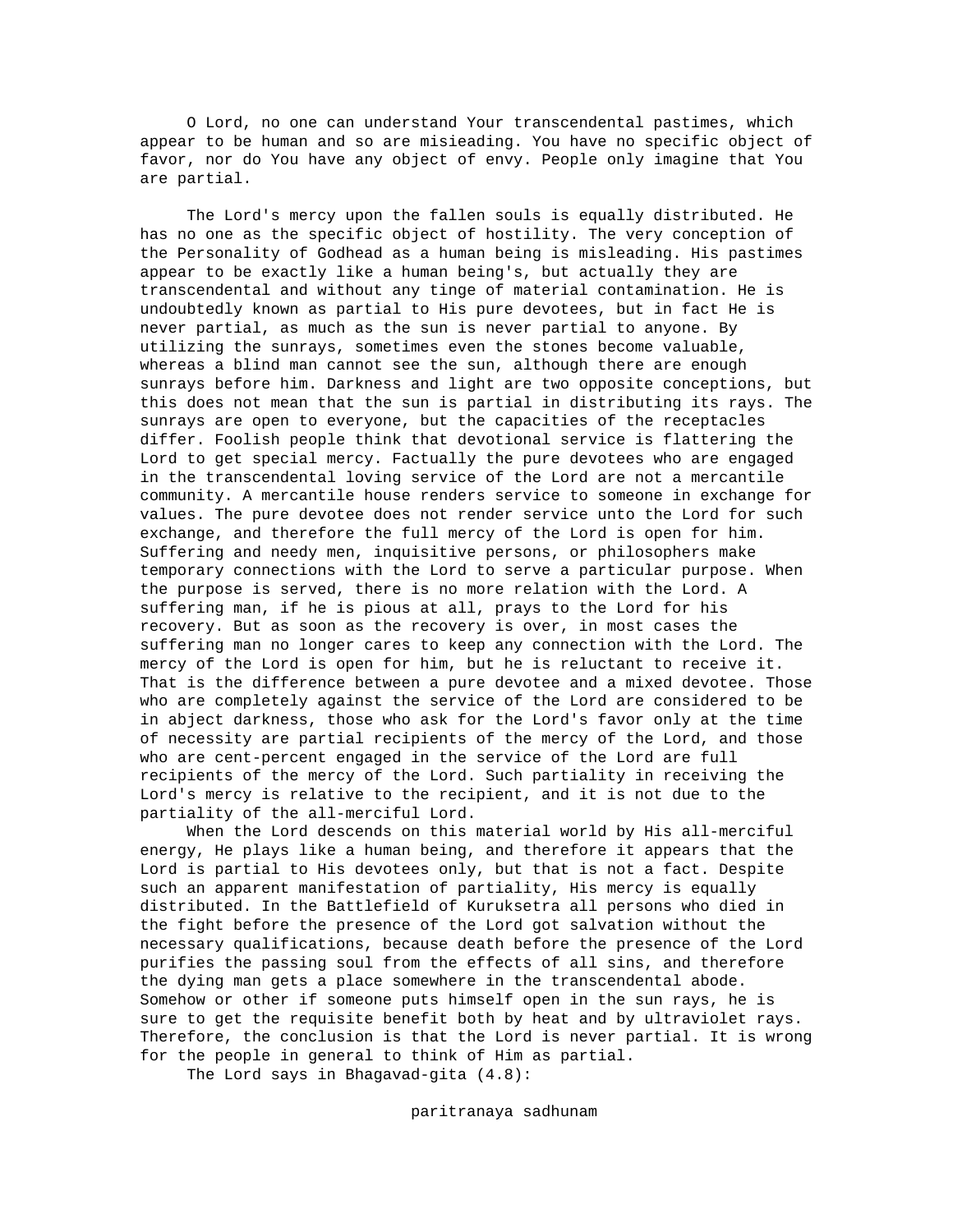O Lord, no one can understand Your transcendental pastimes, which appear to be human and so are misieading. You have no specific object of favor, nor do You have any object of envy. People only imagine that You are partial.

 The Lord's mercy upon the fallen souls is equally distributed. He has no one as the specific object of hostility. The very conception of the Personality of Godhead as a human being is misleading. His pastimes appear to be exactly like a human being's, but actually they are transcendental and without any tinge of material contamination. He is undoubtedly known as partial to His pure devotees, but in fact He is never partial, as much as the sun is never partial to anyone. By utilizing the sunrays, sometimes even the stones become valuable, whereas a blind man cannot see the sun, although there are enough sunrays before him. Darkness and light are two opposite conceptions, but this does not mean that the sun is partial in distributing its rays. The sunrays are open to everyone, but the capacities of the receptacles differ. Foolish people think that devotional service is flattering the Lord to get special mercy. Factually the pure devotees who are engaged in the transcendental loving service of the Lord are not a mercantile community. A mercantile house renders service to someone in exchange for values. The pure devotee does not render service unto the Lord for such exchange, and therefore the full mercy of the Lord is open for him. Suffering and needy men, inquisitive persons, or philosophers make temporary connections with the Lord to serve a particular purpose. When the purpose is served, there is no more relation with the Lord. A suffering man, if he is pious at all, prays to the Lord for his recovery. But as soon as the recovery is over, in most cases the suffering man no longer cares to keep any connection with the Lord. The mercy of the Lord is open for him, but he is reluctant to receive it. That is the difference between a pure devotee and a mixed devotee. Those who are completely against the service of the Lord are considered to be in abject darkness, those who ask for the Lord's favor only at the time of necessity are partial recipients of the mercy of the Lord, and those who are cent-percent engaged in the service of the Lord are full recipients of the mercy of the Lord. Such partiality in receiving the Lord's mercy is relative to the recipient, and it is not due to the partiality of the all-merciful Lord.

 When the Lord descends on this material world by His all-merciful energy, He plays like a human being, and therefore it appears that the Lord is partial to His devotees only, but that is not a fact. Despite such an apparent manifestation of partiality, His mercy is equally distributed. In the Battlefield of Kuruksetra all persons who died in the fight before the presence of the Lord got salvation without the necessary qualifications, because death before the presence of the Lord purifies the passing soul from the effects of all sins, and therefore the dying man gets a place somewhere in the transcendental abode. Somehow or other if someone puts himself open in the sun rays, he is sure to get the requisite benefit both by heat and by ultraviolet rays. Therefore, the conclusion is that the Lord is never partial. It is wrong for the people in general to think of Him as partial.

The Lord says in Bhagavad-gita (4.8):

paritranaya sadhunam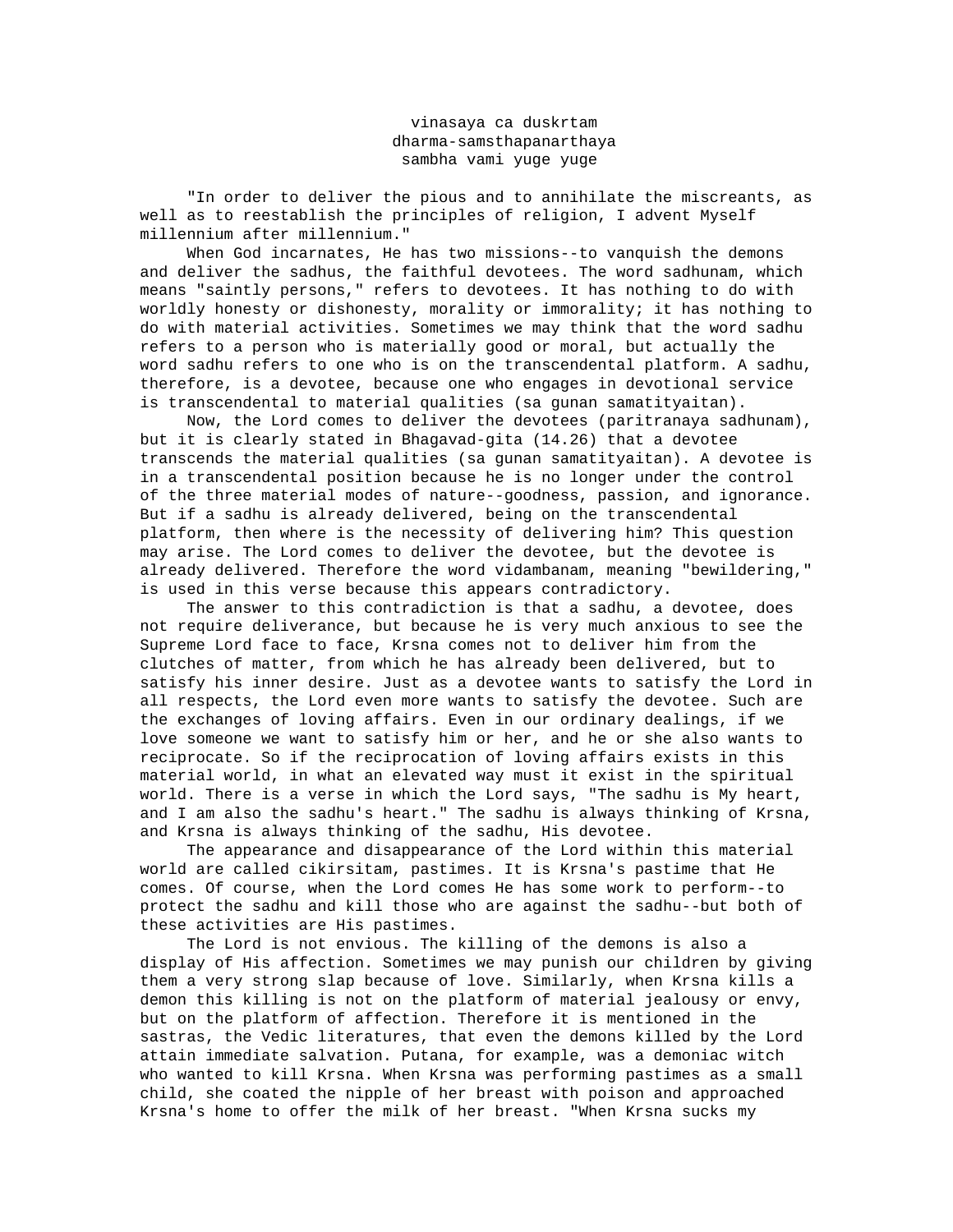vinasaya ca duskrtam dharma-samsthapanarthaya sambha vami yuge yuge

 "In order to deliver the pious and to annihilate the miscreants, as well as to reestablish the principles of religion, I advent Myself millennium after millennium."

 When God incarnates, He has two missions--to vanquish the demons and deliver the sadhus, the faithful devotees. The word sadhunam, which means "saintly persons," refers to devotees. It has nothing to do with worldly honesty or dishonesty, morality or immorality; it has nothing to do with material activities. Sometimes we may think that the word sadhu refers to a person who is materially good or moral, but actually the word sadhu refers to one who is on the transcendental platform. A sadhu, therefore, is a devotee, because one who engages in devotional service is transcendental to material qualities (sa gunan samatityaitan).

 Now, the Lord comes to deliver the devotees (paritranaya sadhunam), but it is clearly stated in Bhagavad-gita (14.26) that a devotee transcends the material qualities (sa gunan samatityaitan). A devotee is in a transcendental position because he is no longer under the control of the three material modes of nature--goodness, passion, and ignorance. But if a sadhu is already delivered, being on the transcendental platform, then where is the necessity of delivering him? This question may arise. The Lord comes to deliver the devotee, but the devotee is already delivered. Therefore the word vidambanam, meaning "bewildering," is used in this verse because this appears contradictory.

 The answer to this contradiction is that a sadhu, a devotee, does not require deliverance, but because he is very much anxious to see the Supreme Lord face to face, Krsna comes not to deliver him from the clutches of matter, from which he has already been delivered, but to satisfy his inner desire. Just as a devotee wants to satisfy the Lord in all respects, the Lord even more wants to satisfy the devotee. Such are the exchanges of loving affairs. Even in our ordinary dealings, if we love someone we want to satisfy him or her, and he or she also wants to reciprocate. So if the reciprocation of loving affairs exists in this material world, in what an elevated way must it exist in the spiritual world. There is a verse in which the Lord says, "The sadhu is My heart, and I am also the sadhu's heart." The sadhu is always thinking of Krsna, and Krsna is always thinking of the sadhu, His devotee.

 The appearance and disappearance of the Lord within this material world are called cikirsitam, pastimes. It is Krsna's pastime that He comes. Of course, when the Lord comes He has some work to perform--to protect the sadhu and kill those who are against the sadhu--but both of these activities are His pastimes.

 The Lord is not envious. The killing of the demons is also a display of His affection. Sometimes we may punish our children by giving them a very strong slap because of love. Similarly, when Krsna kills a demon this killing is not on the platform of material jealousy or envy, but on the platform of affection. Therefore it is mentioned in the sastras, the Vedic literatures, that even the demons killed by the Lord attain immediate salvation. Putana, for example, was a demoniac witch who wanted to kill Krsna. When Krsna was performing pastimes as a small child, she coated the nipple of her breast with poison and approached Krsna's home to offer the milk of her breast. "When Krsna sucks my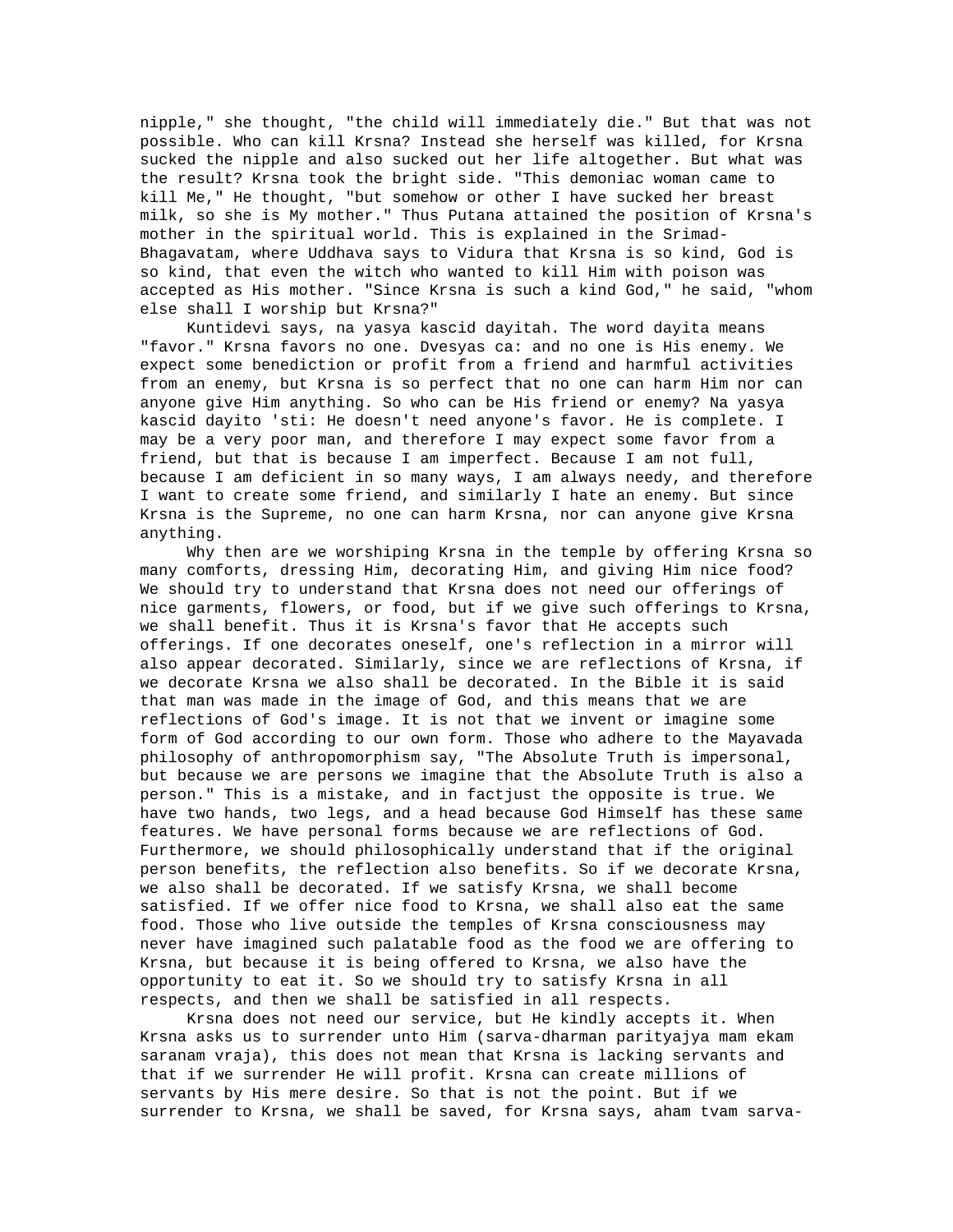nipple," she thought, "the child will immediately die." But that was not possible. Who can kill Krsna? Instead she herself was killed, for Krsna sucked the nipple and also sucked out her life altogether. But what was the result? Krsna took the bright side. "This demoniac woman came to kill Me," He thought, "but somehow or other I have sucked her breast milk, so she is My mother." Thus Putana attained the position of Krsna's mother in the spiritual world. This is explained in the Srimad-Bhagavatam, where Uddhava says to Vidura that Krsna is so kind, God is so kind, that even the witch who wanted to kill Him with poison was accepted as His mother. "Since Krsna is such a kind God," he said, "whom else shall I worship but Krsna?"

 Kuntidevi says, na yasya kascid dayitah. The word dayita means "favor." Krsna favors no one. Dvesyas ca: and no one is His enemy. We expect some benediction or profit from a friend and harmful activities from an enemy, but Krsna is so perfect that no one can harm Him nor can anyone give Him anything. So who can be His friend or enemy? Na yasya kascid dayito 'sti: He doesn't need anyone's favor. He is complete. I may be a very poor man, and therefore I may expect some favor from a friend, but that is because I am imperfect. Because I am not full, because I am deficient in so many ways, I am always needy, and therefore I want to create some friend, and similarly I hate an enemy. But since Krsna is the Supreme, no one can harm Krsna, nor can anyone give Krsna anything.

 Why then are we worshiping Krsna in the temple by offering Krsna so many comforts, dressing Him, decorating Him, and giving Him nice food? We should try to understand that Krsna does not need our offerings of nice garments, flowers, or food, but if we give such offerings to Krsna, we shall benefit. Thus it is Krsna's favor that He accepts such offerings. If one decorates oneself, one's reflection in a mirror will also appear decorated. Similarly, since we are reflections of Krsna, if we decorate Krsna we also shall be decorated. In the Bible it is said that man was made in the image of God, and this means that we are reflections of God's image. It is not that we invent or imagine some form of God according to our own form. Those who adhere to the Mayavada philosophy of anthropomorphism say, "The Absolute Truth is impersonal, but because we are persons we imagine that the Absolute Truth is also a person." This is a mistake, and in factjust the opposite is true. We have two hands, two legs, and a head because God Himself has these same features. We have personal forms because we are reflections of God. Furthermore, we should philosophically understand that if the original person benefits, the reflection also benefits. So if we decorate Krsna, we also shall be decorated. If we satisfy Krsna, we shall become satisfied. If we offer nice food to Krsna, we shall also eat the same food. Those who live outside the temples of Krsna consciousness may never have imagined such palatable food as the food we are offering to Krsna, but because it is being offered to Krsna, we also have the opportunity to eat it. So we should try to satisfy Krsna in all respects, and then we shall be satisfied in all respects.

 Krsna does not need our service, but He kindly accepts it. When Krsna asks us to surrender unto Him (sarva-dharman parityajya mam ekam saranam vraja), this does not mean that Krsna is lacking servants and that if we surrender He will profit. Krsna can create millions of servants by His mere desire. So that is not the point. But if we surrender to Krsna, we shall be saved, for Krsna says, aham tvam sarva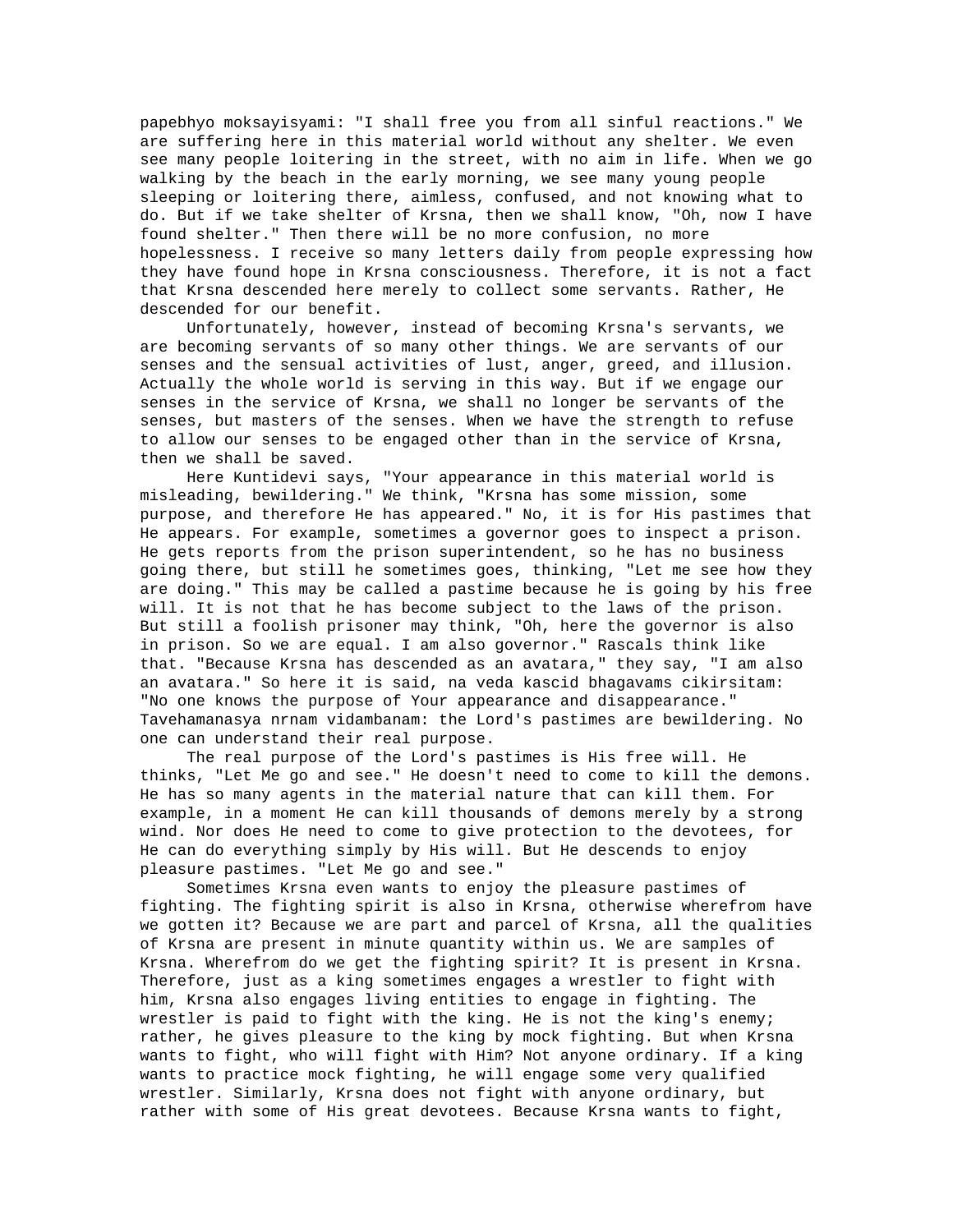papebhyo moksayisyami: "I shall free you from all sinful reactions." We are suffering here in this material world without any shelter. We even see many people loitering in the street, with no aim in life. When we go walking by the beach in the early morning, we see many young people sleeping or loitering there, aimless, confused, and not knowing what to do. But if we take shelter of Krsna, then we shall know, "Oh, now I have found shelter." Then there will be no more confusion, no more hopelessness. I receive so many letters daily from people expressing how they have found hope in Krsna consciousness. Therefore, it is not a fact that Krsna descended here merely to collect some servants. Rather, He descended for our benefit.

 Unfortunately, however, instead of becoming Krsna's servants, we are becoming servants of so many other things. We are servants of our senses and the sensual activities of lust, anger, greed, and illusion. Actually the whole world is serving in this way. But if we engage our senses in the service of Krsna, we shall no longer be servants of the senses, but masters of the senses. When we have the strength to refuse to allow our senses to be engaged other than in the service of Krsna, then we shall be saved.

 Here Kuntidevi says, "Your appearance in this material world is misleading, bewildering." We think, "Krsna has some mission, some purpose, and therefore He has appeared." No, it is for His pastimes that He appears. For example, sometimes a governor goes to inspect a prison. He gets reports from the prison superintendent, so he has no business going there, but still he sometimes goes, thinking, "Let me see how they are doing." This may be called a pastime because he is going by his free will. It is not that he has become subject to the laws of the prison. But still a foolish prisoner may think, "Oh, here the governor is also in prison. So we are equal. I am also governor." Rascals think like that. "Because Krsna has descended as an avatara," they say, "I am also an avatara." So here it is said, na veda kascid bhagavams cikirsitam: "No one knows the purpose of Your appearance and disappearance." Tavehamanasya nrnam vidambanam: the Lord's pastimes are bewildering. No one can understand their real purpose.

 The real purpose of the Lord's pastimes is His free will. He thinks, "Let Me go and see." He doesn't need to come to kill the demons. He has so many agents in the material nature that can kill them. For example, in a moment He can kill thousands of demons merely by a strong wind. Nor does He need to come to give protection to the devotees, for He can do everything simply by His will. But He descends to enjoy pleasure pastimes. "Let Me go and see."

 Sometimes Krsna even wants to enjoy the pleasure pastimes of fighting. The fighting spirit is also in Krsna, otherwise wherefrom have we gotten it? Because we are part and parcel of Krsna, all the qualities of Krsna are present in minute quantity within us. We are samples of Krsna. Wherefrom do we get the fighting spirit? It is present in Krsna. Therefore, just as a king sometimes engages a wrestler to fight with him, Krsna also engages living entities to engage in fighting. The wrestler is paid to fight with the king. He is not the king's enemy; rather, he gives pleasure to the king by mock fighting. But when Krsna wants to fight, who will fight with Him? Not anyone ordinary. If a king wants to practice mock fighting, he will engage some very qualified wrestler. Similarly, Krsna does not fight with anyone ordinary, but rather with some of His great devotees. Because Krsna wants to fight,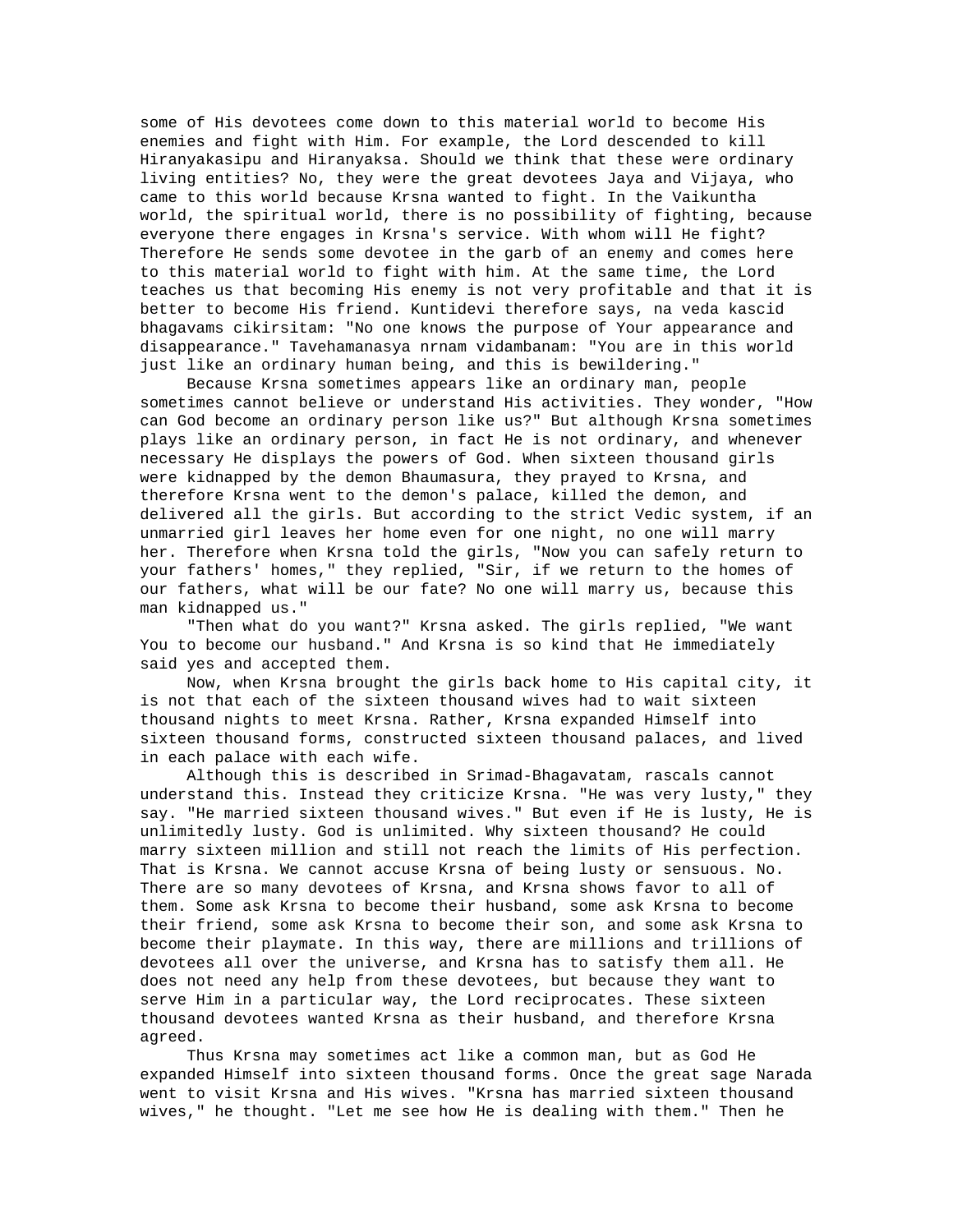some of His devotees come down to this material world to become His enemies and fight with Him. For example, the Lord descended to kill Hiranyakasipu and Hiranyaksa. Should we think that these were ordinary living entities? No, they were the great devotees Jaya and Vijaya, who came to this world because Krsna wanted to fight. In the Vaikuntha world, the spiritual world, there is no possibility of fighting, because everyone there engages in Krsna's service. With whom will He fight? Therefore He sends some devotee in the garb of an enemy and comes here to this material world to fight with him. At the same time, the Lord teaches us that becoming His enemy is not very profitable and that it is better to become His friend. Kuntidevi therefore says, na veda kascid bhagavams cikirsitam: "No one knows the purpose of Your appearance and disappearance." Tavehamanasya nrnam vidambanam: "You are in this world just like an ordinary human being, and this is bewildering."

 Because Krsna sometimes appears like an ordinary man, people sometimes cannot believe or understand His activities. They wonder, "How can God become an ordinary person like us?" But although Krsna sometimes plays like an ordinary person, in fact He is not ordinary, and whenever necessary He displays the powers of God. When sixteen thousand girls were kidnapped by the demon Bhaumasura, they prayed to Krsna, and therefore Krsna went to the demon's palace, killed the demon, and delivered all the girls. But according to the strict Vedic system, if an unmarried girl leaves her home even for one night, no one will marry her. Therefore when Krsna told the girls, "Now you can safely return to your fathers' homes," they replied, "Sir, if we return to the homes of our fathers, what will be our fate? No one will marry us, because this man kidnapped us."

 "Then what do you want?" Krsna asked. The girls replied, "We want You to become our husband." And Krsna is so kind that He immediately said yes and accepted them.

 Now, when Krsna brought the girls back home to His capital city, it is not that each of the sixteen thousand wives had to wait sixteen thousand nights to meet Krsna. Rather, Krsna expanded Himself into sixteen thousand forms, constructed sixteen thousand palaces, and lived in each palace with each wife.

 Although this is described in Srimad-Bhagavatam, rascals cannot understand this. Instead they criticize Krsna. "He was very lusty," they say. "He married sixteen thousand wives." But even if He is lusty, He is unlimitedly lusty. God is unlimited. Why sixteen thousand? He could marry sixteen million and still not reach the limits of His perfection. That is Krsna. We cannot accuse Krsna of being lusty or sensuous. No. There are so many devotees of Krsna, and Krsna shows favor to all of them. Some ask Krsna to become their husband, some ask Krsna to become their friend, some ask Krsna to become their son, and some ask Krsna to become their playmate. In this way, there are millions and trillions of devotees all over the universe, and Krsna has to satisfy them all. He does not need any help from these devotees, but because they want to serve Him in a particular way, the Lord reciprocates. These sixteen thousand devotees wanted Krsna as their husband, and therefore Krsna agreed.

 Thus Krsna may sometimes act like a common man, but as God He expanded Himself into sixteen thousand forms. Once the great sage Narada went to visit Krsna and His wives. "Krsna has married sixteen thousand wives," he thought. "Let me see how He is dealing with them." Then he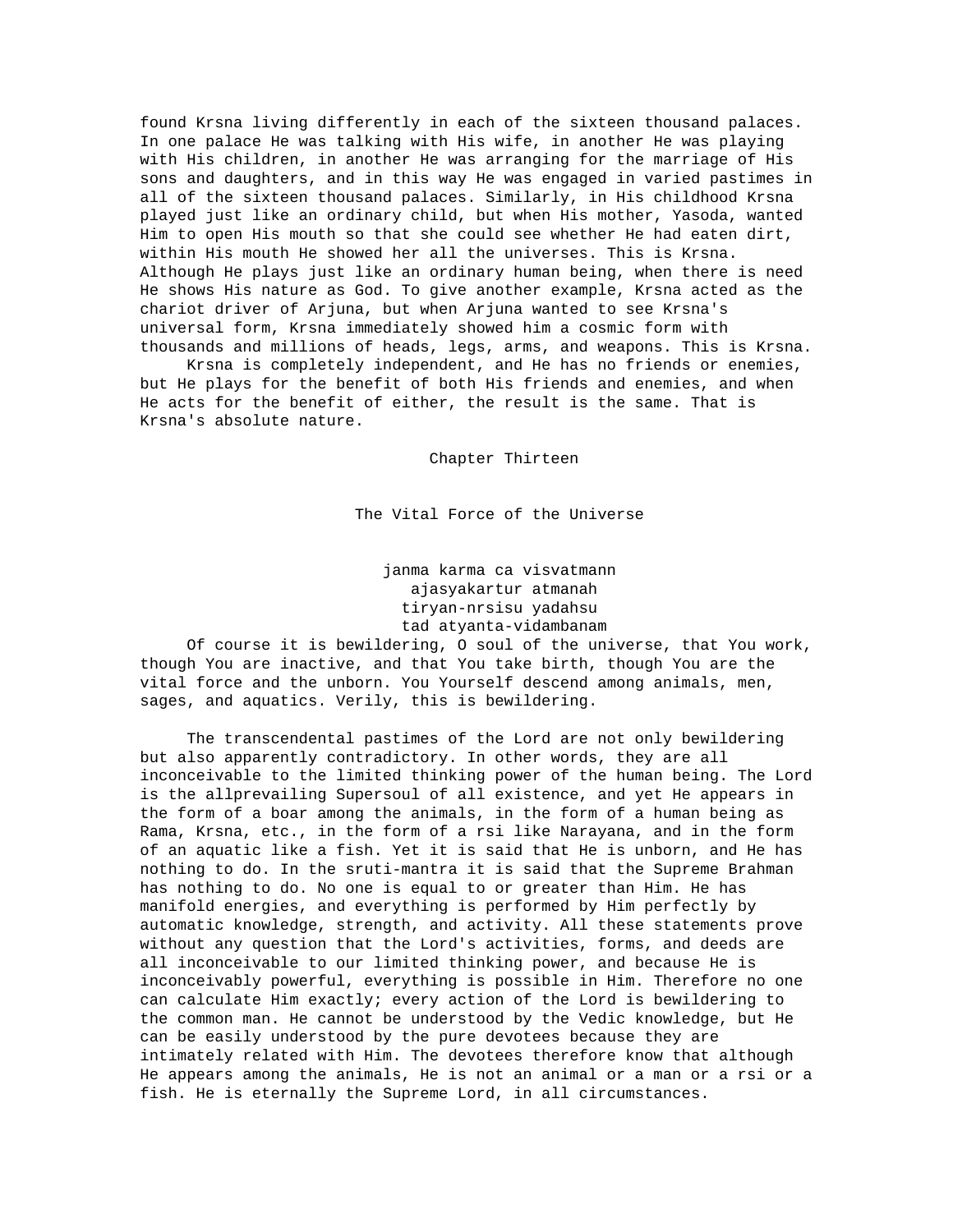found Krsna living differently in each of the sixteen thousand palaces. In one palace He was talking with His wife, in another He was playing with His children, in another He was arranging for the marriage of His sons and daughters, and in this way He was engaged in varied pastimes in all of the sixteen thousand palaces. Similarly, in His childhood Krsna played just like an ordinary child, but when His mother, Yasoda, wanted Him to open His mouth so that she could see whether He had eaten dirt, within His mouth He showed her all the universes. This is Krsna. Although He plays just like an ordinary human being, when there is need He shows His nature as God. To give another example, Krsna acted as the chariot driver of Arjuna, but when Arjuna wanted to see Krsna's universal form, Krsna immediately showed him a cosmic form with thousands and millions of heads, legs, arms, and weapons. This is Krsna.

 Krsna is completely independent, and He has no friends or enemies, but He plays for the benefit of both His friends and enemies, and when He acts for the benefit of either, the result is the same. That is Krsna's absolute nature.

Chapter Thirteen

The Vital Force of the Universe

 janma karma ca visvatmann ajasyakartur atmanah tiryan-nrsisu yadahsu tad atyanta-vidambanam

 Of course it is bewildering, O soul of the universe, that You work, though You are inactive, and that You take birth, though You are the vital force and the unborn. You Yourself descend among animals, men, sages, and aquatics. Verily, this is bewildering.

 The transcendental pastimes of the Lord are not only bewildering but also apparently contradictory. In other words, they are all inconceivable to the limited thinking power of the human being. The Lord is the allprevailing Supersoul of all existence, and yet He appears in the form of a boar among the animals, in the form of a human being as Rama, Krsna, etc., in the form of a rsi like Narayana, and in the form of an aquatic like a fish. Yet it is said that He is unborn, and He has nothing to do. In the sruti-mantra it is said that the Supreme Brahman has nothing to do. No one is equal to or greater than Him. He has manifold energies, and everything is performed by Him perfectly by automatic knowledge, strength, and activity. All these statements prove without any question that the Lord's activities, forms, and deeds are all inconceivable to our limited thinking power, and because He is inconceivably powerful, everything is possible in Him. Therefore no one can calculate Him exactly; every action of the Lord is bewildering to the common man. He cannot be understood by the Vedic knowledge, but He can be easily understood by the pure devotees because they are intimately related with Him. The devotees therefore know that although He appears among the animals, He is not an animal or a man or a rsi or a fish. He is eternally the Supreme Lord, in all circumstances.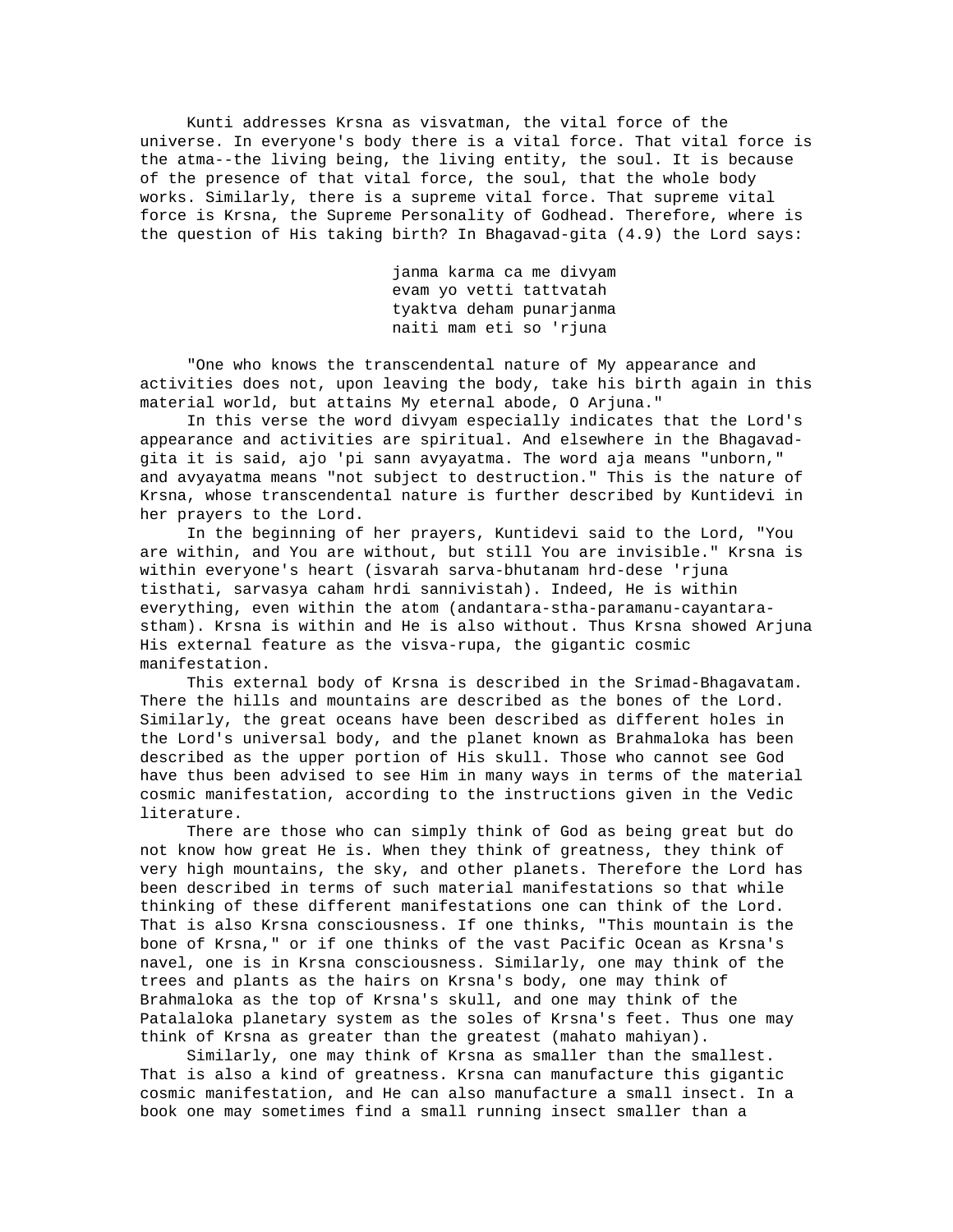Kunti addresses Krsna as visvatman, the vital force of the universe. In everyone's body there is a vital force. That vital force is the atma--the living being, the living entity, the soul. It is because of the presence of that vital force, the soul, that the whole body works. Similarly, there is a supreme vital force. That supreme vital force is Krsna, the Supreme Personality of Godhead. Therefore, where is the question of His taking birth? In Bhagavad-gita (4.9) the Lord says:

> janma karma ca me divyam evam yo vetti tattvatah tyaktva deham punarjanma naiti mam eti so 'rjuna

 "One who knows the transcendental nature of My appearance and activities does not, upon leaving the body, take his birth again in this material world, but attains My eternal abode, O Arjuna."

 In this verse the word divyam especially indicates that the Lord's appearance and activities are spiritual. And elsewhere in the Bhagavadgita it is said, ajo 'pi sann avyayatma. The word aja means "unborn," and avyayatma means "not subject to destruction." This is the nature of Krsna, whose transcendental nature is further described by Kuntidevi in her prayers to the Lord.

 In the beginning of her prayers, Kuntidevi said to the Lord, "You are within, and You are without, but still You are invisible." Krsna is within everyone's heart (isvarah sarva-bhutanam hrd-dese 'rjuna tisthati, sarvasya caham hrdi sannivistah). Indeed, He is within everything, even within the atom (andantara-stha-paramanu-cayantarastham). Krsna is within and He is also without. Thus Krsna showed Arjuna His external feature as the visva-rupa, the gigantic cosmic manifestation.

 This external body of Krsna is described in the Srimad-Bhagavatam. There the hills and mountains are described as the bones of the Lord. Similarly, the great oceans have been described as different holes in the Lord's universal body, and the planet known as Brahmaloka has been described as the upper portion of His skull. Those who cannot see God have thus been advised to see Him in many ways in terms of the material cosmic manifestation, according to the instructions given in the Vedic literature.

 There are those who can simply think of God as being great but do not know how great He is. When they think of greatness, they think of very high mountains, the sky, and other planets. Therefore the Lord has been described in terms of such material manifestations so that while thinking of these different manifestations one can think of the Lord. That is also Krsna consciousness. If one thinks, "This mountain is the bone of Krsna," or if one thinks of the vast Pacific Ocean as Krsna's navel, one is in Krsna consciousness. Similarly, one may think of the trees and plants as the hairs on Krsna's body, one may think of Brahmaloka as the top of Krsna's skull, and one may think of the Patalaloka planetary system as the soles of Krsna's feet. Thus one may think of Krsna as greater than the greatest (mahato mahiyan).

 Similarly, one may think of Krsna as smaller than the smallest. That is also a kind of greatness. Krsna can manufacture this gigantic cosmic manifestation, and He can also manufacture a small insect. In a book one may sometimes find a small running insect smaller than a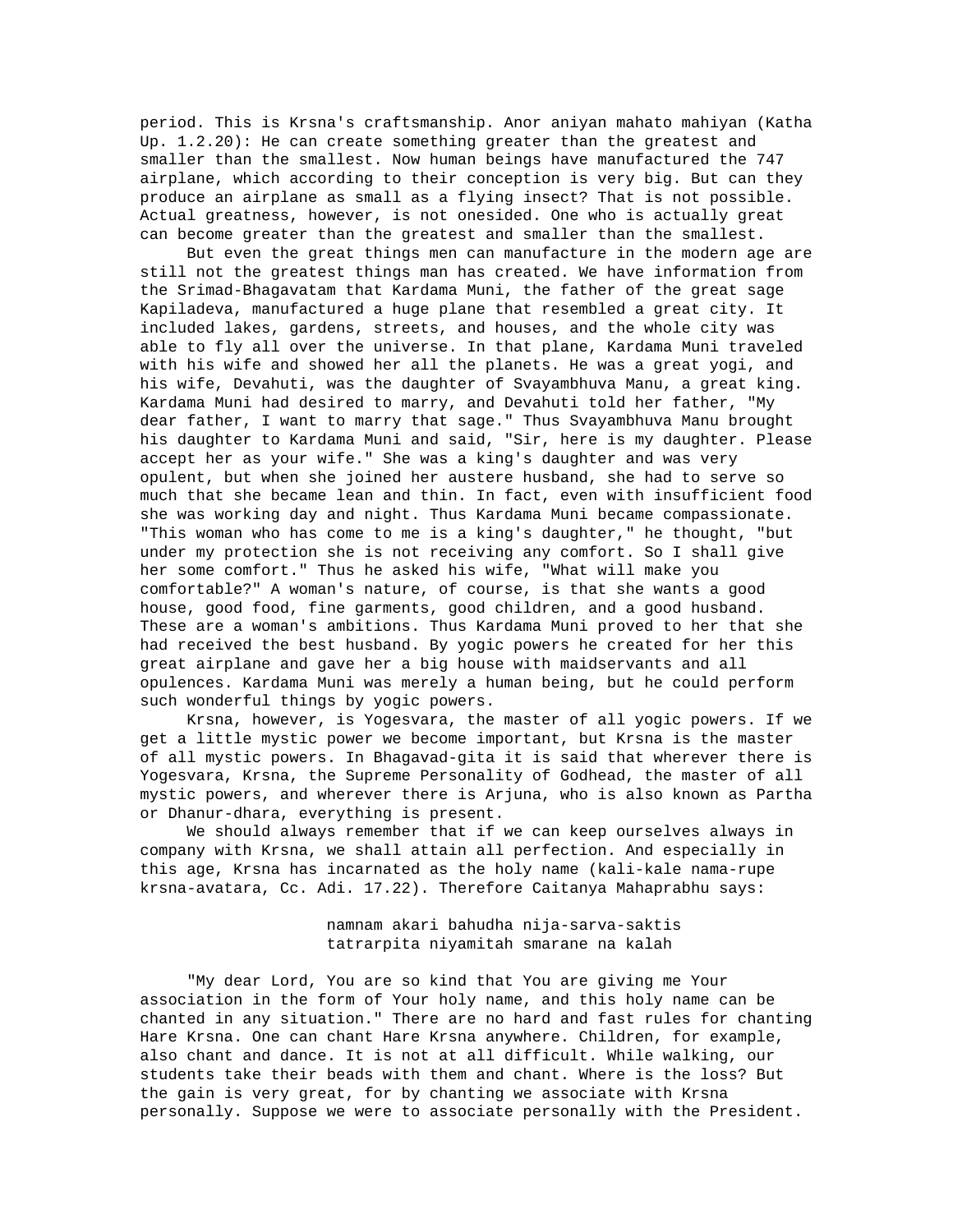period. This is Krsna's craftsmanship. Anor aniyan mahato mahiyan (Katha Up. 1.2.20): He can create something greater than the greatest and smaller than the smallest. Now human beings have manufactured the 747 airplane, which according to their conception is very big. But can they produce an airplane as small as a flying insect? That is not possible. Actual greatness, however, is not onesided. One who is actually great can become greater than the greatest and smaller than the smallest.

 But even the great things men can manufacture in the modern age are still not the greatest things man has created. We have information from the Srimad-Bhagavatam that Kardama Muni, the father of the great sage Kapiladeva, manufactured a huge plane that resembled a great city. It included lakes, gardens, streets, and houses, and the whole city was able to fly all over the universe. In that plane, Kardama Muni traveled with his wife and showed her all the planets. He was a great yogi, and his wife, Devahuti, was the daughter of Svayambhuva Manu, a great king. Kardama Muni had desired to marry, and Devahuti told her father, "My dear father, I want to marry that sage." Thus Svayambhuva Manu brought his daughter to Kardama Muni and said, "Sir, here is my daughter. Please accept her as your wife." She was a king's daughter and was very opulent, but when she joined her austere husband, she had to serve so much that she became lean and thin. In fact, even with insufficient food she was working day and night. Thus Kardama Muni became compassionate. "This woman who has come to me is a king's daughter," he thought, "but under my protection she is not receiving any comfort. So I shall give her some comfort." Thus he asked his wife, "What will make you comfortable?" A woman's nature, of course, is that she wants a good house, good food, fine garments, good children, and a good husband. These are a woman's ambitions. Thus Kardama Muni proved to her that she had received the best husband. By yogic powers he created for her this great airplane and gave her a big house with maidservants and all opulences. Kardama Muni was merely a human being, but he could perform such wonderful things by yogic powers.

 Krsna, however, is Yogesvara, the master of all yogic powers. If we get a little mystic power we become important, but Krsna is the master of all mystic powers. In Bhagavad-gita it is said that wherever there is Yogesvara, Krsna, the Supreme Personality of Godhead, the master of all mystic powers, and wherever there is Arjuna, who is also known as Partha or Dhanur-dhara, everything is present.

 We should always remember that if we can keep ourselves always in company with Krsna, we shall attain all perfection. And especially in this age, Krsna has incarnated as the holy name (kali-kale nama-rupe krsna-avatara, Cc. Adi. 17.22). Therefore Caitanya Mahaprabhu says:

> namnam akari bahudha nija-sarva-saktis tatrarpita niyamitah smarane na kalah

 "My dear Lord, You are so kind that You are giving me Your association in the form of Your holy name, and this holy name can be chanted in any situation." There are no hard and fast rules for chanting Hare Krsna. One can chant Hare Krsna anywhere. Children, for example, also chant and dance. It is not at all difficult. While walking, our students take their beads with them and chant. Where is the loss? But the gain is very great, for by chanting we associate with Krsna personally. Suppose we were to associate personally with the President.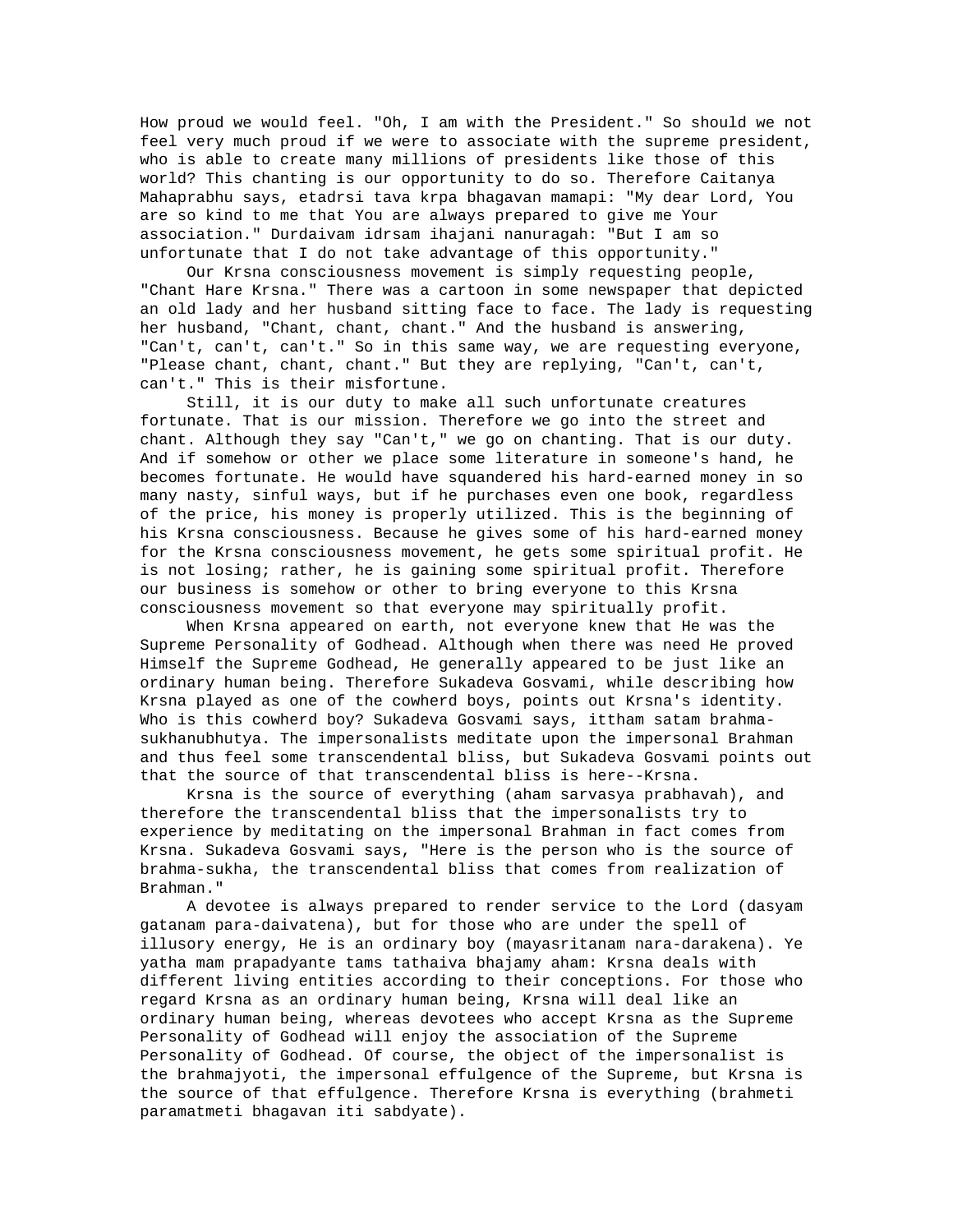How proud we would feel. "Oh, I am with the President." So should we not feel very much proud if we were to associate with the supreme president, who is able to create many millions of presidents like those of this world? This chanting is our opportunity to do so. Therefore Caitanya Mahaprabhu says, etadrsi tava krpa bhagavan mamapi: "My dear Lord, You are so kind to me that You are always prepared to give me Your association." Durdaivam idrsam ihajani nanuragah: "But I am so unfortunate that I do not take advantage of this opportunity."

 Our Krsna consciousness movement is simply requesting people, "Chant Hare Krsna." There was a cartoon in some newspaper that depicted an old lady and her husband sitting face to face. The lady is requesting her husband, "Chant, chant, chant." And the husband is answering, "Can't, can't, can't." So in this same way, we are requesting everyone, "Please chant, chant, chant." But they are replying, "Can't, can't, can't." This is their misfortune.

 Still, it is our duty to make all such unfortunate creatures fortunate. That is our mission. Therefore we go into the street and chant. Although they say "Can't," we go on chanting. That is our duty. And if somehow or other we place some literature in someone's hand, he becomes fortunate. He would have squandered his hard-earned money in so many nasty, sinful ways, but if he purchases even one book, regardless of the price, his money is properly utilized. This is the beginning of his Krsna consciousness. Because he gives some of his hard-earned money for the Krsna consciousness movement, he gets some spiritual profit. He is not losing; rather, he is gaining some spiritual profit. Therefore our business is somehow or other to bring everyone to this Krsna consciousness movement so that everyone may spiritually profit.

 When Krsna appeared on earth, not everyone knew that He was the Supreme Personality of Godhead. Although when there was need He proved Himself the Supreme Godhead, He generally appeared to be just like an ordinary human being. Therefore Sukadeva Gosvami, while describing how Krsna played as one of the cowherd boys, points out Krsna's identity. Who is this cowherd boy? Sukadeva Gosvami says, ittham satam brahmasukhanubhutya. The impersonalists meditate upon the impersonal Brahman and thus feel some transcendental bliss, but Sukadeva Gosvami points out that the source of that transcendental bliss is here--Krsna.

 Krsna is the source of everything (aham sarvasya prabhavah), and therefore the transcendental bliss that the impersonalists try to experience by meditating on the impersonal Brahman in fact comes from Krsna. Sukadeva Gosvami says, "Here is the person who is the source of brahma-sukha, the transcendental bliss that comes from realization of Brahman."

 A devotee is always prepared to render service to the Lord (dasyam gatanam para-daivatena), but for those who are under the spell of illusory energy, He is an ordinary boy (mayasritanam nara-darakena). Ye yatha mam prapadyante tams tathaiva bhajamy aham: Krsna deals with different living entities according to their conceptions. For those who regard Krsna as an ordinary human being, Krsna will deal like an ordinary human being, whereas devotees who accept Krsna as the Supreme Personality of Godhead will enjoy the association of the Supreme Personality of Godhead. Of course, the object of the impersonalist is the brahmajyoti, the impersonal effulgence of the Supreme, but Krsna is the source of that effulgence. Therefore Krsna is everything (brahmeti paramatmeti bhagavan iti sabdyate).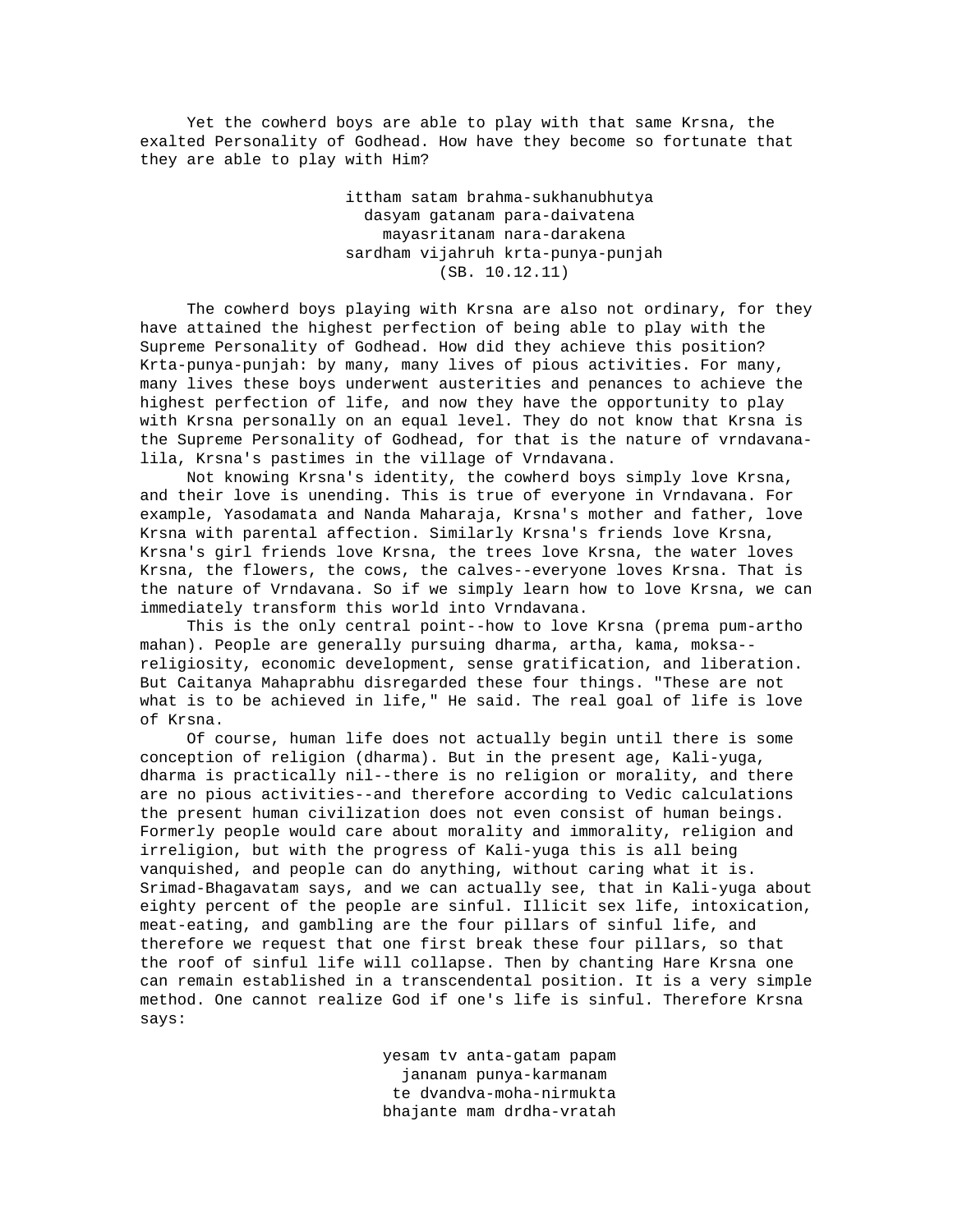Yet the cowherd boys are able to play with that same Krsna, the exalted Personality of Godhead. How have they become so fortunate that they are able to play with Him?

> ittham satam brahma-sukhanubhutya dasyam gatanam para-daivatena mayasritanam nara-darakena sardham vijahruh krta-punya-punjah (SB. 10.12.11)

 The cowherd boys playing with Krsna are also not ordinary, for they have attained the highest perfection of being able to play with the Supreme Personality of Godhead. How did they achieve this position? Krta-punya-punjah: by many, many lives of pious activities. For many, many lives these boys underwent austerities and penances to achieve the highest perfection of life, and now they have the opportunity to play with Krsna personally on an equal level. They do not know that Krsna is the Supreme Personality of Godhead, for that is the nature of vrndavanalila, Krsna's pastimes in the village of Vrndavana.

 Not knowing Krsna's identity, the cowherd boys simply love Krsna, and their love is unending. This is true of everyone in Vrndavana. For example, Yasodamata and Nanda Maharaja, Krsna's mother and father, love Krsna with parental affection. Similarly Krsna's friends love Krsna, Krsna's girl friends love Krsna, the trees love Krsna, the water loves Krsna, the flowers, the cows, the calves--everyone loves Krsna. That is the nature of Vrndavana. So if we simply learn how to love Krsna, we can immediately transform this world into Vrndavana.

 This is the only central point--how to love Krsna (prema pum-artho mahan). People are generally pursuing dharma, artha, kama, moksa- religiosity, economic development, sense gratification, and liberation. But Caitanya Mahaprabhu disregarded these four things. "These are not what is to be achieved in life," He said. The real goal of life is love of Krsna.

 Of course, human life does not actually begin until there is some conception of religion (dharma). But in the present age, Kali-yuga, dharma is practically nil--there is no religion or morality, and there are no pious activities--and therefore according to Vedic calculations the present human civilization does not even consist of human beings. Formerly people would care about morality and immorality, religion and irreligion, but with the progress of Kali-yuga this is all being vanquished, and people can do anything, without caring what it is. Srimad-Bhagavatam says, and we can actually see, that in Kali-yuga about eighty percent of the people are sinful. Illicit sex life, intoxication, meat-eating, and gambling are the four pillars of sinful life, and therefore we request that one first break these four pillars, so that the roof of sinful life will collapse. Then by chanting Hare Krsna one can remain established in a transcendental position. It is a very simple method. One cannot realize God if one's life is sinful. Therefore Krsna says:

> yesam tv anta-gatam papam jananam punya-karmanam te dvandva-moha-nirmukta bhajante mam drdha-vratah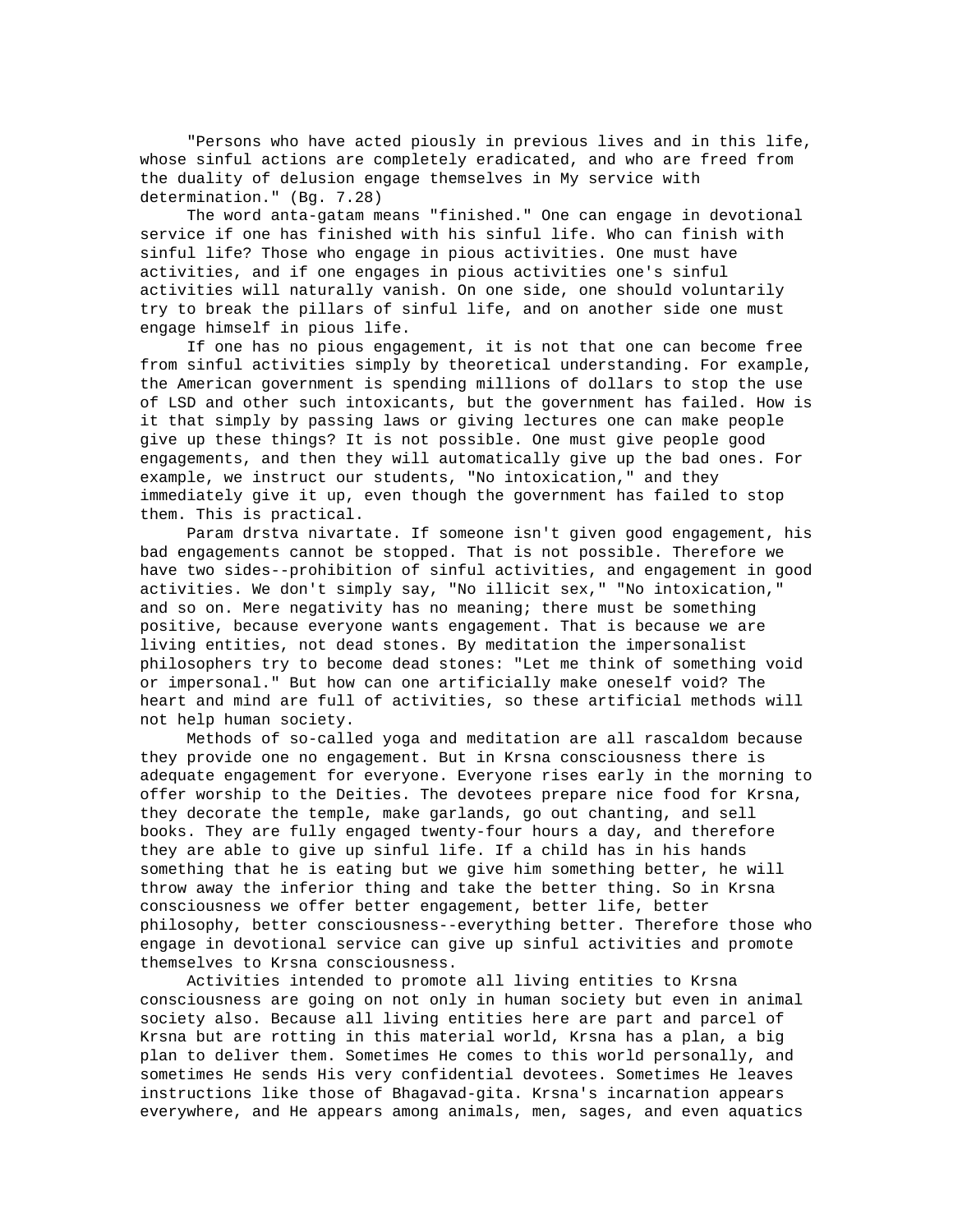"Persons who have acted piously in previous lives and in this life, whose sinful actions are completely eradicated, and who are freed from the duality of delusion engage themselves in My service with determination." (Bg. 7.28)

 The word anta-gatam means "finished." One can engage in devotional service if one has finished with his sinful life. Who can finish with sinful life? Those who engage in pious activities. One must have activities, and if one engages in pious activities one's sinful activities will naturally vanish. On one side, one should voluntarily try to break the pillars of sinful life, and on another side one must engage himself in pious life.

 If one has no pious engagement, it is not that one can become free from sinful activities simply by theoretical understanding. For example, the American government is spending millions of dollars to stop the use of LSD and other such intoxicants, but the government has failed. How is it that simply by passing laws or giving lectures one can make people give up these things? It is not possible. One must give people good engagements, and then they will automatically give up the bad ones. For example, we instruct our students, "No intoxication," and they immediately give it up, even though the government has failed to stop them. This is practical.

 Param drstva nivartate. If someone isn't given good engagement, his bad engagements cannot be stopped. That is not possible. Therefore we have two sides--prohibition of sinful activities, and engagement in good activities. We don't simply say, "No illicit sex," "No intoxication," and so on. Mere negativity has no meaning; there must be something positive, because everyone wants engagement. That is because we are living entities, not dead stones. By meditation the impersonalist philosophers try to become dead stones: "Let me think of something void or impersonal." But how can one artificially make oneself void? The heart and mind are full of activities, so these artificial methods will not help human society.

 Methods of so-called yoga and meditation are all rascaldom because they provide one no engagement. But in Krsna consciousness there is adequate engagement for everyone. Everyone rises early in the morning to offer worship to the Deities. The devotees prepare nice food for Krsna, they decorate the temple, make garlands, go out chanting, and sell books. They are fully engaged twenty-four hours a day, and therefore they are able to give up sinful life. If a child has in his hands something that he is eating but we give him something better, he will throw away the inferior thing and take the better thing. So in Krsna consciousness we offer better engagement, better life, better philosophy, better consciousness--everything better. Therefore those who engage in devotional service can give up sinful activities and promote themselves to Krsna consciousness.

 Activities intended to promote all living entities to Krsna consciousness are going on not only in human society but even in animal society also. Because all living entities here are part and parcel of Krsna but are rotting in this material world, Krsna has a plan, a big plan to deliver them. Sometimes He comes to this world personally, and sometimes He sends His very confidential devotees. Sometimes He leaves instructions like those of Bhagavad-gita. Krsna's incarnation appears everywhere, and He appears among animals, men, sages, and even aquatics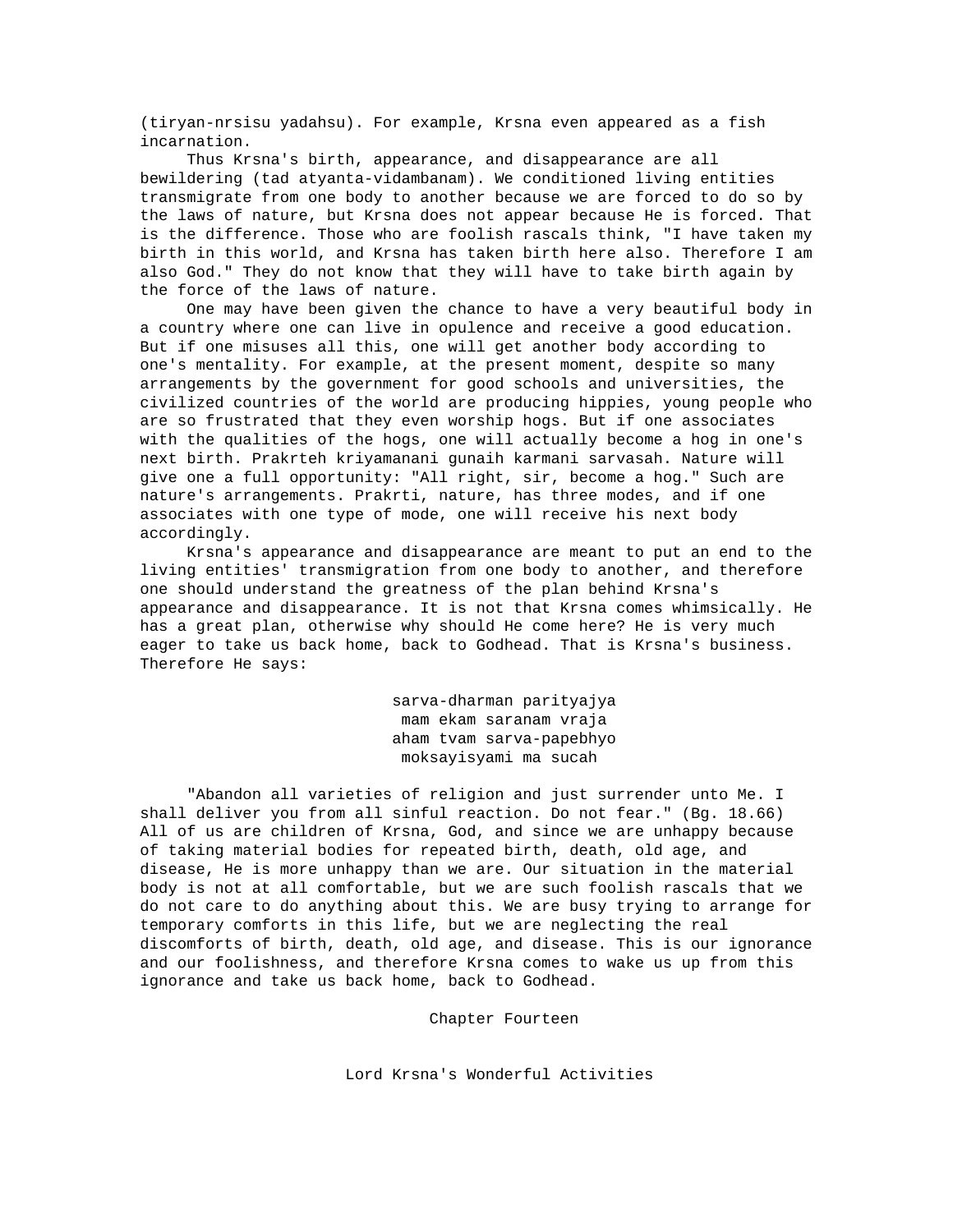(tiryan-nrsisu yadahsu). For example, Krsna even appeared as a fish incarnation.

 Thus Krsna's birth, appearance, and disappearance are all bewildering (tad atyanta-vidambanam). We conditioned living entities transmigrate from one body to another because we are forced to do so by the laws of nature, but Krsna does not appear because He is forced. That is the difference. Those who are foolish rascals think, "I have taken my birth in this world, and Krsna has taken birth here also. Therefore I am also God." They do not know that they will have to take birth again by the force of the laws of nature.

 One may have been given the chance to have a very beautiful body in a country where one can live in opulence and receive a good education. But if one misuses all this, one will get another body according to one's mentality. For example, at the present moment, despite so many arrangements by the government for good schools and universities, the civilized countries of the world are producing hippies, young people who are so frustrated that they even worship hogs. But if one associates with the qualities of the hogs, one will actually become a hog in one's next birth. Prakrteh kriyamanani gunaih karmani sarvasah. Nature will give one a full opportunity: "All right, sir, become a hog." Such are nature's arrangements. Prakrti, nature, has three modes, and if one associates with one type of mode, one will receive his next body accordingly.

 Krsna's appearance and disappearance are meant to put an end to the living entities' transmigration from one body to another, and therefore one should understand the greatness of the plan behind Krsna's appearance and disappearance. It is not that Krsna comes whimsically. He has a great plan, otherwise why should He come here? He is very much eager to take us back home, back to Godhead. That is Krsna's business. Therefore He says:

> sarva-dharman parityajya mam ekam saranam vraja aham tvam sarva-papebhyo moksayisyami ma sucah

 "Abandon all varieties of religion and just surrender unto Me. I shall deliver you from all sinful reaction. Do not fear." (Bg. 18.66) All of us are children of Krsna, God, and since we are unhappy because of taking material bodies for repeated birth, death, old age, and disease, He is more unhappy than we are. Our situation in the material body is not at all comfortable, but we are such foolish rascals that we do not care to do anything about this. We are busy trying to arrange for temporary comforts in this life, but we are neglecting the real discomforts of birth, death, old age, and disease. This is our ignorance and our foolishness, and therefore Krsna comes to wake us up from this ignorance and take us back home, back to Godhead.

Chapter Fourteen

Lord Krsna's Wonderful Activities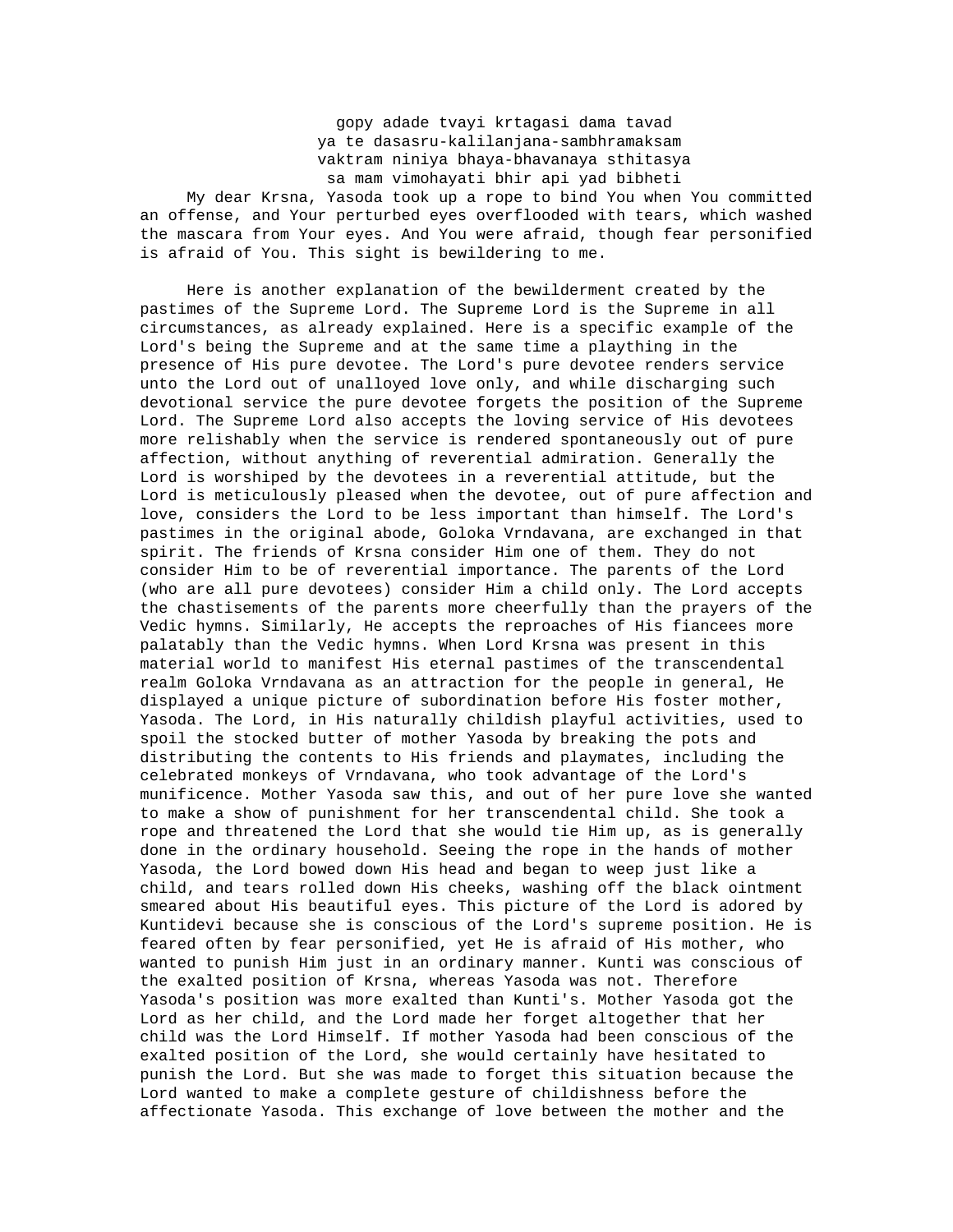gopy adade tvayi krtagasi dama tavad ya te dasasru-kalilanjana-sambhramaksam vaktram niniya bhaya-bhavanaya sthitasya sa mam vimohayati bhir api yad bibheti

 My dear Krsna, Yasoda took up a rope to bind You when You committed an offense, and Your perturbed eyes overflooded with tears, which washed the mascara from Your eyes. And You were afraid, though fear personified is afraid of You. This sight is bewildering to me.

 Here is another explanation of the bewilderment created by the pastimes of the Supreme Lord. The Supreme Lord is the Supreme in all circumstances, as already explained. Here is a specific example of the Lord's being the Supreme and at the same time a plaything in the presence of His pure devotee. The Lord's pure devotee renders service unto the Lord out of unalloyed love only, and while discharging such devotional service the pure devotee forgets the position of the Supreme Lord. The Supreme Lord also accepts the loving service of His devotees more relishably when the service is rendered spontaneously out of pure affection, without anything of reverential admiration. Generally the Lord is worshiped by the devotees in a reverential attitude, but the Lord is meticulously pleased when the devotee, out of pure affection and love, considers the Lord to be less important than himself. The Lord's pastimes in the original abode, Goloka Vrndavana, are exchanged in that spirit. The friends of Krsna consider Him one of them. They do not consider Him to be of reverential importance. The parents of the Lord (who are all pure devotees) consider Him a child only. The Lord accepts the chastisements of the parents more cheerfully than the prayers of the Vedic hymns. Similarly, He accepts the reproaches of His fiancees more palatably than the Vedic hymns. When Lord Krsna was present in this material world to manifest His eternal pastimes of the transcendental realm Goloka Vrndavana as an attraction for the people in general, He displayed a unique picture of subordination before His foster mother, Yasoda. The Lord, in His naturally childish playful activities, used to spoil the stocked butter of mother Yasoda by breaking the pots and distributing the contents to His friends and playmates, including the celebrated monkeys of Vrndavana, who took advantage of the Lord's munificence. Mother Yasoda saw this, and out of her pure love she wanted to make a show of punishment for her transcendental child. She took a rope and threatened the Lord that she would tie Him up, as is generally done in the ordinary household. Seeing the rope in the hands of mother Yasoda, the Lord bowed down His head and began to weep just like a child, and tears rolled down His cheeks, washing off the black ointment smeared about His beautiful eyes. This picture of the Lord is adored by Kuntidevi because she is conscious of the Lord's supreme position. He is feared often by fear personified, yet He is afraid of His mother, who wanted to punish Him just in an ordinary manner. Kunti was conscious of the exalted position of Krsna, whereas Yasoda was not. Therefore Yasoda's position was more exalted than Kunti's. Mother Yasoda got the Lord as her child, and the Lord made her forget altogether that her child was the Lord Himself. If mother Yasoda had been conscious of the exalted position of the Lord, she would certainly have hesitated to punish the Lord. But she was made to forget this situation because the Lord wanted to make a complete gesture of childishness before the affectionate Yasoda. This exchange of love between the mother and the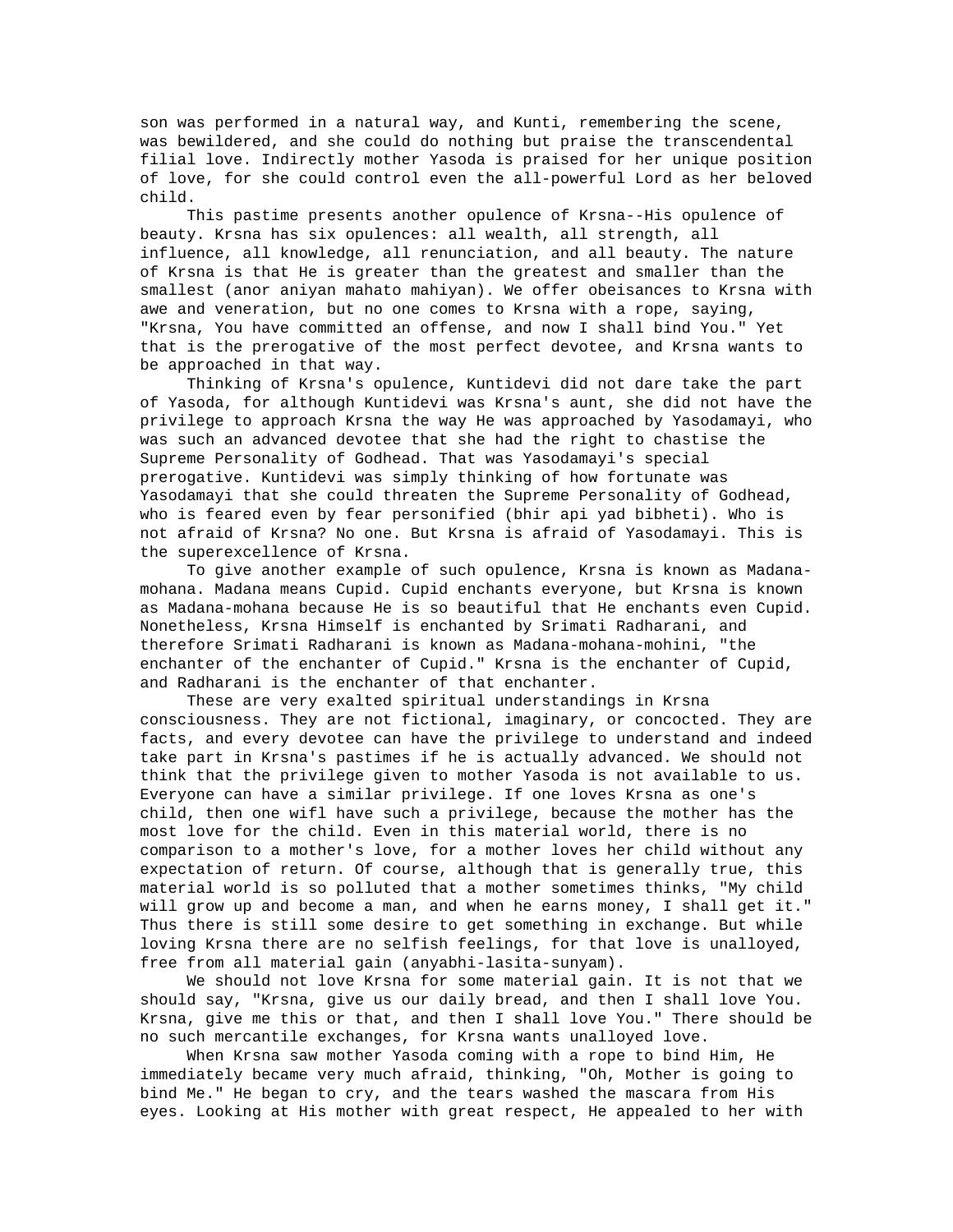son was performed in a natural way, and Kunti, remembering the scene, was bewildered, and she could do nothing but praise the transcendental filial love. Indirectly mother Yasoda is praised for her unique position of love, for she could control even the all-powerful Lord as her beloved child.

 This pastime presents another opulence of Krsna--His opulence of beauty. Krsna has six opulences: all wealth, all strength, all influence, all knowledge, all renunciation, and all beauty. The nature of Krsna is that He is greater than the greatest and smaller than the smallest (anor aniyan mahato mahiyan). We offer obeisances to Krsna with awe and veneration, but no one comes to Krsna with a rope, saying, "Krsna, You have committed an offense, and now I shall bind You." Yet that is the prerogative of the most perfect devotee, and Krsna wants to be approached in that way.

 Thinking of Krsna's opulence, Kuntidevi did not dare take the part of Yasoda, for although Kuntidevi was Krsna's aunt, she did not have the privilege to approach Krsna the way He was approached by Yasodamayi, who was such an advanced devotee that she had the right to chastise the Supreme Personality of Godhead. That was Yasodamayi's special prerogative. Kuntidevi was simply thinking of how fortunate was Yasodamayi that she could threaten the Supreme Personality of Godhead, who is feared even by fear personified (bhir api yad bibheti). Who is not afraid of Krsna? No one. But Krsna is afraid of Yasodamayi. This is the superexcellence of Krsna.

 To give another example of such opulence, Krsna is known as Madanamohana. Madana means Cupid. Cupid enchants everyone, but Krsna is known as Madana-mohana because He is so beautiful that He enchants even Cupid. Nonetheless, Krsna Himself is enchanted by Srimati Radharani, and therefore Srimati Radharani is known as Madana-mohana-mohini, "the enchanter of the enchanter of Cupid." Krsna is the enchanter of Cupid, and Radharani is the enchanter of that enchanter.

 These are very exalted spiritual understandings in Krsna consciousness. They are not fictional, imaginary, or concocted. They are facts, and every devotee can have the privilege to understand and indeed take part in Krsna's pastimes if he is actually advanced. We should not think that the privilege given to mother Yasoda is not available to us. Everyone can have a similar privilege. If one loves Krsna as one's child, then one wifl have such a privilege, because the mother has the most love for the child. Even in this material world, there is no comparison to a mother's love, for a mother loves her child without any expectation of return. Of course, although that is generally true, this material world is so polluted that a mother sometimes thinks, "My child will grow up and become a man, and when he earns money, I shall get it." Thus there is still some desire to get something in exchange. But while loving Krsna there are no selfish feelings, for that love is unalloyed, free from all material gain (anyabhi-lasita-sunyam).

 We should not love Krsna for some material gain. It is not that we should say, "Krsna, give us our daily bread, and then I shall love You. Krsna, give me this or that, and then I shall love You." There should be no such mercantile exchanges, for Krsna wants unalloyed love.

 When Krsna saw mother Yasoda coming with a rope to bind Him, He immediately became very much afraid, thinking, "Oh, Mother is going to bind Me." He began to cry, and the tears washed the mascara from His eyes. Looking at His mother with great respect, He appealed to her with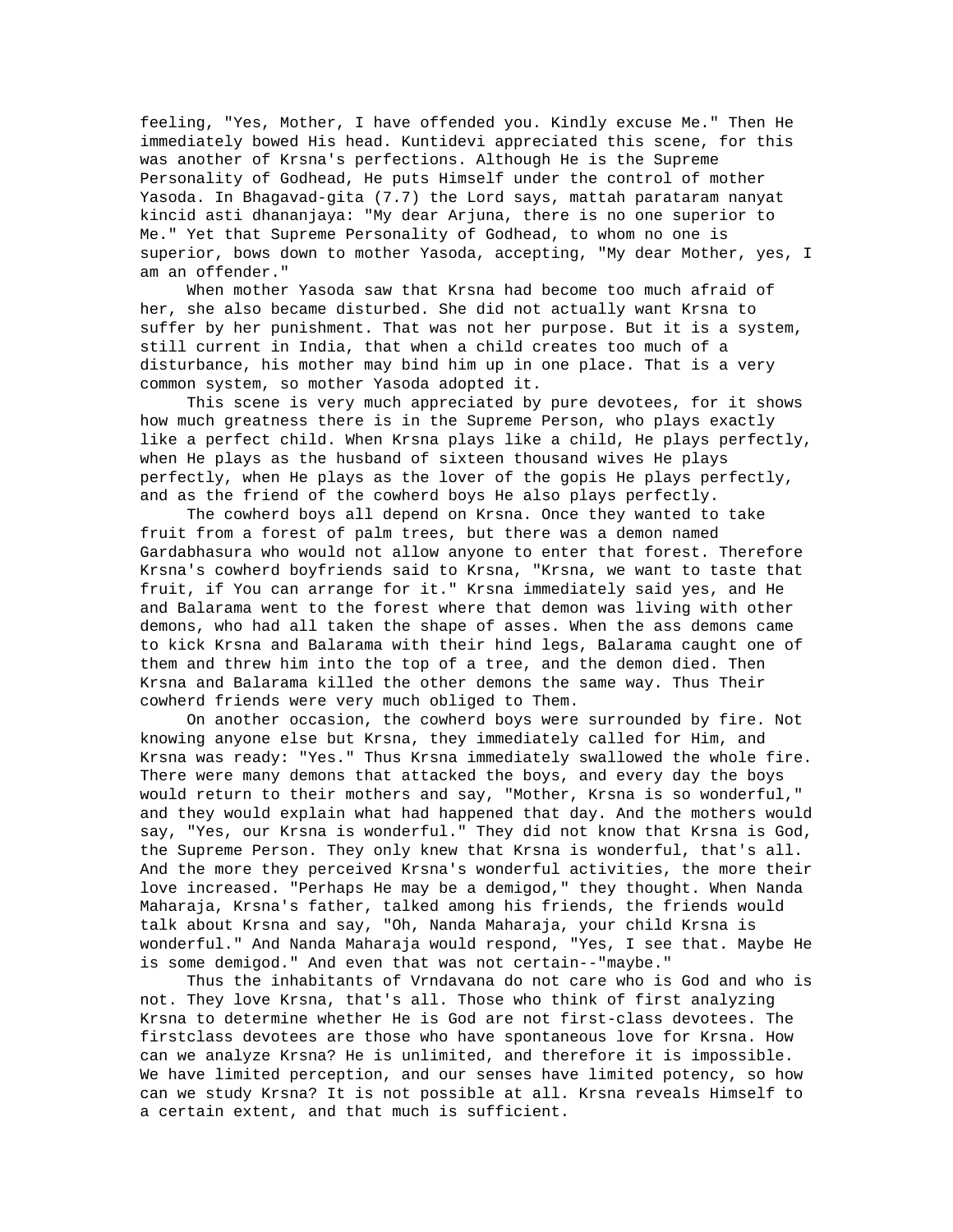feeling, "Yes, Mother, I have offended you. Kindly excuse Me." Then He immediately bowed His head. Kuntidevi appreciated this scene, for this was another of Krsna's perfections. Although He is the Supreme Personality of Godhead, He puts Himself under the control of mother Yasoda. In Bhagavad-gita (7.7) the Lord says, mattah parataram nanyat kincid asti dhananjaya: "My dear Arjuna, there is no one superior to Me." Yet that Supreme Personality of Godhead, to whom no one is superior, bows down to mother Yasoda, accepting, "My dear Mother, yes, I am an offender."

 When mother Yasoda saw that Krsna had become too much afraid of her, she also became disturbed. She did not actually want Krsna to suffer by her punishment. That was not her purpose. But it is a system, still current in India, that when a child creates too much of a disturbance, his mother may bind him up in one place. That is a very common system, so mother Yasoda adopted it.

 This scene is very much appreciated by pure devotees, for it shows how much greatness there is in the Supreme Person, who plays exactly like a perfect child. When Krsna plays like a child, He plays perfectly, when He plays as the husband of sixteen thousand wives He plays perfectly, when He plays as the lover of the gopis He plays perfectly, and as the friend of the cowherd boys He also plays perfectly.

 The cowherd boys all depend on Krsna. Once they wanted to take fruit from a forest of palm trees, but there was a demon named Gardabhasura who would not allow anyone to enter that forest. Therefore Krsna's cowherd boyfriends said to Krsna, "Krsna, we want to taste that fruit, if You can arrange for it." Krsna immediately said yes, and He and Balarama went to the forest where that demon was living with other demons, who had all taken the shape of asses. When the ass demons came to kick Krsna and Balarama with their hind legs, Balarama caught one of them and threw him into the top of a tree, and the demon died. Then Krsna and Balarama killed the other demons the same way. Thus Their cowherd friends were very much obliged to Them.

 On another occasion, the cowherd boys were surrounded by fire. Not knowing anyone else but Krsna, they immediately called for Him, and Krsna was ready: "Yes." Thus Krsna immediately swallowed the whole fire. There were many demons that attacked the boys, and every day the boys would return to their mothers and say, "Mother, Krsna is so wonderful," and they would explain what had happened that day. And the mothers would say, "Yes, our Krsna is wonderful." They did not know that Krsna is God, the Supreme Person. They only knew that Krsna is wonderful, that's all. And the more they perceived Krsna's wonderful activities, the more their love increased. "Perhaps He may be a demigod," they thought. When Nanda Maharaja, Krsna's father, talked among his friends, the friends would talk about Krsna and say, "Oh, Nanda Maharaja, your child Krsna is wonderful." And Nanda Maharaja would respond, "Yes, I see that. Maybe He is some demigod." And even that was not certain--"maybe."

 Thus the inhabitants of Vrndavana do not care who is God and who is not. They love Krsna, that's all. Those who think of first analyzing Krsna to determine whether He is God are not first-class devotees. The firstclass devotees are those who have spontaneous love for Krsna. How can we analyze Krsna? He is unlimited, and therefore it is impossible. We have limited perception, and our senses have limited potency, so how can we study Krsna? It is not possible at all. Krsna reveals Himself to a certain extent, and that much is sufficient.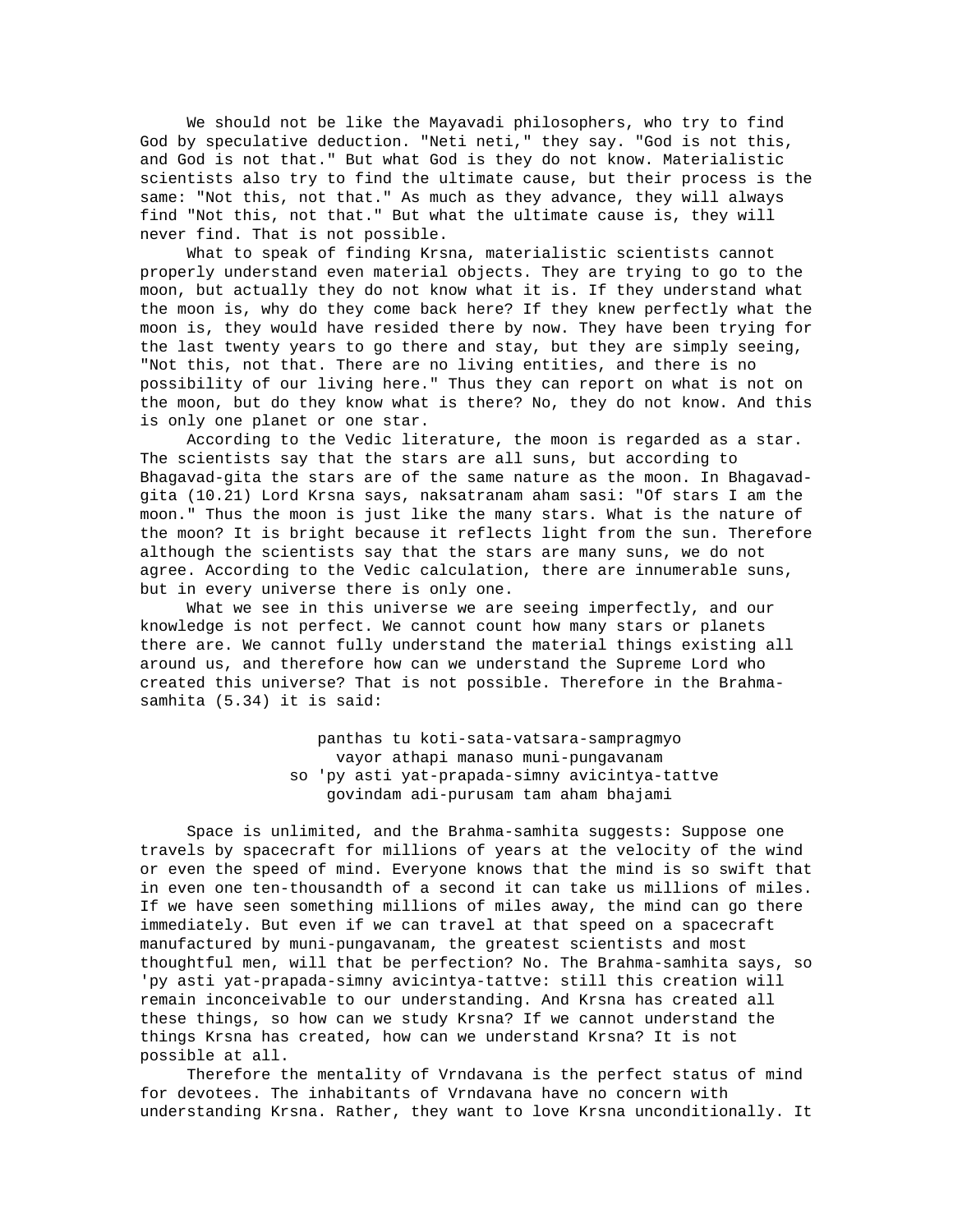We should not be like the Mayavadi philosophers, who try to find God by speculative deduction. "Neti neti," they say. "God is not this, and God is not that." But what God is they do not know. Materialistic scientists also try to find the ultimate cause, but their process is the same: "Not this, not that." As much as they advance, they will always find "Not this, not that." But what the ultimate cause is, they will never find. That is not possible.

 What to speak of finding Krsna, materialistic scientists cannot properly understand even material objects. They are trying to go to the moon, but actually they do not know what it is. If they understand what the moon is, why do they come back here? If they knew perfectly what the moon is, they would have resided there by now. They have been trying for the last twenty years to go there and stay, but they are simply seeing, "Not this, not that. There are no living entities, and there is no possibility of our living here." Thus they can report on what is not on the moon, but do they know what is there? No, they do not know. And this is only one planet or one star.

 According to the Vedic literature, the moon is regarded as a star. The scientists say that the stars are all suns, but according to Bhagavad-gita the stars are of the same nature as the moon. In Bhagavadgita (10.21) Lord Krsna says, naksatranam aham sasi: "Of stars I am the moon." Thus the moon is just like the many stars. What is the nature of the moon? It is bright because it reflects light from the sun. Therefore although the scientists say that the stars are many suns, we do not agree. According to the Vedic calculation, there are innumerable suns, but in every universe there is only one.

 What we see in this universe we are seeing imperfectly, and our knowledge is not perfect. We cannot count how many stars or planets there are. We cannot fully understand the material things existing all around us, and therefore how can we understand the Supreme Lord who created this universe? That is not possible. Therefore in the Brahmasamhita (5.34) it is said:

> panthas tu koti-sata-vatsara-sampragmyo vayor athapi manaso muni-pungavanam so 'py asti yat-prapada-simny avicintya-tattve govindam adi-purusam tam aham bhajami

 Space is unlimited, and the Brahma-samhita suggests: Suppose one travels by spacecraft for millions of years at the velocity of the wind or even the speed of mind. Everyone knows that the mind is so swift that in even one ten-thousandth of a second it can take us millions of miles. If we have seen something millions of miles away, the mind can go there immediately. But even if we can travel at that speed on a spacecraft manufactured by muni-pungavanam, the greatest scientists and most thoughtful men, will that be perfection? No. The Brahma-samhita says, so 'py asti yat-prapada-simny avicintya-tattve: still this creation will remain inconceivable to our understanding. And Krsna has created all these things, so how can we study Krsna? If we cannot understand the things Krsna has created, how can we understand Krsna? It is not possible at all.

 Therefore the mentality of Vrndavana is the perfect status of mind for devotees. The inhabitants of Vrndavana have no concern with understanding Krsna. Rather, they want to love Krsna unconditionally. It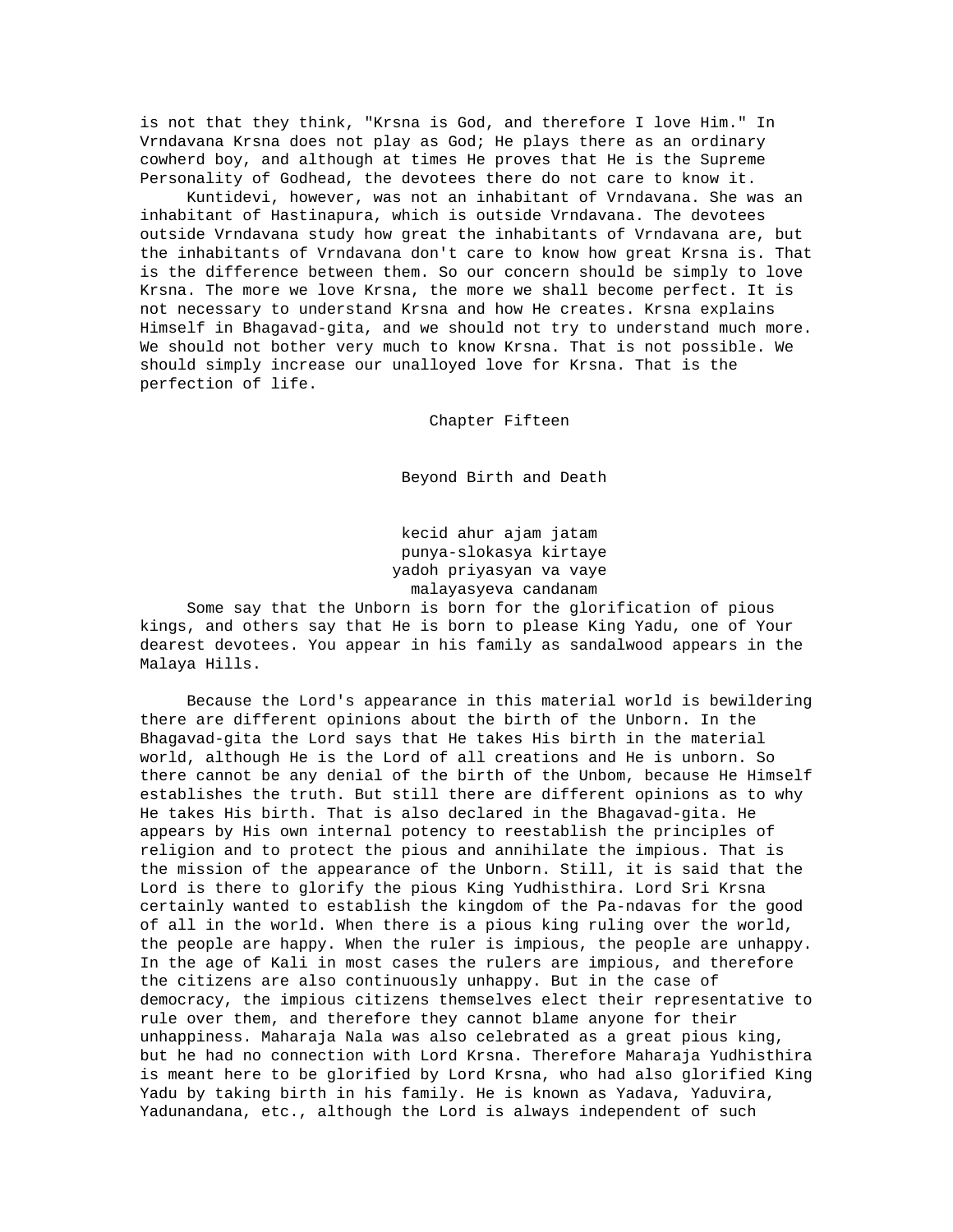is not that they think, "Krsna is God, and therefore I love Him." In Vrndavana Krsna does not play as God; He plays there as an ordinary cowherd boy, and although at times He proves that He is the Supreme Personality of Godhead, the devotees there do not care to know it.

 Kuntidevi, however, was not an inhabitant of Vrndavana. She was an inhabitant of Hastinapura, which is outside Vrndavana. The devotees outside Vrndavana study how great the inhabitants of Vrndavana are, but the inhabitants of Vrndavana don't care to know how great Krsna is. That is the difference between them. So our concern should be simply to love Krsna. The more we love Krsna, the more we shall become perfect. It is not necessary to understand Krsna and how He creates. Krsna explains Himself in Bhagavad-gita, and we should not try to understand much more. We should not bother very much to know Krsna. That is not possible. We should simply increase our unalloyed love for Krsna. That is the perfection of life.

Chapter Fifteen

Beyond Birth and Death

 kecid ahur ajam jatam punya-slokasya kirtaye yadoh priyasyan va vaye malayasyeva candanam

 Some say that the Unborn is born for the glorification of pious kings, and others say that He is born to please King Yadu, one of Your dearest devotees. You appear in his family as sandalwood appears in the Malaya Hills.

 Because the Lord's appearance in this material world is bewildering there are different opinions about the birth of the Unborn. In the Bhagavad-gita the Lord says that He takes His birth in the material world, although He is the Lord of all creations and He is unborn. So there cannot be any denial of the birth of the Unbom, because He Himself establishes the truth. But still there are different opinions as to why He takes His birth. That is also declared in the Bhagavad-gita. He appears by His own internal potency to reestablish the principles of religion and to protect the pious and annihilate the impious. That is the mission of the appearance of the Unborn. Still, it is said that the Lord is there to glorify the pious King Yudhisthira. Lord Sri Krsna certainly wanted to establish the kingdom of the Pa-ndavas for the good of all in the world. When there is a pious king ruling over the world, the people are happy. When the ruler is impious, the people are unhappy. In the age of Kali in most cases the rulers are impious, and therefore the citizens are also continuously unhappy. But in the case of democracy, the impious citizens themselves elect their representative to rule over them, and therefore they cannot blame anyone for their unhappiness. Maharaja Nala was also celebrated as a great pious king, but he had no connection with Lord Krsna. Therefore Maharaja Yudhisthira is meant here to be glorified by Lord Krsna, who had also glorified King Yadu by taking birth in his family. He is known as Yadava, Yaduvira, Yadunandana, etc., although the Lord is always independent of such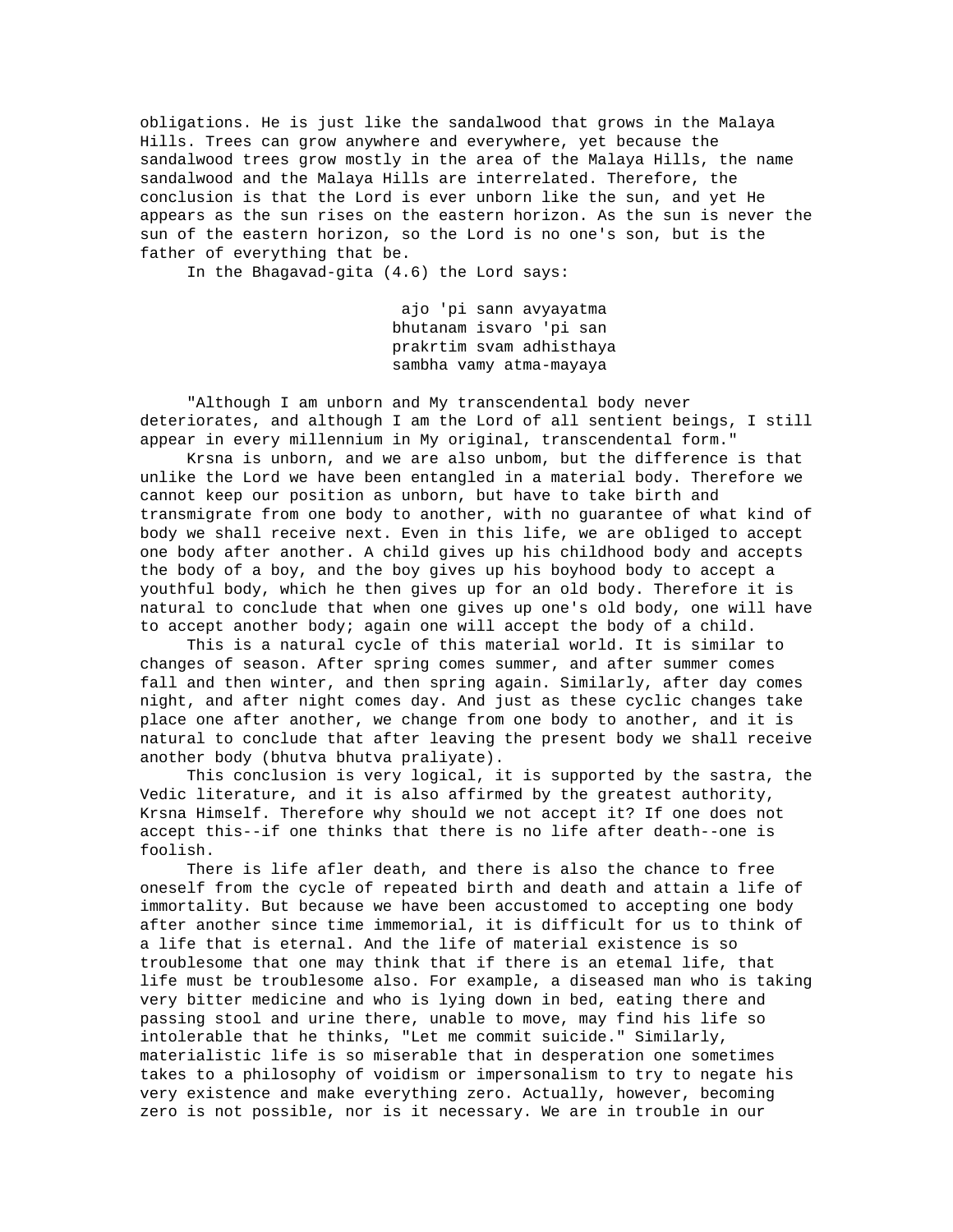obligations. He is just like the sandalwood that grows in the Malaya Hills. Trees can grow anywhere and everywhere, yet because the sandalwood trees grow mostly in the area of the Malaya Hills, the name sandalwood and the Malaya Hills are interrelated. Therefore, the conclusion is that the Lord is ever unborn like the sun, and yet He appears as the sun rises on the eastern horizon. As the sun is never the sun of the eastern horizon, so the Lord is no one's son, but is the father of everything that be.

In the Bhagavad-gita (4.6) the Lord says:

 ajo 'pi sann avyayatma bhutanam isvaro 'pi san prakrtim svam adhisthaya sambha vamy atma-mayaya

 "Although I am unborn and My transcendental body never deteriorates, and although I am the Lord of all sentient beings, I still appear in every millennium in My original, transcendental form."

 Krsna is unborn, and we are also unbom, but the difference is that unlike the Lord we have been entangled in a material body. Therefore we cannot keep our position as unborn, but have to take birth and transmigrate from one body to another, with no guarantee of what kind of body we shall receive next. Even in this life, we are obliged to accept one body after another. A child gives up his childhood body and accepts the body of a boy, and the boy gives up his boyhood body to accept a youthful body, which he then gives up for an old body. Therefore it is natural to conclude that when one gives up one's old body, one will have to accept another body; again one will accept the body of a child.

 This is a natural cycle of this material world. It is similar to changes of season. After spring comes summer, and after summer comes fall and then winter, and then spring again. Similarly, after day comes night, and after night comes day. And just as these cyclic changes take place one after another, we change from one body to another, and it is natural to conclude that after leaving the present body we shall receive another body (bhutva bhutva praliyate).

 This conclusion is very logical, it is supported by the sastra, the Vedic literature, and it is also affirmed by the greatest authority, Krsna Himself. Therefore why should we not accept it? If one does not accept this--if one thinks that there is no life after death--one is foolish.

 There is life afler death, and there is also the chance to free oneself from the cycle of repeated birth and death and attain a life of immortality. But because we have been accustomed to accepting one body after another since time immemorial, it is difficult for us to think of a life that is eternal. And the life of material existence is so troublesome that one may think that if there is an etemal life, that life must be troublesome also. For example, a diseased man who is taking very bitter medicine and who is lying down in bed, eating there and passing stool and urine there, unable to move, may find his life so intolerable that he thinks, "Let me commit suicide." Similarly, materialistic life is so miserable that in desperation one sometimes takes to a philosophy of voidism or impersonalism to try to negate his very existence and make everything zero. Actually, however, becoming zero is not possible, nor is it necessary. We are in trouble in our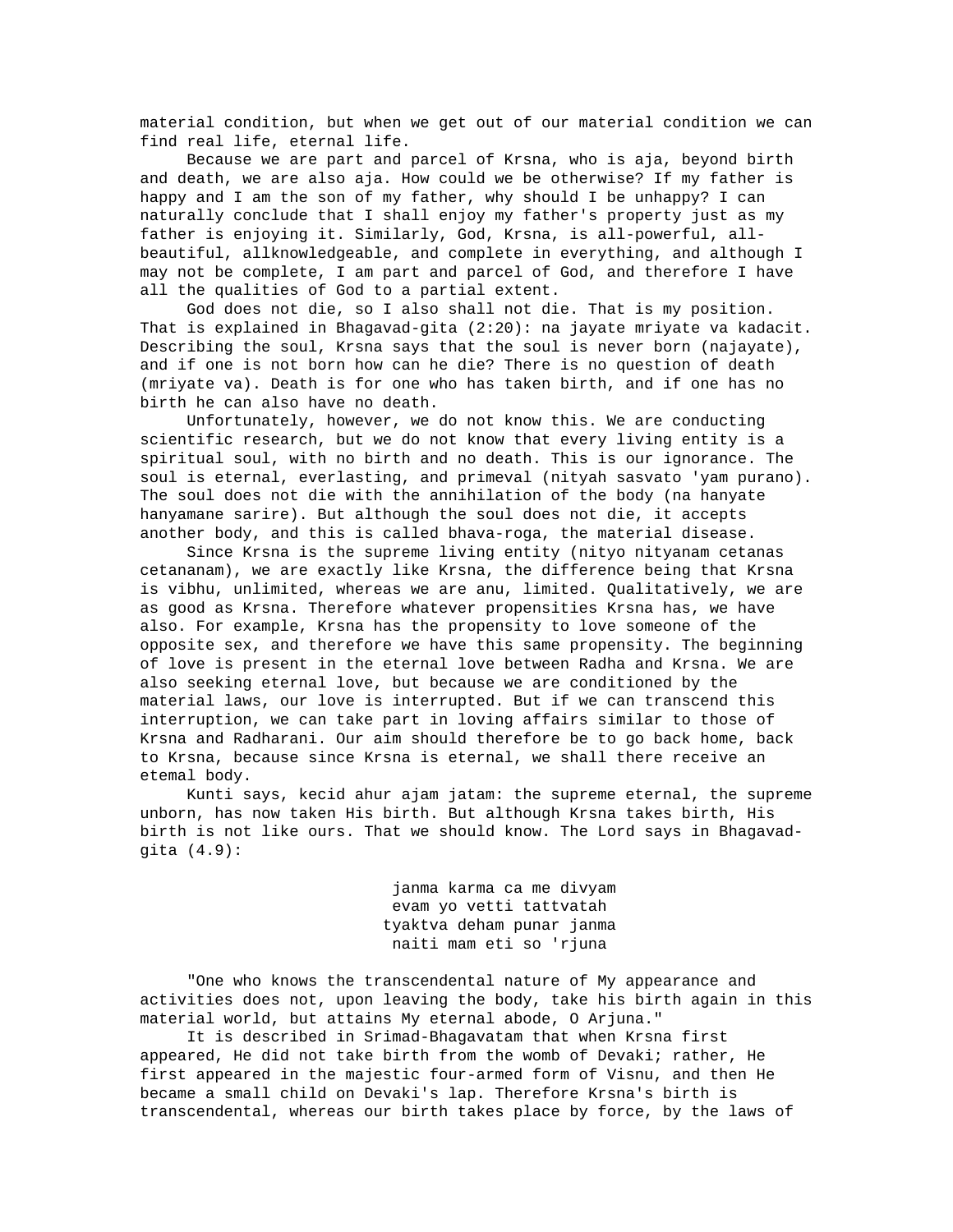material condition, but when we get out of our material condition we can find real life, eternal life.

 Because we are part and parcel of Krsna, who is aja, beyond birth and death, we are also aja. How could we be otherwise? If my father is happy and I am the son of my father, why should I be unhappy? I can naturally conclude that I shall enjoy my father's property just as my father is enjoying it. Similarly, God, Krsna, is all-powerful, allbeautiful, allknowledgeable, and complete in everything, and although I may not be complete, I am part and parcel of God, and therefore I have all the qualities of God to a partial extent.

 God does not die, so I also shall not die. That is my position. That is explained in Bhagavad-gita (2:20): na jayate mriyate va kadacit. Describing the soul, Krsna says that the soul is never born (najayate), and if one is not born how can he die? There is no question of death (mriyate va). Death is for one who has taken birth, and if one has no birth he can also have no death.

 Unfortunately, however, we do not know this. We are conducting scientific research, but we do not know that every living entity is a spiritual soul, with no birth and no death. This is our ignorance. The soul is eternal, everlasting, and primeval (nityah sasvato 'yam purano). The soul does not die with the annihilation of the body (na hanyate hanyamane sarire). But although the soul does not die, it accepts another body, and this is called bhava-roga, the material disease.

 Since Krsna is the supreme living entity (nityo nityanam cetanas cetananam), we are exactly like Krsna, the difference being that Krsna is vibhu, unlimited, whereas we are anu, limited. Qualitatively, we are as good as Krsna. Therefore whatever propensities Krsna has, we have also. For example, Krsna has the propensity to love someone of the opposite sex, and therefore we have this same propensity. The beginning of love is present in the eternal love between Radha and Krsna. We are also seeking eternal love, but because we are conditioned by the material laws, our love is interrupted. But if we can transcend this interruption, we can take part in loving affairs similar to those of Krsna and Radharani. Our aim should therefore be to go back home, back to Krsna, because since Krsna is eternal, we shall there receive an etemal body.

 Kunti says, kecid ahur ajam jatam: the supreme eternal, the supreme unborn, has now taken His birth. But although Krsna takes birth, His birth is not like ours. That we should know. The Lord says in Bhagavadgita (4.9):

> janma karma ca me divyam evam yo vetti tattvatah tyaktva deham punar janma naiti mam eti so 'rjuna

 "One who knows the transcendental nature of My appearance and activities does not, upon leaving the body, take his birth again in this material world, but attains My eternal abode, O Arjuna."

 It is described in Srimad-Bhagavatam that when Krsna first appeared, He did not take birth from the womb of Devaki; rather, He first appeared in the majestic four-armed form of Visnu, and then He became a small child on Devaki's lap. Therefore Krsna's birth is transcendental, whereas our birth takes place by force, by the laws of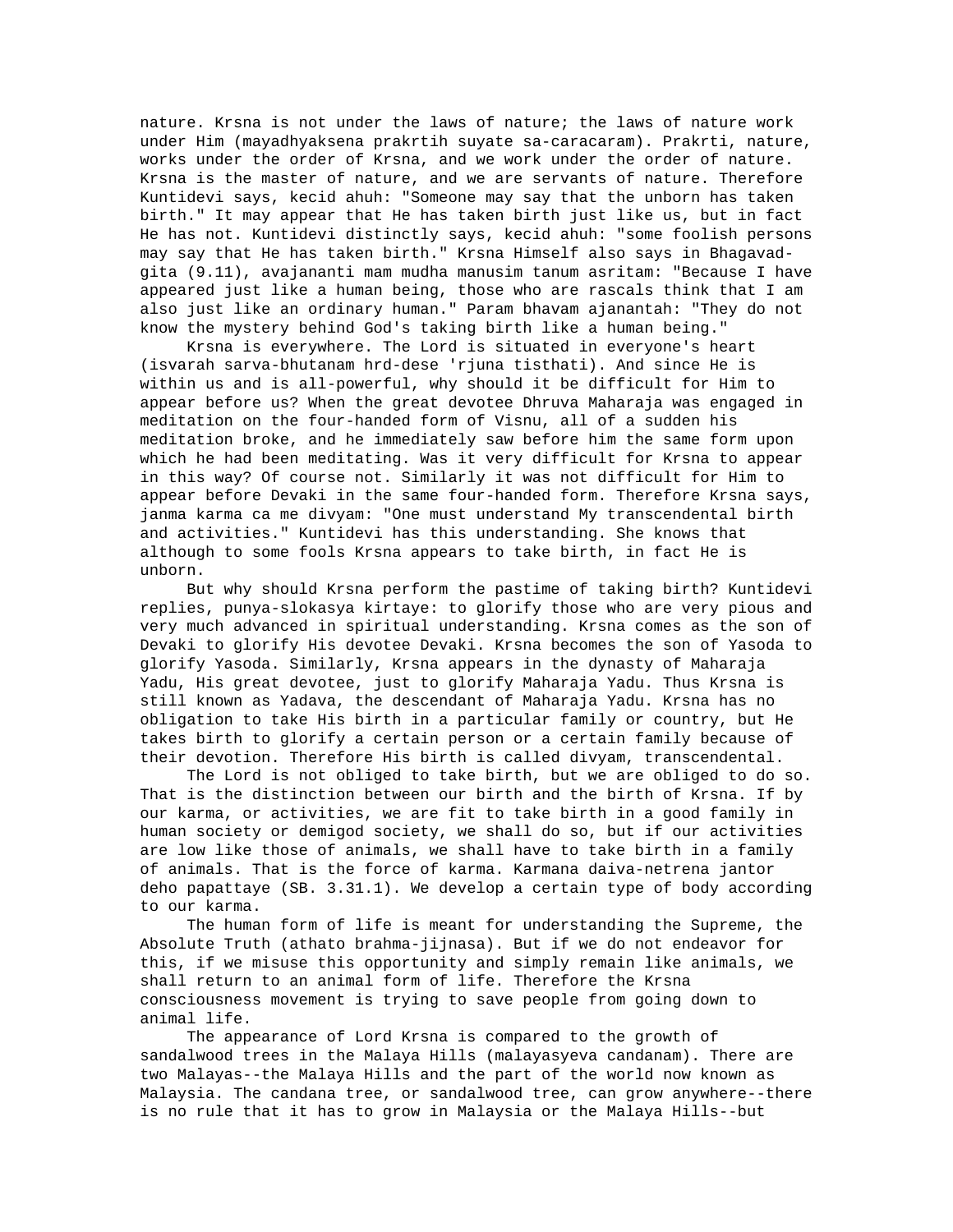nature. Krsna is not under the laws of nature; the laws of nature work under Him (mayadhyaksena prakrtih suyate sa-caracaram). Prakrti, nature, works under the order of Krsna, and we work under the order of nature. Krsna is the master of nature, and we are servants of nature. Therefore Kuntidevi says, kecid ahuh: "Someone may say that the unborn has taken birth." It may appear that He has taken birth just like us, but in fact He has not. Kuntidevi distinctly says, kecid ahuh: "some foolish persons may say that He has taken birth." Krsna Himself also says in Bhagavadgita (9.11), avajananti mam mudha manusim tanum asritam: "Because I have appeared just like a human being, those who are rascals think that I am also just like an ordinary human." Param bhavam ajanantah: "They do not know the mystery behind God's taking birth like a human being."

 Krsna is everywhere. The Lord is situated in everyone's heart (isvarah sarva-bhutanam hrd-dese 'rjuna tisthati). And since He is within us and is all-powerful, why should it be difficult for Him to appear before us? When the great devotee Dhruva Maharaja was engaged in meditation on the four-handed form of Visnu, all of a sudden his meditation broke, and he immediately saw before him the same form upon which he had been meditating. Was it very difficult for Krsna to appear in this way? Of course not. Similarly it was not difficult for Him to appear before Devaki in the same four-handed form. Therefore Krsna says, janma karma ca me divyam: "One must understand My transcendental birth and activities." Kuntidevi has this understanding. She knows that although to some fools Krsna appears to take birth, in fact He is unborn.

 But why should Krsna perform the pastime of taking birth? Kuntidevi replies, punya-slokasya kirtaye: to glorify those who are very pious and very much advanced in spiritual understanding. Krsna comes as the son of Devaki to glorify His devotee Devaki. Krsna becomes the son of Yasoda to glorify Yasoda. Similarly, Krsna appears in the dynasty of Maharaja Yadu, His great devotee, just to glorify Maharaja Yadu. Thus Krsna is still known as Yadava, the descendant of Maharaja Yadu. Krsna has no obligation to take His birth in a particular family or country, but He takes birth to glorify a certain person or a certain family because of their devotion. Therefore His birth is called divyam, transcendental.

 The Lord is not obliged to take birth, but we are obliged to do so. That is the distinction between our birth and the birth of Krsna. If by our karma, or activities, we are fit to take birth in a good family in human society or demigod society, we shall do so, but if our activities are low like those of animals, we shall have to take birth in a family of animals. That is the force of karma. Karmana daiva-netrena jantor deho papattaye (SB. 3.31.1). We develop a certain type of body according to our karma.

 The human form of life is meant for understanding the Supreme, the Absolute Truth (athato brahma-jijnasa). But if we do not endeavor for this, if we misuse this opportunity and simply remain like animals, we shall return to an animal form of life. Therefore the Krsna consciousness movement is trying to save people from going down to animal life.

 The appearance of Lord Krsna is compared to the growth of sandalwood trees in the Malaya Hills (malayasyeva candanam). There are two Malayas--the Malaya Hills and the part of the world now known as Malaysia. The candana tree, or sandalwood tree, can grow anywhere--there is no rule that it has to grow in Malaysia or the Malaya Hills--but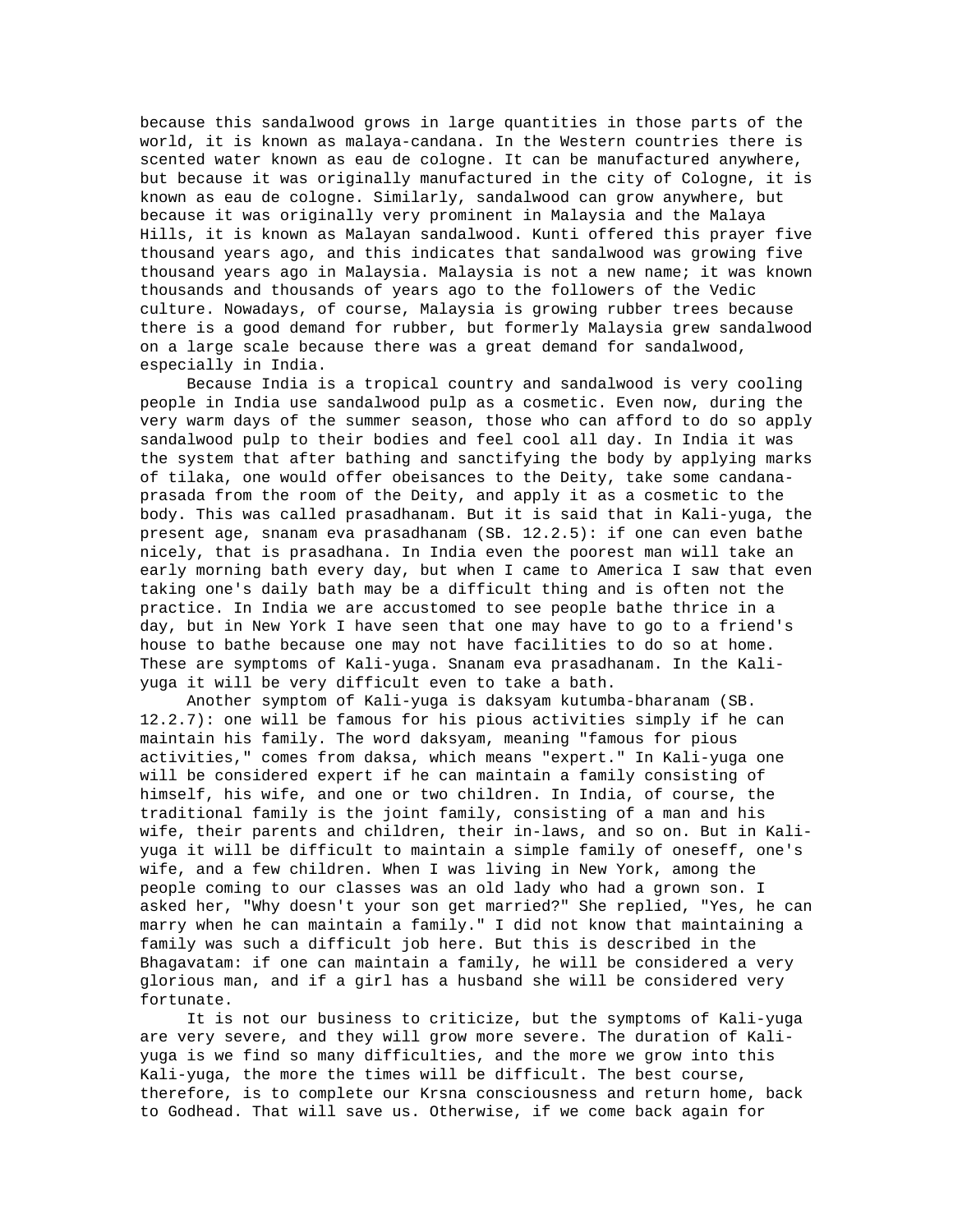because this sandalwood grows in large quantities in those parts of the world, it is known as malaya-candana. In the Western countries there is scented water known as eau de cologne. It can be manufactured anywhere, but because it was originally manufactured in the city of Cologne, it is known as eau de cologne. Similarly, sandalwood can grow anywhere, but because it was originally very prominent in Malaysia and the Malaya Hills, it is known as Malayan sandalwood. Kunti offered this prayer five thousand years ago, and this indicates that sandalwood was growing five thousand years ago in Malaysia. Malaysia is not a new name; it was known thousands and thousands of years ago to the followers of the Vedic culture. Nowadays, of course, Malaysia is growing rubber trees because there is a good demand for rubber, but formerly Malaysia grew sandalwood on a large scale because there was a great demand for sandalwood, especially in India.

 Because India is a tropical country and sandalwood is very cooling people in India use sandalwood pulp as a cosmetic. Even now, during the very warm days of the summer season, those who can afford to do so apply sandalwood pulp to their bodies and feel cool all day. In India it was the system that after bathing and sanctifying the body by applying marks of tilaka, one would offer obeisances to the Deity, take some candanaprasada from the room of the Deity, and apply it as a cosmetic to the body. This was called prasadhanam. But it is said that in Kali-yuga, the present age, snanam eva prasadhanam (SB. 12.2.5): if one can even bathe nicely, that is prasadhana. In India even the poorest man will take an early morning bath every day, but when I came to America I saw that even taking one's daily bath may be a difficult thing and is often not the practice. In India we are accustomed to see people bathe thrice in a day, but in New York I have seen that one may have to go to a friend's house to bathe because one may not have facilities to do so at home. These are symptoms of Kali-yuga. Snanam eva prasadhanam. In the Kaliyuga it will be very difficult even to take a bath.

 Another symptom of Kali-yuga is daksyam kutumba-bharanam (SB. 12.2.7): one will be famous for his pious activities simply if he can maintain his family. The word daksyam, meaning "famous for pious activities," comes from daksa, which means "expert." In Kali-yuga one will be considered expert if he can maintain a family consisting of himself, his wife, and one or two children. In India, of course, the traditional family is the joint family, consisting of a man and his wife, their parents and children, their in-laws, and so on. But in Kaliyuga it will be difficult to maintain a simple family of oneseff, one's wife, and a few children. When I was living in New York, among the people coming to our classes was an old lady who had a grown son. I asked her, "Why doesn't your son get married?" She replied, "Yes, he can marry when he can maintain a family." I did not know that maintaining a family was such a difficult job here. But this is described in the Bhagavatam: if one can maintain a family, he will be considered a very glorious man, and if a girl has a husband she will be considered very fortunate.

 It is not our business to criticize, but the symptoms of Kali-yuga are very severe, and they will grow more severe. The duration of Kaliyuga is we find so many difficulties, and the more we grow into this Kali-yuga, the more the times will be difficult. The best course, therefore, is to complete our Krsna consciousness and return home, back to Godhead. That will save us. Otherwise, if we come back again for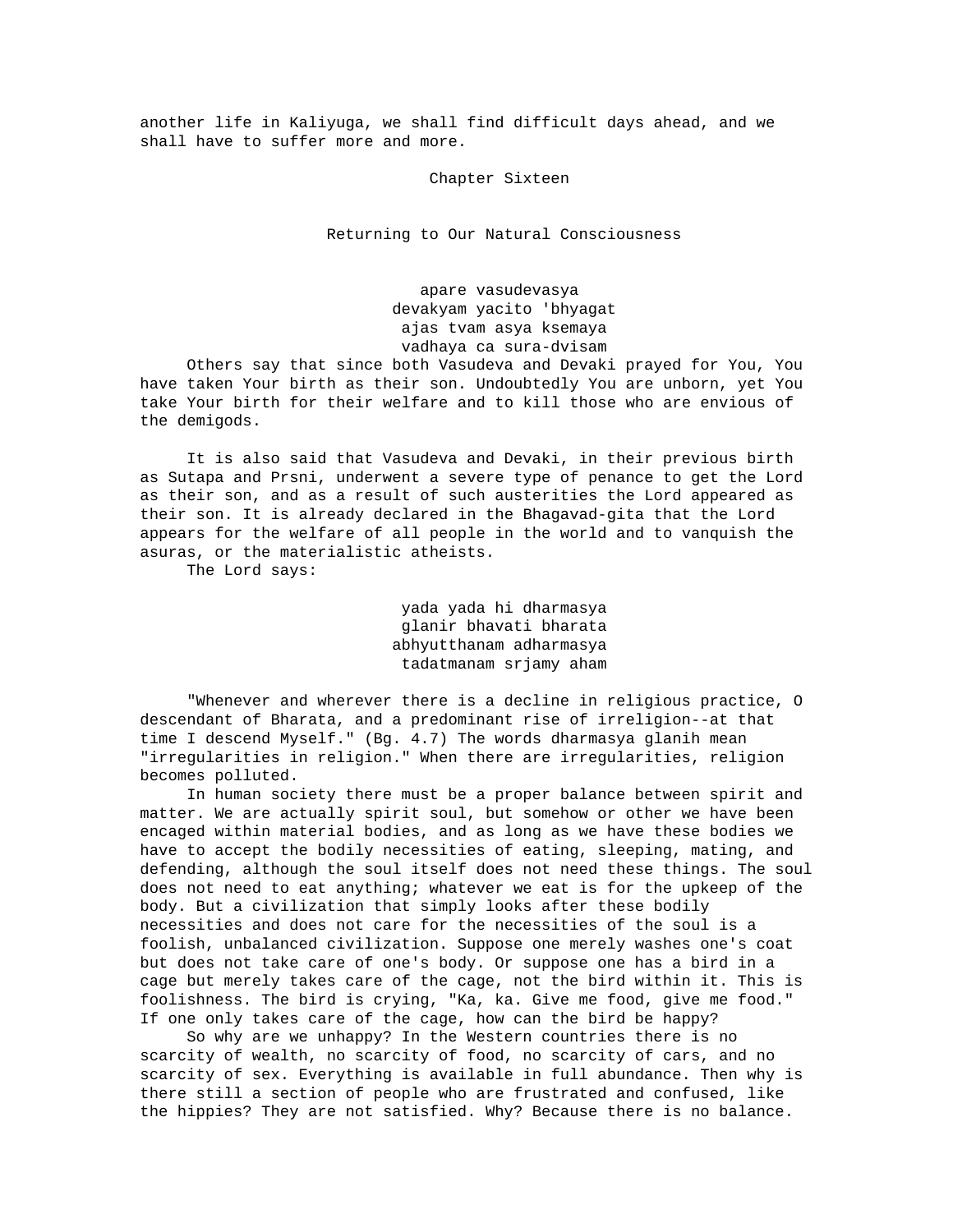another life in Kaliyuga, we shall find difficult days ahead, and we shall have to suffer more and more.

Chapter Sixteen

Returning to Our Natural Consciousness

 apare vasudevasya devakyam yacito 'bhyagat ajas tvam asya ksemaya vadhaya ca sura-dvisam

 Others say that since both Vasudeva and Devaki prayed for You, You have taken Your birth as their son. Undoubtedly You are unborn, yet You take Your birth for their welfare and to kill those who are envious of the demigods.

 It is also said that Vasudeva and Devaki, in their previous birth as Sutapa and Prsni, underwent a severe type of penance to get the Lord as their son, and as a result of such austerities the Lord appeared as their son. It is already declared in the Bhagavad-gita that the Lord appears for the welfare of all people in the world and to vanquish the asuras, or the materialistic atheists.

The Lord says:

 yada yada hi dharmasya glanir bhavati bharata abhyutthanam adharmasya tadatmanam srjamy aham

 "Whenever and wherever there is a decline in religious practice, O descendant of Bharata, and a predominant rise of irreligion--at that time I descend Myself." (Bg. 4.7) The words dharmasya glanih mean "irregularities in religion." When there are irregularities, religion becomes polluted.

 In human society there must be a proper balance between spirit and matter. We are actually spirit soul, but somehow or other we have been encaged within material bodies, and as long as we have these bodies we have to accept the bodily necessities of eating, sleeping, mating, and defending, although the soul itself does not need these things. The soul does not need to eat anything; whatever we eat is for the upkeep of the body. But a civilization that simply looks after these bodily necessities and does not care for the necessities of the soul is a foolish, unbalanced civilization. Suppose one merely washes one's coat but does not take care of one's body. Or suppose one has a bird in a cage but merely takes care of the cage, not the bird within it. This is foolishness. The bird is crying, "Ka, ka. Give me food, give me food." If one only takes care of the cage, how can the bird be happy?

 So why are we unhappy? In the Western countries there is no scarcity of wealth, no scarcity of food, no scarcity of cars, and no scarcity of sex. Everything is available in full abundance. Then why is there still a section of people who are frustrated and confused, like the hippies? They are not satisfied. Why? Because there is no balance.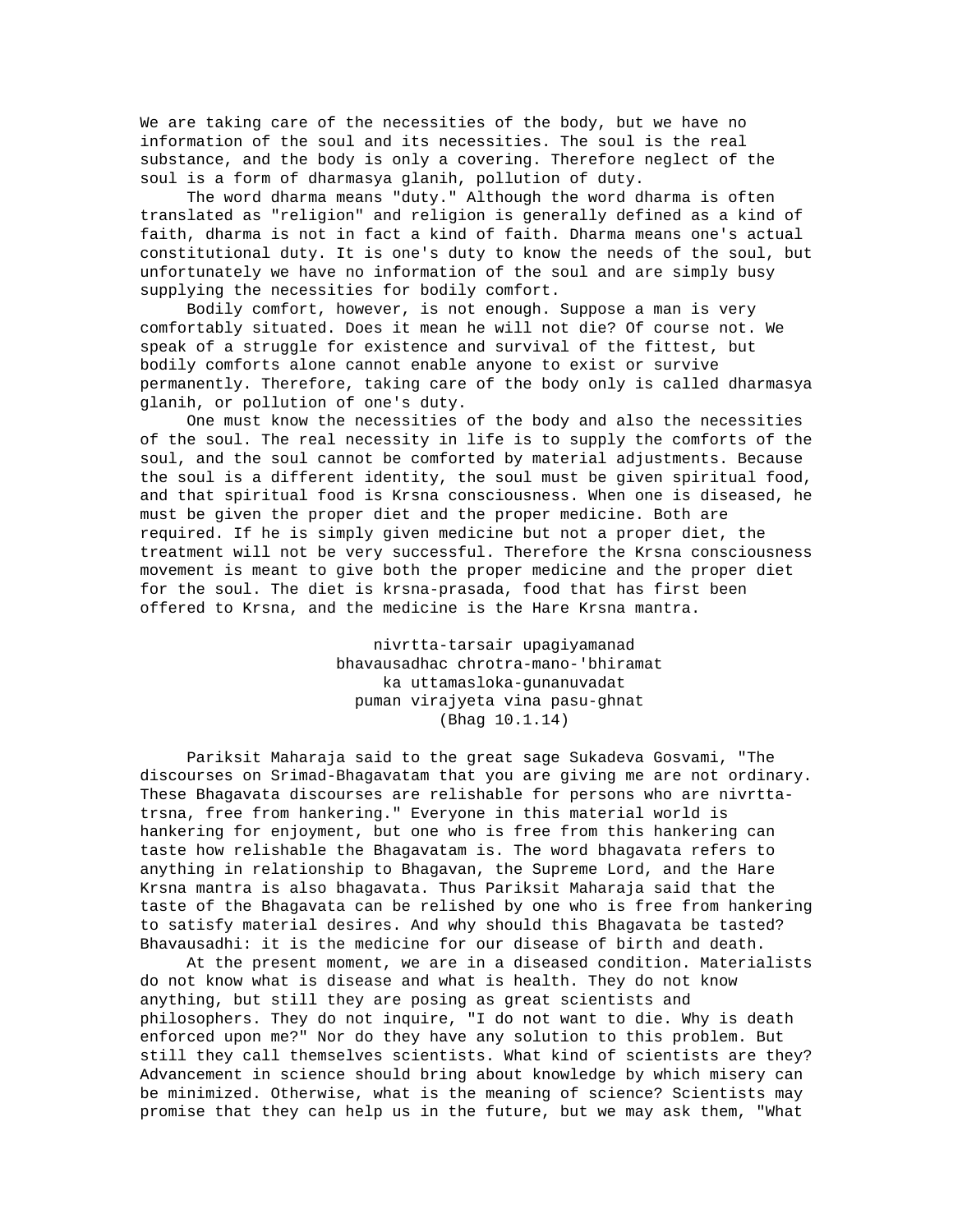We are taking care of the necessities of the body, but we have no information of the soul and its necessities. The soul is the real substance, and the body is only a covering. Therefore neglect of the soul is a form of dharmasya glanih, pollution of duty.

 The word dharma means "duty." Although the word dharma is often translated as "religion" and religion is generally defined as a kind of faith, dharma is not in fact a kind of faith. Dharma means one's actual constitutional duty. It is one's duty to know the needs of the soul, but unfortunately we have no information of the soul and are simply busy supplying the necessities for bodily comfort.

 Bodily comfort, however, is not enough. Suppose a man is very comfortably situated. Does it mean he will not die? Of course not. We speak of a struggle for existence and survival of the fittest, but bodily comforts alone cannot enable anyone to exist or survive permanently. Therefore, taking care of the body only is called dharmasya glanih, or pollution of one's duty.

 One must know the necessities of the body and also the necessities of the soul. The real necessity in life is to supply the comforts of the soul, and the soul cannot be comforted by material adjustments. Because the soul is a different identity, the soul must be given spiritual food, and that spiritual food is Krsna consciousness. When one is diseased, he must be given the proper diet and the proper medicine. Both are required. If he is simply given medicine but not a proper diet, the treatment will not be very successful. Therefore the Krsna consciousness movement is meant to give both the proper medicine and the proper diet for the soul. The diet is krsna-prasada, food that has first been offered to Krsna, and the medicine is the Hare Krsna mantra.

> nivrtta-tarsair upagiyamanad bhavausadhac chrotra-mano-'bhiramat ka uttamasloka-gunanuvadat puman virajyeta vina pasu-ghnat (Bhag 10.1.14)

 Pariksit Maharaja said to the great sage Sukadeva Gosvami, "The discourses on Srimad-Bhagavatam that you are giving me are not ordinary. These Bhagavata discourses are relishable for persons who are nivrttatrsna, free from hankering." Everyone in this material world is hankering for enjoyment, but one who is free from this hankering can taste how relishable the Bhagavatam is. The word bhagavata refers to anything in relationship to Bhagavan, the Supreme Lord, and the Hare Krsna mantra is also bhagavata. Thus Pariksit Maharaja said that the taste of the Bhagavata can be relished by one who is free from hankering to satisfy material desires. And why should this Bhagavata be tasted? Bhavausadhi: it is the medicine for our disease of birth and death.

 At the present moment, we are in a diseased condition. Materialists do not know what is disease and what is health. They do not know anything, but still they are posing as great scientists and philosophers. They do not inquire, "I do not want to die. Why is death enforced upon me?" Nor do they have any solution to this problem. But still they call themselves scientists. What kind of scientists are they? Advancement in science should bring about knowledge by which misery can be minimized. Otherwise, what is the meaning of science? Scientists may promise that they can help us in the future, but we may ask them, "What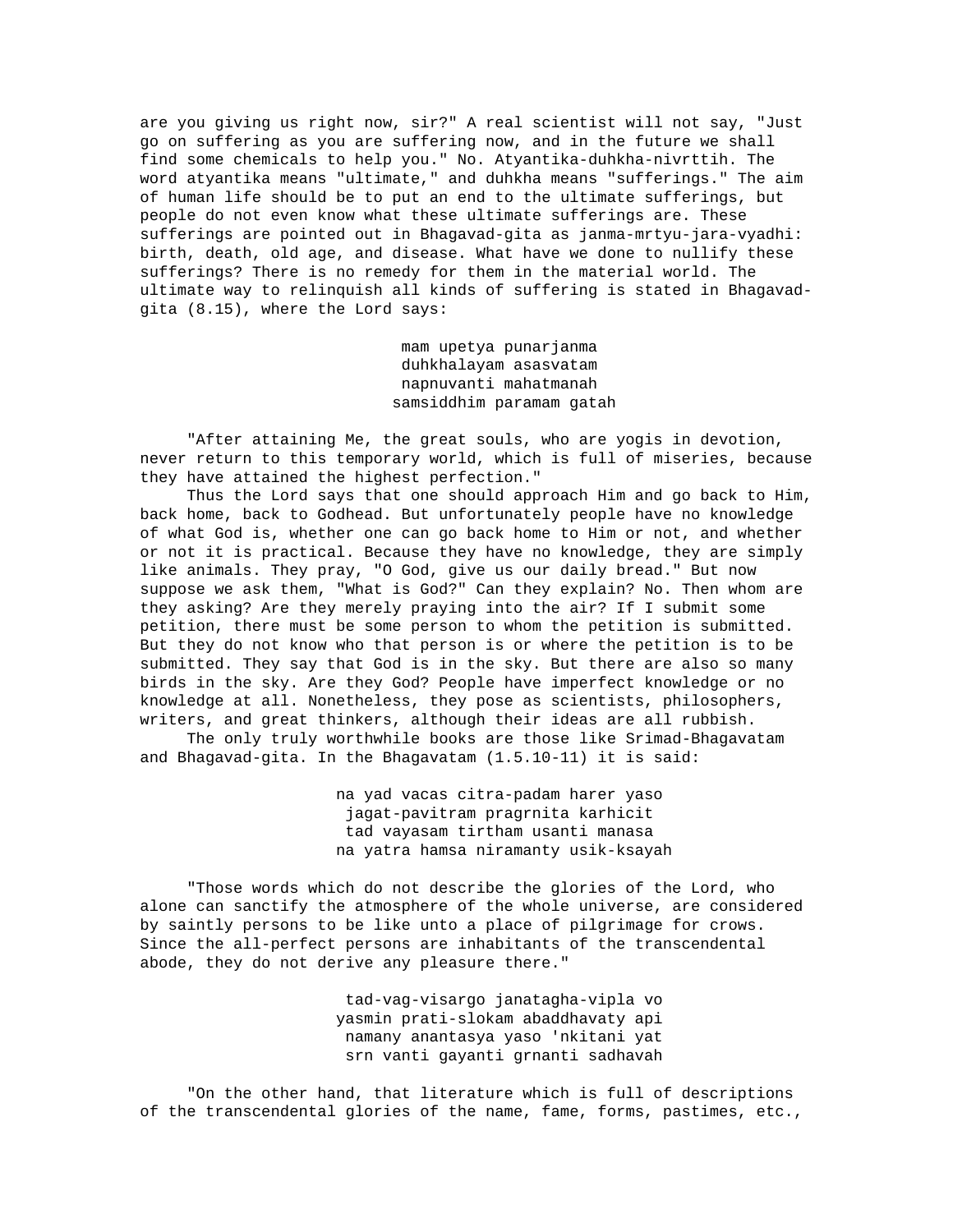are you giving us right now, sir?" A real scientist will not say, "Just go on suffering as you are suffering now, and in the future we shall find some chemicals to help you." No. Atyantika-duhkha-nivrttih. The word atyantika means "ultimate," and duhkha means "sufferings." The aim of human life should be to put an end to the ultimate sufferings, but people do not even know what these ultimate sufferings are. These sufferings are pointed out in Bhagavad-gita as janma-mrtyu-jara-vyadhi: birth, death, old age, and disease. What have we done to nullify these sufferings? There is no remedy for them in the material world. The ultimate way to relinquish all kinds of suffering is stated in Bhagavadgita (8.15), where the Lord says:

> mam upetya punarjanma duhkhalayam asasvatam napnuvanti mahatmanah samsiddhim paramam gatah

 "After attaining Me, the great souls, who are yogis in devotion, never return to this temporary world, which is full of miseries, because they have attained the highest perfection."

 Thus the Lord says that one should approach Him and go back to Him, back home, back to Godhead. But unfortunately people have no knowledge of what God is, whether one can go back home to Him or not, and whether or not it is practical. Because they have no knowledge, they are simply like animals. They pray, "O God, give us our daily bread." But now suppose we ask them, "What is God?" Can they explain? No. Then whom are they asking? Are they merely praying into the air? If I submit some petition, there must be some person to whom the petition is submitted. But they do not know who that person is or where the petition is to be submitted. They say that God is in the sky. But there are also so many birds in the sky. Are they God? People have imperfect knowledge or no knowledge at all. Nonetheless, they pose as scientists, philosophers, writers, and great thinkers, although their ideas are all rubbish.

 The only truly worthwhile books are those like Srimad-Bhagavatam and Bhagavad-gita. In the Bhagavatam (1.5.10-11) it is said:

> na yad vacas citra-padam harer yaso jagat-pavitram pragrnita karhicit tad vayasam tirtham usanti manasa na yatra hamsa niramanty usik-ksayah

 "Those words which do not describe the glories of the Lord, who alone can sanctify the atmosphere of the whole universe, are considered by saintly persons to be like unto a place of pilgrimage for crows. Since the all-perfect persons are inhabitants of the transcendental abode, they do not derive any pleasure there."

> tad-vag-visargo janatagha-vipla vo yasmin prati-slokam abaddhavaty api namany anantasya yaso 'nkitani yat srn vanti gayanti grnanti sadhavah

 "On the other hand, that literature which is full of descriptions of the transcendental glories of the name, fame, forms, pastimes, etc.,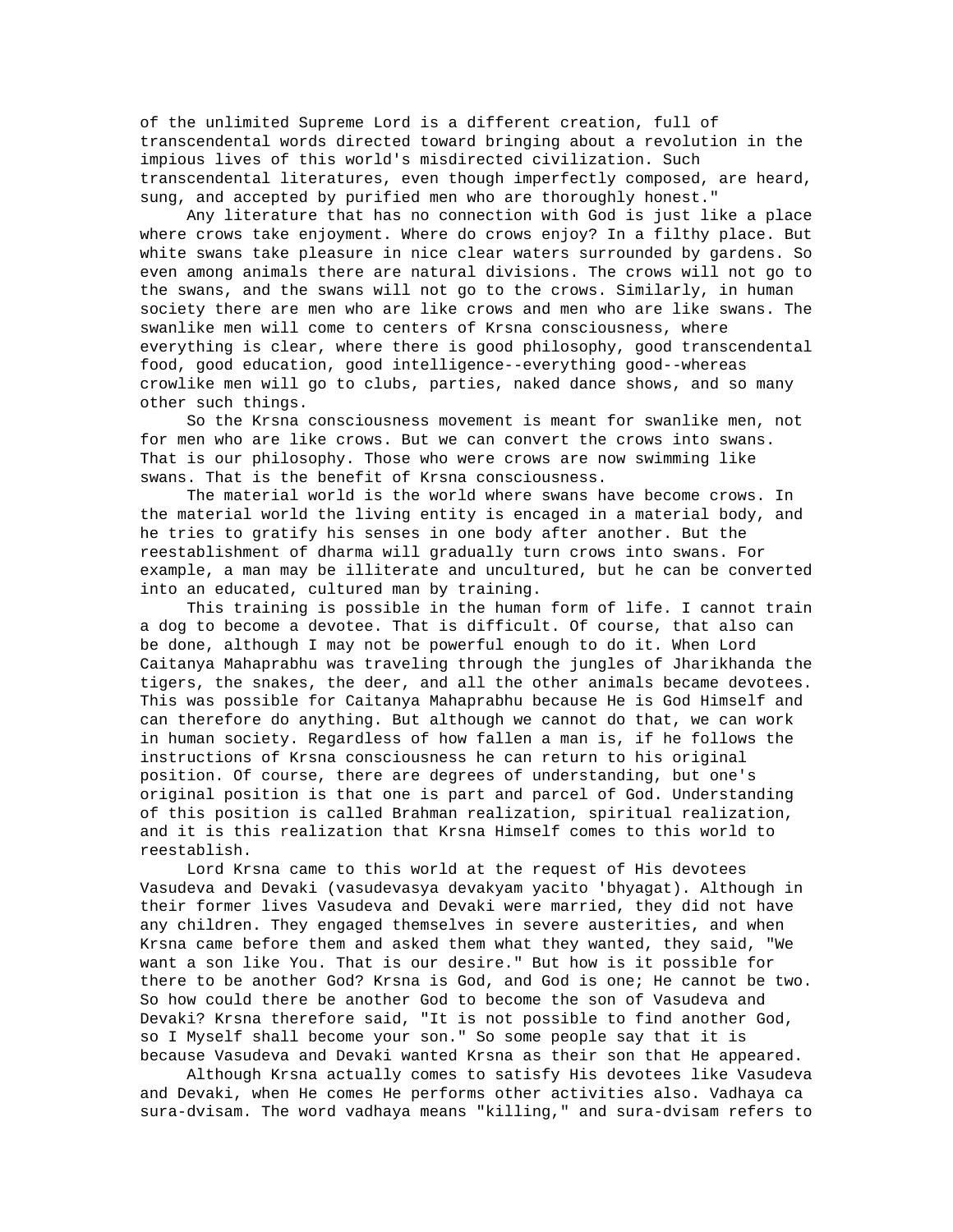of the unlimited Supreme Lord is a different creation, full of transcendental words directed toward bringing about a revolution in the impious lives of this world's misdirected civilization. Such transcendental literatures, even though imperfectly composed, are heard, sung, and accepted by purified men who are thoroughly honest."

 Any literature that has no connection with God is just like a place where crows take enjoyment. Where do crows enjoy? In a filthy place. But white swans take pleasure in nice clear waters surrounded by gardens. So even among animals there are natural divisions. The crows will not go to the swans, and the swans will not go to the crows. Similarly, in human society there are men who are like crows and men who are like swans. The swanlike men will come to centers of Krsna consciousness, where everything is clear, where there is good philosophy, good transcendental food, good education, good intelligence--everything good--whereas crowlike men will go to clubs, parties, naked dance shows, and so many other such things.

 So the Krsna consciousness movement is meant for swanlike men, not for men who are like crows. But we can convert the crows into swans. That is our philosophy. Those who were crows are now swimming like swans. That is the benefit of Krsna consciousness.

 The material world is the world where swans have become crows. In the material world the living entity is encaged in a material body, and he tries to gratify his senses in one body after another. But the reestablishment of dharma will gradually turn crows into swans. For example, a man may be illiterate and uncultured, but he can be converted into an educated, cultured man by training.

 This training is possible in the human form of life. I cannot train a dog to become a devotee. That is difficult. Of course, that also can be done, although I may not be powerful enough to do it. When Lord Caitanya Mahaprabhu was traveling through the jungles of Jharikhanda the tigers, the snakes, the deer, and all the other animals became devotees. This was possible for Caitanya Mahaprabhu because He is God Himself and can therefore do anything. But although we cannot do that, we can work in human society. Regardless of how fallen a man is, if he follows the instructions of Krsna consciousness he can return to his original position. Of course, there are degrees of understanding, but one's original position is that one is part and parcel of God. Understanding of this position is called Brahman realization, spiritual realization, and it is this realization that Krsna Himself comes to this world to reestablish.

 Lord Krsna came to this world at the request of His devotees Vasudeva and Devaki (vasudevasya devakyam yacito 'bhyagat). Although in their former lives Vasudeva and Devaki were married, they did not have any children. They engaged themselves in severe austerities, and when Krsna came before them and asked them what they wanted, they said, "We want a son like You. That is our desire." But how is it possible for there to be another God? Krsna is God, and God is one; He cannot be two. So how could there be another God to become the son of Vasudeva and Devaki? Krsna therefore said, "It is not possible to find another God, so I Myself shall become your son." So some people say that it is because Vasudeva and Devaki wanted Krsna as their son that He appeared.

 Although Krsna actually comes to satisfy His devotees like Vasudeva and Devaki, when He comes He performs other activities also. Vadhaya ca sura-dvisam. The word vadhaya means "killing," and sura-dvisam refers to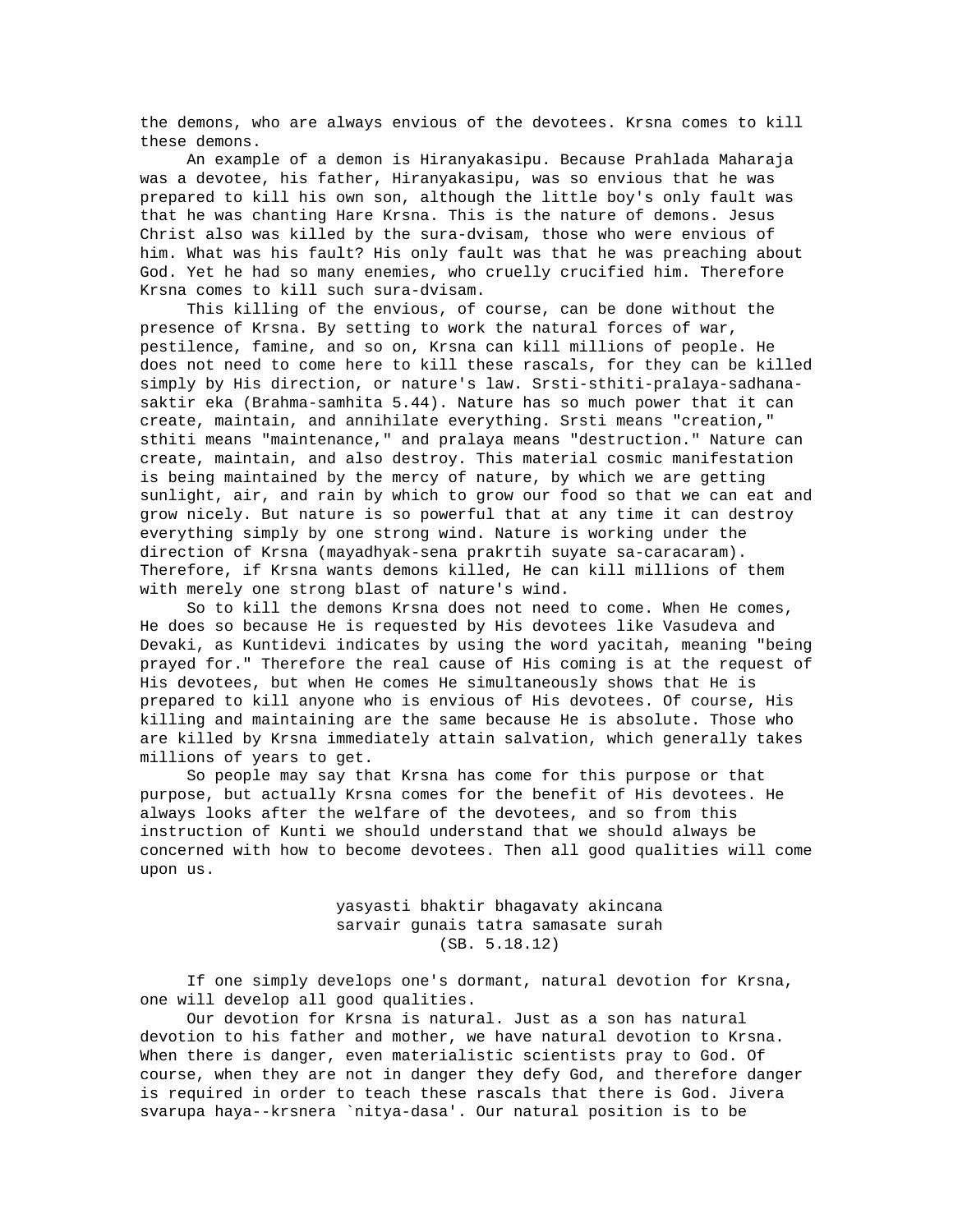the demons, who are always envious of the devotees. Krsna comes to kill these demons.

 An example of a demon is Hiranyakasipu. Because Prahlada Maharaja was a devotee, his father, Hiranyakasipu, was so envious that he was prepared to kill his own son, although the little boy's only fault was that he was chanting Hare Krsna. This is the nature of demons. Jesus Christ also was killed by the sura-dvisam, those who were envious of him. What was his fault? His only fault was that he was preaching about God. Yet he had so many enemies, who cruelly crucified him. Therefore Krsna comes to kill such sura-dvisam.

 This killing of the envious, of course, can be done without the presence of Krsna. By setting to work the natural forces of war, pestilence, famine, and so on, Krsna can kill millions of people. He does not need to come here to kill these rascals, for they can be killed simply by His direction, or nature's law. Srsti-sthiti-pralaya-sadhanasaktir eka (Brahma-samhita 5.44). Nature has so much power that it can create, maintain, and annihilate everything. Srsti means "creation," sthiti means "maintenance," and pralaya means "destruction." Nature can create, maintain, and also destroy. This material cosmic manifestation is being maintained by the mercy of nature, by which we are getting sunlight, air, and rain by which to grow our food so that we can eat and grow nicely. But nature is so powerful that at any time it can destroy everything simply by one strong wind. Nature is working under the direction of Krsna (mayadhyak-sena prakrtih suyate sa-caracaram). Therefore, if Krsna wants demons killed, He can kill millions of them with merely one strong blast of nature's wind.

 So to kill the demons Krsna does not need to come. When He comes, He does so because He is requested by His devotees like Vasudeva and Devaki, as Kuntidevi indicates by using the word yacitah, meaning "being prayed for." Therefore the real cause of His coming is at the request of His devotees, but when He comes He simultaneously shows that He is prepared to kill anyone who is envious of His devotees. Of course, His killing and maintaining are the same because He is absolute. Those who are killed by Krsna immediately attain salvation, which generally takes millions of years to get.

 So people may say that Krsna has come for this purpose or that purpose, but actually Krsna comes for the benefit of His devotees. He always looks after the welfare of the devotees, and so from this instruction of Kunti we should understand that we should always be concerned with how to become devotees. Then all good qualities will come upon us.

> yasyasti bhaktir bhagavaty akincana sarvair gunais tatra samasate surah (SB. 5.18.12)

 If one simply develops one's dormant, natural devotion for Krsna, one will develop all good qualities.

 Our devotion for Krsna is natural. Just as a son has natural devotion to his father and mother, we have natural devotion to Krsna. When there is danger, even materialistic scientists pray to God. Of course, when they are not in danger they defy God, and therefore danger is required in order to teach these rascals that there is God. Jivera svarupa haya--krsnera `nitya-dasa'. Our natural position is to be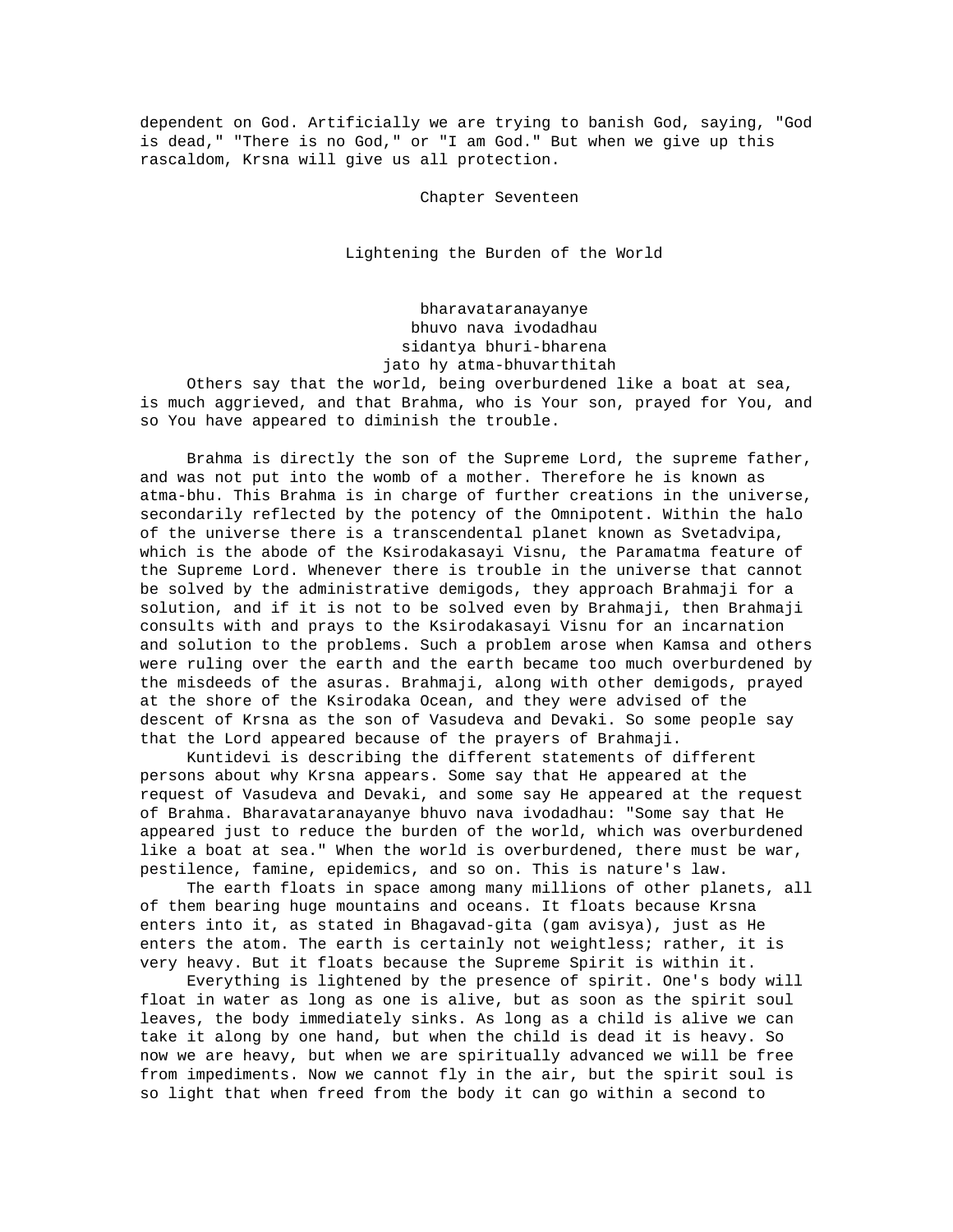dependent on God. Artificially we are trying to banish God, saying, "God is dead," "There is no God," or "I am God." But when we give up this rascaldom, Krsna will give us all protection.

Chapter Seventeen

Lightening the Burden of the World

 bharavataranayanye bhuvo nava ivodadhau sidantya bhuri-bharena jato hy atma-bhuvarthitah

 Others say that the world, being overburdened like a boat at sea, is much aggrieved, and that Brahma, who is Your son, prayed for You, and so You have appeared to diminish the trouble.

 Brahma is directly the son of the Supreme Lord, the supreme father, and was not put into the womb of a mother. Therefore he is known as atma-bhu. This Brahma is in charge of further creations in the universe, secondarily reflected by the potency of the Omnipotent. Within the halo of the universe there is a transcendental planet known as Svetadvipa, which is the abode of the Ksirodakasayi Visnu, the Paramatma feature of the Supreme Lord. Whenever there is trouble in the universe that cannot be solved by the administrative demigods, they approach Brahmaji for a solution, and if it is not to be solved even by Brahmaji, then Brahmaji consults with and prays to the Ksirodakasayi Visnu for an incarnation and solution to the problems. Such a problem arose when Kamsa and others were ruling over the earth and the earth became too much overburdened by the misdeeds of the asuras. Brahmaji, along with other demigods, prayed at the shore of the Ksirodaka Ocean, and they were advised of the descent of Krsna as the son of Vasudeva and Devaki. So some people say that the Lord appeared because of the prayers of Brahmaji.

 Kuntidevi is describing the different statements of different persons about why Krsna appears. Some say that He appeared at the request of Vasudeva and Devaki, and some say He appeared at the request of Brahma. Bharavataranayanye bhuvo nava ivodadhau: "Some say that He appeared just to reduce the burden of the world, which was overburdened like a boat at sea." When the world is overburdened, there must be war, pestilence, famine, epidemics, and so on. This is nature's law.

 The earth floats in space among many millions of other planets, all of them bearing huge mountains and oceans. It floats because Krsna enters into it, as stated in Bhagavad-gita (gam avisya), just as He enters the atom. The earth is certainly not weightless; rather, it is very heavy. But it floats because the Supreme Spirit is within it.

 Everything is lightened by the presence of spirit. One's body will float in water as long as one is alive, but as soon as the spirit soul leaves, the body immediately sinks. As long as a child is alive we can take it along by one hand, but when the child is dead it is heavy. So now we are heavy, but when we are spiritually advanced we will be free from impediments. Now we cannot fly in the air, but the spirit soul is so light that when freed from the body it can go within a second to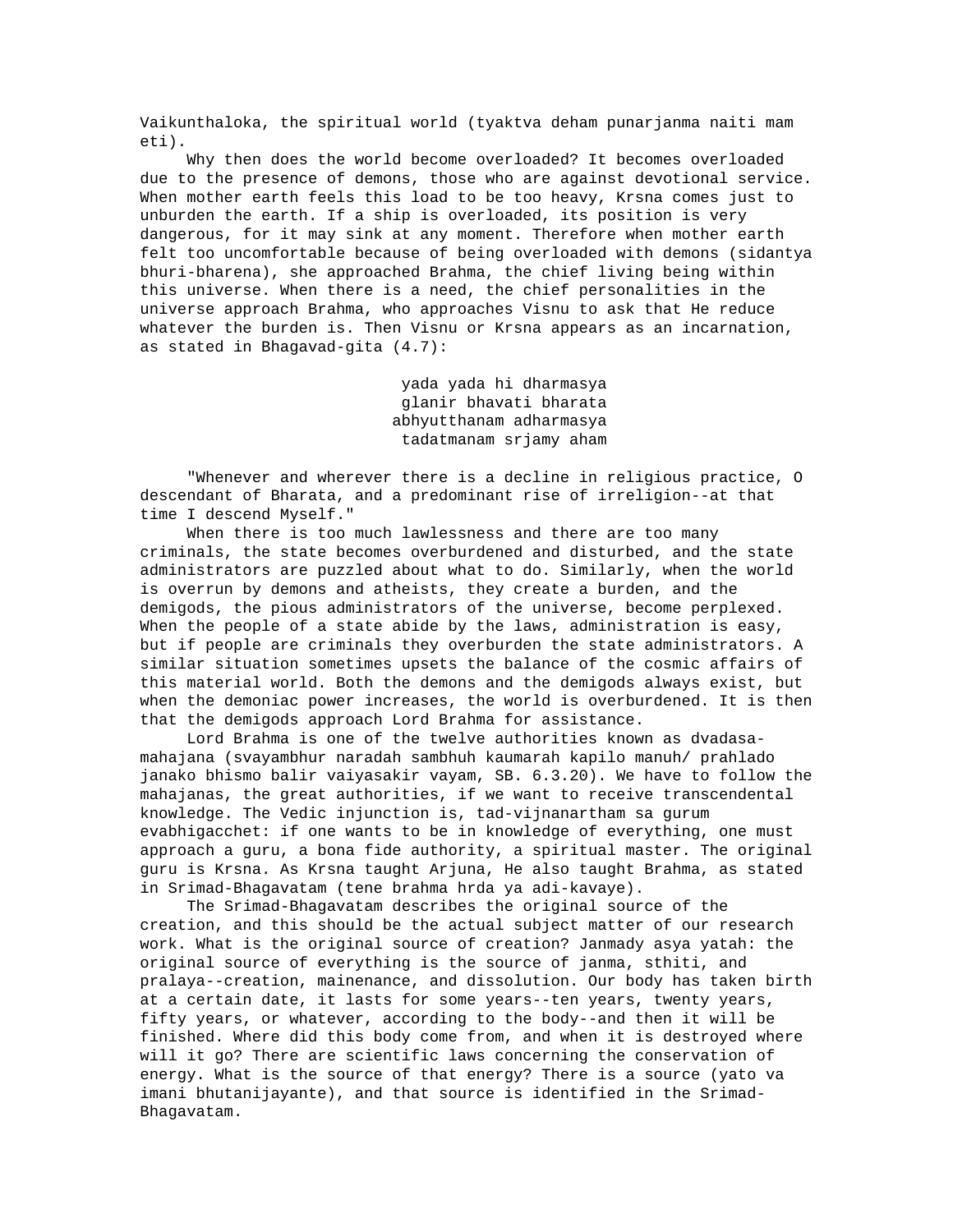Vaikunthaloka, the spiritual world (tyaktva deham punarjanma naiti mam eti).

 Why then does the world become overloaded? It becomes overloaded due to the presence of demons, those who are against devotional service. When mother earth feels this load to be too heavy, Krsna comes just to unburden the earth. If a ship is overloaded, its position is very dangerous, for it may sink at any moment. Therefore when mother earth felt too uncomfortable because of being overloaded with demons (sidantya bhuri-bharena), she approached Brahma, the chief living being within this universe. When there is a need, the chief personalities in the universe approach Brahma, who approaches Visnu to ask that He reduce whatever the burden is. Then Visnu or Krsna appears as an incarnation, as stated in Bhagavad-gita (4.7):

> yada yada hi dharmasya glanir bhavati bharata abhyutthanam adharmasya tadatmanam srjamy aham

 "Whenever and wherever there is a decline in religious practice, O descendant of Bharata, and a predominant rise of irreligion--at that time I descend Myself."

 When there is too much lawlessness and there are too many criminals, the state becomes overburdened and disturbed, and the state administrators are puzzled about what to do. Similarly, when the world is overrun by demons and atheists, they create a burden, and the demigods, the pious administrators of the universe, become perplexed. When the people of a state abide by the laws, administration is easy, but if people are criminals they overburden the state administrators. A similar situation sometimes upsets the balance of the cosmic affairs of this material world. Both the demons and the demigods always exist, but when the demoniac power increases, the world is overburdened. It is then that the demigods approach Lord Brahma for assistance.

 Lord Brahma is one of the twelve authorities known as dvadasamahajana (svayambhur naradah sambhuh kaumarah kapilo manuh/ prahlado janako bhismo balir vaiyasakir vayam, SB. 6.3.20). We have to follow the mahajanas, the great authorities, if we want to receive transcendental knowledge. The Vedic injunction is, tad-vijnanartham sa gurum evabhigacchet: if one wants to be in knowledge of everything, one must approach a guru, a bona fide authority, a spiritual master. The original guru is Krsna. As Krsna taught Arjuna, He also taught Brahma, as stated in Srimad-Bhagavatam (tene brahma hrda ya adi-kavaye).

 The Srimad-Bhagavatam describes the original source of the creation, and this should be the actual subject matter of our research work. What is the original source of creation? Janmady asya yatah: the original source of everything is the source of janma, sthiti, and pralaya--creation, mainenance, and dissolution. Our body has taken birth at a certain date, it lasts for some years--ten years, twenty years, fifty years, or whatever, according to the body--and then it will be finished. Where did this body come from, and when it is destroyed where will it go? There are scientific laws concerning the conservation of energy. What is the source of that energy? There is a source (yato va imani bhutanijayante), and that source is identified in the Srimad-Bhagavatam.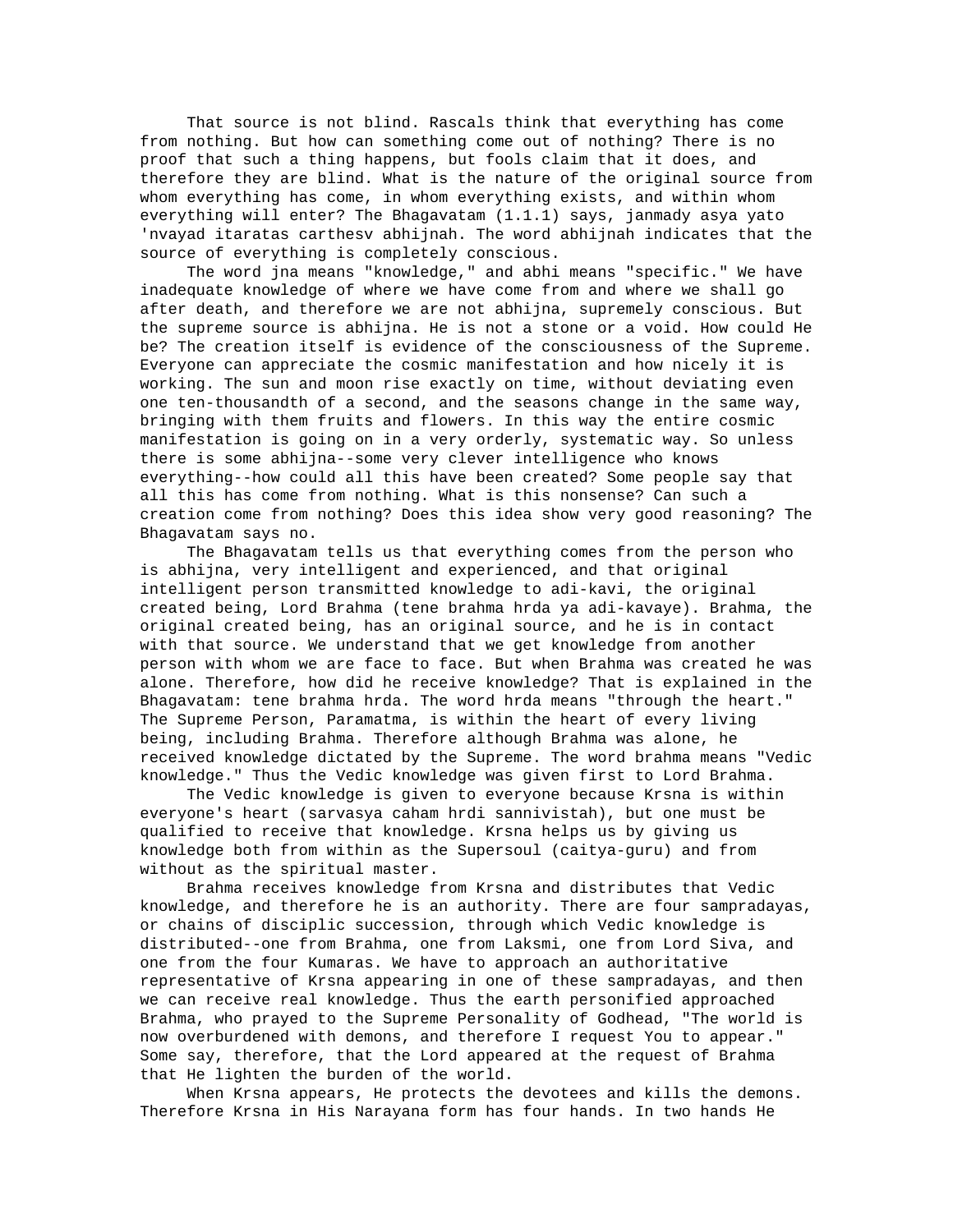That source is not blind. Rascals think that everything has come from nothing. But how can something come out of nothing? There is no proof that such a thing happens, but fools claim that it does, and therefore they are blind. What is the nature of the original source from whom everything has come, in whom everything exists, and within whom everything will enter? The Bhagavatam (1.1.1) says, janmady asya yato 'nvayad itaratas carthesv abhijnah. The word abhijnah indicates that the source of everything is completely conscious.

 The word jna means "knowledge," and abhi means "specific." We have inadequate knowledge of where we have come from and where we shall go after death, and therefore we are not abhijna, supremely conscious. But the supreme source is abhijna. He is not a stone or a void. How could He be? The creation itself is evidence of the consciousness of the Supreme. Everyone can appreciate the cosmic manifestation and how nicely it is working. The sun and moon rise exactly on time, without deviating even one ten-thousandth of a second, and the seasons change in the same way, bringing with them fruits and flowers. In this way the entire cosmic manifestation is going on in a very orderly, systematic way. So unless there is some abhijna--some very clever intelligence who knows everything--how could all this have been created? Some people say that all this has come from nothing. What is this nonsense? Can such a creation come from nothing? Does this idea show very good reasoning? The Bhagavatam says no.

 The Bhagavatam tells us that everything comes from the person who is abhijna, very intelligent and experienced, and that original intelligent person transmitted knowledge to adi-kavi, the original created being, Lord Brahma (tene brahma hrda ya adi-kavaye). Brahma, the original created being, has an original source, and he is in contact with that source. We understand that we get knowledge from another person with whom we are face to face. But when Brahma was created he was alone. Therefore, how did he receive knowledge? That is explained in the Bhagavatam: tene brahma hrda. The word hrda means "through the heart." The Supreme Person, Paramatma, is within the heart of every living being, including Brahma. Therefore although Brahma was alone, he received knowledge dictated by the Supreme. The word brahma means "Vedic knowledge." Thus the Vedic knowledge was given first to Lord Brahma.

 The Vedic knowledge is given to everyone because Krsna is within everyone's heart (sarvasya caham hrdi sannivistah), but one must be qualified to receive that knowledge. Krsna helps us by giving us knowledge both from within as the Supersoul (caitya-guru) and from without as the spiritual master.

 Brahma receives knowledge from Krsna and distributes that Vedic knowledge, and therefore he is an authority. There are four sampradayas, or chains of disciplic succession, through which Vedic knowledge is distributed--one from Brahma, one from Laksmi, one from Lord Siva, and one from the four Kumaras. We have to approach an authoritative representative of Krsna appearing in one of these sampradayas, and then we can receive real knowledge. Thus the earth personified approached Brahma, who prayed to the Supreme Personality of Godhead, "The world is now overburdened with demons, and therefore I request You to appear." Some say, therefore, that the Lord appeared at the request of Brahma that He lighten the burden of the world.

 When Krsna appears, He protects the devotees and kills the demons. Therefore Krsna in His Narayana form has four hands. In two hands He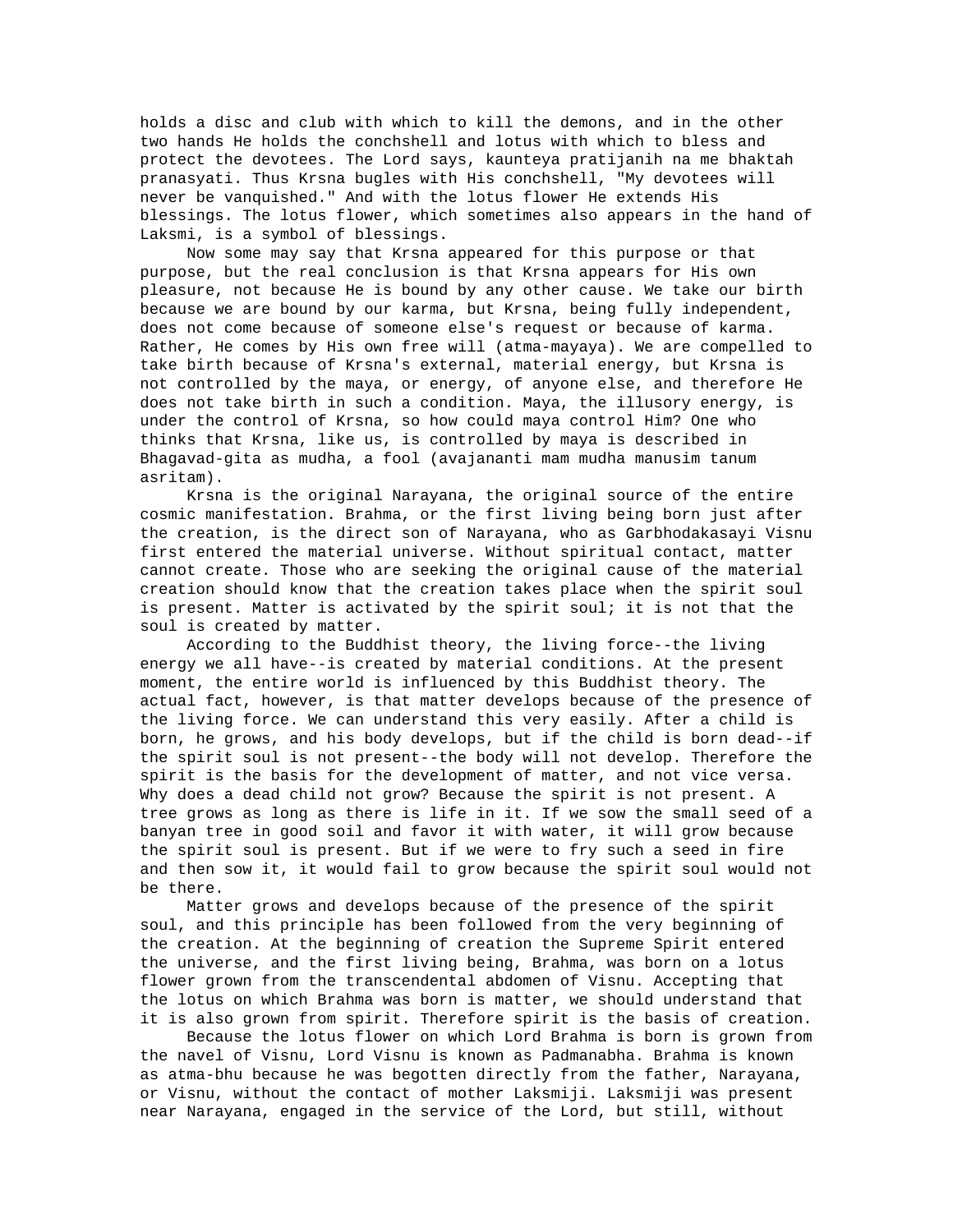holds a disc and club with which to kill the demons, and in the other two hands He holds the conchshell and lotus with which to bless and protect the devotees. The Lord says, kaunteya pratijanih na me bhaktah pranasyati. Thus Krsna bugles with His conchshell, "My devotees will never be vanquished." And with the lotus flower He extends His blessings. The lotus flower, which sometimes also appears in the hand of Laksmi, is a symbol of blessings.

 Now some may say that Krsna appeared for this purpose or that purpose, but the real conclusion is that Krsna appears for His own pleasure, not because He is bound by any other cause. We take our birth because we are bound by our karma, but Krsna, being fully independent, does not come because of someone else's request or because of karma. Rather, He comes by His own free will (atma-mayaya). We are compelled to take birth because of Krsna's external, material energy, but Krsna is not controlled by the maya, or energy, of anyone else, and therefore He does not take birth in such a condition. Maya, the illusory energy, is under the control of Krsna, so how could maya control Him? One who thinks that Krsna, like us, is controlled by maya is described in Bhagavad-gita as mudha, a fool (avajananti mam mudha manusim tanum asritam).

 Krsna is the original Narayana, the original source of the entire cosmic manifestation. Brahma, or the first living being born just after the creation, is the direct son of Narayana, who as Garbhodakasayi Visnu first entered the material universe. Without spiritual contact, matter cannot create. Those who are seeking the original cause of the material creation should know that the creation takes place when the spirit soul is present. Matter is activated by the spirit soul; it is not that the soul is created by matter.

 According to the Buddhist theory, the living force--the living energy we all have--is created by material conditions. At the present moment, the entire world is influenced by this Buddhist theory. The actual fact, however, is that matter develops because of the presence of the living force. We can understand this very easily. After a child is born, he grows, and his body develops, but if the child is born dead--if the spirit soul is not present--the body will not develop. Therefore the spirit is the basis for the development of matter, and not vice versa. Why does a dead child not grow? Because the spirit is not present. A tree grows as long as there is life in it. If we sow the small seed of a banyan tree in good soil and favor it with water, it will grow because the spirit soul is present. But if we were to fry such a seed in fire and then sow it, it would fail to grow because the spirit soul would not be there.

 Matter grows and develops because of the presence of the spirit soul, and this principle has been followed from the very beginning of the creation. At the beginning of creation the Supreme Spirit entered the universe, and the first living being, Brahma, was born on a lotus flower grown from the transcendental abdomen of Visnu. Accepting that the lotus on which Brahma was born is matter, we should understand that it is also grown from spirit. Therefore spirit is the basis of creation.

 Because the lotus flower on which Lord Brahma is born is grown from the navel of Visnu, Lord Visnu is known as Padmanabha. Brahma is known as atma-bhu because he was begotten directly from the father, Narayana, or Visnu, without the contact of mother Laksmiji. Laksmiji was present near Narayana, engaged in the service of the Lord, but still, without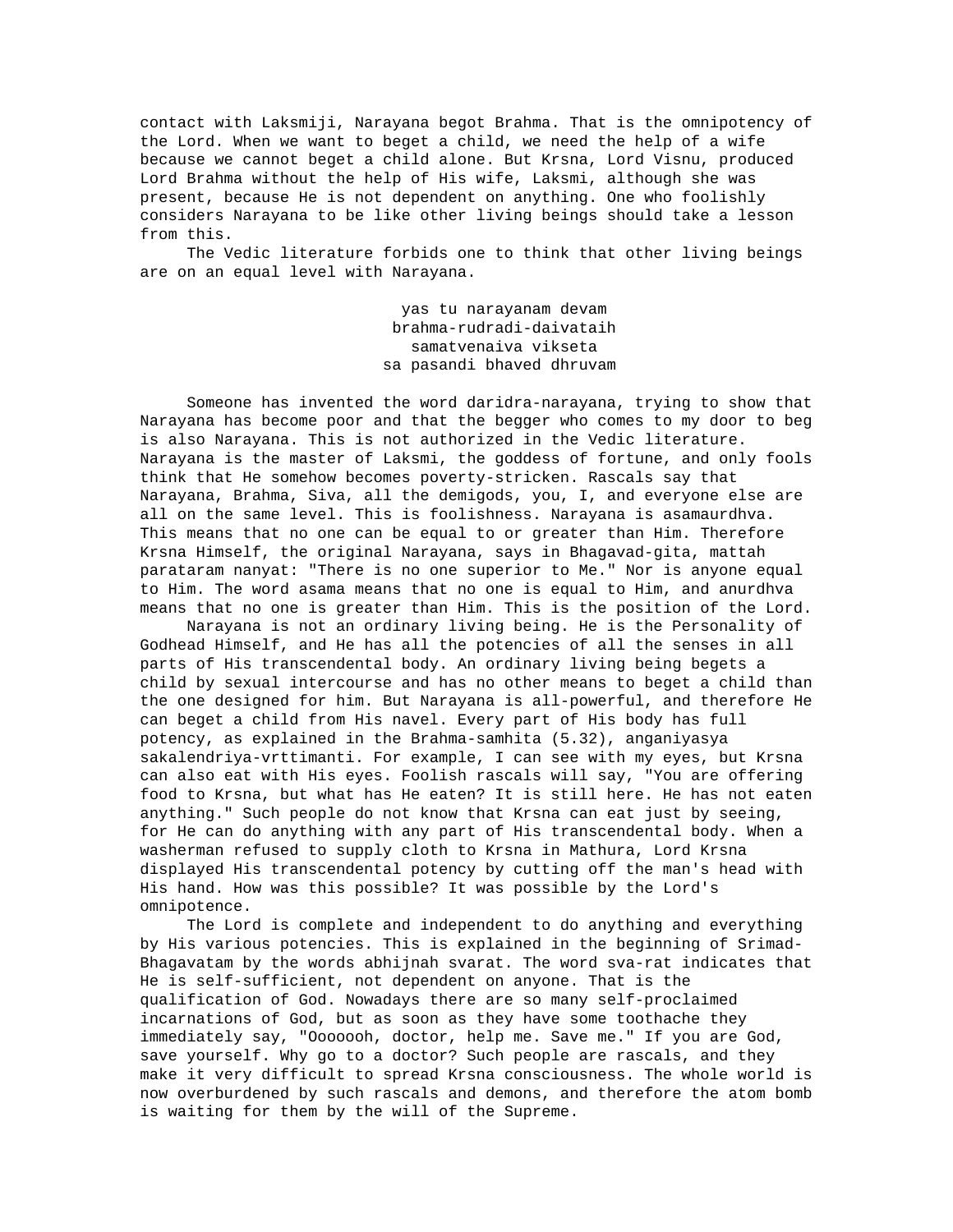contact with Laksmiji, Narayana begot Brahma. That is the omnipotency of the Lord. When we want to beget a child, we need the help of a wife because we cannot beget a child alone. But Krsna, Lord Visnu, produced Lord Brahma without the help of His wife, Laksmi, although she was present, because He is not dependent on anything. One who foolishly considers Narayana to be like other living beings should take a lesson from this.

 The Vedic literature forbids one to think that other living beings are on an equal level with Narayana.

> yas tu narayanam devam brahma-rudradi-daivataih samatvenaiva vikseta sa pasandi bhaved dhruvam

 Someone has invented the word daridra-narayana, trying to show that Narayana has become poor and that the begger who comes to my door to beg is also Narayana. This is not authorized in the Vedic literature. Narayana is the master of Laksmi, the goddess of fortune, and only fools think that He somehow becomes poverty-stricken. Rascals say that Narayana, Brahma, Siva, all the demigods, you, I, and everyone else are all on the same level. This is foolishness. Narayana is asamaurdhva. This means that no one can be equal to or greater than Him. Therefore Krsna Himself, the original Narayana, says in Bhagavad-gita, mattah parataram nanyat: "There is no one superior to Me." Nor is anyone equal to Him. The word asama means that no one is equal to Him, and anurdhva means that no one is greater than Him. This is the position of the Lord.

 Narayana is not an ordinary living being. He is the Personality of Godhead Himself, and He has all the potencies of all the senses in all parts of His transcendental body. An ordinary living being begets a child by sexual intercourse and has no other means to beget a child than the one designed for him. But Narayana is all-powerful, and therefore He can beget a child from His navel. Every part of His body has full potency, as explained in the Brahma-samhita (5.32), anganiyasya sakalendriya-vrttimanti. For example, I can see with my eyes, but Krsna can also eat with His eyes. Foolish rascals will say, "You are offering food to Krsna, but what has He eaten? It is still here. He has not eaten anything." Such people do not know that Krsna can eat just by seeing, for He can do anything with any part of His transcendental body. When a washerman refused to supply cloth to Krsna in Mathura, Lord Krsna displayed His transcendental potency by cutting off the man's head with His hand. How was this possible? It was possible by the Lord's omnipotence.

 The Lord is complete and independent to do anything and everything by His various potencies. This is explained in the beginning of Srimad-Bhagavatam by the words abhijnah svarat. The word sva-rat indicates that He is self-sufficient, not dependent on anyone. That is the qualification of God. Nowadays there are so many self-proclaimed incarnations of God, but as soon as they have some toothache they immediately say, "Ooooooh, doctor, help me. Save me." If you are God, save yourself. Why go to a doctor? Such people are rascals, and they make it very difficult to spread Krsna consciousness. The whole world is now overburdened by such rascals and demons, and therefore the atom bomb is waiting for them by the will of the Supreme.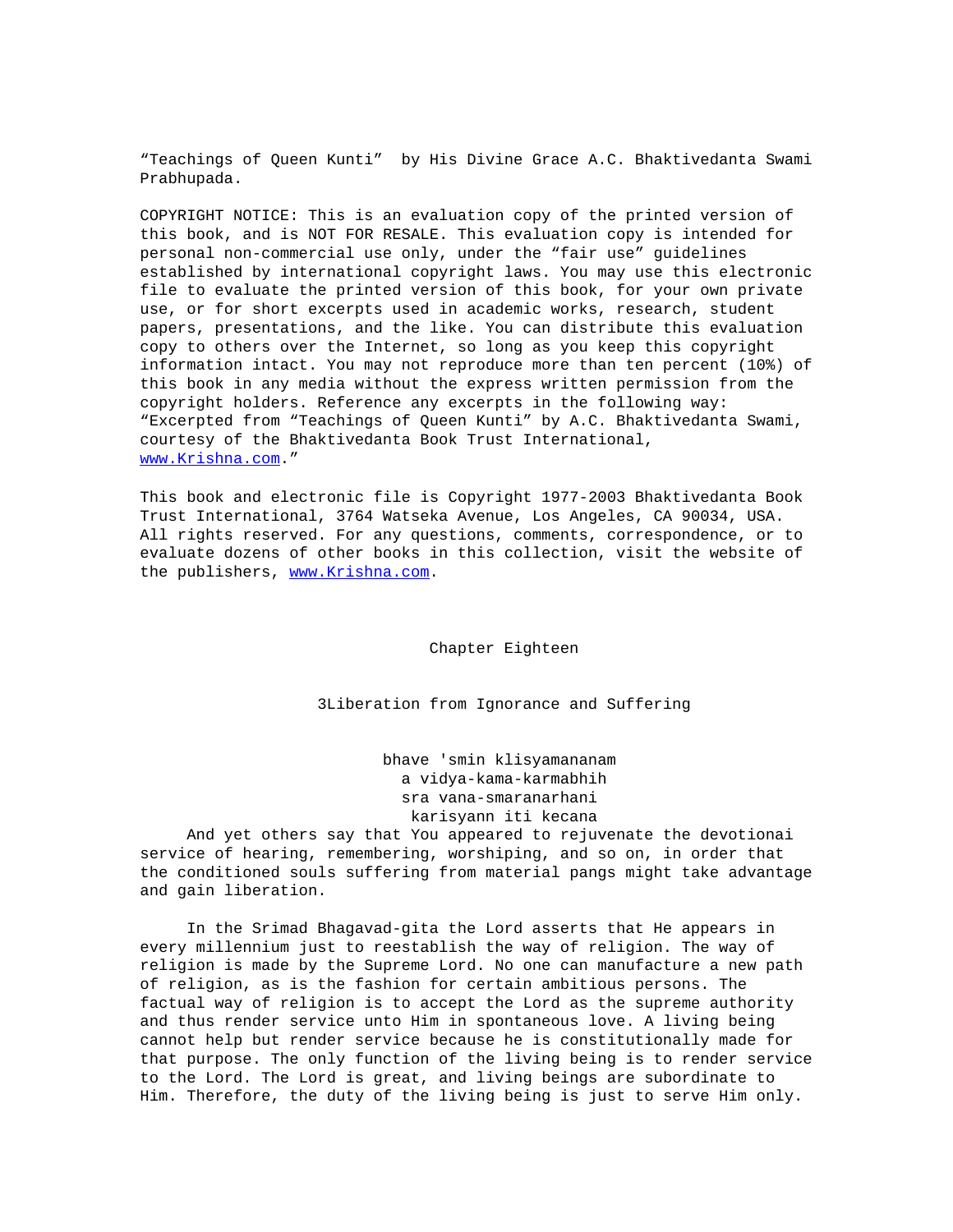"Teachings of Queen Kunti" by His Divine Grace A.C. Bhaktivedanta Swami Prabhupada.

COPYRIGHT NOTICE: This is an evaluation copy of the printed version of this book, and is NOT FOR RESALE. This evaluation copy is intended for personal non-commercial use only, under the "fair use" guidelines established by international copyright laws. You may use this electronic file to evaluate the printed version of this book, for your own private use, or for short excerpts used in academic works, research, student papers, presentations, and the like. You can distribute this evaluation copy to others over the Internet, so long as you keep this copyright information intact. You may not reproduce more than ten percent (10%) of this book in any media without the express written permission from the copyright holders. Reference any excerpts in the following way: "Excerpted from "Teachings of Queen Kunti" by A.C. Bhaktivedanta Swami, courtesy of the Bhaktivedanta Book Trust International, www.Krishna.com ."

This book and electronic file is Copyright 1977-2003 Bhaktivedanta Book Trust International, 3764 Watseka Avenue, Los Angeles, CA 90034, USA. All rights reserved. For any questions, comments, correspondence, or to evaluate dozens of other books in this collection, visit the website of the publishers, www.Krishna.com.

Chapter Eighteen

3Liberation from Ignorance and Suffering

 bhave 'smin klisyamananam a vidya-kama-karmabhih sra vana-smaranarhani karisyann iti kecana

 And yet others say that You appeared to rejuvenate the devotionai service of hearing, remembering, worshiping, and so on, in order that the conditioned souls suffering from material pangs might take advantage and gain liberation.

 In the Srimad Bhagavad-gita the Lord asserts that He appears in every millennium just to reestablish the way of religion. The way of religion is made by the Supreme Lord. No one can manufacture a new path of religion, as is the fashion for certain ambitious persons. The factual way of religion is to accept the Lord as the supreme authority and thus render service unto Him in spontaneous love. A living being cannot help but render service because he is constitutionally made for that purpose. The only function of the living being is to render service to the Lord. The Lord is great, and living beings are subordinate to Him. Therefore, the duty of the living being is just to serve Him only.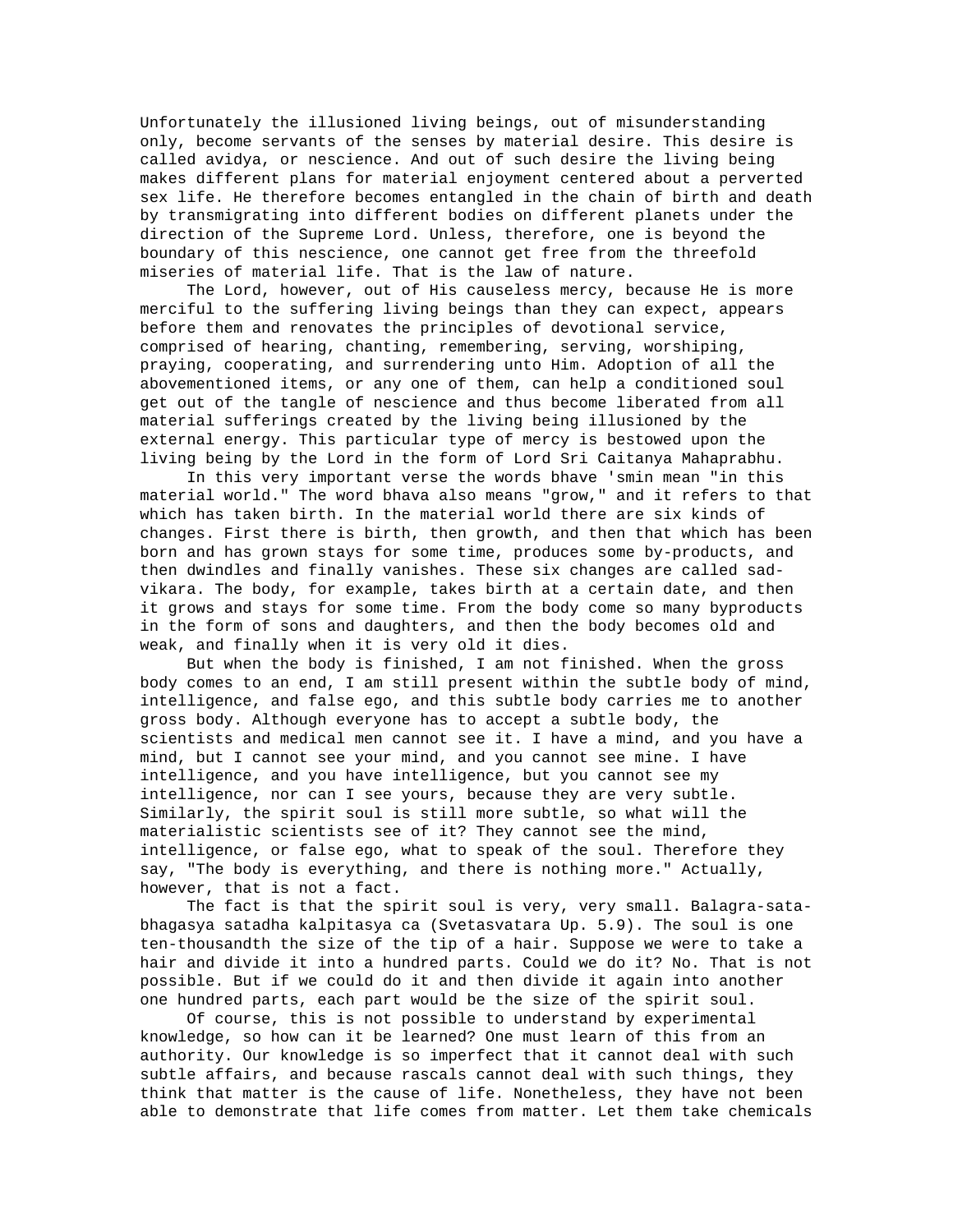Unfortunately the illusioned living beings, out of misunderstanding only, become servants of the senses by material desire. This desire is called avidya, or nescience. And out of such desire the living being makes different plans for material enjoyment centered about a perverted sex life. He therefore becomes entangled in the chain of birth and death by transmigrating into different bodies on different planets under the direction of the Supreme Lord. Unless, therefore, one is beyond the boundary of this nescience, one cannot get free from the threefold miseries of material life. That is the law of nature.

 The Lord, however, out of His causeless mercy, because He is more merciful to the suffering living beings than they can expect, appears before them and renovates the principles of devotional service, comprised of hearing, chanting, remembering, serving, worshiping, praying, cooperating, and surrendering unto Him. Adoption of all the abovementioned items, or any one of them, can help a conditioned soul get out of the tangle of nescience and thus become liberated from all material sufferings created by the living being illusioned by the external energy. This particular type of mercy is bestowed upon the living being by the Lord in the form of Lord Sri Caitanya Mahaprabhu.

 In this very important verse the words bhave 'smin mean "in this material world." The word bhava also means "grow," and it refers to that which has taken birth. In the material world there are six kinds of changes. First there is birth, then growth, and then that which has been born and has grown stays for some time, produces some by-products, and then dwindles and finally vanishes. These six changes are called sadvikara. The body, for example, takes birth at a certain date, and then it grows and stays for some time. From the body come so many byproducts in the form of sons and daughters, and then the body becomes old and weak, and finally when it is very old it dies.

 But when the body is finished, I am not finished. When the gross body comes to an end, I am still present within the subtle body of mind, intelligence, and false ego, and this subtle body carries me to another gross body. Although everyone has to accept a subtle body, the scientists and medical men cannot see it. I have a mind, and you have a mind, but I cannot see your mind, and you cannot see mine. I have intelligence, and you have intelligence, but you cannot see my intelligence, nor can I see yours, because they are very subtle. Similarly, the spirit soul is still more subtle, so what will the materialistic scientists see of it? They cannot see the mind, intelligence, or false ego, what to speak of the soul. Therefore they say, "The body is everything, and there is nothing more." Actually, however, that is not a fact.

 The fact is that the spirit soul is very, very small. Balagra-satabhagasya satadha kalpitasya ca (Svetasvatara Up. 5.9). The soul is one ten-thousandth the size of the tip of a hair. Suppose we were to take a hair and divide it into a hundred parts. Could we do it? No. That is not possible. But if we could do it and then divide it again into another one hundred parts, each part would be the size of the spirit soul.

 Of course, this is not possible to understand by experimental knowledge, so how can it be learned? One must learn of this from an authority. Our knowledge is so imperfect that it cannot deal with such subtle affairs, and because rascals cannot deal with such things, they think that matter is the cause of life. Nonetheless, they have not been able to demonstrate that life comes from matter. Let them take chemicals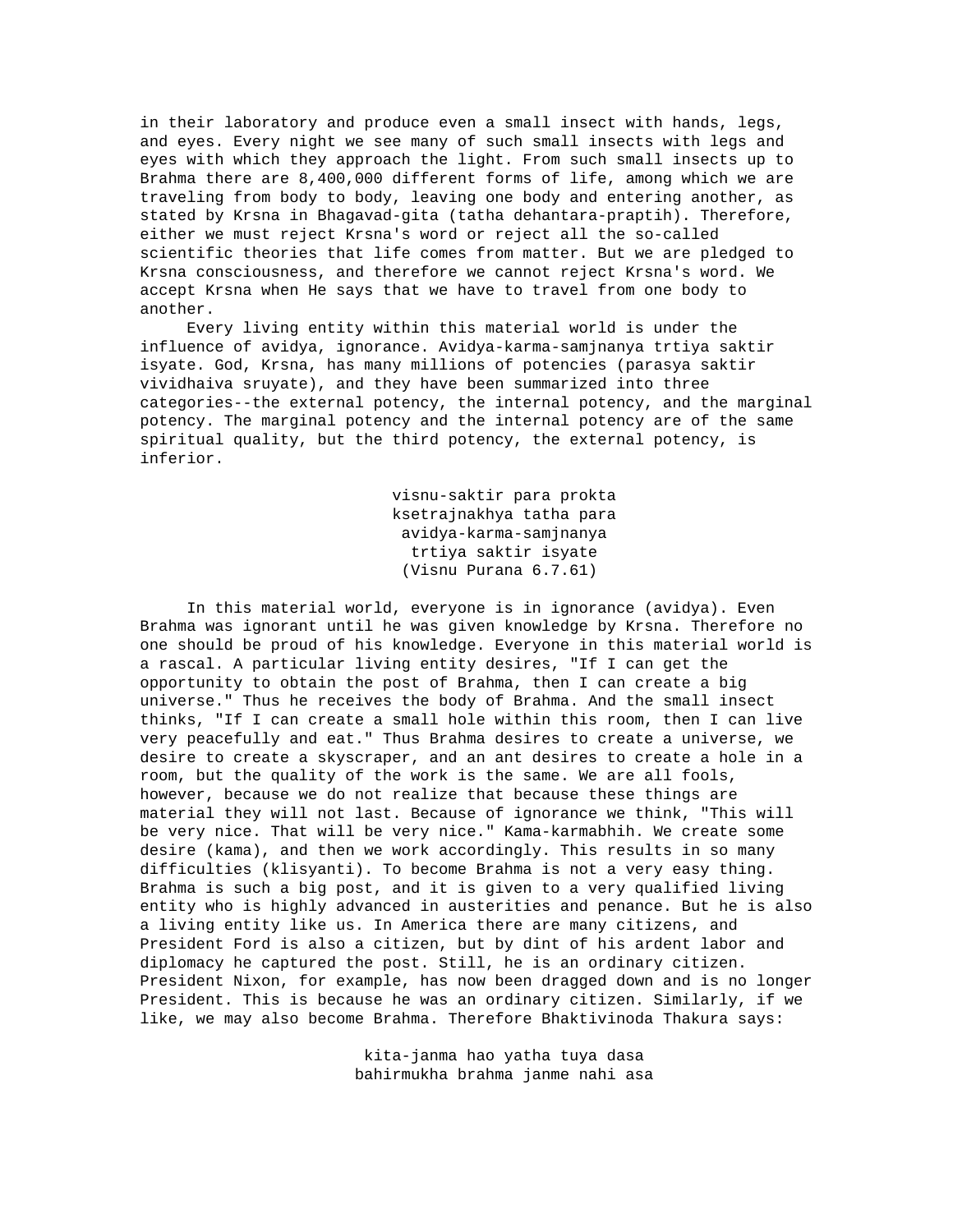in their laboratory and produce even a small insect with hands, legs, and eyes. Every night we see many of such small insects with legs and eyes with which they approach the light. From such small insects up to Brahma there are 8,400,000 different forms of life, among which we are traveling from body to body, leaving one body and entering another, as stated by Krsna in Bhagavad-gita (tatha dehantara-praptih). Therefore, either we must reject Krsna's word or reject all the so-called scientific theories that life comes from matter. But we are pledged to Krsna consciousness, and therefore we cannot reject Krsna's word. We accept Krsna when He says that we have to travel from one body to another.

 Every living entity within this material world is under the influence of avidya, ignorance. Avidya-karma-samjnanya trtiya saktir isyate. God, Krsna, has many millions of potencies (parasya saktir vividhaiva sruyate), and they have been summarized into three categories--the external potency, the internal potency, and the marginal potency. The marginal potency and the internal potency are of the same spiritual quality, but the third potency, the external potency, is inferior.

> visnu-saktir para prokta ksetrajnakhya tatha para avidya-karma-samjnanya trtiya saktir isyate (Visnu Purana 6.7.61)

 In this material world, everyone is in ignorance (avidya). Even Brahma was ignorant until he was given knowledge by Krsna. Therefore no one should be proud of his knowledge. Everyone in this material world is a rascal. A particular living entity desires, "If I can get the opportunity to obtain the post of Brahma, then I can create a big universe." Thus he receives the body of Brahma. And the small insect thinks, "If I can create a small hole within this room, then I can live very peacefully and eat." Thus Brahma desires to create a universe, we desire to create a skyscraper, and an ant desires to create a hole in a room, but the quality of the work is the same. We are all fools, however, because we do not realize that because these things are material they will not last. Because of ignorance we think, "This will be very nice. That will be very nice." Kama-karmabhih. We create some desire (kama), and then we work accordingly. This results in so many difficulties (klisyanti). To become Brahma is not a very easy thing. Brahma is such a big post, and it is given to a very qualified living entity who is highly advanced in austerities and penance. But he is also a living entity like us. In America there are many citizens, and President Ford is also a citizen, but by dint of his ardent labor and diplomacy he captured the post. Still, he is an ordinary citizen. President Nixon, for example, has now been dragged down and is no longer President. This is because he was an ordinary citizen. Similarly, if we like, we may also become Brahma. Therefore Bhaktivinoda Thakura says:

> kita-janma hao yatha tuya dasa bahirmukha brahma janme nahi asa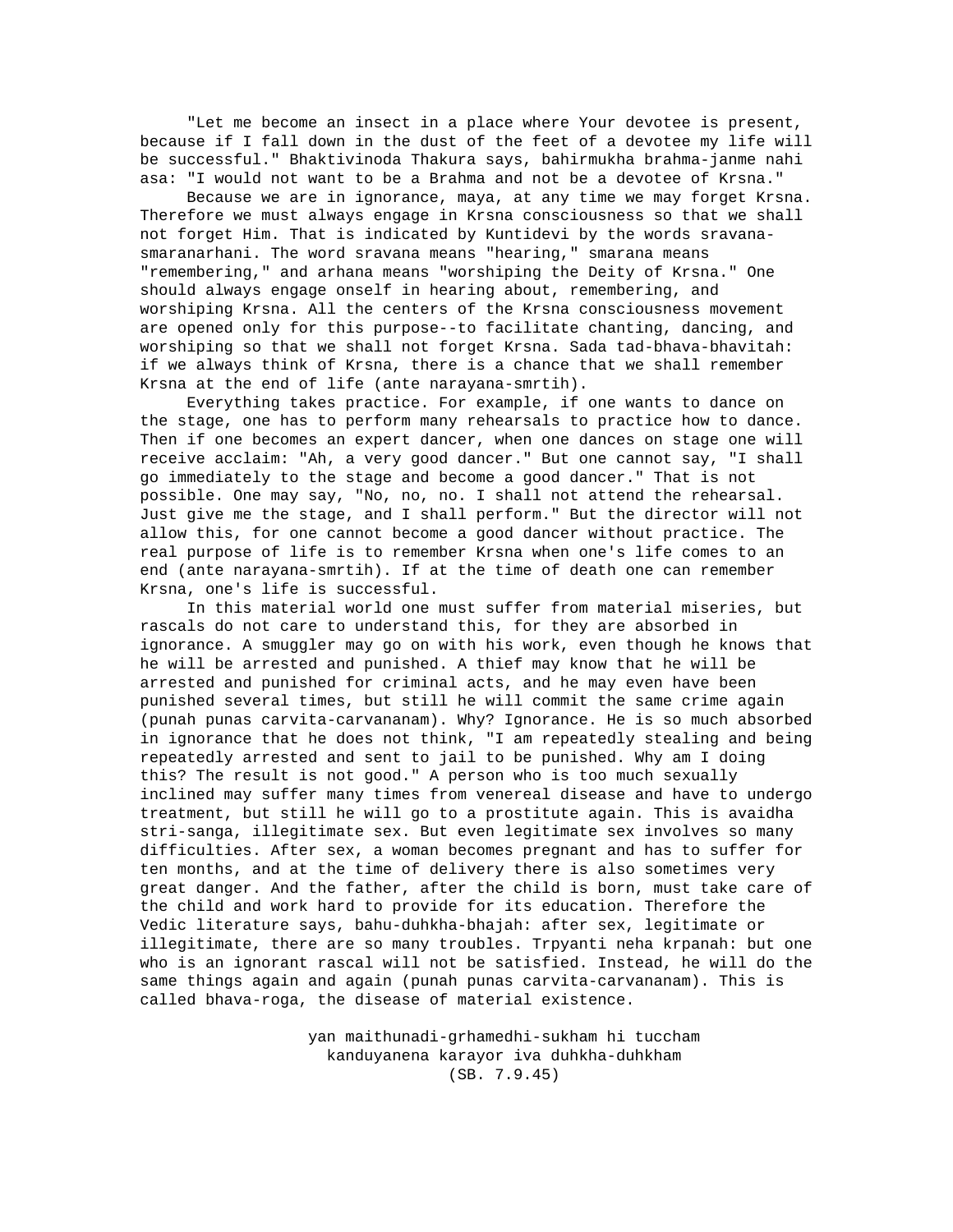"Let me become an insect in a place where Your devotee is present, because if I fall down in the dust of the feet of a devotee my life will be successful." Bhaktivinoda Thakura says, bahirmukha brahma-janme nahi asa: "I would not want to be a Brahma and not be a devotee of Krsna."

 Because we are in ignorance, maya, at any time we may forget Krsna. Therefore we must always engage in Krsna consciousness so that we shall not forget Him. That is indicated by Kuntidevi by the words sravanasmaranarhani. The word sravana means "hearing," smarana means "remembering," and arhana means "worshiping the Deity of Krsna." One should always engage onself in hearing about, remembering, and worshiping Krsna. All the centers of the Krsna consciousness movement are opened only for this purpose--to facilitate chanting, dancing, and worshiping so that we shall not forget Krsna. Sada tad-bhava-bhavitah: if we always think of Krsna, there is a chance that we shall remember Krsna at the end of life (ante narayana-smrtih).

 Everything takes practice. For example, if one wants to dance on the stage, one has to perform many rehearsals to practice how to dance. Then if one becomes an expert dancer, when one dances on stage one will receive acclaim: "Ah, a very good dancer." But one cannot say, "I shall go immediately to the stage and become a good dancer." That is not possible. One may say, "No, no, no. I shall not attend the rehearsal. Just give me the stage, and I shall perform." But the director will not allow this, for one cannot become a good dancer without practice. The real purpose of life is to remember Krsna when one's life comes to an end (ante narayana-smrtih). If at the time of death one can remember Krsna, one's life is successful.

 In this material world one must suffer from material miseries, but rascals do not care to understand this, for they are absorbed in ignorance. A smuggler may go on with his work, even though he knows that he will be arrested and punished. A thief may know that he will be arrested and punished for criminal acts, and he may even have been punished several times, but still he will commit the same crime again (punah punas carvita-carvananam). Why? Ignorance. He is so much absorbed in ignorance that he does not think, "I am repeatedly stealing and being repeatedly arrested and sent to jail to be punished. Why am I doing this? The result is not good." A person who is too much sexually inclined may suffer many times from venereal disease and have to undergo treatment, but still he will go to a prostitute again. This is avaidha stri-sanga, illegitimate sex. But even legitimate sex involves so many difficulties. After sex, a woman becomes pregnant and has to suffer for ten months, and at the time of delivery there is also sometimes very great danger. And the father, after the child is born, must take care of the child and work hard to provide for its education. Therefore the Vedic literature says, bahu-duhkha-bhajah: after sex, legitimate or illegitimate, there are so many troubles. Trpyanti neha krpanah: but one who is an ignorant rascal will not be satisfied. Instead, he will do the same things again and again (punah punas carvita-carvananam). This is called bhava-roga, the disease of material existence.

> yan maithunadi-grhamedhi-sukham hi tuccham kanduyanena karayor iva duhkha-duhkham (SB. 7.9.45)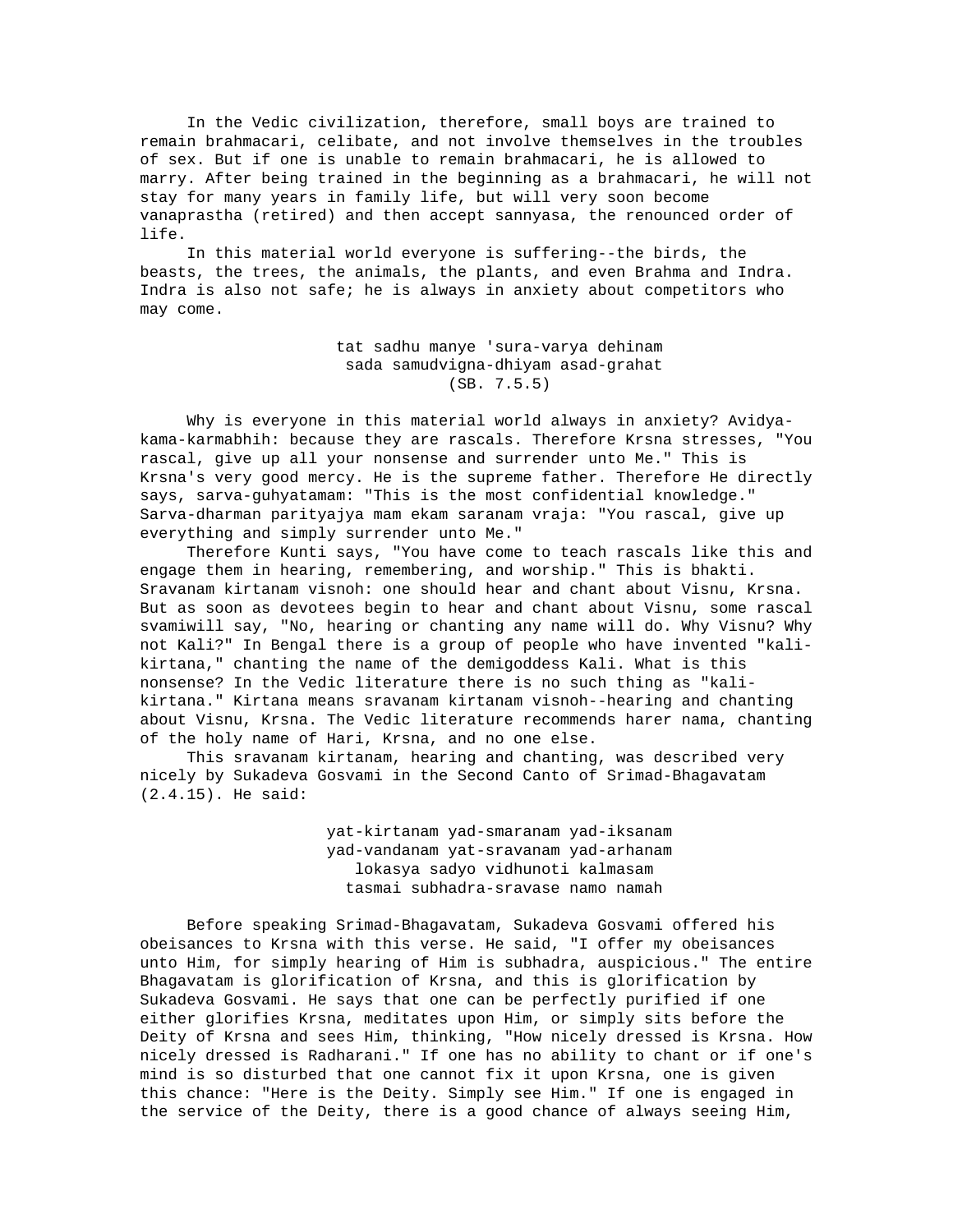In the Vedic civilization, therefore, small boys are trained to remain brahmacari, celibate, and not involve themselves in the troubles of sex. But if one is unable to remain brahmacari, he is allowed to marry. After being trained in the beginning as a brahmacari, he will not stay for many years in family life, but will very soon become vanaprastha (retired) and then accept sannyasa, the renounced order of life.

 In this material world everyone is suffering--the birds, the beasts, the trees, the animals, the plants, and even Brahma and Indra. Indra is also not safe; he is always in anxiety about competitors who may come.

> tat sadhu manye 'sura-varya dehinam sada samudvigna-dhiyam asad-grahat (SB. 7.5.5)

 Why is everyone in this material world always in anxiety? Avidyakama-karmabhih: because they are rascals. Therefore Krsna stresses, "You rascal, give up all your nonsense and surrender unto Me." This is Krsna's very good mercy. He is the supreme father. Therefore He directly says, sarva-guhyatamam: "This is the most confidential knowledge." Sarva-dharman parityajya mam ekam saranam vraja: "You rascal, give up everything and simply surrender unto Me."

 Therefore Kunti says, "You have come to teach rascals like this and engage them in hearing, remembering, and worship." This is bhakti. Sravanam kirtanam visnoh: one should hear and chant about Visnu, Krsna. But as soon as devotees begin to hear and chant about Visnu, some rascal svamiwill say, "No, hearing or chanting any name will do. Why Visnu? Why not Kali?" In Bengal there is a group of people who have invented "kalikirtana," chanting the name of the demigoddess Kali. What is this nonsense? In the Vedic literature there is no such thing as "kalikirtana." Kirtana means sravanam kirtanam visnoh--hearing and chanting about Visnu, Krsna. The Vedic literature recommends harer nama, chanting of the holy name of Hari, Krsna, and no one else.

 This sravanam kirtanam, hearing and chanting, was described very nicely by Sukadeva Gosvami in the Second Canto of Srimad-Bhagavatam (2.4.15). He said:

> yat-kirtanam yad-smaranam yad-iksanam yad-vandanam yat-sravanam yad-arhanam lokasya sadyo vidhunoti kalmasam tasmai subhadra-sravase namo namah

 Before speaking Srimad-Bhagavatam, Sukadeva Gosvami offered his obeisances to Krsna with this verse. He said, "I offer my obeisances unto Him, for simply hearing of Him is subhadra, auspicious." The entire Bhagavatam is glorification of Krsna, and this is glorification by Sukadeva Gosvami. He says that one can be perfectly purified if one either glorifies Krsna, meditates upon Him, or simply sits before the Deity of Krsna and sees Him, thinking, "How nicely dressed is Krsna. How nicely dressed is Radharani." If one has no ability to chant or if one's mind is so disturbed that one cannot fix it upon Krsna, one is given this chance: "Here is the Deity. Simply see Him." If one is engaged in the service of the Deity, there is a good chance of always seeing Him,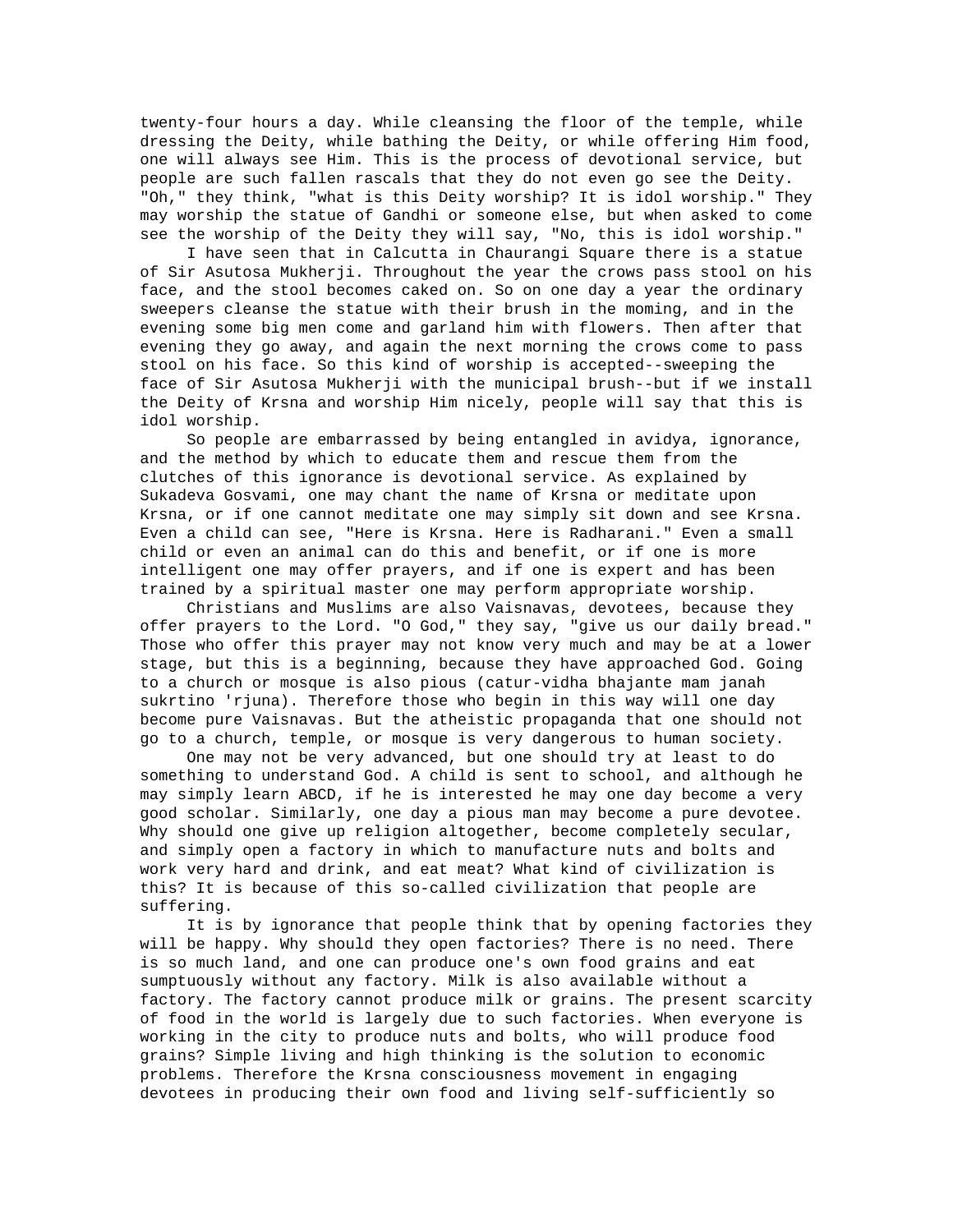twenty-four hours a day. While cleansing the floor of the temple, while dressing the Deity, while bathing the Deity, or while offering Him food, one will always see Him. This is the process of devotional service, but people are such fallen rascals that they do not even go see the Deity. "Oh," they think, "what is this Deity worship? It is idol worship." They may worship the statue of Gandhi or someone else, but when asked to come see the worship of the Deity they will say, "No, this is idol worship."

 I have seen that in Calcutta in Chaurangi Square there is a statue of Sir Asutosa Mukherji. Throughout the year the crows pass stool on his face, and the stool becomes caked on. So on one day a year the ordinary sweepers cleanse the statue with their brush in the moming, and in the evening some big men come and garland him with flowers. Then after that evening they go away, and again the next morning the crows come to pass stool on his face. So this kind of worship is accepted--sweeping the face of Sir Asutosa Mukherji with the municipal brush--but if we install the Deity of Krsna and worship Him nicely, people will say that this is idol worship.

 So people are embarrassed by being entangled in avidya, ignorance, and the method by which to educate them and rescue them from the clutches of this ignorance is devotional service. As explained by Sukadeva Gosvami, one may chant the name of Krsna or meditate upon Krsna, or if one cannot meditate one may simply sit down and see Krsna. Even a child can see, "Here is Krsna. Here is Radharani." Even a small child or even an animal can do this and benefit, or if one is more intelligent one may offer prayers, and if one is expert and has been trained by a spiritual master one may perform appropriate worship.

 Christians and Muslims are also Vaisnavas, devotees, because they offer prayers to the Lord. "O God," they say, "give us our daily bread." Those who offer this prayer may not know very much and may be at a lower stage, but this is a beginning, because they have approached God. Going to a church or mosque is also pious (catur-vidha bhajante mam janah sukrtino 'rjuna). Therefore those who begin in this way will one day become pure Vaisnavas. But the atheistic propaganda that one should not go to a church, temple, or mosque is very dangerous to human society.

 One may not be very advanced, but one should try at least to do something to understand God. A child is sent to school, and although he may simply learn ABCD, if he is interested he may one day become a very good scholar. Similarly, one day a pious man may become a pure devotee. Why should one give up religion altogether, become completely secular, and simply open a factory in which to manufacture nuts and bolts and work very hard and drink, and eat meat? What kind of civilization is this? It is because of this so-called civilization that people are suffering.

 It is by ignorance that people think that by opening factories they will be happy. Why should they open factories? There is no need. There is so much land, and one can produce one's own food grains and eat sumptuously without any factory. Milk is also available without a factory. The factory cannot produce milk or grains. The present scarcity of food in the world is largely due to such factories. When everyone is working in the city to produce nuts and bolts, who will produce food grains? Simple living and high thinking is the solution to economic problems. Therefore the Krsna consciousness movement in engaging devotees in producing their own food and living self-sufficiently so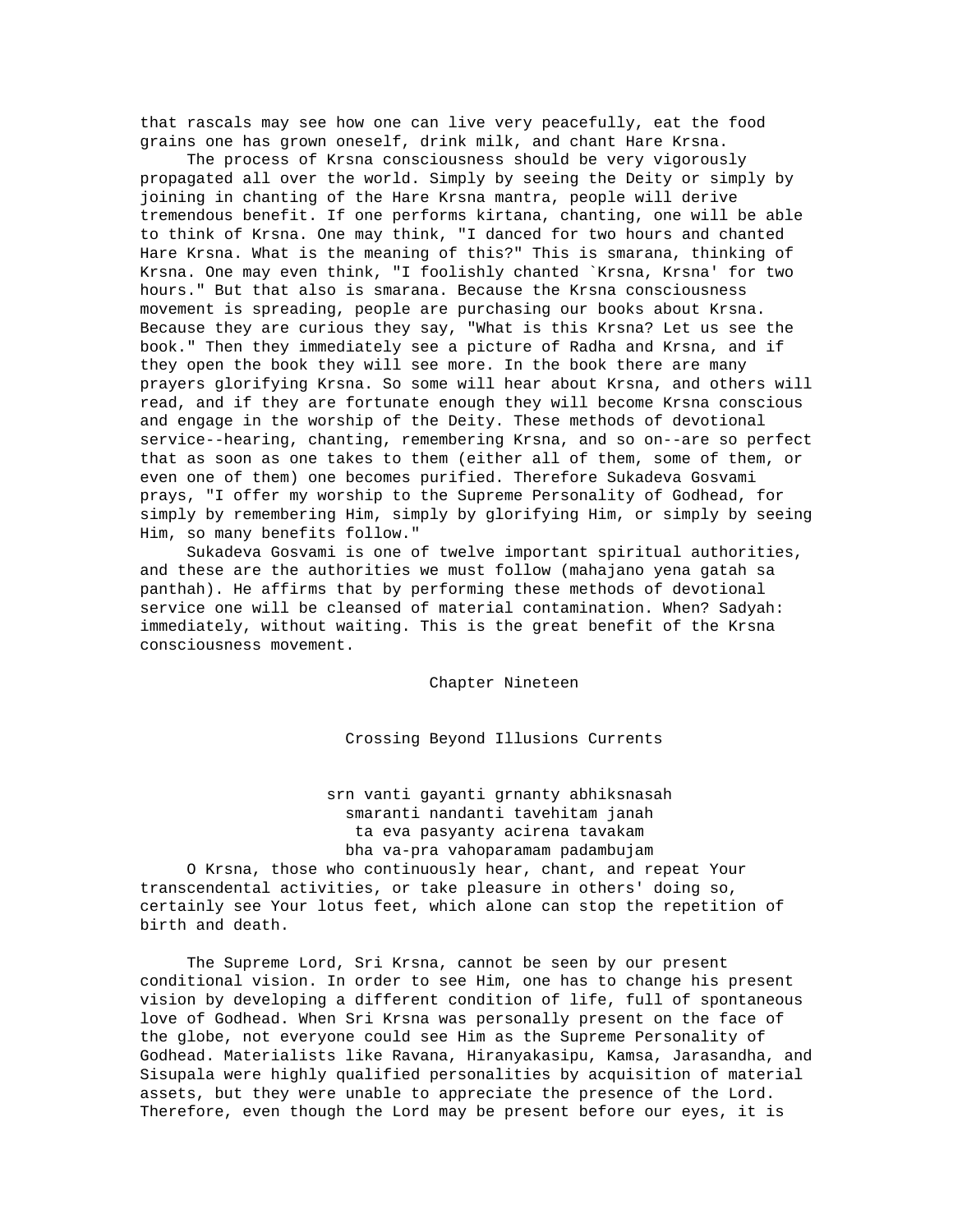that rascals may see how one can live very peacefully, eat the food grains one has grown oneself, drink milk, and chant Hare Krsna.

 The process of Krsna consciousness should be very vigorously propagated all over the world. Simply by seeing the Deity or simply by joining in chanting of the Hare Krsna mantra, people will derive tremendous benefit. If one performs kirtana, chanting, one will be able to think of Krsna. One may think, "I danced for two hours and chanted Hare Krsna. What is the meaning of this?" This is smarana, thinking of Krsna. One may even think, "I foolishly chanted `Krsna, Krsna' for two hours." But that also is smarana. Because the Krsna consciousness movement is spreading, people are purchasing our books about Krsna. Because they are curious they say, "What is this Krsna? Let us see the book." Then they immediately see a picture of Radha and Krsna, and if they open the book they will see more. In the book there are many prayers glorifying Krsna. So some will hear about Krsna, and others will read, and if they are fortunate enough they will become Krsna conscious and engage in the worship of the Deity. These methods of devotional service--hearing, chanting, remembering Krsna, and so on--are so perfect that as soon as one takes to them (either all of them, some of them, or even one of them) one becomes purified. Therefore Sukadeva Gosvami prays, "I offer my worship to the Supreme Personality of Godhead, for simply by remembering Him, simply by glorifying Him, or simply by seeing Him, so many benefits follow."

 Sukadeva Gosvami is one of twelve important spiritual authorities, and these are the authorities we must follow (mahajano yena gatah sa panthah). He affirms that by performing these methods of devotional service one will be cleansed of material contamination. When? Sadyah: immediately, without waiting. This is the great benefit of the Krsna consciousness movement.

Chapter Nineteen

Crossing Beyond Illusions Currents

 srn vanti gayanti grnanty abhiksnasah smaranti nandanti tavehitam janah ta eva pasyanty acirena tavakam bha va-pra vahoparamam padambujam

 O Krsna, those who continuously hear, chant, and repeat Your transcendental activities, or take pleasure in others' doing so, certainly see Your lotus feet, which alone can stop the repetition of birth and death.

 The Supreme Lord, Sri Krsna, cannot be seen by our present conditional vision. In order to see Him, one has to change his present vision by developing a different condition of life, full of spontaneous love of Godhead. When Sri Krsna was personally present on the face of the globe, not everyone could see Him as the Supreme Personality of Godhead. Materialists like Ravana, Hiranyakasipu, Kamsa, Jarasandha, and Sisupala were highly qualified personalities by acquisition of material assets, but they were unable to appreciate the presence of the Lord. Therefore, even though the Lord may be present before our eyes, it is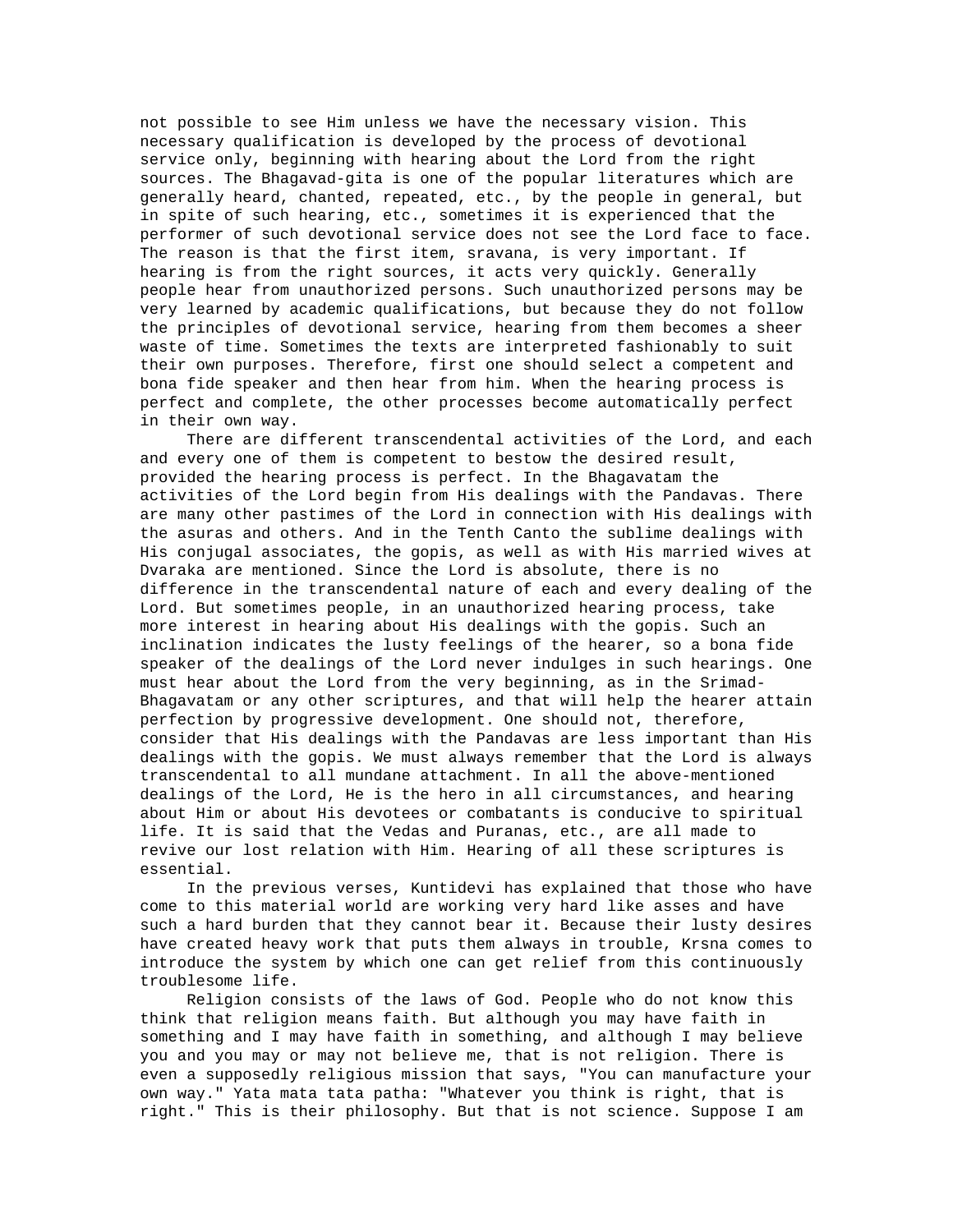not possible to see Him unless we have the necessary vision. This necessary qualification is developed by the process of devotional service only, beginning with hearing about the Lord from the right sources. The Bhagavad-gita is one of the popular literatures which are generally heard, chanted, repeated, etc., by the people in general, but in spite of such hearing, etc., sometimes it is experienced that the performer of such devotional service does not see the Lord face to face. The reason is that the first item, sravana, is very important. If hearing is from the right sources, it acts very quickly. Generally people hear from unauthorized persons. Such unauthorized persons may be very learned by academic qualifications, but because they do not follow the principles of devotional service, hearing from them becomes a sheer waste of time. Sometimes the texts are interpreted fashionably to suit their own purposes. Therefore, first one should select a competent and bona fide speaker and then hear from him. When the hearing process is perfect and complete, the other processes become automatically perfect in their own way.

 There are different transcendental activities of the Lord, and each and every one of them is competent to bestow the desired result, provided the hearing process is perfect. In the Bhagavatam the activities of the Lord begin from His dealings with the Pandavas. There are many other pastimes of the Lord in connection with His dealings with the asuras and others. And in the Tenth Canto the sublime dealings with His conjugal associates, the gopis, as well as with His married wives at Dvaraka are mentioned. Since the Lord is absolute, there is no difference in the transcendental nature of each and every dealing of the Lord. But sometimes people, in an unauthorized hearing process, take more interest in hearing about His dealings with the gopis. Such an inclination indicates the lusty feelings of the hearer, so a bona fide speaker of the dealings of the Lord never indulges in such hearings. One must hear about the Lord from the very beginning, as in the Srimad-Bhagavatam or any other scriptures, and that will help the hearer attain perfection by progressive development. One should not, therefore, consider that His dealings with the Pandavas are less important than His dealings with the gopis. We must always remember that the Lord is always transcendental to all mundane attachment. In all the above-mentioned dealings of the Lord, He is the hero in all circumstances, and hearing about Him or about His devotees or combatants is conducive to spiritual life. It is said that the Vedas and Puranas, etc., are all made to revive our lost relation with Him. Hearing of all these scriptures is essential.

 In the previous verses, Kuntidevi has explained that those who have come to this material world are working very hard like asses and have such a hard burden that they cannot bear it. Because their lusty desires have created heavy work that puts them always in trouble, Krsna comes to introduce the system by which one can get relief from this continuously troublesome life.

 Religion consists of the laws of God. People who do not know this think that religion means faith. But although you may have faith in something and I may have faith in something, and although I may believe you and you may or may not believe me, that is not religion. There is even a supposedly religious mission that says, "You can manufacture your own way." Yata mata tata patha: "Whatever you think is right, that is right." This is their philosophy. But that is not science. Suppose I am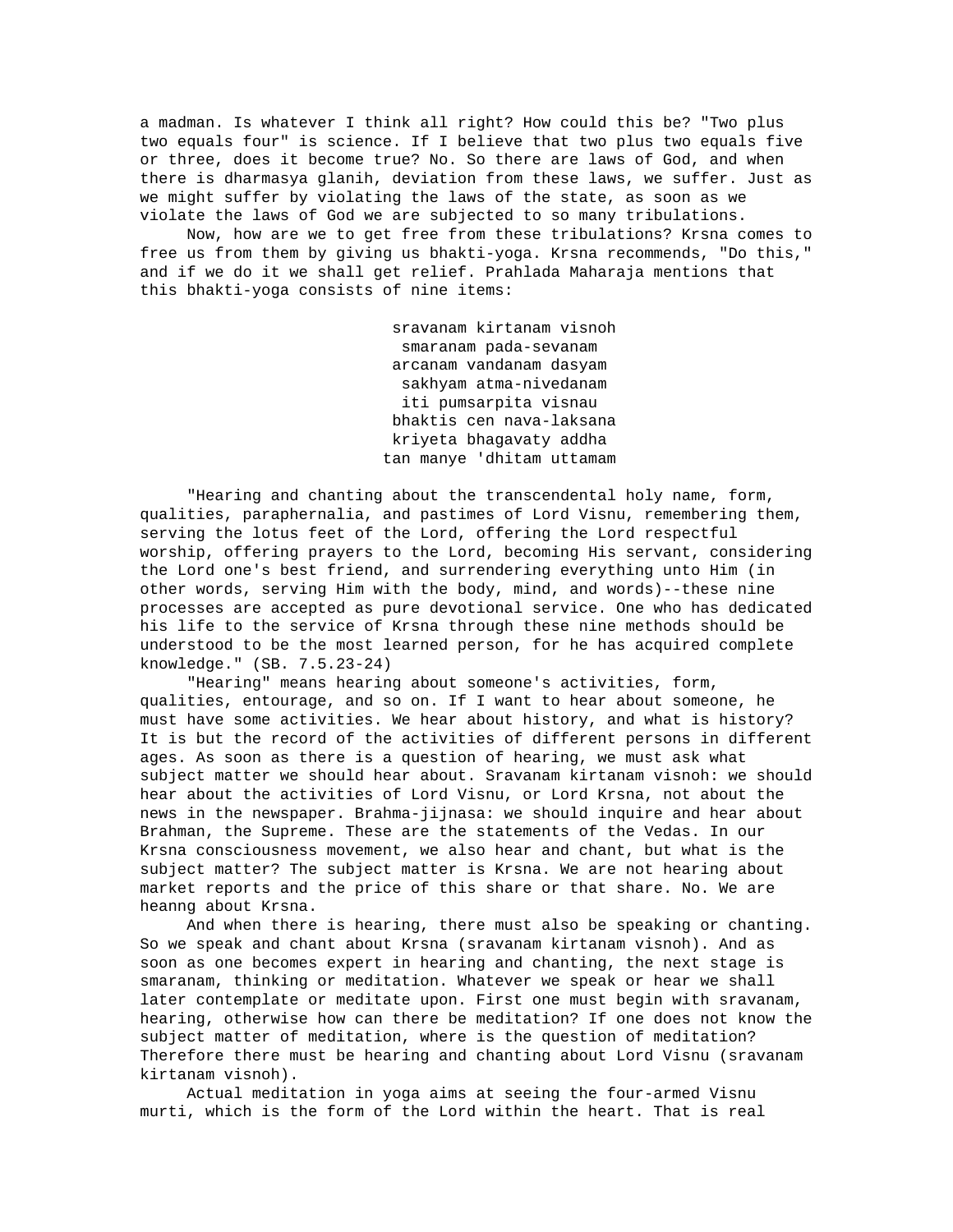a madman. Is whatever I think all right? How could this be? "Two plus two equals four" is science. If I believe that two plus two equals five or three, does it become true? No. So there are laws of God, and when there is dharmasya glanih, deviation from these laws, we suffer. Just as we might suffer by violating the laws of the state, as soon as we violate the laws of God we are subjected to so many tribulations.

 Now, how are we to get free from these tribulations? Krsna comes to free us from them by giving us bhakti-yoga. Krsna recommends, "Do this," and if we do it we shall get relief. Prahlada Maharaja mentions that this bhakti-yoga consists of nine items:

> sravanam kirtanam visnoh smaranam pada-sevanam arcanam vandanam dasyam sakhyam atma-nivedanam iti pumsarpita visnau bhaktis cen nava-laksana kriyeta bhagavaty addha tan manye 'dhitam uttamam

 "Hearing and chanting about the transcendental holy name, form, qualities, paraphernalia, and pastimes of Lord Visnu, remembering them, serving the lotus feet of the Lord, offering the Lord respectful worship, offering prayers to the Lord, becoming His servant, considering the Lord one's best friend, and surrendering everything unto Him (in other words, serving Him with the body, mind, and words)--these nine processes are accepted as pure devotional service. One who has dedicated his life to the service of Krsna through these nine methods should be understood to be the most learned person, for he has acquired complete knowledge." (SB. 7.5.23-24)

 "Hearing" means hearing about someone's activities, form, qualities, entourage, and so on. If I want to hear about someone, he must have some activities. We hear about history, and what is history? It is but the record of the activities of different persons in different ages. As soon as there is a question of hearing, we must ask what subject matter we should hear about. Sravanam kirtanam visnoh: we should hear about the activities of Lord Visnu, or Lord Krsna, not about the news in the newspaper. Brahma-jijnasa: we should inquire and hear about Brahman, the Supreme. These are the statements of the Vedas. In our Krsna consciousness movement, we also hear and chant, but what is the subject matter? The subject matter is Krsna. We are not hearing about market reports and the price of this share or that share. No. We are heanng about Krsna.

 And when there is hearing, there must also be speaking or chanting. So we speak and chant about Krsna (sravanam kirtanam visnoh). And as soon as one becomes expert in hearing and chanting, the next stage is smaranam, thinking or meditation. Whatever we speak or hear we shall later contemplate or meditate upon. First one must begin with sravanam, hearing, otherwise how can there be meditation? If one does not know the subject matter of meditation, where is the question of meditation? Therefore there must be hearing and chanting about Lord Visnu (sravanam kirtanam visnoh).

 Actual meditation in yoga aims at seeing the four-armed Visnu murti, which is the form of the Lord within the heart. That is real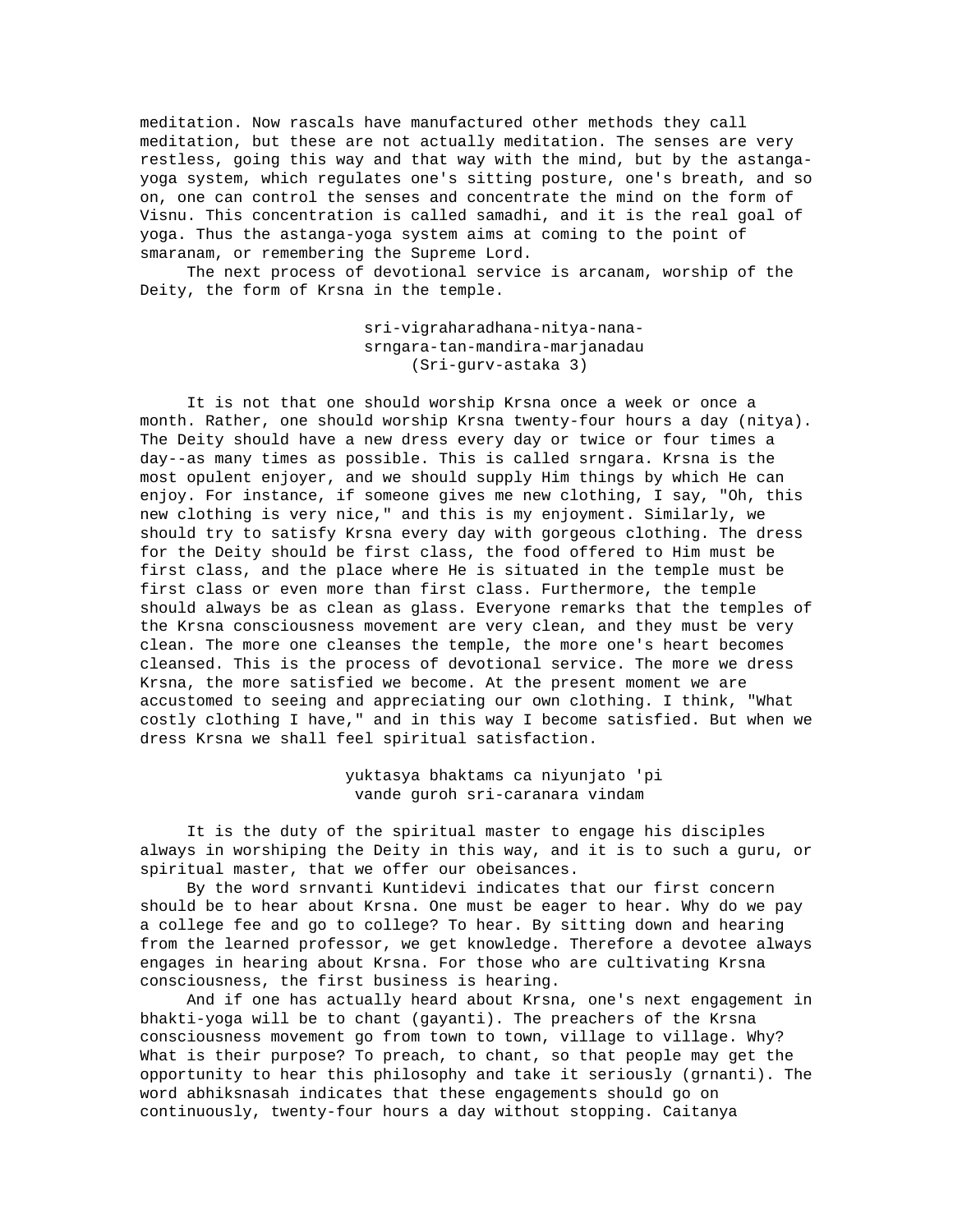meditation. Now rascals have manufactured other methods they call meditation, but these are not actually meditation. The senses are very restless, going this way and that way with the mind, but by the astangayoga system, which regulates one's sitting posture, one's breath, and so on, one can control the senses and concentrate the mind on the form of Visnu. This concentration is called samadhi, and it is the real goal of yoga. Thus the astanga-yoga system aims at coming to the point of smaranam, or remembering the Supreme Lord.

 The next process of devotional service is arcanam, worship of the Deity, the form of Krsna in the temple.

> sri-vigraharadhana-nitya-nana srngara-tan-mandira-marjanadau (Sri-gurv-astaka 3)

 It is not that one should worship Krsna once a week or once a month. Rather, one should worship Krsna twenty-four hours a day (nitya). The Deity should have a new dress every day or twice or four times a day--as many times as possible. This is called srngara. Krsna is the most opulent enjoyer, and we should supply Him things by which He can enjoy. For instance, if someone gives me new clothing, I say, "Oh, this new clothing is very nice," and this is my enjoyment. Similarly, we should try to satisfy Krsna every day with gorgeous clothing. The dress for the Deity should be first class, the food offered to Him must be first class, and the place where He is situated in the temple must be first class or even more than first class. Furthermore, the temple should always be as clean as glass. Everyone remarks that the temples of the Krsna consciousness movement are very clean, and they must be very clean. The more one cleanses the temple, the more one's heart becomes cleansed. This is the process of devotional service. The more we dress Krsna, the more satisfied we become. At the present moment we are accustomed to seeing and appreciating our own clothing. I think, "What costly clothing I have," and in this way I become satisfied. But when we dress Krsna we shall feel spiritual satisfaction.

> yuktasya bhaktams ca niyunjato 'pi vande guroh sri-caranara vindam

 It is the duty of the spiritual master to engage his disciples always in worshiping the Deity in this way, and it is to such a guru, or spiritual master, that we offer our obeisances.

 By the word srnvanti Kuntidevi indicates that our first concern should be to hear about Krsna. One must be eager to hear. Why do we pay a college fee and go to college? To hear. By sitting down and hearing from the learned professor, we get knowledge. Therefore a devotee always engages in hearing about Krsna. For those who are cultivating Krsna consciousness, the first business is hearing.

 And if one has actually heard about Krsna, one's next engagement in bhakti-yoga will be to chant (gayanti). The preachers of the Krsna consciousness movement go from town to town, village to village. Why? What is their purpose? To preach, to chant, so that people may get the opportunity to hear this philosophy and take it seriously (grnanti). The word abhiksnasah indicates that these engagements should go on continuously, twenty-four hours a day without stopping. Caitanya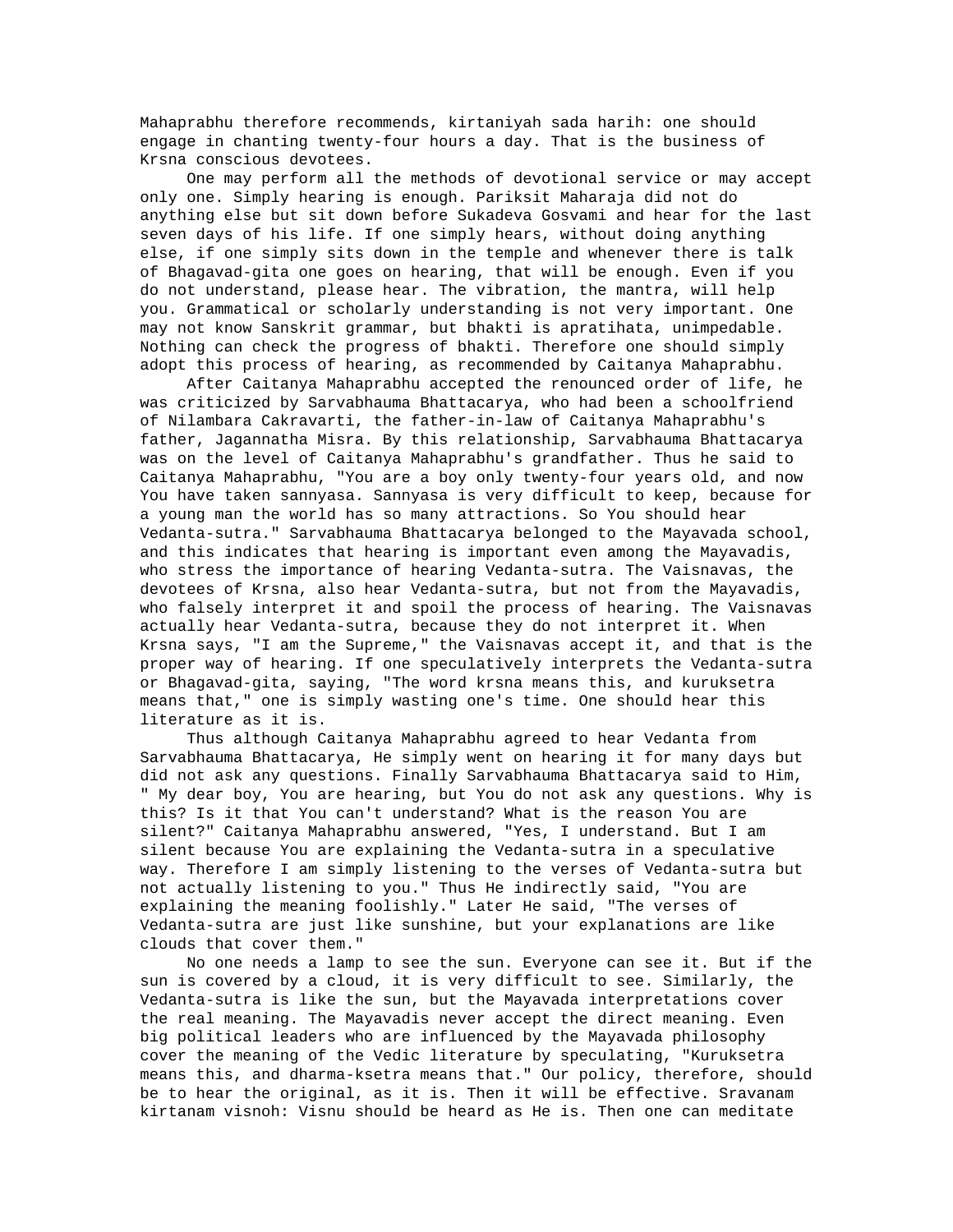Mahaprabhu therefore recommends, kirtaniyah sada harih: one should engage in chanting twenty-four hours a day. That is the business of Krsna conscious devotees.

 One may perform all the methods of devotional service or may accept only one. Simply hearing is enough. Pariksit Maharaja did not do anything else but sit down before Sukadeva Gosvami and hear for the last seven days of his life. If one simply hears, without doing anything else, if one simply sits down in the temple and whenever there is talk of Bhagavad-gita one goes on hearing, that will be enough. Even if you do not understand, please hear. The vibration, the mantra, will help you. Grammatical or scholarly understanding is not very important. One may not know Sanskrit grammar, but bhakti is apratihata, unimpedable. Nothing can check the progress of bhakti. Therefore one should simply adopt this process of hearing, as recommended by Caitanya Mahaprabhu.

 After Caitanya Mahaprabhu accepted the renounced order of life, he was criticized by Sarvabhauma Bhattacarya, who had been a schoolfriend of Nilambara Cakravarti, the father-in-law of Caitanya Mahaprabhu's father, Jagannatha Misra. By this relationship, Sarvabhauma Bhattacarya was on the level of Caitanya Mahaprabhu's grandfather. Thus he said to Caitanya Mahaprabhu, "You are a boy only twenty-four years old, and now You have taken sannyasa. Sannyasa is very difficult to keep, because for a young man the world has so many attractions. So You should hear Vedanta-sutra." Sarvabhauma Bhattacarya belonged to the Mayavada school, and this indicates that hearing is important even among the Mayavadis, who stress the importance of hearing Vedanta-sutra. The Vaisnavas, the devotees of Krsna, also hear Vedanta-sutra, but not from the Mayavadis, who falsely interpret it and spoil the process of hearing. The Vaisnavas actually hear Vedanta-sutra, because they do not interpret it. When Krsna says, "I am the Supreme," the Vaisnavas accept it, and that is the proper way of hearing. If one speculatively interprets the Vedanta-sutra or Bhagavad-gita, saying, "The word krsna means this, and kuruksetra means that," one is simply wasting one's time. One should hear this literature as it is.

 Thus although Caitanya Mahaprabhu agreed to hear Vedanta from Sarvabhauma Bhattacarya, He simply went on hearing it for many days but did not ask any questions. Finally Sarvabhauma Bhattacarya said to Him, " My dear boy, You are hearing, but You do not ask any questions. Why is this? Is it that You can't understand? What is the reason You are silent?" Caitanya Mahaprabhu answered, "Yes, I understand. But I am silent because You are explaining the Vedanta-sutra in a speculative way. Therefore I am simply listening to the verses of Vedanta-sutra but not actually listening to you." Thus He indirectly said, "You are explaining the meaning foolishly." Later He said, "The verses of Vedanta-sutra are just like sunshine, but your explanations are like clouds that cover them."

 No one needs a lamp to see the sun. Everyone can see it. But if the sun is covered by a cloud, it is very difficult to see. Similarly, the Vedanta-sutra is like the sun, but the Mayavada interpretations cover the real meaning. The Mayavadis never accept the direct meaning. Even big political leaders who are influenced by the Mayavada philosophy cover the meaning of the Vedic literature by speculating, "Kuruksetra means this, and dharma-ksetra means that." Our policy, therefore, should be to hear the original, as it is. Then it will be effective. Sravanam kirtanam visnoh: Visnu should be heard as He is. Then one can meditate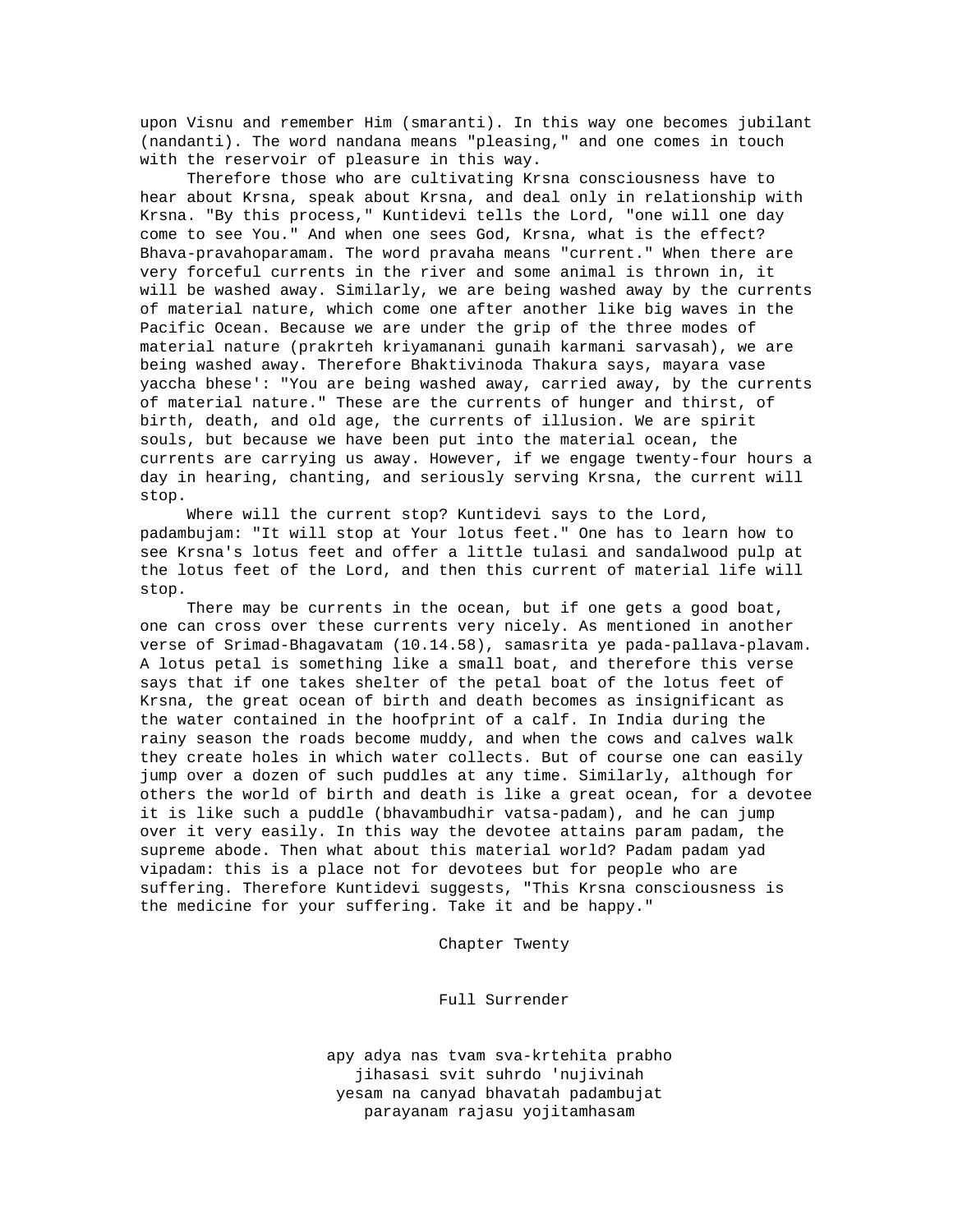upon Visnu and remember Him (smaranti). In this way one becomes jubilant (nandanti). The word nandana means "pleasing," and one comes in touch with the reservoir of pleasure in this way.

 Therefore those who are cultivating Krsna consciousness have to hear about Krsna, speak about Krsna, and deal only in relationship with Krsna. "By this process," Kuntidevi tells the Lord, "one will one day come to see You." And when one sees God, Krsna, what is the effect? Bhava-pravahoparamam. The word pravaha means "current." When there are very forceful currents in the river and some animal is thrown in, it will be washed away. Similarly, we are being washed away by the currents of material nature, which come one after another like big waves in the Pacific Ocean. Because we are under the grip of the three modes of material nature (prakrteh kriyamanani gunaih karmani sarvasah), we are being washed away. Therefore Bhaktivinoda Thakura says, mayara vase yaccha bhese': "You are being washed away, carried away, by the currents of material nature." These are the currents of hunger and thirst, of birth, death, and old age, the currents of illusion. We are spirit souls, but because we have been put into the material ocean, the currents are carrying us away. However, if we engage twenty-four hours a day in hearing, chanting, and seriously serving Krsna, the current will stop.

Where will the current stop? Kuntidevi says to the Lord, padambujam: "It will stop at Your lotus feet." One has to learn how to see Krsna's lotus feet and offer a little tulasi and sandalwood pulp at the lotus feet of the Lord, and then this current of material life will stop.

 There may be currents in the ocean, but if one gets a good boat, one can cross over these currents very nicely. As mentioned in another verse of Srimad-Bhagavatam (10.14.58), samasrita ye pada-pallava-plavam. A lotus petal is something like a small boat, and therefore this verse says that if one takes shelter of the petal boat of the lotus feet of Krsna, the great ocean of birth and death becomes as insignificant as the water contained in the hoofprint of a calf. In India during the rainy season the roads become muddy, and when the cows and calves walk they create holes in which water collects. But of course one can easily jump over a dozen of such puddles at any time. Similarly, although for others the world of birth and death is like a great ocean, for a devotee it is like such a puddle (bhavambudhir vatsa-padam), and he can jump over it very easily. In this way the devotee attains param padam, the supreme abode. Then what about this material world? Padam padam yad vipadam: this is a place not for devotees but for people who are suffering. Therefore Kuntidevi suggests, "This Krsna consciousness is the medicine for your suffering. Take it and be happy."

Chapter Twenty

Full Surrender

 apy adya nas tvam sva-krtehita prabho jihasasi svit suhrdo 'nujivinah yesam na canyad bhavatah padambujat parayanam rajasu yojitamhasam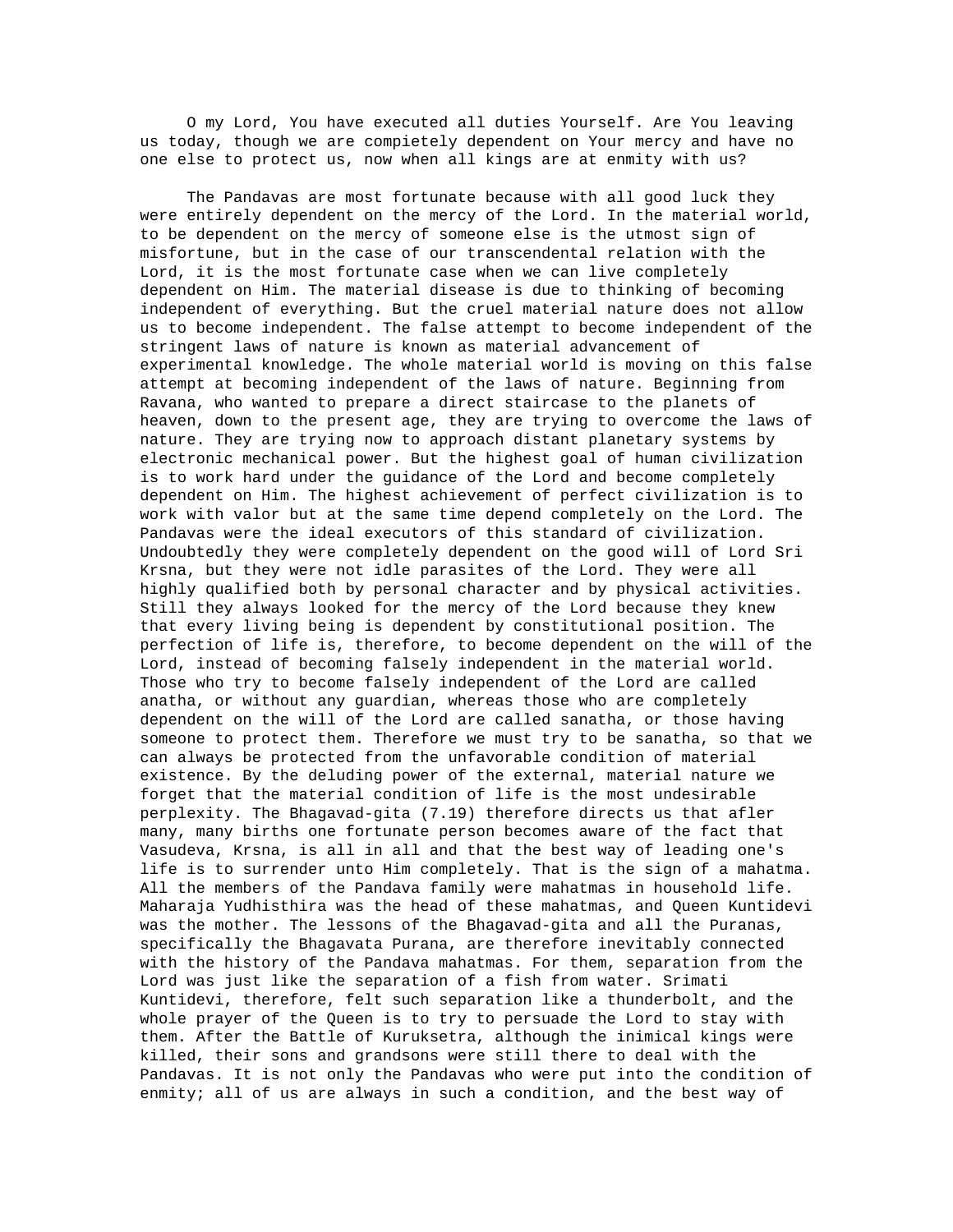O my Lord, You have executed all duties Yourself. Are You leaving us today, though we are compietely dependent on Your mercy and have no one else to protect us, now when all kings are at enmity with us?

 The Pandavas are most fortunate because with all good luck they were entirely dependent on the mercy of the Lord. In the material world, to be dependent on the mercy of someone else is the utmost sign of misfortune, but in the case of our transcendental relation with the Lord, it is the most fortunate case when we can live completely dependent on Him. The material disease is due to thinking of becoming independent of everything. But the cruel material nature does not allow us to become independent. The false attempt to become independent of the stringent laws of nature is known as material advancement of experimental knowledge. The whole material world is moving on this false attempt at becoming independent of the laws of nature. Beginning from Ravana, who wanted to prepare a direct staircase to the planets of heaven, down to the present age, they are trying to overcome the laws of nature. They are trying now to approach distant planetary systems by electronic mechanical power. But the highest goal of human civilization is to work hard under the guidance of the Lord and become completely dependent on Him. The highest achievement of perfect civilization is to work with valor but at the same time depend completely on the Lord. The Pandavas were the ideal executors of this standard of civilization. Undoubtedly they were completely dependent on the good will of Lord Sri Krsna, but they were not idle parasites of the Lord. They were all highly qualified both by personal character and by physical activities. Still they always looked for the mercy of the Lord because they knew that every living being is dependent by constitutional position. The perfection of life is, therefore, to become dependent on the will of the Lord, instead of becoming falsely independent in the material world. Those who try to become falsely independent of the Lord are called anatha, or without any guardian, whereas those who are completely dependent on the will of the Lord are called sanatha, or those having someone to protect them. Therefore we must try to be sanatha, so that we can always be protected from the unfavorable condition of material existence. By the deluding power of the external, material nature we forget that the material condition of life is the most undesirable perplexity. The Bhagavad-gita (7.19) therefore directs us that afler many, many births one fortunate person becomes aware of the fact that Vasudeva, Krsna, is all in all and that the best way of leading one's life is to surrender unto Him completely. That is the sign of a mahatma. All the members of the Pandava family were mahatmas in household life. Maharaja Yudhisthira was the head of these mahatmas, and Queen Kuntidevi was the mother. The lessons of the Bhagavad-gita and all the Puranas, specifically the Bhagavata Purana, are therefore inevitably connected with the history of the Pandava mahatmas. For them, separation from the Lord was just like the separation of a fish from water. Srimati Kuntidevi, therefore, felt such separation like a thunderbolt, and the whole prayer of the Queen is to try to persuade the Lord to stay with them. After the Battle of Kuruksetra, although the inimical kings were killed, their sons and grandsons were still there to deal with the Pandavas. It is not only the Pandavas who were put into the condition of enmity; all of us are always in such a condition, and the best way of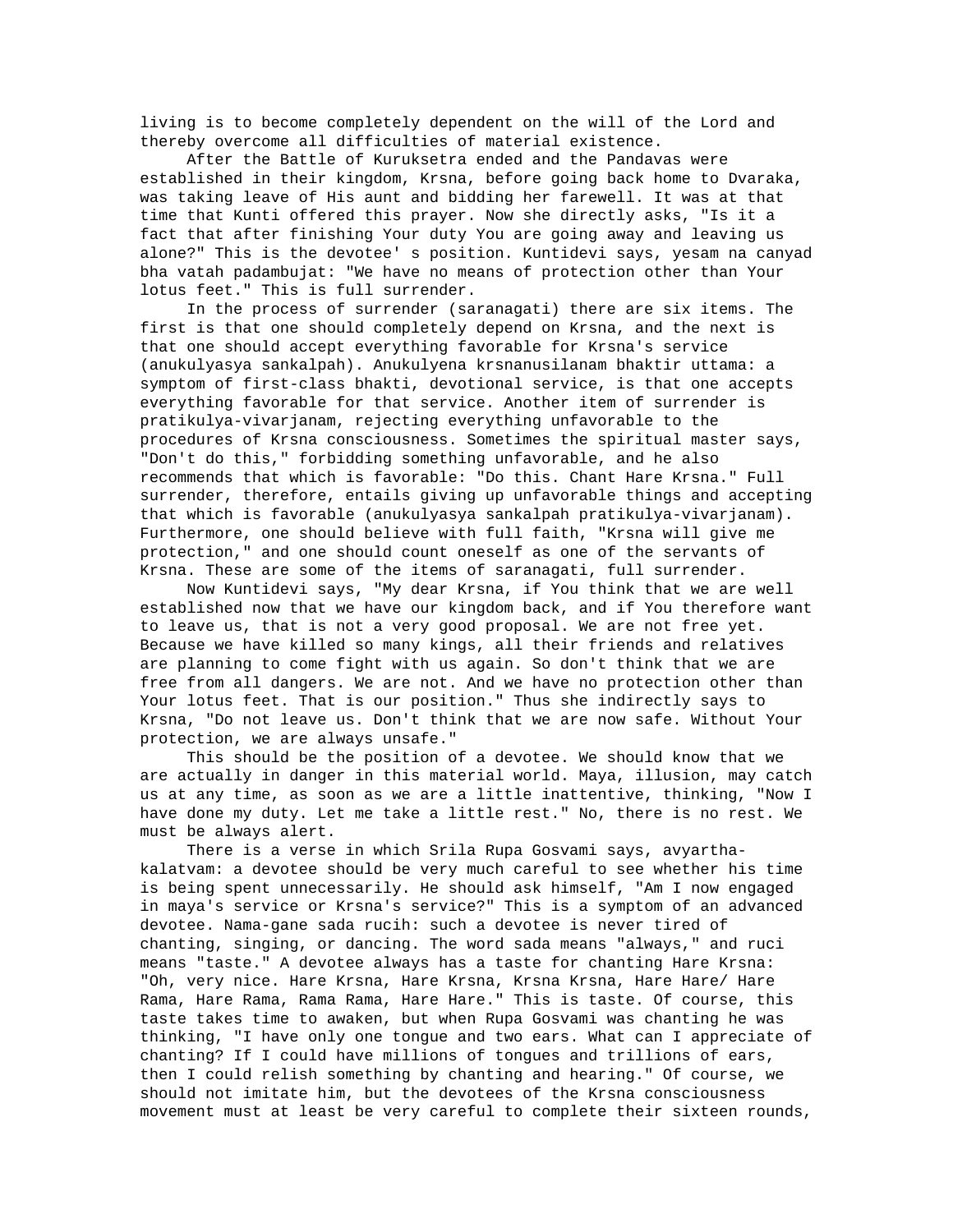living is to become completely dependent on the will of the Lord and thereby overcome all difficulties of material existence.

 After the Battle of Kuruksetra ended and the Pandavas were established in their kingdom, Krsna, before going back home to Dvaraka, was taking leave of His aunt and bidding her farewell. It was at that time that Kunti offered this prayer. Now she directly asks, "Is it a fact that after finishing Your duty You are going away and leaving us alone?" This is the devotee' s position. Kuntidevi says, yesam na canyad bha vatah padambujat: "We have no means of protection other than Your lotus feet." This is full surrender.

 In the process of surrender (saranagati) there are six items. The first is that one should completely depend on Krsna, and the next is that one should accept everything favorable for Krsna's service (anukulyasya sankalpah). Anukulyena krsnanusilanam bhaktir uttama: a symptom of first-class bhakti, devotional service, is that one accepts everything favorable for that service. Another item of surrender is pratikulya-vivarjanam, rejecting everything unfavorable to the procedures of Krsna consciousness. Sometimes the spiritual master says, "Don't do this," forbidding something unfavorable, and he also recommends that which is favorable: "Do this. Chant Hare Krsna." Full surrender, therefore, entails giving up unfavorable things and accepting that which is favorable (anukulyasya sankalpah pratikulya-vivarjanam). Furthermore, one should believe with full faith, "Krsna will give me protection," and one should count oneself as one of the servants of Krsna. These are some of the items of saranagati, full surrender.

 Now Kuntidevi says, "My dear Krsna, if You think that we are well established now that we have our kingdom back, and if You therefore want to leave us, that is not a very good proposal. We are not free yet. Because we have killed so many kings, all their friends and relatives are planning to come fight with us again. So don't think that we are free from all dangers. We are not. And we have no protection other than Your lotus feet. That is our position." Thus she indirectly says to Krsna, "Do not leave us. Don't think that we are now safe. Without Your protection, we are always unsafe."

 This should be the position of a devotee. We should know that we are actually in danger in this material world. Maya, illusion, may catch us at any time, as soon as we are a little inattentive, thinking, "Now I have done my duty. Let me take a little rest." No, there is no rest. We must be always alert.

 There is a verse in which Srila Rupa Gosvami says, avyarthakalatvam: a devotee should be very much careful to see whether his time is being spent unnecessarily. He should ask himself, "Am I now engaged in maya's service or Krsna's service?" This is a symptom of an advanced devotee. Nama-gane sada rucih: such a devotee is never tired of chanting, singing, or dancing. The word sada means "always," and ruci means "taste." A devotee always has a taste for chanting Hare Krsna: "Oh, very nice. Hare Krsna, Hare Krsna, Krsna Krsna, Hare Hare/ Hare Rama, Hare Rama, Rama Rama, Hare Hare." This is taste. Of course, this taste takes time to awaken, but when Rupa Gosvami was chanting he was thinking, "I have only one tongue and two ears. What can I appreciate of chanting? If I could have millions of tongues and trillions of ears, then I could relish something by chanting and hearing." Of course, we should not imitate him, but the devotees of the Krsna consciousness movement must at least be very careful to complete their sixteen rounds,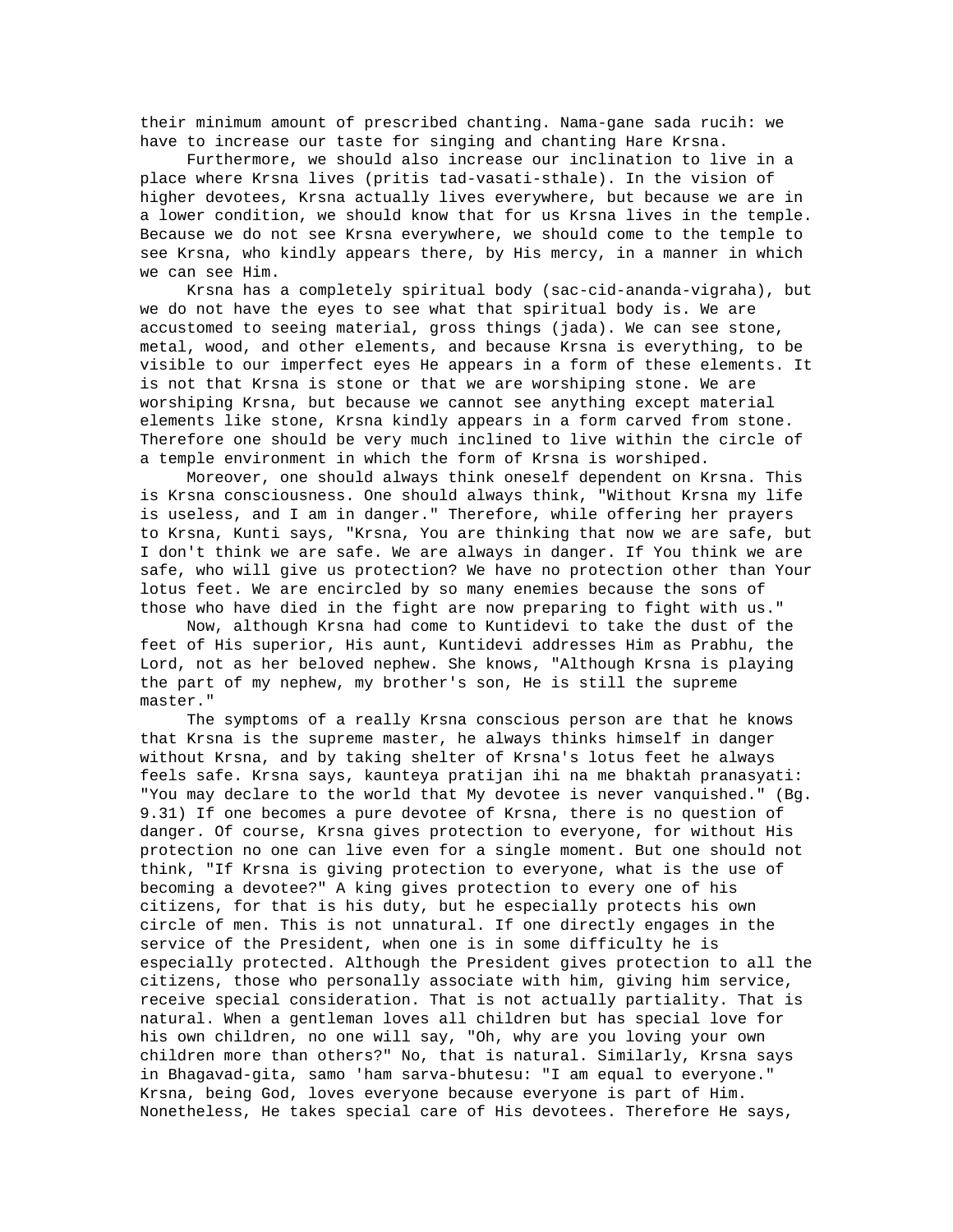their minimum amount of prescribed chanting. Nama-gane sada rucih: we have to increase our taste for singing and chanting Hare Krsna.

 Furthermore, we should also increase our inclination to live in a place where Krsna lives (pritis tad-vasati-sthale). In the vision of higher devotees, Krsna actually lives everywhere, but because we are in a lower condition, we should know that for us Krsna lives in the temple. Because we do not see Krsna everywhere, we should come to the temple to see Krsna, who kindly appears there, by His mercy, in a manner in which we can see Him.

 Krsna has a completely spiritual body (sac-cid-ananda-vigraha), but we do not have the eyes to see what that spiritual body is. We are accustomed to seeing material, gross things (jada). We can see stone, metal, wood, and other elements, and because Krsna is everything, to be visible to our imperfect eyes He appears in a form of these elements. It is not that Krsna is stone or that we are worshiping stone. We are worshiping Krsna, but because we cannot see anything except material elements like stone, Krsna kindly appears in a form carved from stone. Therefore one should be very much inclined to live within the circle of a temple environment in which the form of Krsna is worshiped.

 Moreover, one should always think oneself dependent on Krsna. This is Krsna consciousness. One should always think, "Without Krsna my life is useless, and I am in danger." Therefore, while offering her prayers to Krsna, Kunti says, "Krsna, You are thinking that now we are safe, but I don't think we are safe. We are always in danger. If You think we are safe, who will give us protection? We have no protection other than Your lotus feet. We are encircled by so many enemies because the sons of those who have died in the fight are now preparing to fight with us."

 Now, although Krsna had come to Kuntidevi to take the dust of the feet of His superior, His aunt, Kuntidevi addresses Him as Prabhu, the Lord, not as her beloved nephew. She knows, "Although Krsna is playing the part of my nephew, my brother's son, He is still the supreme master."

 The symptoms of a really Krsna conscious person are that he knows that Krsna is the supreme master, he always thinks himself in danger without Krsna, and by taking shelter of Krsna's lotus feet he always feels safe. Krsna says, kaunteya pratijan ihi na me bhaktah pranasyati: "You may declare to the world that My devotee is never vanquished." (Bg. 9.31) If one becomes a pure devotee of Krsna, there is no question of danger. Of course, Krsna gives protection to everyone, for without His protection no one can live even for a single moment. But one should not think, "If Krsna is giving protection to everyone, what is the use of becoming a devotee?" A king gives protection to every one of his citizens, for that is his duty, but he especially protects his own circle of men. This is not unnatural. If one directly engages in the service of the President, when one is in some difficulty he is especially protected. Although the President gives protection to all the citizens, those who personally associate with him, giving him service, receive special consideration. That is not actually partiality. That is natural. When a gentleman loves all children but has special love for his own children, no one will say, "Oh, why are you loving your own children more than others?" No, that is natural. Similarly, Krsna says in Bhagavad-gita, samo 'ham sarva-bhutesu: "I am equal to everyone." Krsna, being God, loves everyone because everyone is part of Him. Nonetheless, He takes special care of His devotees. Therefore He says,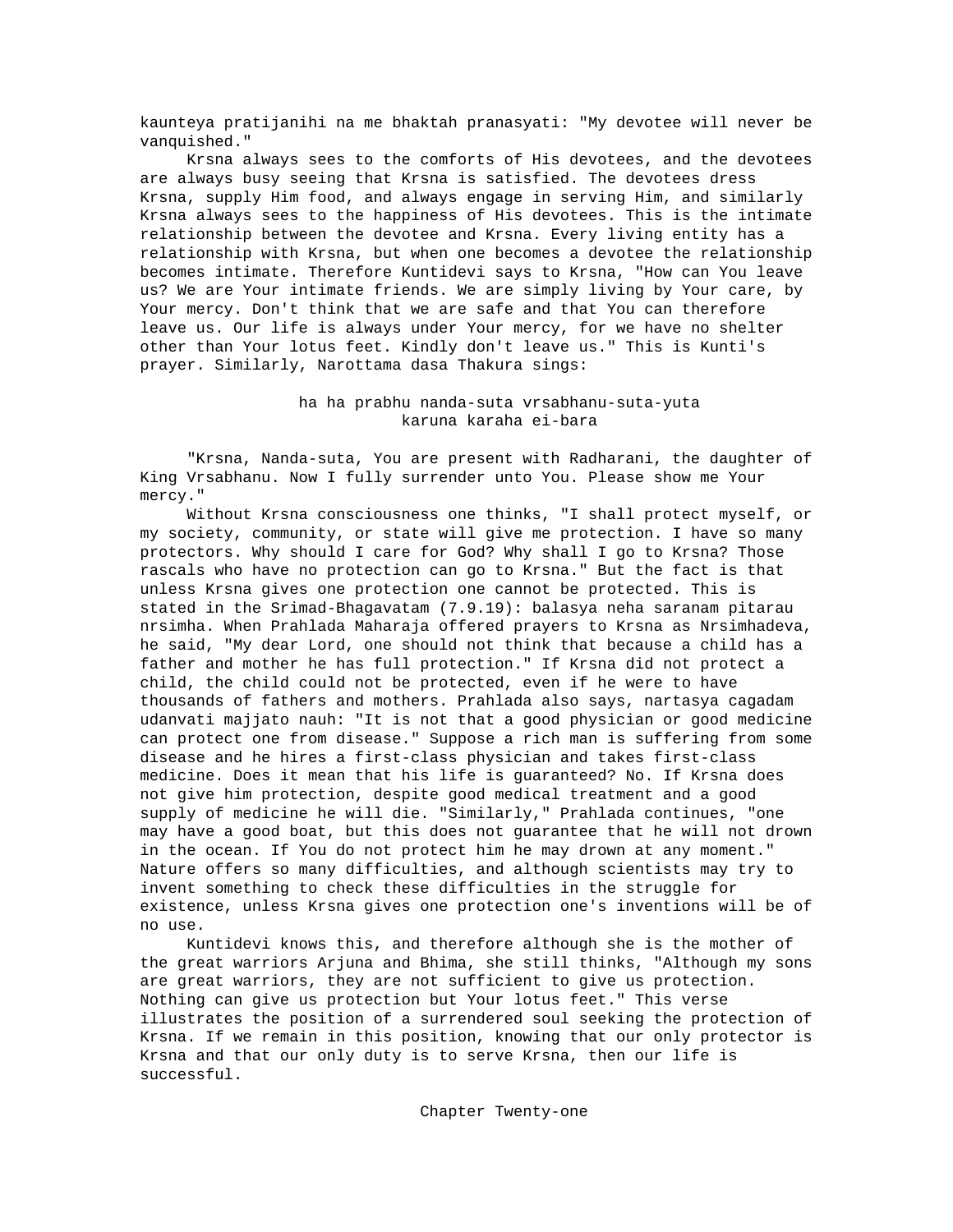kaunteya pratijanihi na me bhaktah pranasyati: "My devotee will never be vanquished."

 Krsna always sees to the comforts of His devotees, and the devotees are always busy seeing that Krsna is satisfied. The devotees dress Krsna, supply Him food, and always engage in serving Him, and similarly Krsna always sees to the happiness of His devotees. This is the intimate relationship between the devotee and Krsna. Every living entity has a relationship with Krsna, but when one becomes a devotee the relationship becomes intimate. Therefore Kuntidevi says to Krsna, "How can You leave us? We are Your intimate friends. We are simply living by Your care, by Your mercy. Don't think that we are safe and that You can therefore leave us. Our life is always under Your mercy, for we have no shelter other than Your lotus feet. Kindly don't leave us." This is Kunti's prayer. Similarly, Narottama dasa Thakura sings:

## ha ha prabhu nanda-suta vrsabhanu-suta-yuta karuna karaha ei-bara

 "Krsna, Nanda-suta, You are present with Radharani, the daughter of King Vrsabhanu. Now I fully surrender unto You. Please show me Your mercy."

 Without Krsna consciousness one thinks, "I shall protect myself, or my society, community, or state will give me protection. I have so many protectors. Why should I care for God? Why shall I go to Krsna? Those rascals who have no protection can go to Krsna." But the fact is that unless Krsna gives one protection one cannot be protected. This is stated in the Srimad-Bhagavatam (7.9.19): balasya neha saranam pitarau nrsimha. When Prahlada Maharaja offered prayers to Krsna as Nrsimhadeva, he said, "My dear Lord, one should not think that because a child has a father and mother he has full protection." If Krsna did not protect a child, the child could not be protected, even if he were to have thousands of fathers and mothers. Prahlada also says, nartasya cagadam udanvati majjato nauh: "It is not that a good physician or good medicine can protect one from disease." Suppose a rich man is suffering from some disease and he hires a first-class physician and takes first-class medicine. Does it mean that his life is guaranteed? No. If Krsna does not give him protection, despite good medical treatment and a good supply of medicine he will die. "Similarly," Prahlada continues, "one may have a good boat, but this does not guarantee that he will not drown in the ocean. If You do not protect him he may drown at any moment." Nature offers so many difficulties, and although scientists may try to invent something to check these difficulties in the struggle for existence, unless Krsna gives one protection one's inventions will be of no use.

 Kuntidevi knows this, and therefore although she is the mother of the great warriors Arjuna and Bhima, she still thinks, "Although my sons are great warriors, they are not sufficient to give us protection. Nothing can give us protection but Your lotus feet." This verse illustrates the position of a surrendered soul seeking the protection of Krsna. If we remain in this position, knowing that our only protector is Krsna and that our only duty is to serve Krsna, then our life is successful.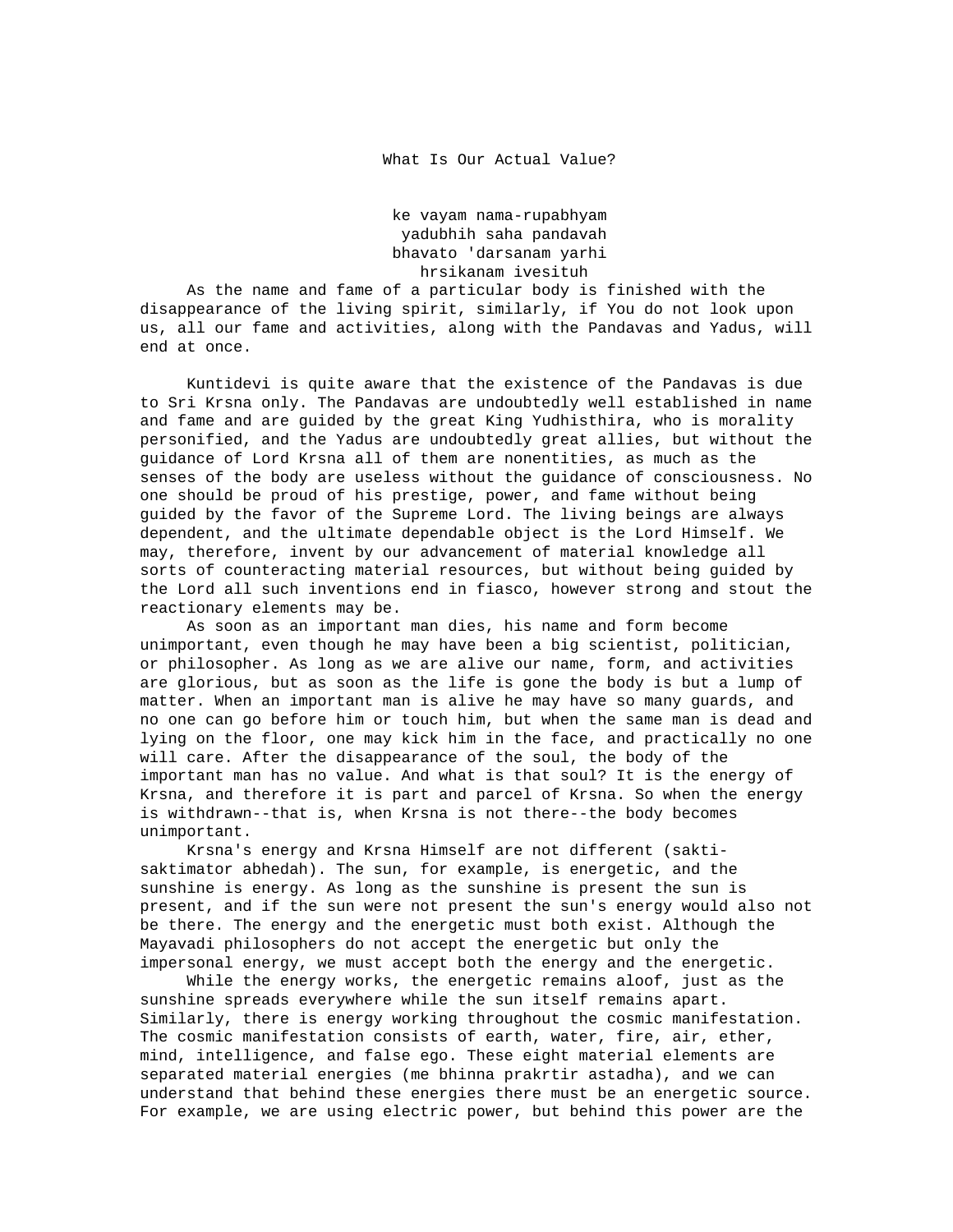## What Is Our Actual Value?

 ke vayam nama-rupabhyam yadubhih saha pandavah bhavato 'darsanam yarhi hrsikanam ivesituh

 As the name and fame of a particular body is finished with the disappearance of the living spirit, similarly, if You do not look upon us, all our fame and activities, along with the Pandavas and Yadus, will end at once.

 Kuntidevi is quite aware that the existence of the Pandavas is due to Sri Krsna only. The Pandavas are undoubtedly well established in name and fame and are guided by the great King Yudhisthira, who is morality personified, and the Yadus are undoubtedly great allies, but without the guidance of Lord Krsna all of them are nonentities, as much as the senses of the body are useless without the guidance of consciousness. No one should be proud of his prestige, power, and fame without being guided by the favor of the Supreme Lord. The living beings are always dependent, and the ultimate dependable object is the Lord Himself. We may, therefore, invent by our advancement of material knowledge all sorts of counteracting material resources, but without being guided by the Lord all such inventions end in fiasco, however strong and stout the reactionary elements may be.

 As soon as an important man dies, his name and form become unimportant, even though he may have been a big scientist, politician, or philosopher. As long as we are alive our name, form, and activities are glorious, but as soon as the life is gone the body is but a lump of matter. When an important man is alive he may have so many guards, and no one can go before him or touch him, but when the same man is dead and lying on the floor, one may kick him in the face, and practically no one will care. After the disappearance of the soul, the body of the important man has no value. And what is that soul? It is the energy of Krsna, and therefore it is part and parcel of Krsna. So when the energy is withdrawn--that is, when Krsna is not there--the body becomes unimportant.

 Krsna's energy and Krsna Himself are not different (saktisaktimator abhedah). The sun, for example, is energetic, and the sunshine is energy. As long as the sunshine is present the sun is present, and if the sun were not present the sun's energy would also not be there. The energy and the energetic must both exist. Although the Mayavadi philosophers do not accept the energetic but only the impersonal energy, we must accept both the energy and the energetic.

 While the energy works, the energetic remains aloof, just as the sunshine spreads everywhere while the sun itself remains apart. Similarly, there is energy working throughout the cosmic manifestation. The cosmic manifestation consists of earth, water, fire, air, ether, mind, intelligence, and false ego. These eight material elements are separated material energies (me bhinna prakrtir astadha), and we can understand that behind these energies there must be an energetic source. For example, we are using electric power, but behind this power are the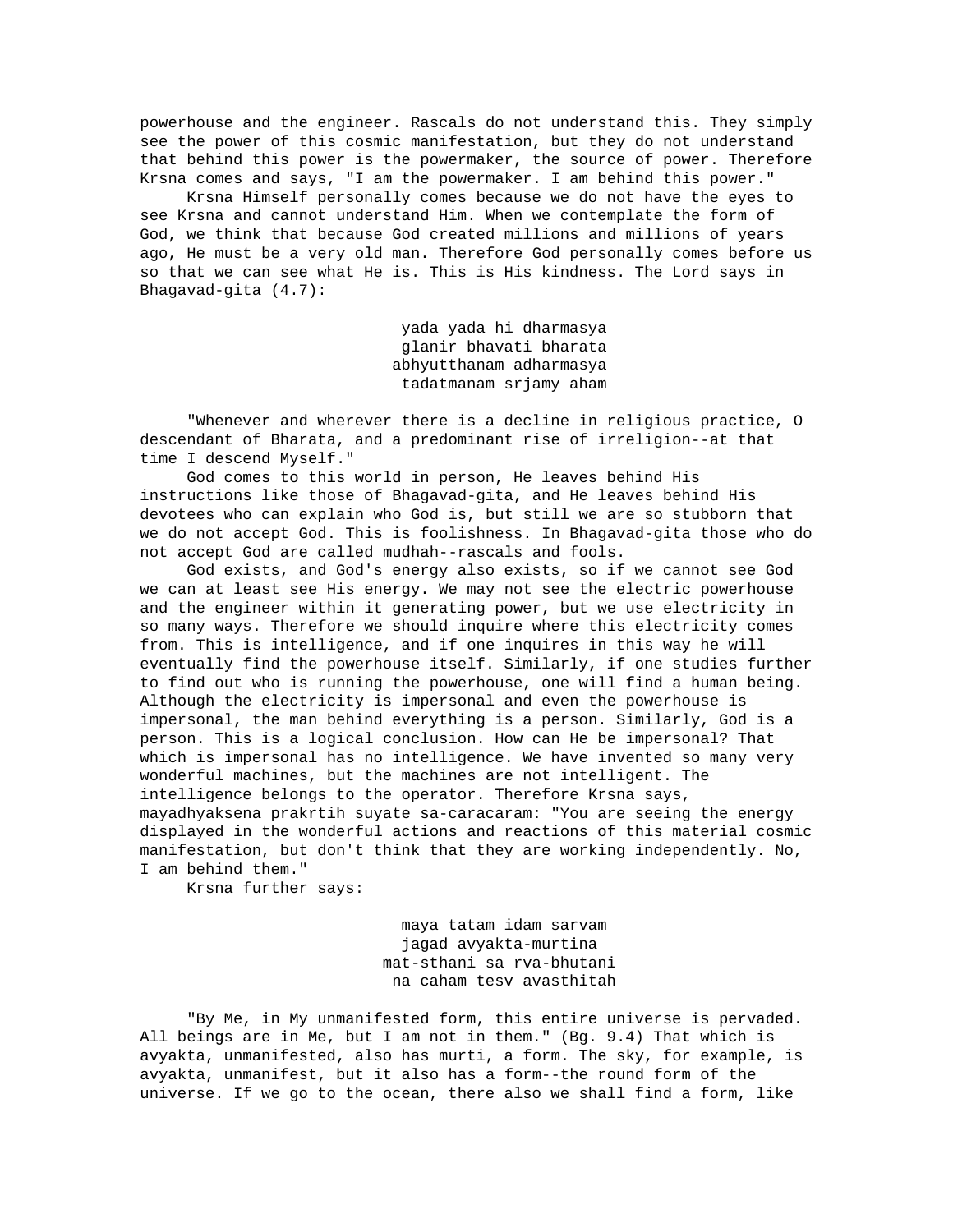powerhouse and the engineer. Rascals do not understand this. They simply see the power of this cosmic manifestation, but they do not understand that behind this power is the powermaker, the source of power. Therefore Krsna comes and says, "I am the powermaker. I am behind this power."

 Krsna Himself personally comes because we do not have the eyes to see Krsna and cannot understand Him. When we contemplate the form of God, we think that because God created millions and millions of years ago, He must be a very old man. Therefore God personally comes before us so that we can see what He is. This is His kindness. The Lord says in Bhagavad-gita (4.7):

> yada yada hi dharmasya glanir bhavati bharata abhyutthanam adharmasya tadatmanam srjamy aham

 "Whenever and wherever there is a decline in religious practice, O descendant of Bharata, and a predominant rise of irreligion--at that time I descend Myself."

 God comes to this world in person, He leaves behind His instructions like those of Bhagavad-gita, and He leaves behind His devotees who can explain who God is, but still we are so stubborn that we do not accept God. This is foolishness. In Bhagavad-gita those who do not accept God are called mudhah--rascals and fools.

 God exists, and God's energy also exists, so if we cannot see God we can at least see His energy. We may not see the electric powerhouse and the engineer within it generating power, but we use electricity in so many ways. Therefore we should inquire where this electricity comes from. This is intelligence, and if one inquires in this way he will eventually find the powerhouse itself. Similarly, if one studies further to find out who is running the powerhouse, one will find a human being. Although the electricity is impersonal and even the powerhouse is impersonal, the man behind everything is a person. Similarly, God is a person. This is a logical conclusion. How can He be impersonal? That which is impersonal has no intelligence. We have invented so many very wonderful machines, but the machines are not intelligent. The intelligence belongs to the operator. Therefore Krsna says, mayadhyaksena prakrtih suyate sa-caracaram: "You are seeing the energy displayed in the wonderful actions and reactions of this material cosmic manifestation, but don't think that they are working independently. No, I am behind them."

Krsna further says:

 maya tatam idam sarvam jagad avyakta-murtina mat-sthani sa rva-bhutani na caham tesv avasthitah

 "By Me, in My unmanifested form, this entire universe is pervaded. All beings are in Me, but I am not in them." (Bg. 9.4) That which is avyakta, unmanifested, also has murti, a form. The sky, for example, is avyakta, unmanifest, but it also has a form--the round form of the universe. If we go to the ocean, there also we shall find a form, like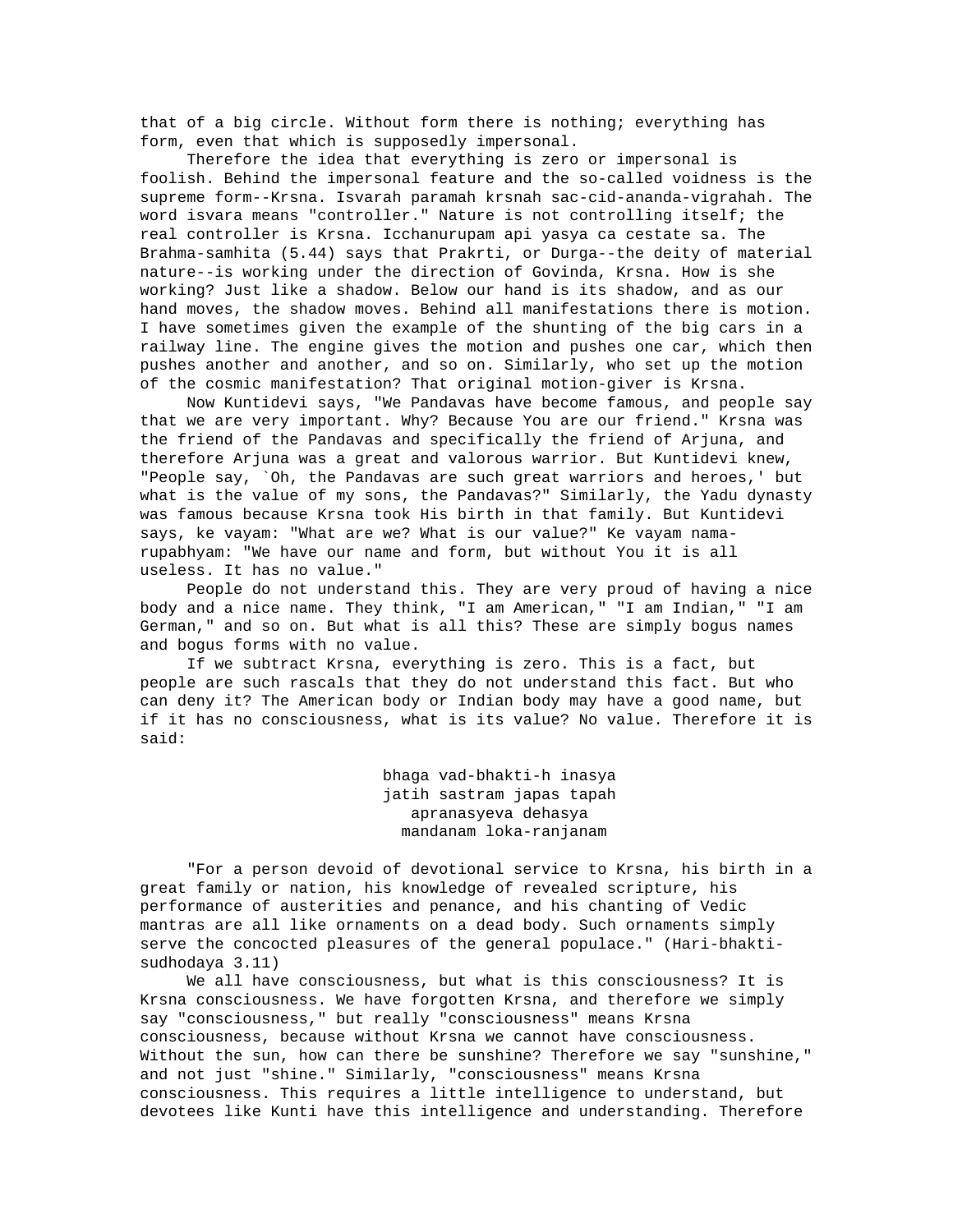that of a big circle. Without form there is nothing; everything has form, even that which is supposedly impersonal.

 Therefore the idea that everything is zero or impersonal is foolish. Behind the impersonal feature and the so-called voidness is the supreme form--Krsna. Isvarah paramah krsnah sac-cid-ananda-vigrahah. The word isvara means "controller." Nature is not controlling itself; the real controller is Krsna. Icchanurupam api yasya ca cestate sa. The Brahma-samhita (5.44) says that Prakrti, or Durga--the deity of material nature--is working under the direction of Govinda, Krsna. How is she working? Just like a shadow. Below our hand is its shadow, and as our hand moves, the shadow moves. Behind all manifestations there is motion. I have sometimes given the example of the shunting of the big cars in a railway line. The engine gives the motion and pushes one car, which then pushes another and another, and so on. Similarly, who set up the motion of the cosmic manifestation? That original motion-giver is Krsna.

 Now Kuntidevi says, "We Pandavas have become famous, and people say that we are very important. Why? Because You are our friend." Krsna was the friend of the Pandavas and specifically the friend of Arjuna, and therefore Arjuna was a great and valorous warrior. But Kuntidevi knew, "People say, `Oh, the Pandavas are such great warriors and heroes,' but what is the value of my sons, the Pandavas?" Similarly, the Yadu dynasty was famous because Krsna took His birth in that family. But Kuntidevi says, ke vayam: "What are we? What is our value?" Ke vayam namarupabhyam: "We have our name and form, but without You it is all useless. It has no value."

 People do not understand this. They are very proud of having a nice body and a nice name. They think, "I am American," "I am Indian," "I am German," and so on. But what is all this? These are simply bogus names and bogus forms with no value.

 If we subtract Krsna, everything is zero. This is a fact, but people are such rascals that they do not understand this fact. But who can deny it? The American body or Indian body may have a good name, but if it has no consciousness, what is its value? No value. Therefore it is said:

> bhaga vad-bhakti-h inasya jatih sastram japas tapah apranasyeva dehasya mandanam loka-ranjanam

 "For a person devoid of devotional service to Krsna, his birth in a great family or nation, his knowledge of revealed scripture, his performance of austerities and penance, and his chanting of Vedic mantras are all like ornaments on a dead body. Such ornaments simply serve the concocted pleasures of the general populace." (Hari-bhaktisudhodaya 3.11)

 We all have consciousness, but what is this consciousness? It is Krsna consciousness. We have forgotten Krsna, and therefore we simply say "consciousness," but really "consciousness" means Krsna consciousness, because without Krsna we cannot have consciousness. Without the sun, how can there be sunshine? Therefore we say "sunshine," and not just "shine." Similarly, "consciousness" means Krsna consciousness. This requires a little intelligence to understand, but devotees like Kunti have this intelligence and understanding. Therefore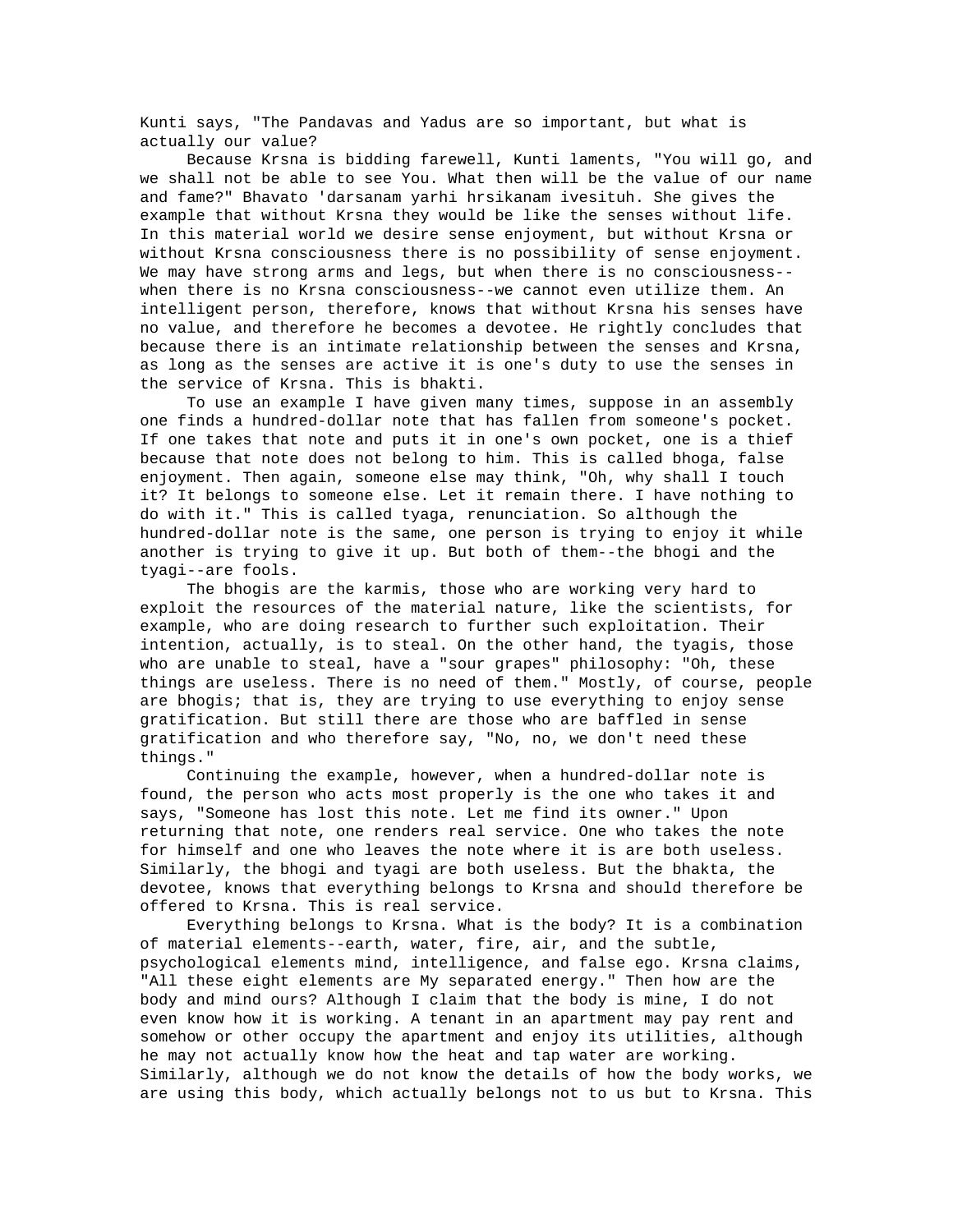Kunti says, "The Pandavas and Yadus are so important, but what is actually our value?

 Because Krsna is bidding farewell, Kunti laments, "You will go, and we shall not be able to see You. What then will be the value of our name and fame?" Bhavato 'darsanam yarhi hrsikanam ivesituh. She gives the example that without Krsna they would be like the senses without life. In this material world we desire sense enjoyment, but without Krsna or without Krsna consciousness there is no possibility of sense enjoyment. We may have strong arms and legs, but when there is no consciousness- when there is no Krsna consciousness--we cannot even utilize them. An intelligent person, therefore, knows that without Krsna his senses have no value, and therefore he becomes a devotee. He rightly concludes that because there is an intimate relationship between the senses and Krsna, as long as the senses are active it is one's duty to use the senses in the service of Krsna. This is bhakti.

 To use an example I have given many times, suppose in an assembly one finds a hundred-dollar note that has fallen from someone's pocket. If one takes that note and puts it in one's own pocket, one is a thief because that note does not belong to him. This is called bhoga, false enjoyment. Then again, someone else may think, "Oh, why shall I touch it? It belongs to someone else. Let it remain there. I have nothing to do with it." This is called tyaga, renunciation. So although the hundred-dollar note is the same, one person is trying to enjoy it while another is trying to give it up. But both of them--the bhogi and the tyagi--are fools.

 The bhogis are the karmis, those who are working very hard to exploit the resources of the material nature, like the scientists, for example, who are doing research to further such exploitation. Their intention, actually, is to steal. On the other hand, the tyagis, those who are unable to steal, have a "sour grapes" philosophy: "Oh, these things are useless. There is no need of them." Mostly, of course, people are bhogis; that is, they are trying to use everything to enjoy sense gratification. But still there are those who are baffled in sense gratification and who therefore say, "No, no, we don't need these things."

 Continuing the example, however, when a hundred-dollar note is found, the person who acts most properly is the one who takes it and says, "Someone has lost this note. Let me find its owner." Upon returning that note, one renders real service. One who takes the note for himself and one who leaves the note where it is are both useless. Similarly, the bhogi and tyagi are both useless. But the bhakta, the devotee, knows that everything belongs to Krsna and should therefore be offered to Krsna. This is real service.

 Everything belongs to Krsna. What is the body? It is a combination of material elements--earth, water, fire, air, and the subtle, psychological elements mind, intelligence, and false ego. Krsna claims, "All these eight elements are My separated energy." Then how are the body and mind ours? Although I claim that the body is mine, I do not even know how it is working. A tenant in an apartment may pay rent and somehow or other occupy the apartment and enjoy its utilities, although he may not actually know how the heat and tap water are working. Similarly, although we do not know the details of how the body works, we are using this body, which actually belongs not to us but to Krsna. This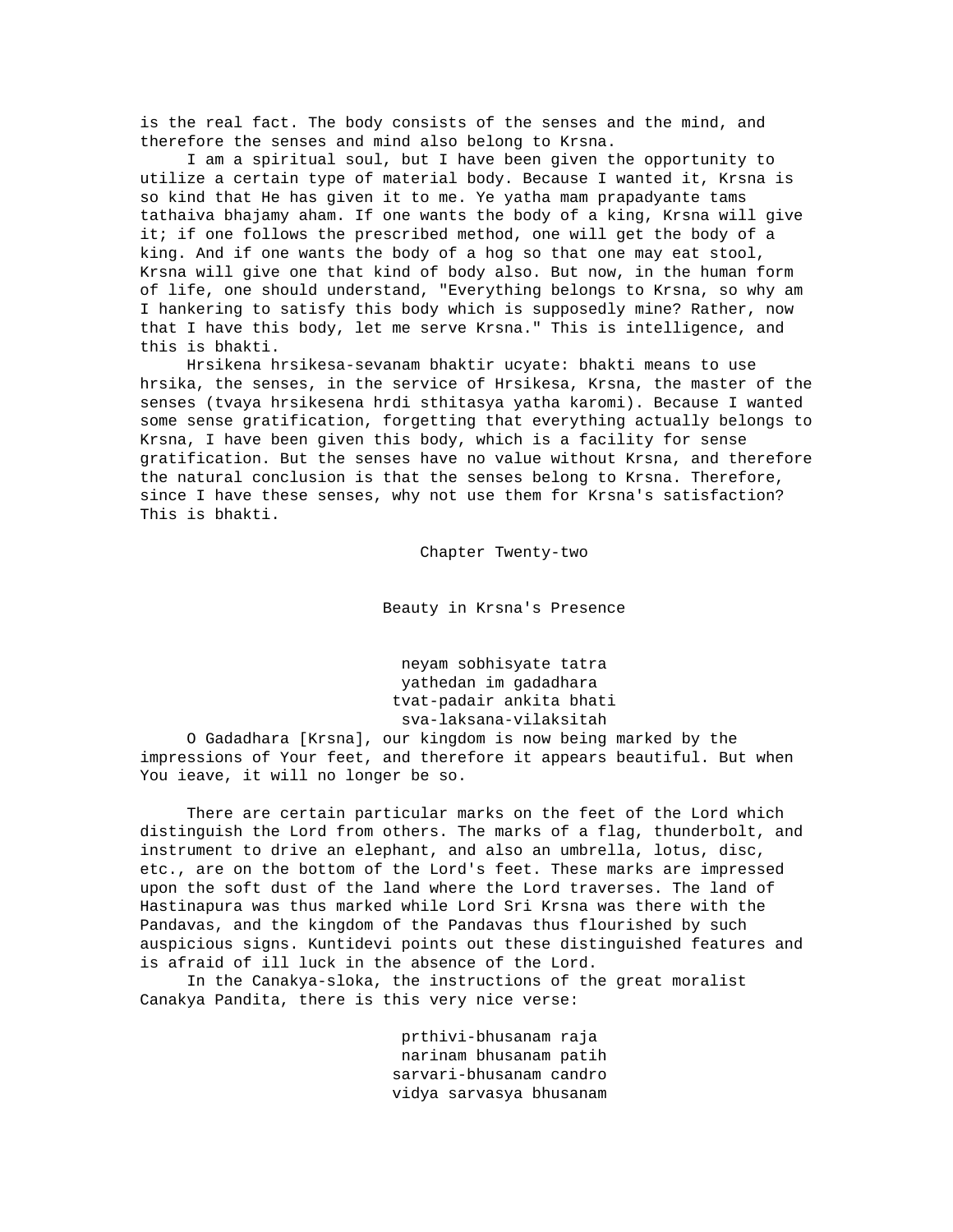is the real fact. The body consists of the senses and the mind, and therefore the senses and mind also belong to Krsna.

 I am a spiritual soul, but I have been given the opportunity to utilize a certain type of material body. Because I wanted it, Krsna is so kind that He has given it to me. Ye yatha mam prapadyante tams tathaiva bhajamy aham. If one wants the body of a king, Krsna will give it; if one follows the prescribed method, one will get the body of a king. And if one wants the body of a hog so that one may eat stool, Krsna will give one that kind of body also. But now, in the human form of life, one should understand, "Everything belongs to Krsna, so why am I hankering to satisfy this body which is supposedly mine? Rather, now that I have this body, let me serve Krsna." This is intelligence, and this is bhakti.

 Hrsikena hrsikesa-sevanam bhaktir ucyate: bhakti means to use hrsika, the senses, in the service of Hrsikesa, Krsna, the master of the senses (tvaya hrsikesena hrdi sthitasya yatha karomi). Because I wanted some sense gratification, forgetting that everything actually belongs to Krsna, I have been given this body, which is a facility for sense gratification. But the senses have no value without Krsna, and therefore the natural conclusion is that the senses belong to Krsna. Therefore, since I have these senses, why not use them for Krsna's satisfaction? This is bhakti.

Chapter Twenty-two

Beauty in Krsna's Presence

 neyam sobhisyate tatra yathedan im gadadhara tvat-padair ankita bhati sva-laksana-vilaksitah

 O Gadadhara [Krsna], our kingdom is now being marked by the impressions of Your feet, and therefore it appears beautiful. But when You ieave, it will no longer be so.

 There are certain particular marks on the feet of the Lord which distinguish the Lord from others. The marks of a flag, thunderbolt, and instrument to drive an elephant, and also an umbrella, lotus, disc, etc., are on the bottom of the Lord's feet. These marks are impressed upon the soft dust of the land where the Lord traverses. The land of Hastinapura was thus marked while Lord Sri Krsna was there with the Pandavas, and the kingdom of the Pandavas thus flourished by such auspicious signs. Kuntidevi points out these distinguished features and is afraid of ill luck in the absence of the Lord.

 In the Canakya-sloka, the instructions of the great moralist Canakya Pandita, there is this very nice verse:

> prthivi-bhusanam raja narinam bhusanam patih sarvari-bhusanam candro vidya sarvasya bhusanam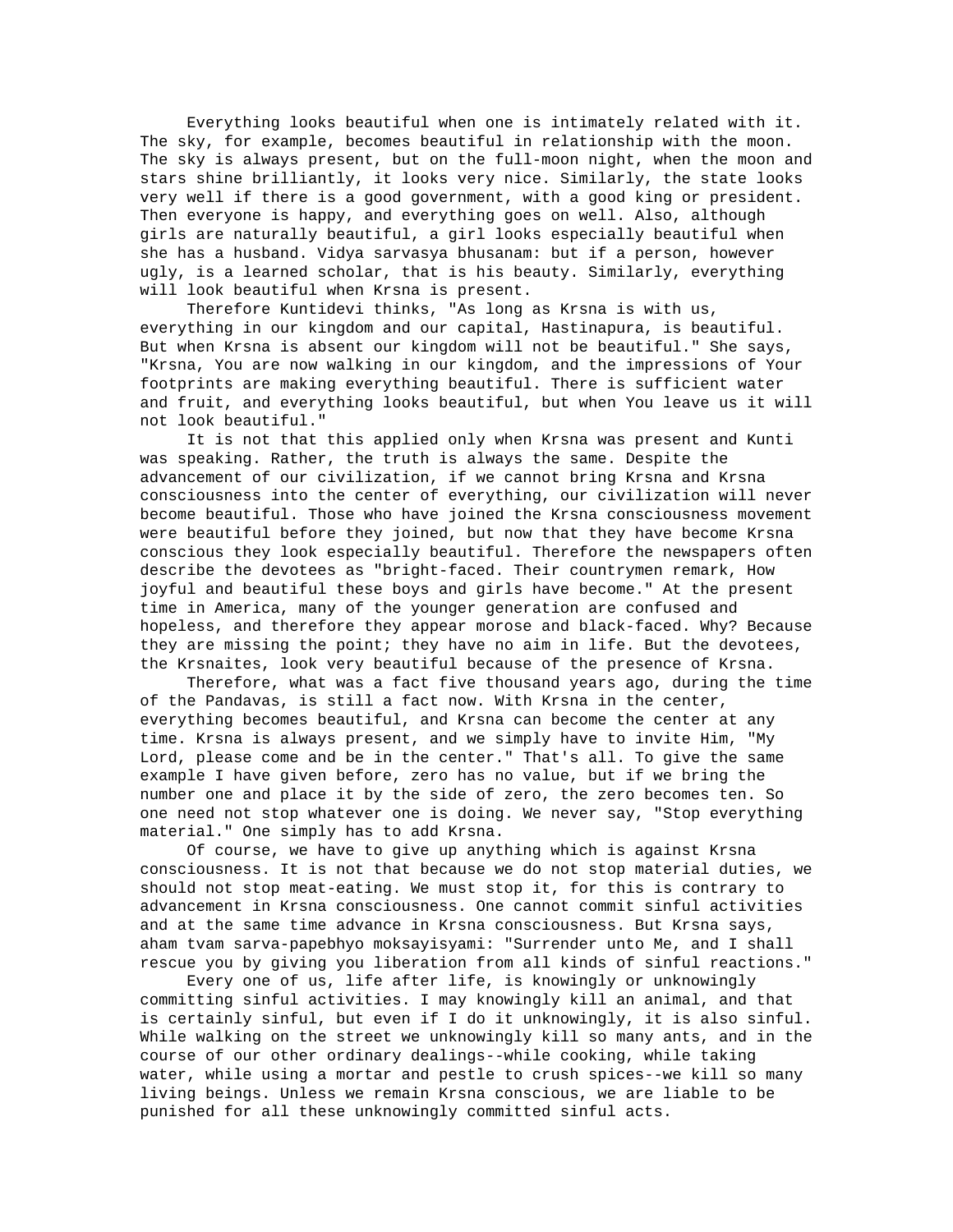Everything looks beautiful when one is intimately related with it. The sky, for example, becomes beautiful in relationship with the moon. The sky is always present, but on the full-moon night, when the moon and stars shine brilliantly, it looks very nice. Similarly, the state looks very well if there is a good government, with a good king or president. Then everyone is happy, and everything goes on well. Also, although girls are naturally beautiful, a girl looks especially beautiful when she has a husband. Vidya sarvasya bhusanam: but if a person, however ugly, is a learned scholar, that is his beauty. Similarly, everything will look beautiful when Krsna is present.

 Therefore Kuntidevi thinks, "As long as Krsna is with us, everything in our kingdom and our capital, Hastinapura, is beautiful. But when Krsna is absent our kingdom will not be beautiful." She says, "Krsna, You are now walking in our kingdom, and the impressions of Your footprints are making everything beautiful. There is sufficient water and fruit, and everything looks beautiful, but when You leave us it will not look beautiful."

 It is not that this applied only when Krsna was present and Kunti was speaking. Rather, the truth is always the same. Despite the advancement of our civilization, if we cannot bring Krsna and Krsna consciousness into the center of everything, our civilization will never become beautiful. Those who have joined the Krsna consciousness movement were beautiful before they joined, but now that they have become Krsna conscious they look especially beautiful. Therefore the newspapers often describe the devotees as "bright-faced. Their countrymen remark, How joyful and beautiful these boys and girls have become." At the present time in America, many of the younger generation are confused and hopeless, and therefore they appear morose and black-faced. Why? Because they are missing the point; they have no aim in life. But the devotees, the Krsnaites, look very beautiful because of the presence of Krsna.

 Therefore, what was a fact five thousand years ago, during the time of the Pandavas, is still a fact now. With Krsna in the center, everything becomes beautiful, and Krsna can become the center at any time. Krsna is always present, and we simply have to invite Him, "My Lord, please come and be in the center." That's all. To give the same example I have given before, zero has no value, but if we bring the number one and place it by the side of zero, the zero becomes ten. So one need not stop whatever one is doing. We never say, "Stop everything material." One simply has to add Krsna.

 Of course, we have to give up anything which is against Krsna consciousness. It is not that because we do not stop material duties, we should not stop meat-eating. We must stop it, for this is contrary to advancement in Krsna consciousness. One cannot commit sinful activities and at the same time advance in Krsna consciousness. But Krsna says, aham tvam sarva-papebhyo moksayisyami: "Surrender unto Me, and I shall rescue you by giving you liberation from all kinds of sinful reactions."

 Every one of us, life after life, is knowingly or unknowingly committing sinful activities. I may knowingly kill an animal, and that is certainly sinful, but even if I do it unknowingly, it is also sinful. While walking on the street we unknowingly kill so many ants, and in the course of our other ordinary dealings--while cooking, while taking water, while using a mortar and pestle to crush spices--we kill so many living beings. Unless we remain Krsna conscious, we are liable to be punished for all these unknowingly committed sinful acts.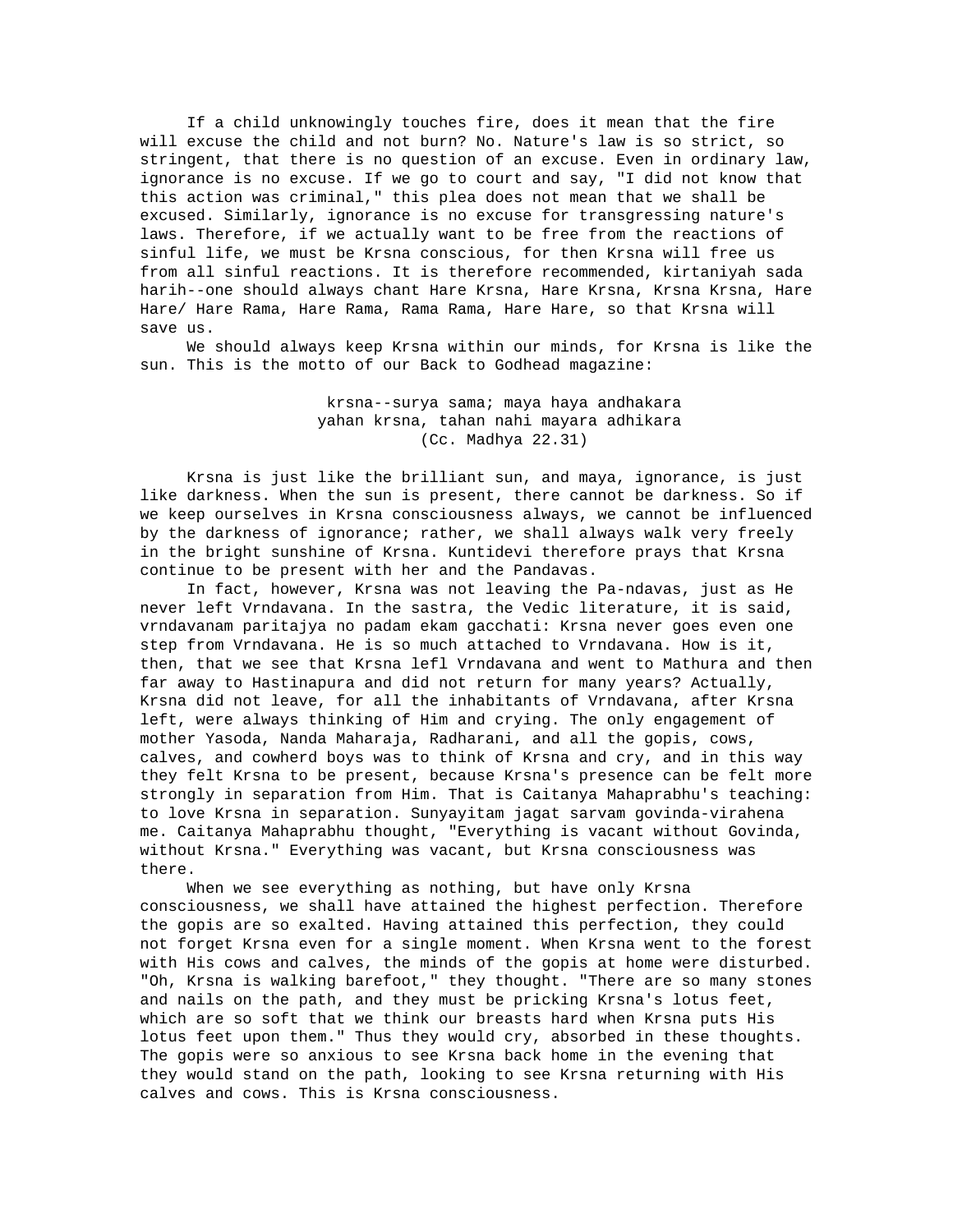If a child unknowingly touches fire, does it mean that the fire will excuse the child and not burn? No. Nature's law is so strict, so stringent, that there is no question of an excuse. Even in ordinary law, ignorance is no excuse. If we go to court and say, "I did not know that this action was criminal," this plea does not mean that we shall be excused. Similarly, ignorance is no excuse for transgressing nature's laws. Therefore, if we actually want to be free from the reactions of sinful life, we must be Krsna conscious, for then Krsna will free us from all sinful reactions. It is therefore recommended, kirtaniyah sada harih--one should always chant Hare Krsna, Hare Krsna, Krsna Krsna, Hare Hare/ Hare Rama, Hare Rama, Rama Rama, Hare Hare, so that Krsna will save us.

 We should always keep Krsna within our minds, for Krsna is like the sun. This is the motto of our Back to Godhead magazine:

> krsna--surya sama; maya haya andhakara yahan krsna, tahan nahi mayara adhikara (Cc. Madhya 22.31)

 Krsna is just like the brilliant sun, and maya, ignorance, is just like darkness. When the sun is present, there cannot be darkness. So if we keep ourselves in Krsna consciousness always, we cannot be influenced by the darkness of ignorance; rather, we shall always walk very freely in the bright sunshine of Krsna. Kuntidevi therefore prays that Krsna continue to be present with her and the Pandavas.

 In fact, however, Krsna was not leaving the Pa-ndavas, just as He never left Vrndavana. In the sastra, the Vedic literature, it is said, vrndavanam paritajya no padam ekam gacchati: Krsna never goes even one step from Vrndavana. He is so much attached to Vrndavana. How is it, then, that we see that Krsna lefl Vrndavana and went to Mathura and then far away to Hastinapura and did not return for many years? Actually, Krsna did not leave, for all the inhabitants of Vrndavana, after Krsna left, were always thinking of Him and crying. The only engagement of mother Yasoda, Nanda Maharaja, Radharani, and all the gopis, cows, calves, and cowherd boys was to think of Krsna and cry, and in this way they felt Krsna to be present, because Krsna's presence can be felt more strongly in separation from Him. That is Caitanya Mahaprabhu's teaching: to love Krsna in separation. Sunyayitam jagat sarvam govinda-virahena me. Caitanya Mahaprabhu thought, "Everything is vacant without Govinda, without Krsna." Everything was vacant, but Krsna consciousness was there.

 When we see everything as nothing, but have only Krsna consciousness, we shall have attained the highest perfection. Therefore the gopis are so exalted. Having attained this perfection, they could not forget Krsna even for a single moment. When Krsna went to the forest with His cows and calves, the minds of the gopis at home were disturbed. "Oh, Krsna is walking barefoot," they thought. "There are so many stones and nails on the path, and they must be pricking Krsna's lotus feet, which are so soft that we think our breasts hard when Krsna puts His lotus feet upon them." Thus they would cry, absorbed in these thoughts. The gopis were so anxious to see Krsna back home in the evening that they would stand on the path, looking to see Krsna returning with His calves and cows. This is Krsna consciousness.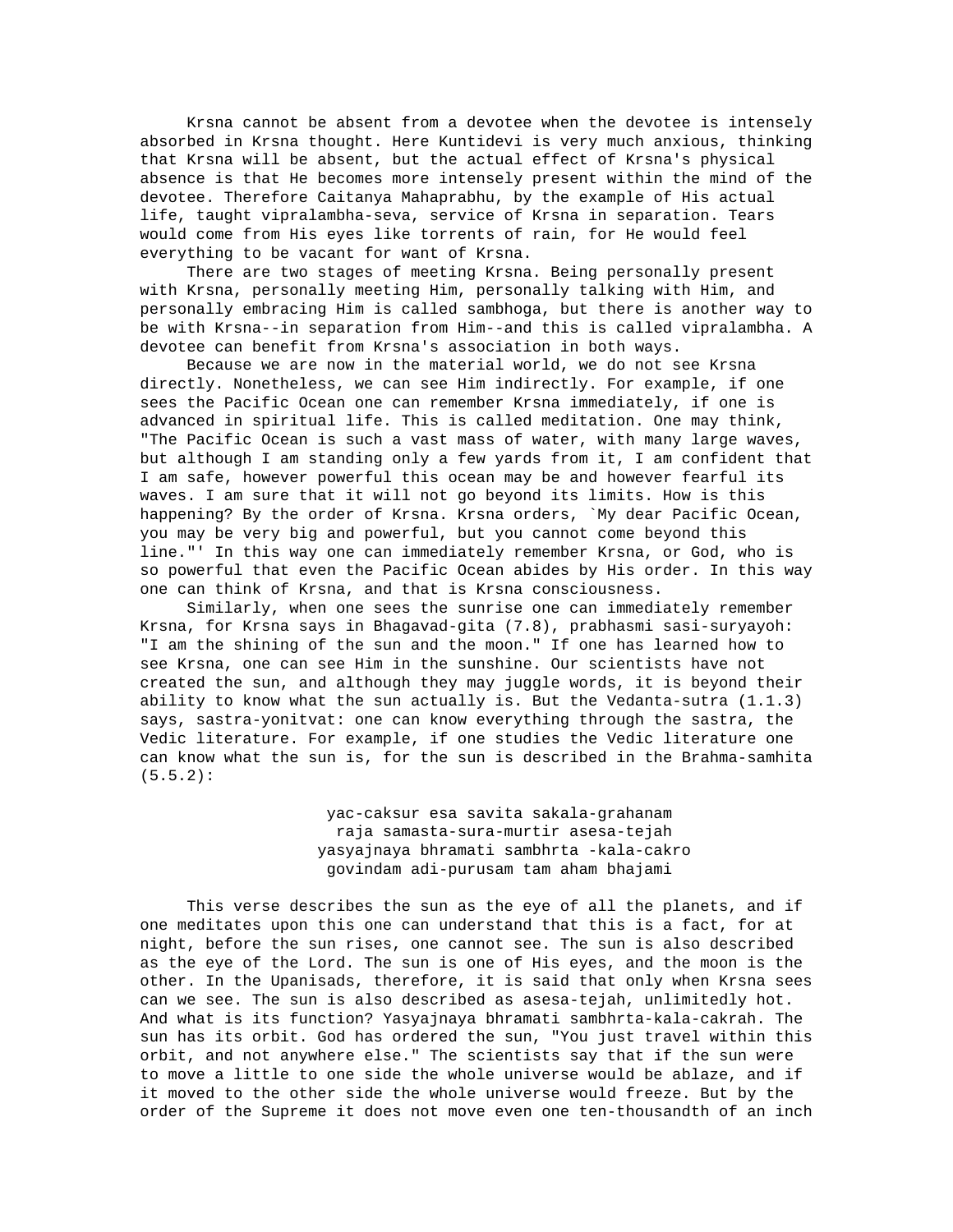Krsna cannot be absent from a devotee when the devotee is intensely absorbed in Krsna thought. Here Kuntidevi is very much anxious, thinking that Krsna will be absent, but the actual effect of Krsna's physical absence is that He becomes more intensely present within the mind of the devotee. Therefore Caitanya Mahaprabhu, by the example of His actual life, taught vipralambha-seva, service of Krsna in separation. Tears would come from His eyes like torrents of rain, for He would feel everything to be vacant for want of Krsna.

 There are two stages of meeting Krsna. Being personally present with Krsna, personally meeting Him, personally talking with Him, and personally embracing Him is called sambhoga, but there is another way to be with Krsna--in separation from Him--and this is called vipralambha. A devotee can benefit from Krsna's association in both ways.

 Because we are now in the material world, we do not see Krsna directly. Nonetheless, we can see Him indirectly. For example, if one sees the Pacific Ocean one can remember Krsna immediately, if one is advanced in spiritual life. This is called meditation. One may think, "The Pacific Ocean is such a vast mass of water, with many large waves, but although I am standing only a few yards from it, I am confident that I am safe, however powerful this ocean may be and however fearful its waves. I am sure that it will not go beyond its limits. How is this happening? By the order of Krsna. Krsna orders, `My dear Pacific Ocean, you may be very big and powerful, but you cannot come beyond this line."' In this way one can immediately remember Krsna, or God, who is so powerful that even the Pacific Ocean abides by His order. In this way one can think of Krsna, and that is Krsna consciousness.

 Similarly, when one sees the sunrise one can immediately remember Krsna, for Krsna says in Bhagavad-gita (7.8), prabhasmi sasi-suryayoh: "I am the shining of the sun and the moon." If one has learned how to see Krsna, one can see Him in the sunshine. Our scientists have not created the sun, and although they may juggle words, it is beyond their ability to know what the sun actually is. But the Vedanta-sutra (1.1.3) says, sastra-yonitvat: one can know everything through the sastra, the Vedic literature. For example, if one studies the Vedic literature one can know what the sun is, for the sun is described in the Brahma-samhita (5.5.2):

> yac-caksur esa savita sakala-grahanam raja samasta-sura-murtir asesa-tejah yasyajnaya bhramati sambhrta -kala-cakro govindam adi-purusam tam aham bhajami

 This verse describes the sun as the eye of all the planets, and if one meditates upon this one can understand that this is a fact, for at night, before the sun rises, one cannot see. The sun is also described as the eye of the Lord. The sun is one of His eyes, and the moon is the other. In the Upanisads, therefore, it is said that only when Krsna sees can we see. The sun is also described as asesa-tejah, unlimitedly hot. And what is its function? Yasyajnaya bhramati sambhrta-kala-cakrah. The sun has its orbit. God has ordered the sun, "You just travel within this orbit, and not anywhere else." The scientists say that if the sun were to move a little to one side the whole universe would be ablaze, and if it moved to the other side the whole universe would freeze. But by the order of the Supreme it does not move even one ten-thousandth of an inch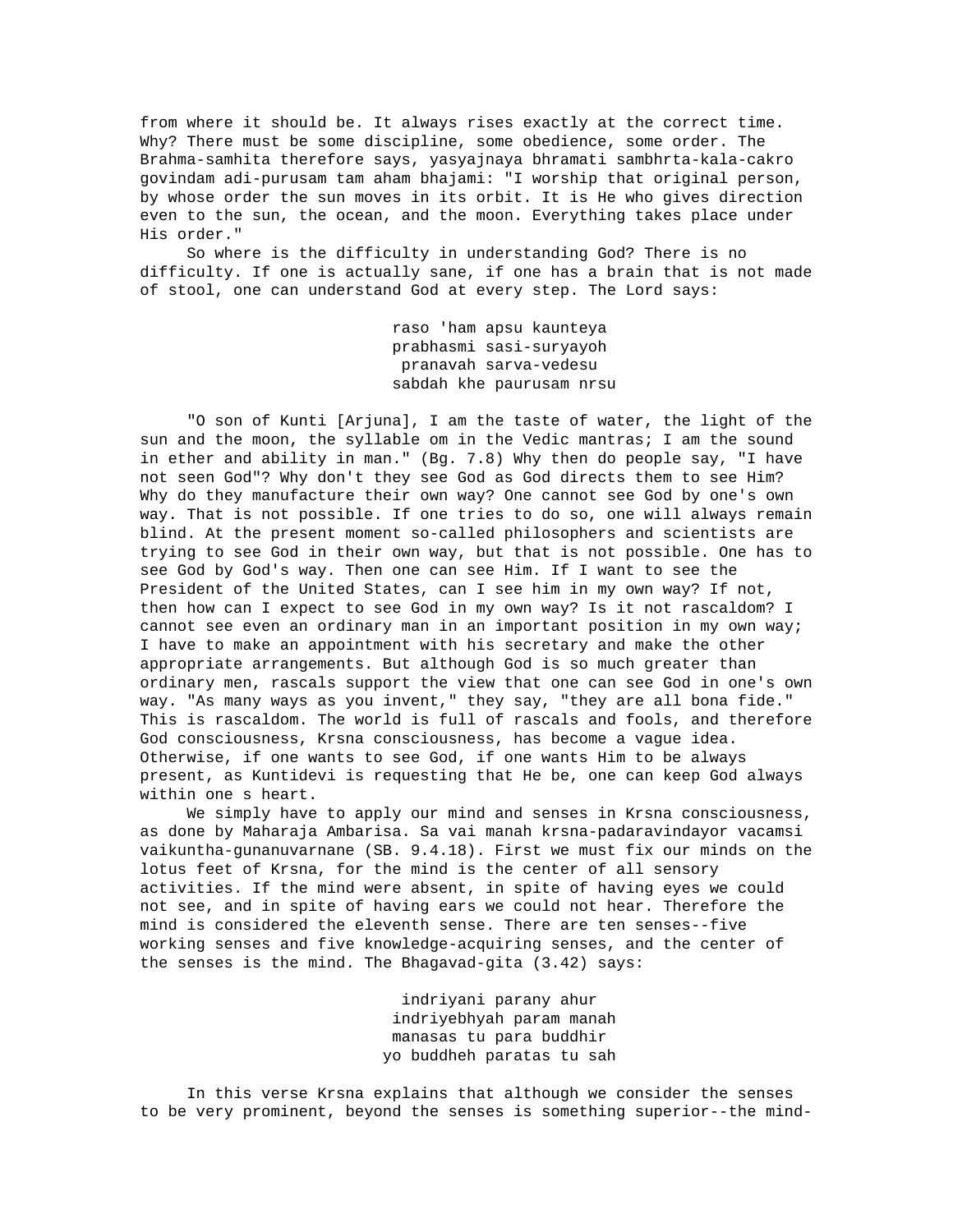from where it should be. It always rises exactly at the correct time. Why? There must be some discipline, some obedience, some order. The Brahma-samhita therefore says, yasyajnaya bhramati sambhrta-kala-cakro govindam adi-purusam tam aham bhajami: "I worship that original person, by whose order the sun moves in its orbit. It is He who gives direction even to the sun, the ocean, and the moon. Everything takes place under His order."

 So where is the difficulty in understanding God? There is no difficulty. If one is actually sane, if one has a brain that is not made of stool, one can understand God at every step. The Lord says:

> raso 'ham apsu kaunteya prabhasmi sasi-suryayoh pranavah sarva-vedesu sabdah khe paurusam nrsu

 "O son of Kunti [Arjuna], I am the taste of water, the light of the sun and the moon, the syllable om in the Vedic mantras; I am the sound in ether and ability in man." (Bg. 7.8) Why then do people say, "I have not seen God"? Why don't they see God as God directs them to see Him? Why do they manufacture their own way? One cannot see God by one's own way. That is not possible. If one tries to do so, one will always remain blind. At the present moment so-called philosophers and scientists are trying to see God in their own way, but that is not possible. One has to see God by God's way. Then one can see Him. If I want to see the President of the United States, can I see him in my own way? If not, then how can I expect to see God in my own way? Is it not rascaldom? I cannot see even an ordinary man in an important position in my own way; I have to make an appointment with his secretary and make the other appropriate arrangements. But although God is so much greater than ordinary men, rascals support the view that one can see God in one's own way. "As many ways as you invent," they say, "they are all bona fide." This is rascaldom. The world is full of rascals and fools, and therefore God consciousness, Krsna consciousness, has become a vague idea. Otherwise, if one wants to see God, if one wants Him to be always present, as Kuntidevi is requesting that He be, one can keep God always within one s heart.

 We simply have to apply our mind and senses in Krsna consciousness, as done by Maharaja Ambarisa. Sa vai manah krsna-padaravindayor vacamsi vaikuntha-gunanuvarnane (SB. 9.4.18). First we must fix our minds on the lotus feet of Krsna, for the mind is the center of all sensory activities. If the mind were absent, in spite of having eyes we could not see, and in spite of having ears we could not hear. Therefore the mind is considered the eleventh sense. There are ten senses--five working senses and five knowledge-acquiring senses, and the center of the senses is the mind. The Bhagavad-gita (3.42) says:

> indriyani parany ahur indriyebhyah param manah manasas tu para buddhir yo buddheh paratas tu sah

 In this verse Krsna explains that although we consider the senses to be very prominent, beyond the senses is something superior--the mind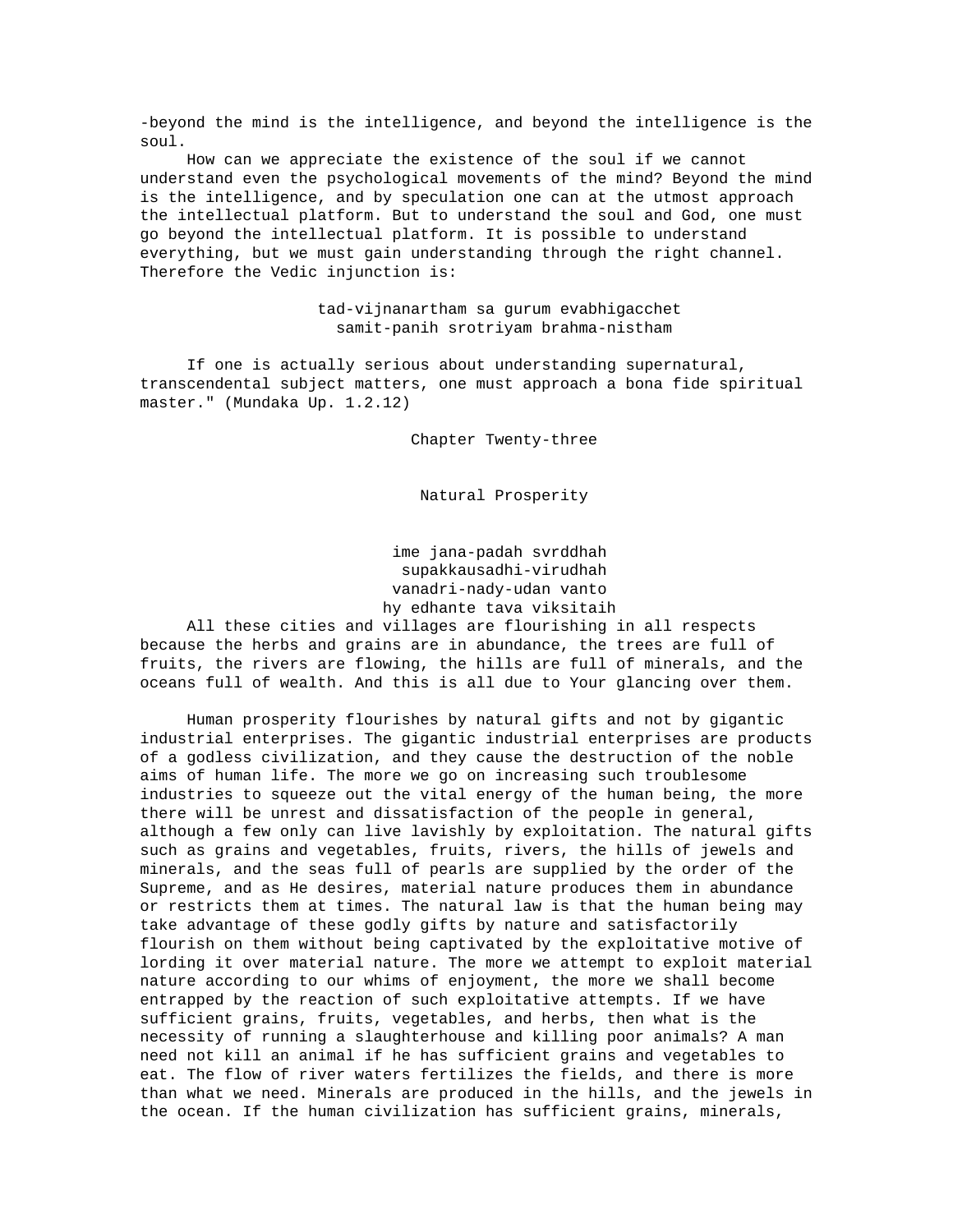-beyond the mind is the intelligence, and beyond the intelligence is the soul.

 How can we appreciate the existence of the soul if we cannot understand even the psychological movements of the mind? Beyond the mind is the intelligence, and by speculation one can at the utmost approach the intellectual platform. But to understand the soul and God, one must go beyond the intellectual platform. It is possible to understand everything, but we must gain understanding through the right channel. Therefore the Vedic injunction is:

> tad-vijnanartham sa gurum evabhigacchet samit-panih srotriyam brahma-nistham

 If one is actually serious about understanding supernatural, transcendental subject matters, one must approach a bona fide spiritual master." (Mundaka Up. 1.2.12)

Chapter Twenty-three

Natural Prosperity

 ime jana-padah svrddhah supakkausadhi-virudhah vanadri-nady-udan vanto hy edhante tava viksitaih

 All these cities and villages are flourishing in all respects because the herbs and grains are in abundance, the trees are full of fruits, the rivers are flowing, the hills are full of minerals, and the oceans full of wealth. And this is all due to Your glancing over them.

 Human prosperity flourishes by natural gifts and not by gigantic industrial enterprises. The gigantic industrial enterprises are products of a godless civilization, and they cause the destruction of the noble aims of human life. The more we go on increasing such troublesome industries to squeeze out the vital energy of the human being, the more there will be unrest and dissatisfaction of the people in general, although a few only can live lavishly by exploitation. The natural gifts such as grains and vegetables, fruits, rivers, the hills of jewels and minerals, and the seas full of pearls are supplied by the order of the Supreme, and as He desires, material nature produces them in abundance or restricts them at times. The natural law is that the human being may take advantage of these godly gifts by nature and satisfactorily flourish on them without being captivated by the exploitative motive of lording it over material nature. The more we attempt to exploit material nature according to our whims of enjoyment, the more we shall become entrapped by the reaction of such exploitative attempts. If we have sufficient grains, fruits, vegetables, and herbs, then what is the necessity of running a slaughterhouse and killing poor animals? A man need not kill an animal if he has sufficient grains and vegetables to eat. The flow of river waters fertilizes the fields, and there is more than what we need. Minerals are produced in the hills, and the jewels in the ocean. If the human civilization has sufficient grains, minerals,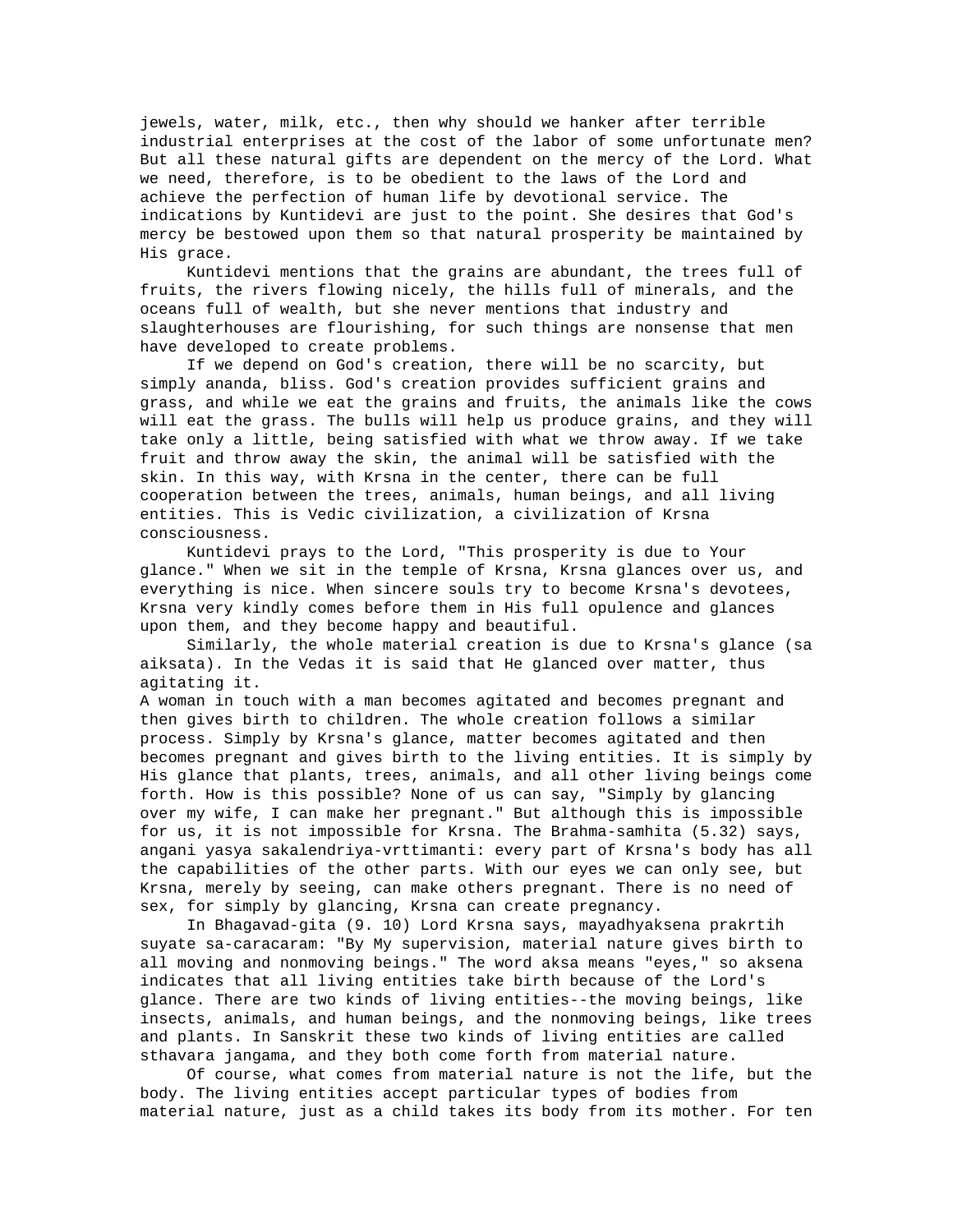jewels, water, milk, etc., then why should we hanker after terrible industrial enterprises at the cost of the labor of some unfortunate men? But all these natural gifts are dependent on the mercy of the Lord. What we need, therefore, is to be obedient to the laws of the Lord and achieve the perfection of human life by devotional service. The indications by Kuntidevi are just to the point. She desires that God's mercy be bestowed upon them so that natural prosperity be maintained by His grace.

 Kuntidevi mentions that the grains are abundant, the trees full of fruits, the rivers flowing nicely, the hills full of minerals, and the oceans full of wealth, but she never mentions that industry and slaughterhouses are flourishing, for such things are nonsense that men have developed to create problems.

 If we depend on God's creation, there will be no scarcity, but simply ananda, bliss. God's creation provides sufficient grains and grass, and while we eat the grains and fruits, the animals like the cows will eat the grass. The bulls will help us produce grains, and they will take only a little, being satisfied with what we throw away. If we take fruit and throw away the skin, the animal will be satisfied with the skin. In this way, with Krsna in the center, there can be full cooperation between the trees, animals, human beings, and all living entities. This is Vedic civilization, a civilization of Krsna consciousness.

 Kuntidevi prays to the Lord, "This prosperity is due to Your glance." When we sit in the temple of Krsna, Krsna glances over us, and everything is nice. When sincere souls try to become Krsna's devotees, Krsna very kindly comes before them in His full opulence and glances upon them, and they become happy and beautiful.

 Similarly, the whole material creation is due to Krsna's glance (sa aiksata). In the Vedas it is said that He glanced over matter, thus agitating it.

A woman in touch with a man becomes agitated and becomes pregnant and then gives birth to children. The whole creation follows a similar process. Simply by Krsna's glance, matter becomes agitated and then becomes pregnant and gives birth to the living entities. It is simply by His glance that plants, trees, animals, and all other living beings come forth. How is this possible? None of us can say, "Simply by glancing over my wife, I can make her pregnant." But although this is impossible for us, it is not impossible for Krsna. The Brahma-samhita (5.32) says, angani yasya sakalendriya-vrttimanti: every part of Krsna's body has all the capabilities of the other parts. With our eyes we can only see, but Krsna, merely by seeing, can make others pregnant. There is no need of sex, for simply by glancing, Krsna can create pregnancy.

 In Bhagavad-gita (9. 10) Lord Krsna says, mayadhyaksena prakrtih suyate sa-caracaram: "By My supervision, material nature gives birth to all moving and nonmoving beings." The word aksa means "eyes," so aksena indicates that all living entities take birth because of the Lord's glance. There are two kinds of living entities--the moving beings, like insects, animals, and human beings, and the nonmoving beings, like trees and plants. In Sanskrit these two kinds of living entities are called sthavara jangama, and they both come forth from material nature.

 Of course, what comes from material nature is not the life, but the body. The living entities accept particular types of bodies from material nature, just as a child takes its body from its mother. For ten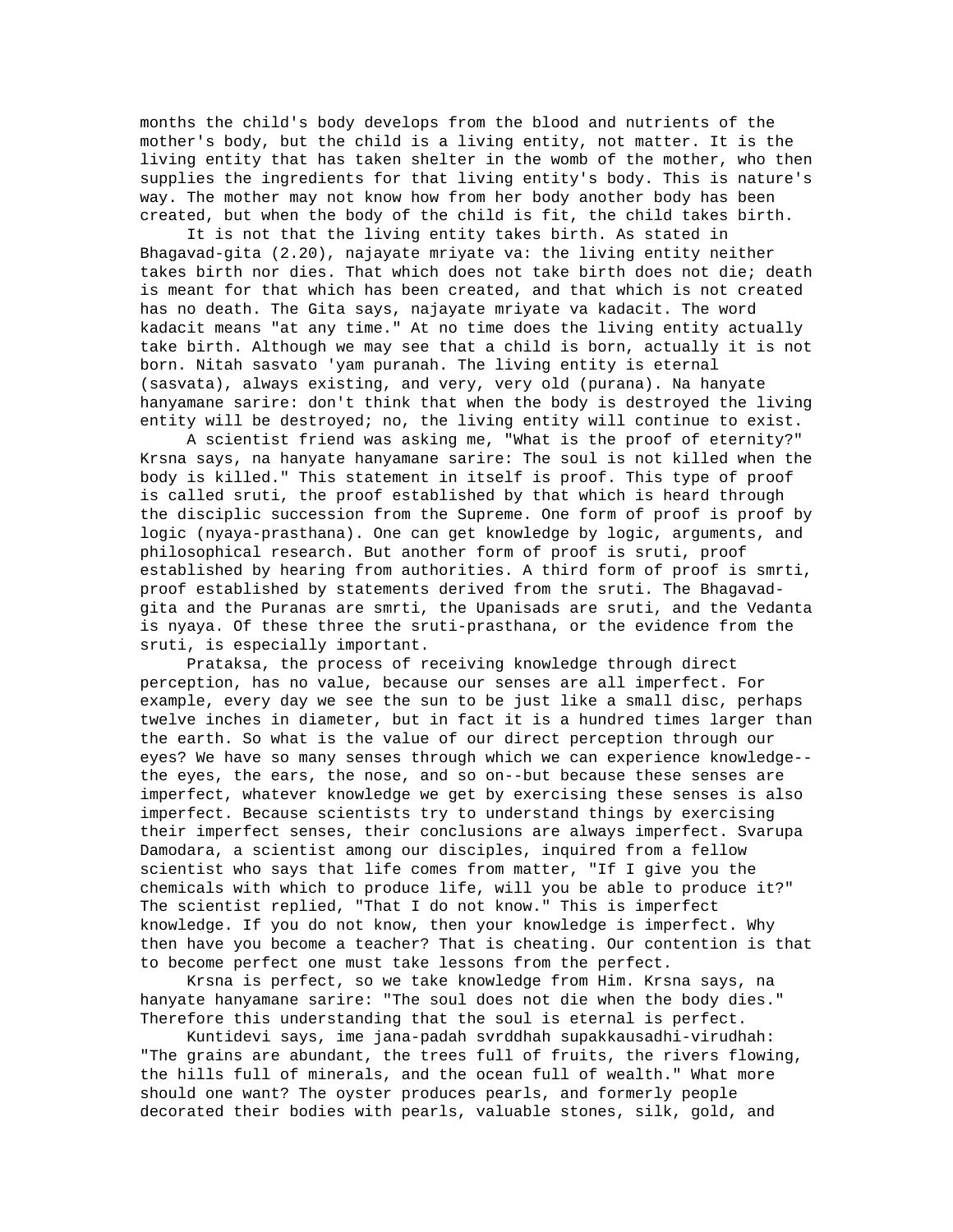months the child's body develops from the blood and nutrients of the mother's body, but the child is a living entity, not matter. It is the living entity that has taken shelter in the womb of the mother, who then supplies the ingredients for that living entity's body. This is nature's way. The mother may not know how from her body another body has been created, but when the body of the child is fit, the child takes birth.

 It is not that the living entity takes birth. As stated in Bhagavad-gita (2.20), najayate mriyate va: the living entity neither takes birth nor dies. That which does not take birth does not die; death is meant for that which has been created, and that which is not created has no death. The Gita says, najayate mriyate va kadacit. The word kadacit means "at any time." At no time does the living entity actually take birth. Although we may see that a child is born, actually it is not born. Nitah sasvato 'yam puranah. The living entity is eternal (sasvata), always existing, and very, very old (purana). Na hanyate hanyamane sarire: don't think that when the body is destroyed the living entity will be destroyed; no, the living entity will continue to exist.

 A scientist friend was asking me, "What is the proof of eternity?" Krsna says, na hanyate hanyamane sarire: The soul is not killed when the body is killed." This statement in itself is proof. This type of proof is called sruti, the proof established by that which is heard through the disciplic succession from the Supreme. One form of proof is proof by logic (nyaya-prasthana). One can get knowledge by logic, arguments, and philosophical research. But another form of proof is sruti, proof established by hearing from authorities. A third form of proof is smrti, proof established by statements derived from the sruti. The Bhagavadgita and the Puranas are smrti, the Upanisads are sruti, and the Vedanta is nyaya. Of these three the sruti-prasthana, or the evidence from the sruti, is especially important.

 Prataksa, the process of receiving knowledge through direct perception, has no value, because our senses are all imperfect. For example, every day we see the sun to be just like a small disc, perhaps twelve inches in diameter, but in fact it is a hundred times larger than the earth. So what is the value of our direct perception through our eyes? We have so many senses through which we can experience knowledge- the eyes, the ears, the nose, and so on--but because these senses are imperfect, whatever knowledge we get by exercising these senses is also imperfect. Because scientists try to understand things by exercising their imperfect senses, their conclusions are always imperfect. Svarupa Damodara, a scientist among our disciples, inquired from a fellow scientist who says that life comes from matter, "If I give you the chemicals with which to produce life, will you be able to produce it?" The scientist replied, "That I do not know." This is imperfect knowledge. If you do not know, then your knowledge is imperfect. Why then have you become a teacher? That is cheating. Our contention is that to become perfect one must take lessons from the perfect.

 Krsna is perfect, so we take knowledge from Him. Krsna says, na hanyate hanyamane sarire: "The soul does not die when the body dies." Therefore this understanding that the soul is eternal is perfect.

 Kuntidevi says, ime jana-padah svrddhah supakkausadhi-virudhah: "The grains are abundant, the trees full of fruits, the rivers flowing, the hills full of minerals, and the ocean full of wealth." What more should one want? The oyster produces pearls, and formerly people decorated their bodies with pearls, valuable stones, silk, gold, and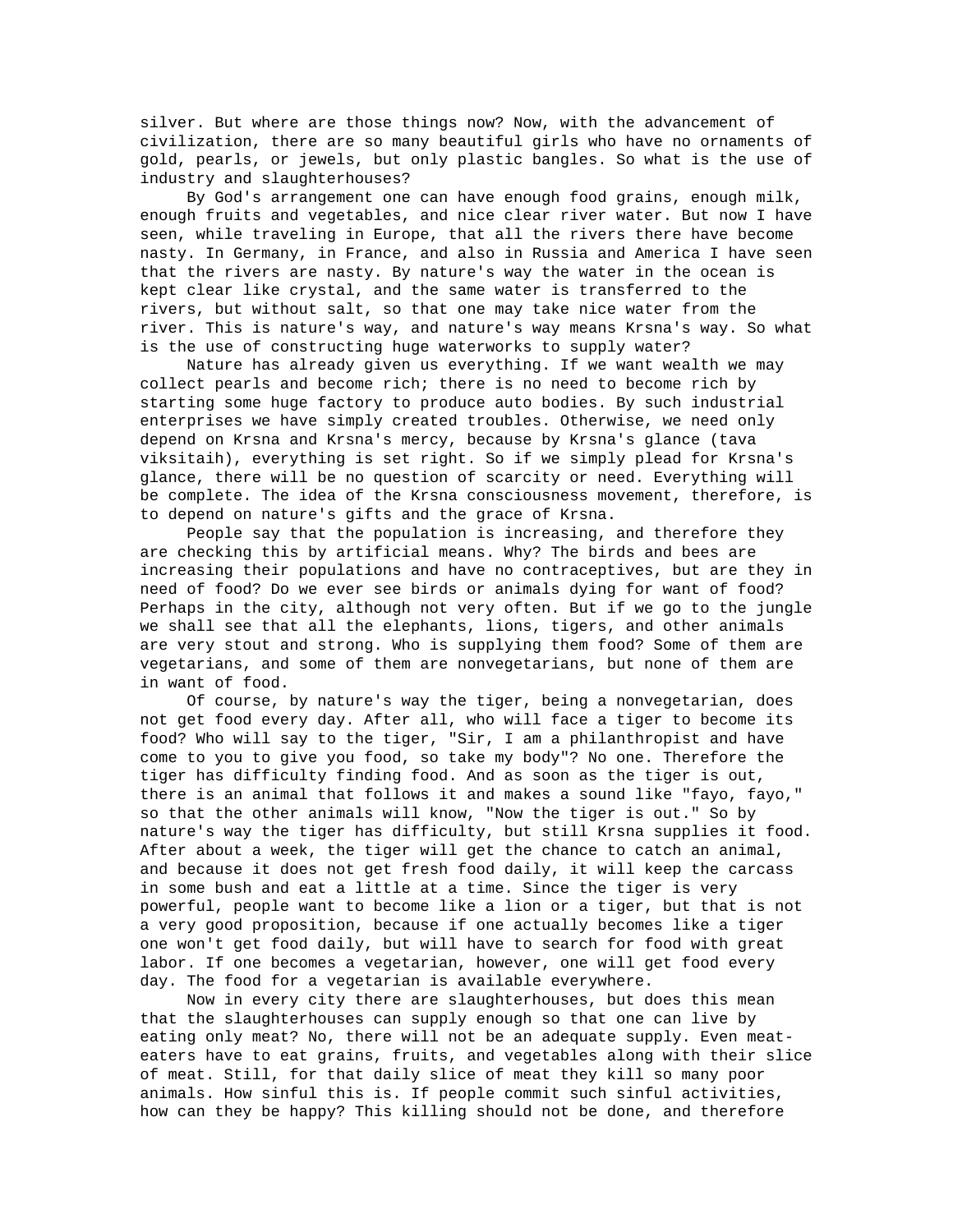silver. But where are those things now? Now, with the advancement of civilization, there are so many beautiful girls who have no ornaments of gold, pearls, or jewels, but only plastic bangles. So what is the use of industry and slaughterhouses?

 By God's arrangement one can have enough food grains, enough milk, enough fruits and vegetables, and nice clear river water. But now I have seen, while traveling in Europe, that all the rivers there have become nasty. In Germany, in France, and also in Russia and America I have seen that the rivers are nasty. By nature's way the water in the ocean is kept clear like crystal, and the same water is transferred to the rivers, but without salt, so that one may take nice water from the river. This is nature's way, and nature's way means Krsna's way. So what is the use of constructing huge waterworks to supply water?

 Nature has already given us everything. If we want wealth we may collect pearls and become rich; there is no need to become rich by starting some huge factory to produce auto bodies. By such industrial enterprises we have simply created troubles. Otherwise, we need only depend on Krsna and Krsna's mercy, because by Krsna's glance (tava viksitaih), everything is set right. So if we simply plead for Krsna's glance, there will be no question of scarcity or need. Everything will be complete. The idea of the Krsna consciousness movement, therefore, is to depend on nature's gifts and the grace of Krsna.

 People say that the population is increasing, and therefore they are checking this by artificial means. Why? The birds and bees are increasing their populations and have no contraceptives, but are they in need of food? Do we ever see birds or animals dying for want of food? Perhaps in the city, although not very often. But if we go to the jungle we shall see that all the elephants, lions, tigers, and other animals are very stout and strong. Who is supplying them food? Some of them are vegetarians, and some of them are nonvegetarians, but none of them are in want of food.

 Of course, by nature's way the tiger, being a nonvegetarian, does not get food every day. After all, who will face a tiger to become its food? Who will say to the tiger, "Sir, I am a philanthropist and have come to you to give you food, so take my body"? No one. Therefore the tiger has difficulty finding food. And as soon as the tiger is out, there is an animal that follows it and makes a sound like "fayo, fayo," so that the other animals will know, "Now the tiger is out." So by nature's way the tiger has difficulty, but still Krsna supplies it food. After about a week, the tiger will get the chance to catch an animal, and because it does not get fresh food daily, it will keep the carcass in some bush and eat a little at a time. Since the tiger is very powerful, people want to become like a lion or a tiger, but that is not a very good proposition, because if one actually becomes like a tiger one won't get food daily, but will have to search for food with great labor. If one becomes a vegetarian, however, one will get food every day. The food for a vegetarian is available everywhere.

 Now in every city there are slaughterhouses, but does this mean that the slaughterhouses can supply enough so that one can live by eating only meat? No, there will not be an adequate supply. Even meateaters have to eat grains, fruits, and vegetables along with their slice of meat. Still, for that daily slice of meat they kill so many poor animals. How sinful this is. If people commit such sinful activities, how can they be happy? This killing should not be done, and therefore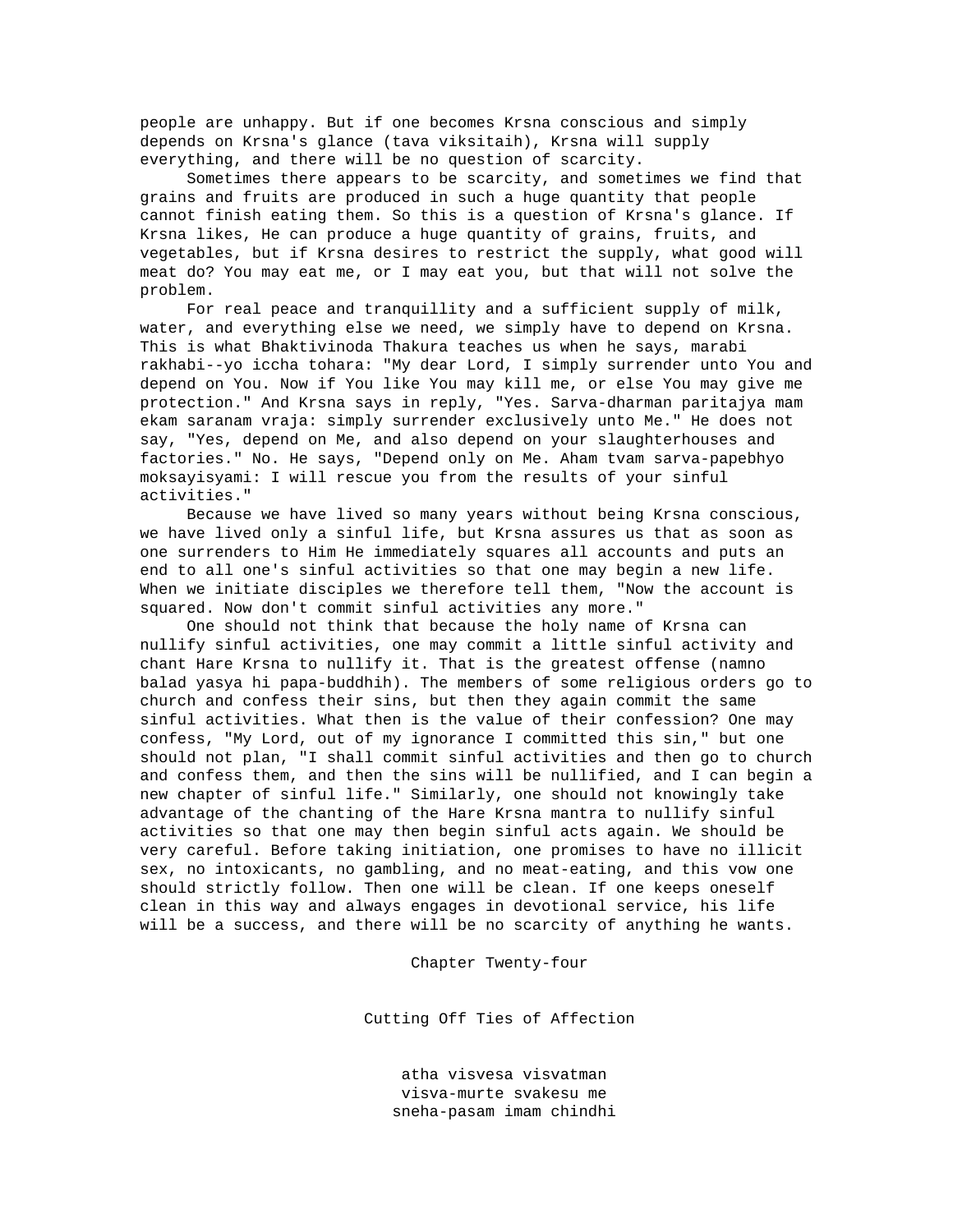people are unhappy. But if one becomes Krsna conscious and simply depends on Krsna's glance (tava viksitaih), Krsna will supply everything, and there will be no question of scarcity.

 Sometimes there appears to be scarcity, and sometimes we find that grains and fruits are produced in such a huge quantity that people cannot finish eating them. So this is a question of Krsna's glance. If Krsna likes, He can produce a huge quantity of grains, fruits, and vegetables, but if Krsna desires to restrict the supply, what good will meat do? You may eat me, or I may eat you, but that will not solve the problem.

 For real peace and tranquillity and a sufficient supply of milk, water, and everything else we need, we simply have to depend on Krsna. This is what Bhaktivinoda Thakura teaches us when he says, marabi rakhabi--yo iccha tohara: "My dear Lord, I simply surrender unto You and depend on You. Now if You like You may kill me, or else You may give me protection." And Krsna says in reply, "Yes. Sarva-dharman paritajya mam ekam saranam vraja: simply surrender exclusively unto Me." He does not say, "Yes, depend on Me, and also depend on your slaughterhouses and factories." No. He says, "Depend only on Me. Aham tvam sarva-papebhyo moksayisyami: I will rescue you from the results of your sinful activities."

 Because we have lived so many years without being Krsna conscious, we have lived only a sinful life, but Krsna assures us that as soon as one surrenders to Him He immediately squares all accounts and puts an end to all one's sinful activities so that one may begin a new life. When we initiate disciples we therefore tell them, "Now the account is squared. Now don't commit sinful activities any more."

 One should not think that because the holy name of Krsna can nullify sinful activities, one may commit a little sinful activity and chant Hare Krsna to nullify it. That is the greatest offense (namno balad yasya hi papa-buddhih). The members of some religious orders go to church and confess their sins, but then they again commit the same sinful activities. What then is the value of their confession? One may confess, "My Lord, out of my ignorance I committed this sin," but one should not plan, "I shall commit sinful activities and then go to church and confess them, and then the sins will be nullified, and I can begin a new chapter of sinful life." Similarly, one should not knowingly take advantage of the chanting of the Hare Krsna mantra to nullify sinful activities so that one may then begin sinful acts again. We should be very careful. Before taking initiation, one promises to have no illicit sex, no intoxicants, no gambling, and no meat-eating, and this vow one should strictly follow. Then one will be clean. If one keeps oneself clean in this way and always engages in devotional service, his life will be a success, and there will be no scarcity of anything he wants.

Chapter Twenty-four

Cutting Off Ties of Affection

 atha visvesa visvatman visva-murte svakesu me sneha-pasam imam chindhi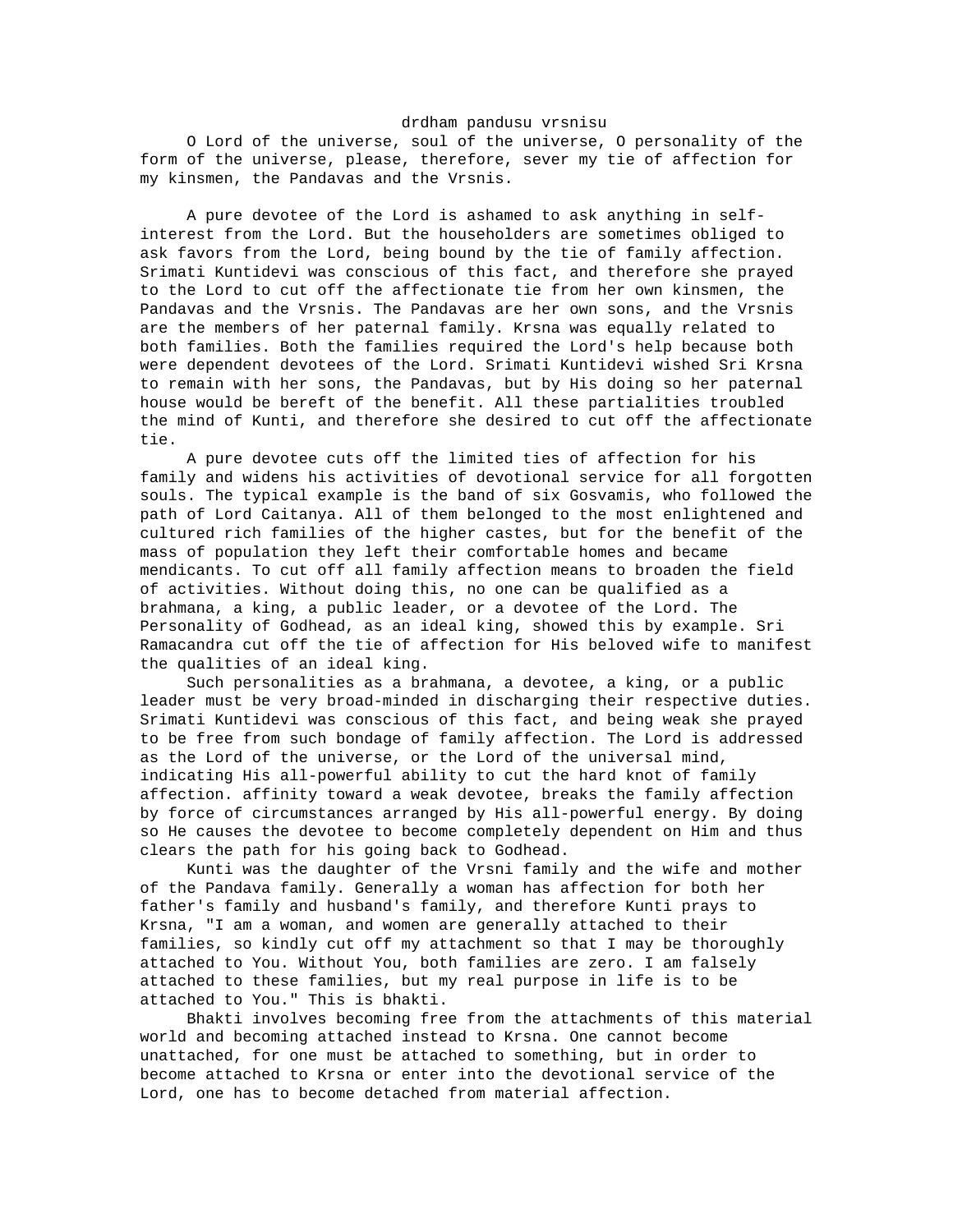## drdham pandusu vrsnisu

 O Lord of the universe, soul of the universe, O personality of the form of the universe, please, therefore, sever my tie of affection for my kinsmen, the Pandavas and the Vrsnis.

 A pure devotee of the Lord is ashamed to ask anything in selfinterest from the Lord. But the householders are sometimes obliged to ask favors from the Lord, being bound by the tie of family affection. Srimati Kuntidevi was conscious of this fact, and therefore she prayed to the Lord to cut off the affectionate tie from her own kinsmen, the Pandavas and the Vrsnis. The Pandavas are her own sons, and the Vrsnis are the members of her paternal family. Krsna was equally related to both families. Both the families required the Lord's help because both were dependent devotees of the Lord. Srimati Kuntidevi wished Sri Krsna to remain with her sons, the Pandavas, but by His doing so her paternal house would be bereft of the benefit. All these partialities troubled the mind of Kunti, and therefore she desired to cut off the affectionate tie.

 A pure devotee cuts off the limited ties of affection for his family and widens his activities of devotional service for all forgotten souls. The typical example is the band of six Gosvamis, who followed the path of Lord Caitanya. All of them belonged to the most enlightened and cultured rich families of the higher castes, but for the benefit of the mass of population they left their comfortable homes and became mendicants. To cut off all family affection means to broaden the field of activities. Without doing this, no one can be qualified as a brahmana, a king, a public leader, or a devotee of the Lord. The Personality of Godhead, as an ideal king, showed this by example. Sri Ramacandra cut off the tie of affection for His beloved wife to manifest the qualities of an ideal king.

 Such personalities as a brahmana, a devotee, a king, or a public leader must be very broad-minded in discharging their respective duties. Srimati Kuntidevi was conscious of this fact, and being weak she prayed to be free from such bondage of family affection. The Lord is addressed as the Lord of the universe, or the Lord of the universal mind, indicating His all-powerful ability to cut the hard knot of family affection. affinity toward a weak devotee, breaks the family affection by force of circumstances arranged by His all-powerful energy. By doing so He causes the devotee to become completely dependent on Him and thus clears the path for his going back to Godhead.

 Kunti was the daughter of the Vrsni family and the wife and mother of the Pandava family. Generally a woman has affection for both her father's family and husband's family, and therefore Kunti prays to Krsna, "I am a woman, and women are generally attached to their families, so kindly cut off my attachment so that I may be thoroughly attached to You. Without You, both families are zero. I am falsely attached to these families, but my real purpose in life is to be attached to You." This is bhakti.

 Bhakti involves becoming free from the attachments of this material world and becoming attached instead to Krsna. One cannot become unattached, for one must be attached to something, but in order to become attached to Krsna or enter into the devotional service of the Lord, one has to become detached from material affection.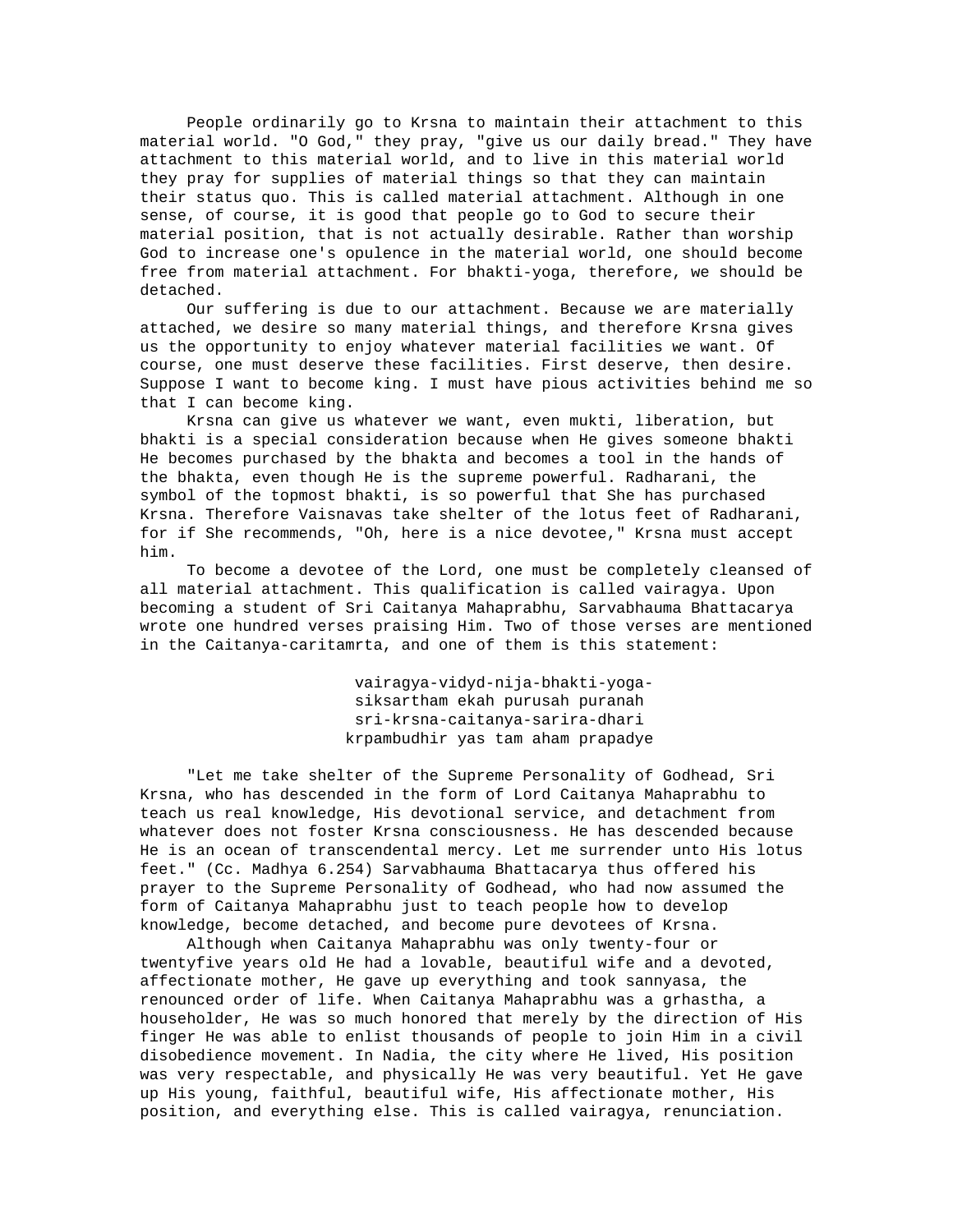People ordinarily go to Krsna to maintain their attachment to this material world. "O God," they pray, "give us our daily bread." They have attachment to this material world, and to live in this material world they pray for supplies of material things so that they can maintain their status quo. This is called material attachment. Although in one sense, of course, it is good that people go to God to secure their material position, that is not actually desirable. Rather than worship God to increase one's opulence in the material world, one should become free from material attachment. For bhakti-yoga, therefore, we should be detached.

 Our suffering is due to our attachment. Because we are materially attached, we desire so many material things, and therefore Krsna gives us the opportunity to enjoy whatever material facilities we want. Of course, one must deserve these facilities. First deserve, then desire. Suppose I want to become king. I must have pious activities behind me so that I can become king.

 Krsna can give us whatever we want, even mukti, liberation, but bhakti is a special consideration because when He gives someone bhakti He becomes purchased by the bhakta and becomes a tool in the hands of the bhakta, even though He is the supreme powerful. Radharani, the symbol of the topmost bhakti, is so powerful that She has purchased Krsna. Therefore Vaisnavas take shelter of the lotus feet of Radharani, for if She recommends, "Oh, here is a nice devotee," Krsna must accept him.

 To become a devotee of the Lord, one must be completely cleansed of all material attachment. This qualification is called vairagya. Upon becoming a student of Sri Caitanya Mahaprabhu, Sarvabhauma Bhattacarya wrote one hundred verses praising Him. Two of those verses are mentioned in the Caitanya-caritamrta, and one of them is this statement:

> vairagya-vidyd-nija-bhakti-yoga siksartham ekah purusah puranah sri-krsna-caitanya-sarira-dhari krpambudhir yas tam aham prapadye

 "Let me take shelter of the Supreme Personality of Godhead, Sri Krsna, who has descended in the form of Lord Caitanya Mahaprabhu to teach us real knowledge, His devotional service, and detachment from whatever does not foster Krsna consciousness. He has descended because He is an ocean of transcendental mercy. Let me surrender unto His lotus feet." (Cc. Madhya 6.254) Sarvabhauma Bhattacarya thus offered his prayer to the Supreme Personality of Godhead, who had now assumed the form of Caitanya Mahaprabhu just to teach people how to develop knowledge, become detached, and become pure devotees of Krsna.

 Although when Caitanya Mahaprabhu was only twenty-four or twentyfive years old He had a lovable, beautiful wife and a devoted, affectionate mother, He gave up everything and took sannyasa, the renounced order of life. When Caitanya Mahaprabhu was a grhastha, a householder, He was so much honored that merely by the direction of His finger He was able to enlist thousands of people to join Him in a civil disobedience movement. In Nadia, the city where He lived, His position was very respectable, and physically He was very beautiful. Yet He gave up His young, faithful, beautiful wife, His affectionate mother, His position, and everything else. This is called vairagya, renunciation.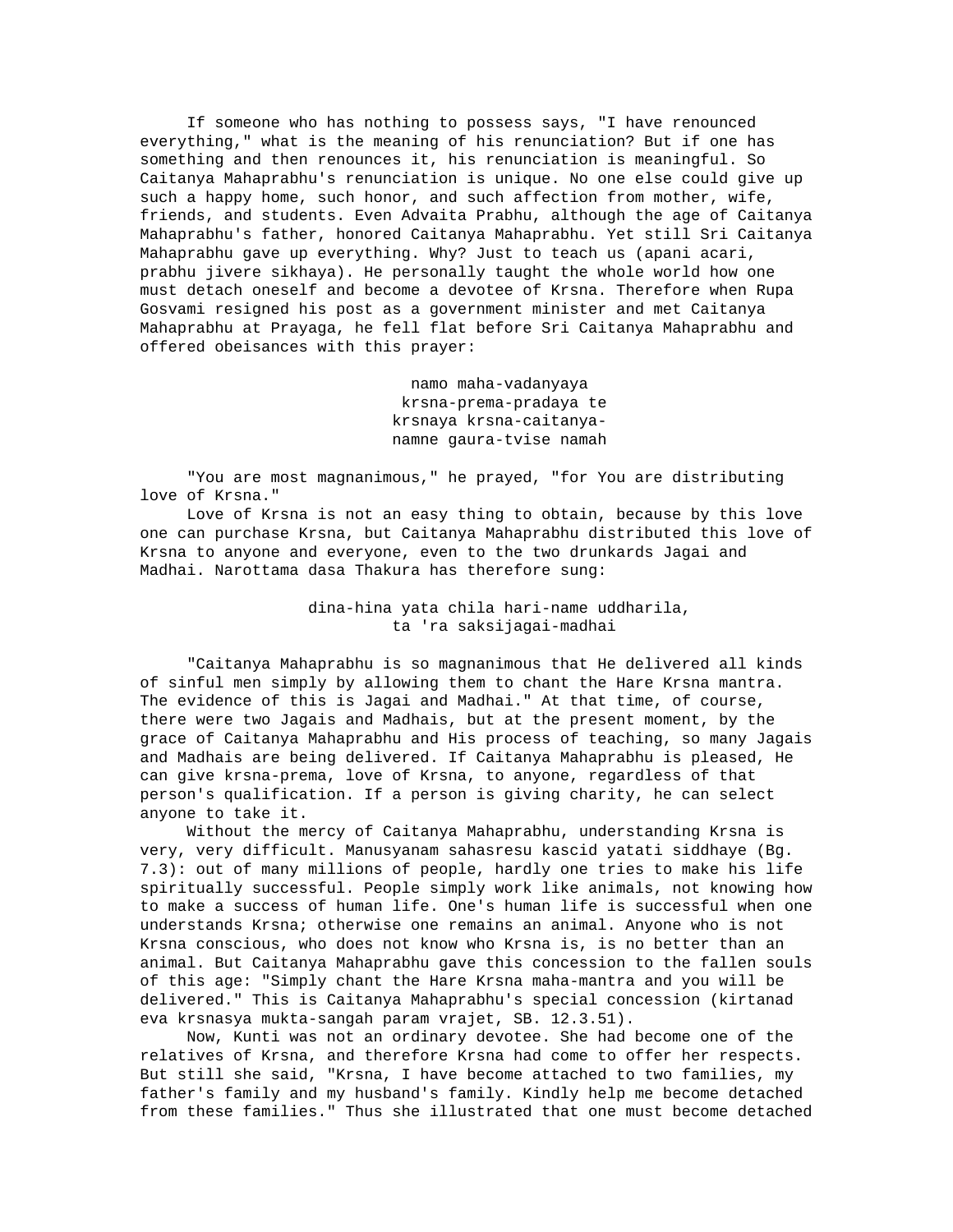If someone who has nothing to possess says, "I have renounced everything," what is the meaning of his renunciation? But if one has something and then renounces it, his renunciation is meaningful. So Caitanya Mahaprabhu's renunciation is unique. No one else could give up such a happy home, such honor, and such affection from mother, wife, friends, and students. Even Advaita Prabhu, although the age of Caitanya Mahaprabhu's father, honored Caitanya Mahaprabhu. Yet still Sri Caitanya Mahaprabhu gave up everything. Why? Just to teach us (apani acari, prabhu jivere sikhaya). He personally taught the whole world how one must detach oneself and become a devotee of Krsna. Therefore when Rupa Gosvami resigned his post as a government minister and met Caitanya Mahaprabhu at Prayaga, he fell flat before Sri Caitanya Mahaprabhu and offered obeisances with this prayer:

> namo maha-vadanyaya krsna-prema-pradaya te krsnaya krsna-caitanya namne gaura-tvise namah

 "You are most magnanimous," he prayed, "for You are distributing love of Krsna."

 Love of Krsna is not an easy thing to obtain, because by this love one can purchase Krsna, but Caitanya Mahaprabhu distributed this love of Krsna to anyone and everyone, even to the two drunkards Jagai and Madhai. Narottama dasa Thakura has therefore sung:

> dina-hina yata chila hari-name uddharila, ta 'ra saksijagai-madhai

 "Caitanya Mahaprabhu is so magnanimous that He delivered all kinds of sinful men simply by allowing them to chant the Hare Krsna mantra. The evidence of this is Jagai and Madhai." At that time, of course, there were two Jagais and Madhais, but at the present moment, by the grace of Caitanya Mahaprabhu and His process of teaching, so many Jagais and Madhais are being delivered. If Caitanya Mahaprabhu is pleased, He can give krsna-prema, love of Krsna, to anyone, regardless of that person's qualification. If a person is giving charity, he can select anyone to take it.

 Without the mercy of Caitanya Mahaprabhu, understanding Krsna is very, very difficult. Manusyanam sahasresu kascid yatati siddhaye (Bg. 7.3): out of many millions of people, hardly one tries to make his life spiritually successful. People simply work like animals, not knowing how to make a success of human life. One's human life is successful when one understands Krsna; otherwise one remains an animal. Anyone who is not Krsna conscious, who does not know who Krsna is, is no better than an animal. But Caitanya Mahaprabhu gave this concession to the fallen souls of this age: "Simply chant the Hare Krsna maha-mantra and you will be delivered." This is Caitanya Mahaprabhu's special concession (kirtanad eva krsnasya mukta-sangah param vrajet, SB. 12.3.51).

 Now, Kunti was not an ordinary devotee. She had become one of the relatives of Krsna, and therefore Krsna had come to offer her respects. But still she said, "Krsna, I have become attached to two families, my father's family and my husband's family. Kindly help me become detached from these families." Thus she illustrated that one must become detached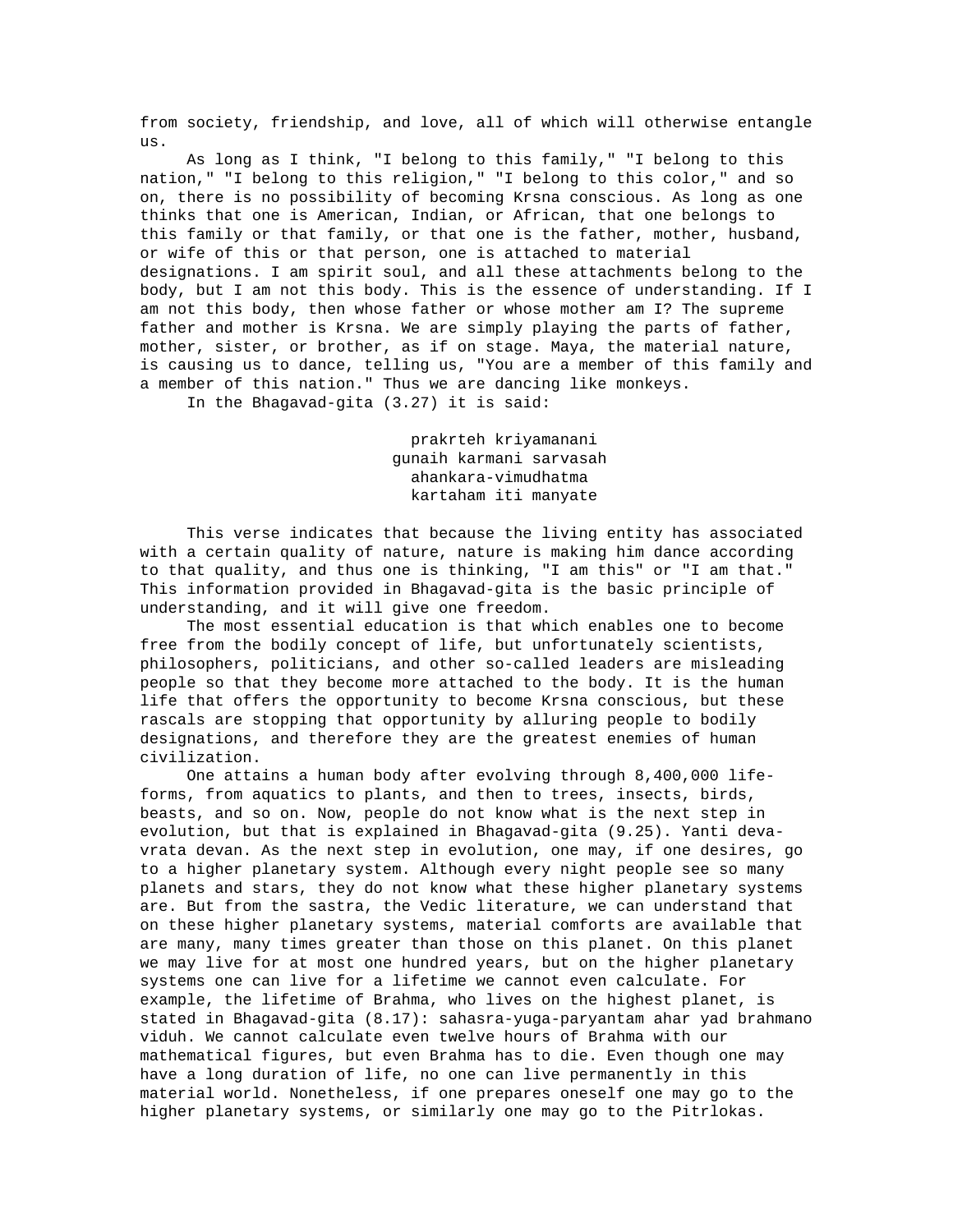from society, friendship, and love, all of which will otherwise entangle  $11S$ .

 As long as I think, "I belong to this family," "I belong to this nation," "I belong to this religion," "I belong to this color," and so on, there is no possibility of becoming Krsna conscious. As long as one thinks that one is American, Indian, or African, that one belongs to this family or that family, or that one is the father, mother, husband, or wife of this or that person, one is attached to material designations. I am spirit soul, and all these attachments belong to the body, but I am not this body. This is the essence of understanding. If I am not this body, then whose father or whose mother am I? The supreme father and mother is Krsna. We are simply playing the parts of father, mother, sister, or brother, as if on stage. Maya, the material nature, is causing us to dance, telling us, "You are a member of this family and a member of this nation." Thus we are dancing like monkeys.

In the Bhagavad-gita (3.27) it is said:

 prakrteh kriyamanani gunaih karmani sarvasah ahankara-vimudhatma kartaham iti manyate

 This verse indicates that because the living entity has associated with a certain quality of nature, nature is making him dance according to that quality, and thus one is thinking, "I am this" or "I am that." This information provided in Bhagavad-gita is the basic principle of understanding, and it will give one freedom.

 The most essential education is that which enables one to become free from the bodily concept of life, but unfortunately scientists, philosophers, politicians, and other so-called leaders are misleading people so that they become more attached to the body. It is the human life that offers the opportunity to become Krsna conscious, but these rascals are stopping that opportunity by alluring people to bodily designations, and therefore they are the greatest enemies of human civilization.

 One attains a human body after evolving through 8,400,000 lifeforms, from aquatics to plants, and then to trees, insects, birds, beasts, and so on. Now, people do not know what is the next step in evolution, but that is explained in Bhagavad-gita (9.25). Yanti devavrata devan. As the next step in evolution, one may, if one desires, go to a higher planetary system. Although every night people see so many planets and stars, they do not know what these higher planetary systems are. But from the sastra, the Vedic literature, we can understand that on these higher planetary systems, material comforts are available that are many, many times greater than those on this planet. On this planet we may live for at most one hundred years, but on the higher planetary systems one can live for a lifetime we cannot even calculate. For example, the lifetime of Brahma, who lives on the highest planet, is stated in Bhagavad-gita (8.17): sahasra-yuga-paryantam ahar yad brahmano viduh. We cannot calculate even twelve hours of Brahma with our mathematical figures, but even Brahma has to die. Even though one may have a long duration of life, no one can live permanently in this material world. Nonetheless, if one prepares oneself one may go to the higher planetary systems, or similarly one may go to the Pitrlokas.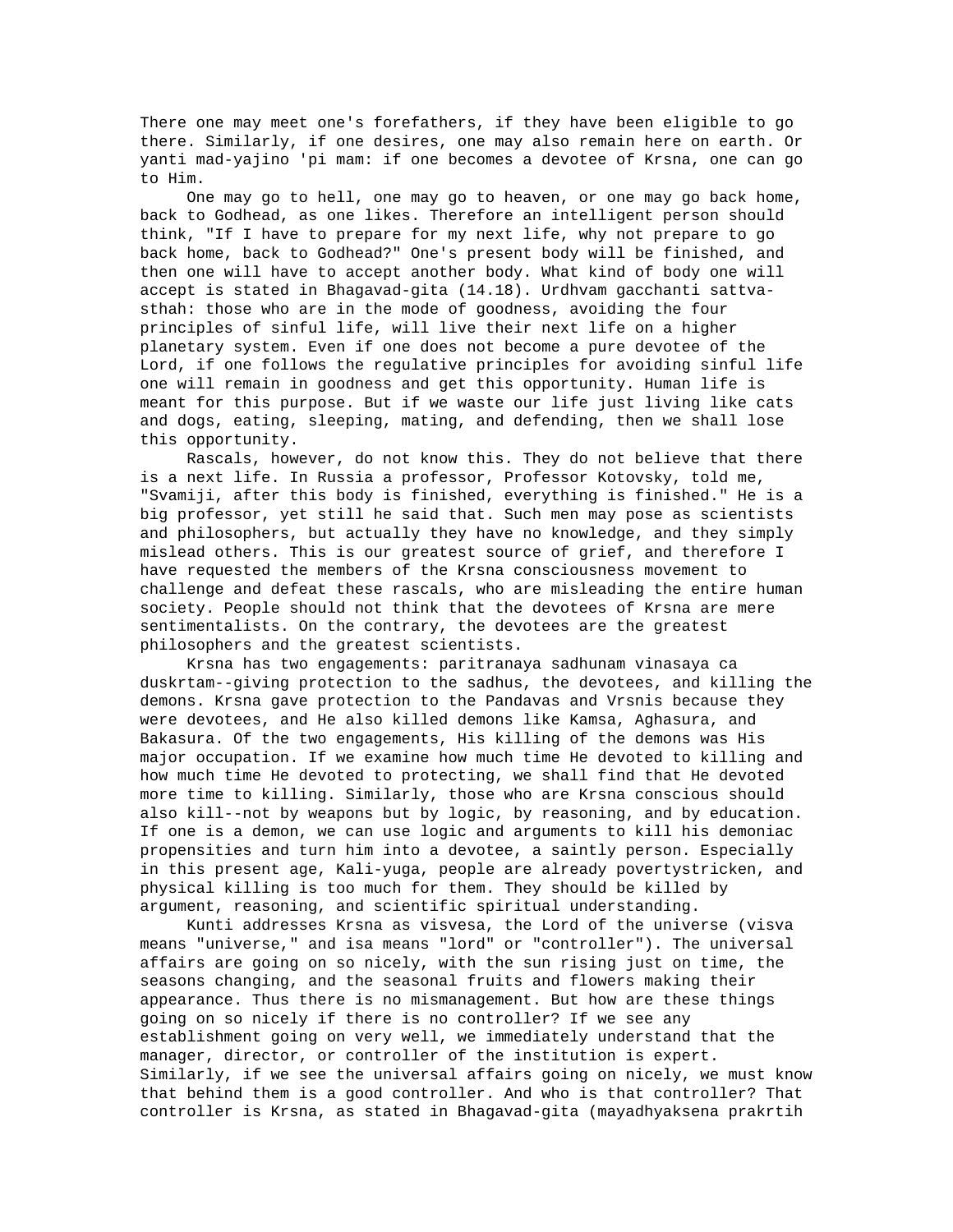There one may meet one's forefathers, if they have been eligible to go there. Similarly, if one desires, one may also remain here on earth. Or yanti mad-yajino 'pi mam: if one becomes a devotee of Krsna, one can go to Him.

 One may go to hell, one may go to heaven, or one may go back home, back to Godhead, as one likes. Therefore an intelligent person should think, "If I have to prepare for my next life, why not prepare to go back home, back to Godhead?" One's present body will be finished, and then one will have to accept another body. What kind of body one will accept is stated in Bhagavad-gita (14.18). Urdhvam gacchanti sattvasthah: those who are in the mode of goodness, avoiding the four principles of sinful life, will live their next life on a higher planetary system. Even if one does not become a pure devotee of the Lord, if one follows the regulative principles for avoiding sinful life one will remain in goodness and get this opportunity. Human life is meant for this purpose. But if we waste our life just living like cats and dogs, eating, sleeping, mating, and defending, then we shall lose this opportunity.

 Rascals, however, do not know this. They do not believe that there is a next life. In Russia a professor, Professor Kotovsky, told me, "Svamiji, after this body is finished, everything is finished." He is a big professor, yet still he said that. Such men may pose as scientists and philosophers, but actually they have no knowledge, and they simply mislead others. This is our greatest source of grief, and therefore I have requested the members of the Krsna consciousness movement to challenge and defeat these rascals, who are misleading the entire human society. People should not think that the devotees of Krsna are mere sentimentalists. On the contrary, the devotees are the greatest philosophers and the greatest scientists.

 Krsna has two engagements: paritranaya sadhunam vinasaya ca duskrtam--giving protection to the sadhus, the devotees, and killing the demons. Krsna gave protection to the Pandavas and Vrsnis because they were devotees, and He also killed demons like Kamsa, Aghasura, and Bakasura. Of the two engagements, His killing of the demons was His major occupation. If we examine how much time He devoted to killing and how much time He devoted to protecting, we shall find that He devoted more time to killing. Similarly, those who are Krsna conscious should also kill--not by weapons but by logic, by reasoning, and by education. If one is a demon, we can use logic and arguments to kill his demoniac propensities and turn him into a devotee, a saintly person. Especially in this present age, Kali-yuga, people are already povertystricken, and physical killing is too much for them. They should be killed by argument, reasoning, and scientific spiritual understanding.

 Kunti addresses Krsna as visvesa, the Lord of the universe (visva means "universe," and isa means "lord" or "controller"). The universal affairs are going on so nicely, with the sun rising just on time, the seasons changing, and the seasonal fruits and flowers making their appearance. Thus there is no mismanagement. But how are these things going on so nicely if there is no controller? If we see any establishment going on very well, we immediately understand that the manager, director, or controller of the institution is expert. Similarly, if we see the universal affairs going on nicely, we must know that behind them is a good controller. And who is that controller? That controller is Krsna, as stated in Bhagavad-gita (mayadhyaksena prakrtih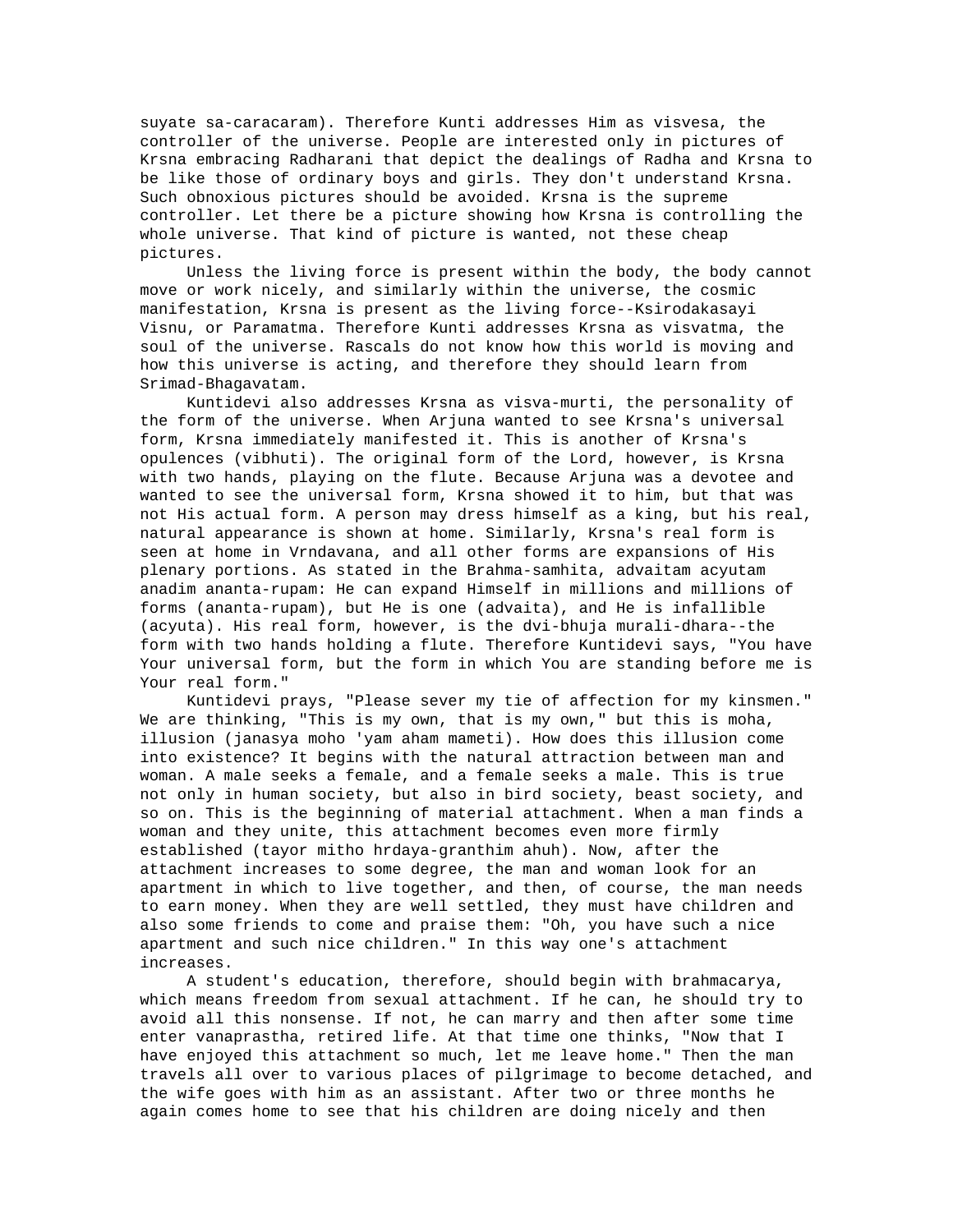suyate sa-caracaram). Therefore Kunti addresses Him as visvesa, the controller of the universe. People are interested only in pictures of Krsna embracing Radharani that depict the dealings of Radha and Krsna to be like those of ordinary boys and girls. They don't understand Krsna. Such obnoxious pictures should be avoided. Krsna is the supreme controller. Let there be a picture showing how Krsna is controlling the whole universe. That kind of picture is wanted, not these cheap pictures.

 Unless the living force is present within the body, the body cannot move or work nicely, and similarly within the universe, the cosmic manifestation, Krsna is present as the living force--Ksirodakasayi Visnu, or Paramatma. Therefore Kunti addresses Krsna as visvatma, the soul of the universe. Rascals do not know how this world is moving and how this universe is acting, and therefore they should learn from Srimad-Bhagavatam.

 Kuntidevi also addresses Krsna as visva-murti, the personality of the form of the universe. When Arjuna wanted to see Krsna's universal form, Krsna immediately manifested it. This is another of Krsna's opulences (vibhuti). The original form of the Lord, however, is Krsna with two hands, playing on the flute. Because Arjuna was a devotee and wanted to see the universal form, Krsna showed it to him, but that was not His actual form. A person may dress himself as a king, but his real, natural appearance is shown at home. Similarly, Krsna's real form is seen at home in Vrndavana, and all other forms are expansions of His plenary portions. As stated in the Brahma-samhita, advaitam acyutam anadim ananta-rupam: He can expand Himself in millions and millions of forms (ananta-rupam), but He is one (advaita), and He is infallible (acyuta). His real form, however, is the dvi-bhuja murali-dhara--the form with two hands holding a flute. Therefore Kuntidevi says, "You have Your universal form, but the form in which You are standing before me is Your real form."

 Kuntidevi prays, "Please sever my tie of affection for my kinsmen." We are thinking, "This is my own, that is my own," but this is moha, illusion (janasya moho 'yam aham mameti). How does this illusion come into existence? It begins with the natural attraction between man and woman. A male seeks a female, and a female seeks a male. This is true not only in human society, but also in bird society, beast society, and so on. This is the beginning of material attachment. When a man finds a woman and they unite, this attachment becomes even more firmly established (tayor mitho hrdaya-granthim ahuh). Now, after the attachment increases to some degree, the man and woman look for an apartment in which to live together, and then, of course, the man needs to earn money. When they are well settled, they must have children and also some friends to come and praise them: "Oh, you have such a nice apartment and such nice children." In this way one's attachment increases.

 A student's education, therefore, should begin with brahmacarya, which means freedom from sexual attachment. If he can, he should try to avoid all this nonsense. If not, he can marry and then after some time enter vanaprastha, retired life. At that time one thinks, "Now that I have enjoyed this attachment so much, let me leave home." Then the man travels all over to various places of pilgrimage to become detached, and the wife goes with him as an assistant. After two or three months he again comes home to see that his children are doing nicely and then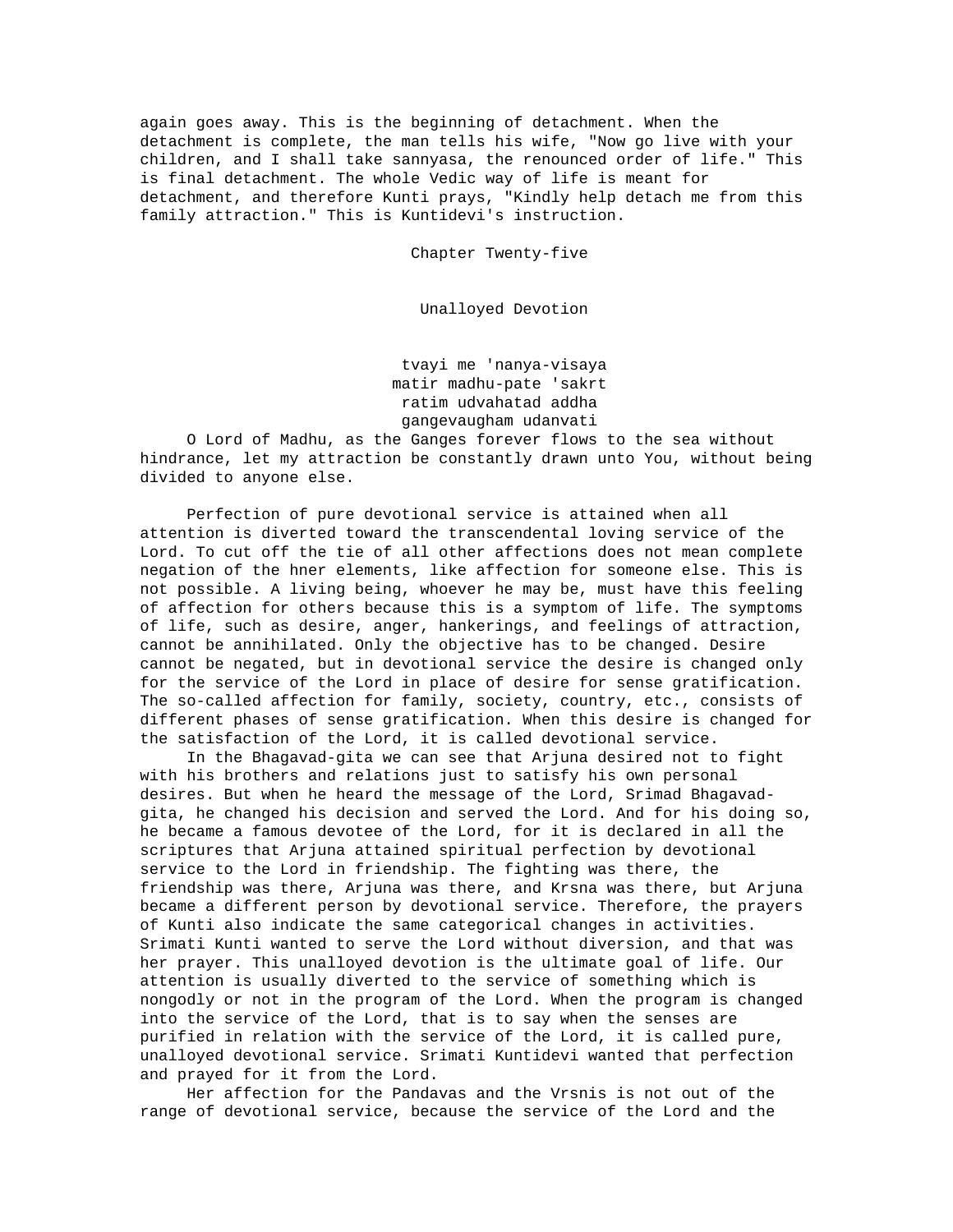again goes away. This is the beginning of detachment. When the detachment is complete, the man tells his wife, "Now go live with your children, and I shall take sannyasa, the renounced order of life." This is final detachment. The whole Vedic way of life is meant for detachment, and therefore Kunti prays, "Kindly help detach me from this family attraction." This is Kuntidevi's instruction.

Chapter Twenty-five

Unalloyed Devotion

 tvayi me 'nanya-visaya matir madhu-pate 'sakrt ratim udvahatad addha gangevaugham udanvati

 O Lord of Madhu, as the Ganges forever flows to the sea without hindrance, let my attraction be constantly drawn unto You, without being divided to anyone else.

 Perfection of pure devotional service is attained when all attention is diverted toward the transcendental loving service of the Lord. To cut off the tie of all other affections does not mean complete negation of the hner elements, like affection for someone else. This is not possible. A living being, whoever he may be, must have this feeling of affection for others because this is a symptom of life. The symptoms of life, such as desire, anger, hankerings, and feelings of attraction, cannot be annihilated. Only the objective has to be changed. Desire cannot be negated, but in devotional service the desire is changed only for the service of the Lord in place of desire for sense gratification. The so-called affection for family, society, country, etc., consists of different phases of sense gratification. When this desire is changed for the satisfaction of the Lord, it is called devotional service.

 In the Bhagavad-gita we can see that Arjuna desired not to fight with his brothers and relations just to satisfy his own personal desires. But when he heard the message of the Lord, Srimad Bhagavadgita, he changed his decision and served the Lord. And for his doing so, he became a famous devotee of the Lord, for it is declared in all the scriptures that Arjuna attained spiritual perfection by devotional service to the Lord in friendship. The fighting was there, the friendship was there, Arjuna was there, and Krsna was there, but Arjuna became a different person by devotional service. Therefore, the prayers of Kunti also indicate the same categorical changes in activities. Srimati Kunti wanted to serve the Lord without diversion, and that was her prayer. This unalloyed devotion is the ultimate goal of life. Our attention is usually diverted to the service of something which is nongodly or not in the program of the Lord. When the program is changed into the service of the Lord, that is to say when the senses are purified in relation with the service of the Lord, it is called pure, unalloyed devotional service. Srimati Kuntidevi wanted that perfection and prayed for it from the Lord.

 Her affection for the Pandavas and the Vrsnis is not out of the range of devotional service, because the service of the Lord and the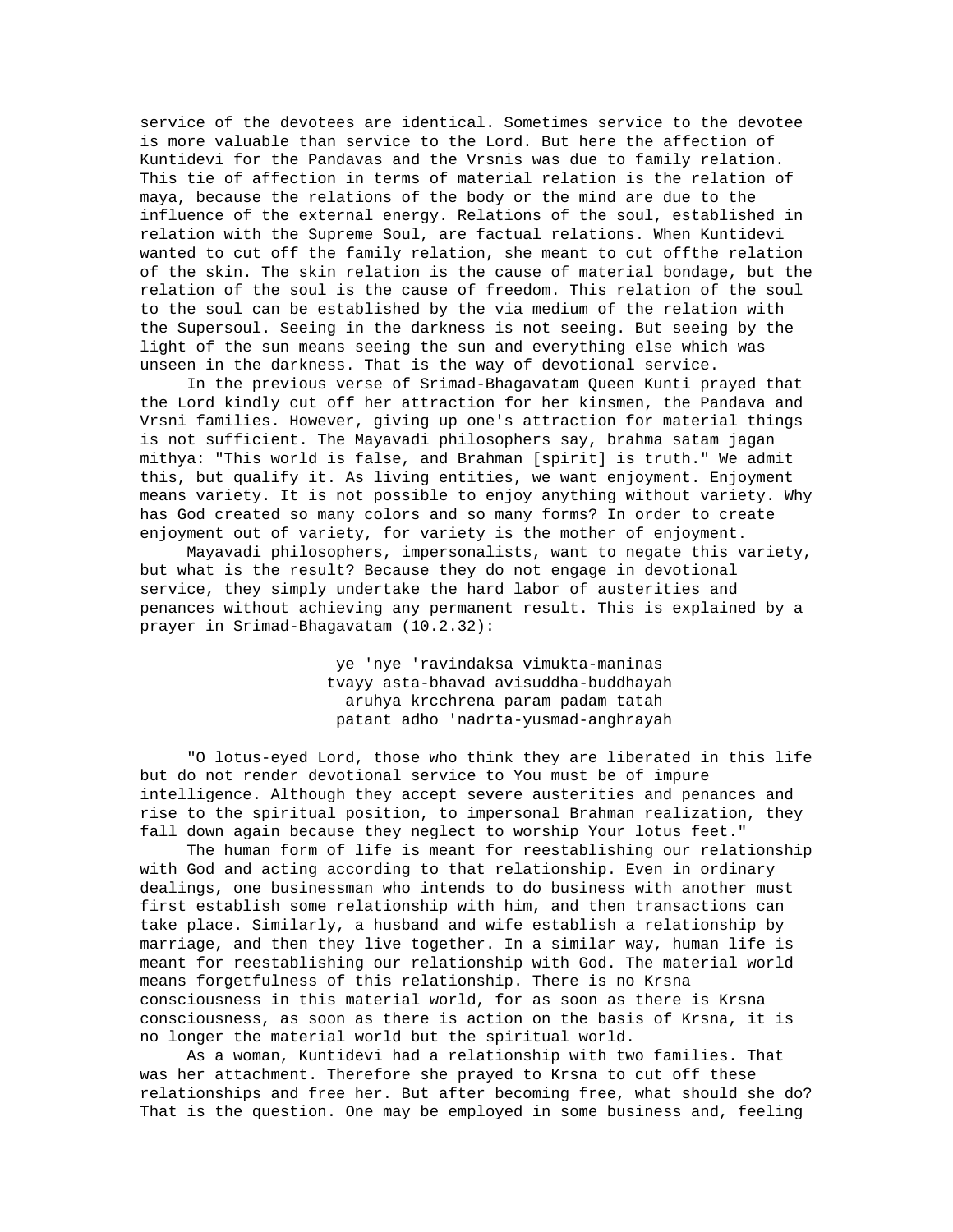service of the devotees are identical. Sometimes service to the devotee is more valuable than service to the Lord. But here the affection of Kuntidevi for the Pandavas and the Vrsnis was due to family relation. This tie of affection in terms of material relation is the relation of maya, because the relations of the body or the mind are due to the influence of the external energy. Relations of the soul, established in relation with the Supreme Soul, are factual relations. When Kuntidevi wanted to cut off the family relation, she meant to cut offthe relation of the skin. The skin relation is the cause of material bondage, but the relation of the soul is the cause of freedom. This relation of the soul to the soul can be established by the via medium of the relation with the Supersoul. Seeing in the darkness is not seeing. But seeing by the light of the sun means seeing the sun and everything else which was unseen in the darkness. That is the way of devotional service.

 In the previous verse of Srimad-Bhagavatam Queen Kunti prayed that the Lord kindly cut off her attraction for her kinsmen, the Pandava and Vrsni families. However, giving up one's attraction for material things is not sufficient. The Mayavadi philosophers say, brahma satam jagan mithya: "This world is false, and Brahman [spirit] is truth." We admit this, but qualify it. As living entities, we want enjoyment. Enjoyment means variety. It is not possible to enjoy anything without variety. Why has God created so many colors and so many forms? In order to create enjoyment out of variety, for variety is the mother of enjoyment.

 Mayavadi philosophers, impersonalists, want to negate this variety, but what is the result? Because they do not engage in devotional service, they simply undertake the hard labor of austerities and penances without achieving any permanent result. This is explained by a prayer in Srimad-Bhagavatam (10.2.32):

> ye 'nye 'ravindaksa vimukta-maninas tvayy asta-bhavad avisuddha-buddhayah aruhya krcchrena param padam tatah patant adho 'nadrta-yusmad-anghrayah

 "O lotus-eyed Lord, those who think they are liberated in this life but do not render devotional service to You must be of impure intelligence. Although they accept severe austerities and penances and rise to the spiritual position, to impersonal Brahman realization, they fall down again because they neglect to worship Your lotus feet."

 The human form of life is meant for reestablishing our relationship with God and acting according to that relationship. Even in ordinary dealings, one businessman who intends to do business with another must first establish some relationship with him, and then transactions can take place. Similarly, a husband and wife establish a relationship by marriage, and then they live together. In a similar way, human life is meant for reestablishing our relationship with God. The material world means forgetfulness of this relationship. There is no Krsna consciousness in this material world, for as soon as there is Krsna consciousness, as soon as there is action on the basis of Krsna, it is no longer the material world but the spiritual world.

 As a woman, Kuntidevi had a relationship with two families. That was her attachment. Therefore she prayed to Krsna to cut off these relationships and free her. But after becoming free, what should she do? That is the question. One may be employed in some business and, feeling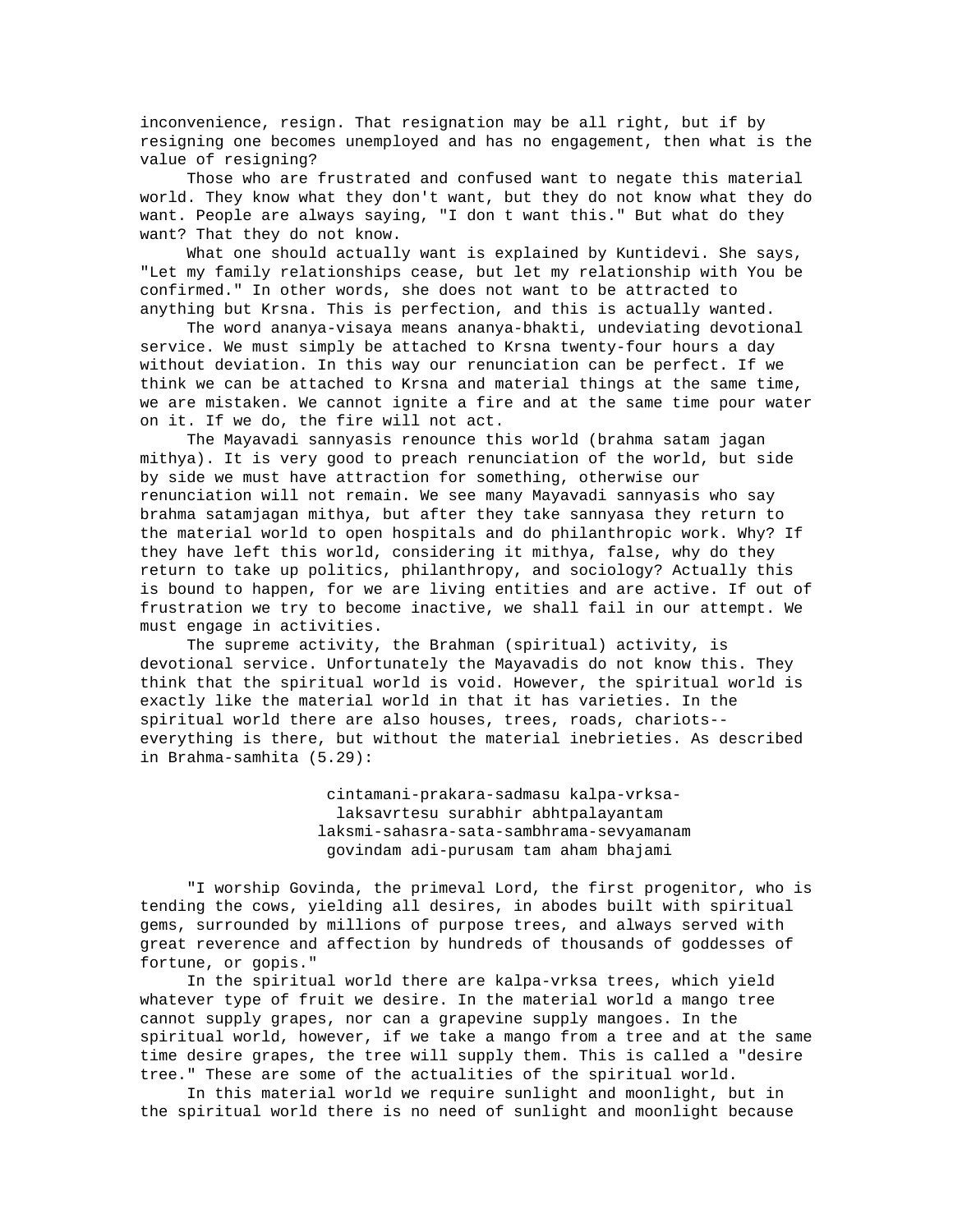inconvenience, resign. That resignation may be all right, but if by resigning one becomes unemployed and has no engagement, then what is the value of resigning?

 Those who are frustrated and confused want to negate this material world. They know what they don't want, but they do not know what they do want. People are always saying, "I don t want this." But what do they want? That they do not know.

 What one should actually want is explained by Kuntidevi. She says, "Let my family relationships cease, but let my relationship with You be confirmed." In other words, she does not want to be attracted to anything but Krsna. This is perfection, and this is actually wanted.

 The word ananya-visaya means ananya-bhakti, undeviating devotional service. We must simply be attached to Krsna twenty-four hours a day without deviation. In this way our renunciation can be perfect. If we think we can be attached to Krsna and material things at the same time, we are mistaken. We cannot ignite a fire and at the same time pour water on it. If we do, the fire will not act.

 The Mayavadi sannyasis renounce this world (brahma satam jagan mithya). It is very good to preach renunciation of the world, but side by side we must have attraction for something, otherwise our renunciation will not remain. We see many Mayavadi sannyasis who say brahma satamjagan mithya, but after they take sannyasa they return to the material world to open hospitals and do philanthropic work. Why? If they have left this world, considering it mithya, false, why do they return to take up politics, philanthropy, and sociology? Actually this is bound to happen, for we are living entities and are active. If out of frustration we try to become inactive, we shall fail in our attempt. We must engage in activities.

 The supreme activity, the Brahman (spiritual) activity, is devotional service. Unfortunately the Mayavadis do not know this. They think that the spiritual world is void. However, the spiritual world is exactly like the material world in that it has varieties. In the spiritual world there are also houses, trees, roads, chariots- everything is there, but without the material inebrieties. As described in Brahma-samhita (5.29):

> cintamani-prakara-sadmasu kalpa-vrksa laksavrtesu surabhir abhtpalayantam laksmi-sahasra-sata-sambhrama-sevyamanam govindam adi-purusam tam aham bhajami

 "I worship Govinda, the primeval Lord, the first progenitor, who is tending the cows, yielding all desires, in abodes built with spiritual gems, surrounded by millions of purpose trees, and always served with great reverence and affection by hundreds of thousands of goddesses of fortune, or gopis."

 In the spiritual world there are kalpa-vrksa trees, which yield whatever type of fruit we desire. In the material world a mango tree cannot supply grapes, nor can a grapevine supply mangoes. In the spiritual world, however, if we take a mango from a tree and at the same time desire grapes, the tree will supply them. This is called a "desire tree." These are some of the actualities of the spiritual world.

 In this material world we require sunlight and moonlight, but in the spiritual world there is no need of sunlight and moonlight because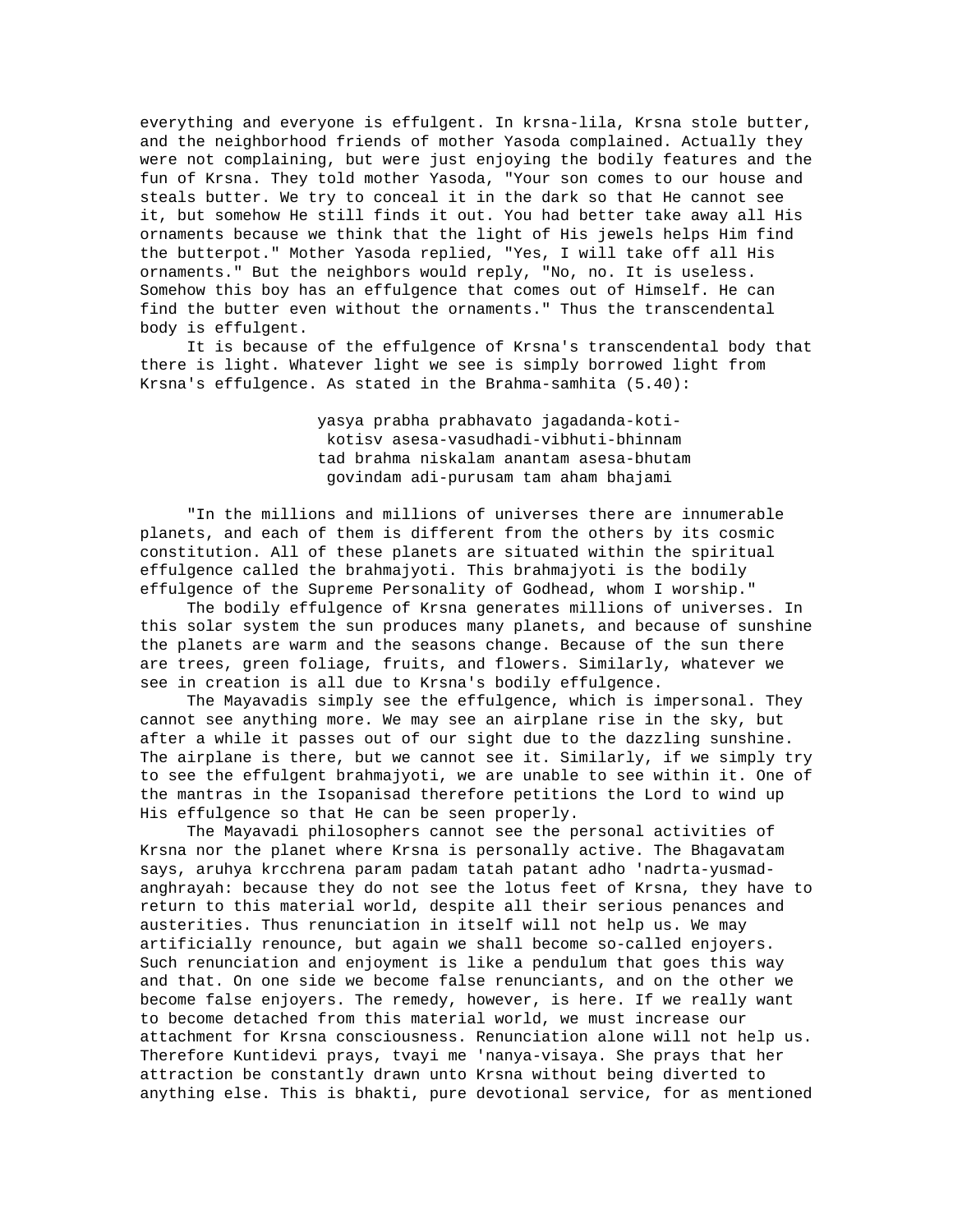everything and everyone is effulgent. In krsna-lila, Krsna stole butter, and the neighborhood friends of mother Yasoda complained. Actually they were not complaining, but were just enjoying the bodily features and the fun of Krsna. They told mother Yasoda, "Your son comes to our house and steals butter. We try to conceal it in the dark so that He cannot see it, but somehow He still finds it out. You had better take away all His ornaments because we think that the light of His jewels helps Him find the butterpot." Mother Yasoda replied, "Yes, I will take off all His ornaments." But the neighbors would reply, "No, no. It is useless. Somehow this boy has an effulgence that comes out of Himself. He can find the butter even without the ornaments." Thus the transcendental body is effulgent.

 It is because of the effulgence of Krsna's transcendental body that there is light. Whatever light we see is simply borrowed light from Krsna's effulgence. As stated in the Brahma-samhita (5.40):

> yasya prabha prabhavato jagadanda-koti kotisv asesa-vasudhadi-vibhuti-bhinnam tad brahma niskalam anantam asesa-bhutam govindam adi-purusam tam aham bhajami

 "In the millions and millions of universes there are innumerable planets, and each of them is different from the others by its cosmic constitution. All of these planets are situated within the spiritual effulgence called the brahmajyoti. This brahmajyoti is the bodily effulgence of the Supreme Personality of Godhead, whom I worship."

 The bodily effulgence of Krsna generates millions of universes. In this solar system the sun produces many planets, and because of sunshine the planets are warm and the seasons change. Because of the sun there are trees, green foliage, fruits, and flowers. Similarly, whatever we see in creation is all due to Krsna's bodily effulgence.

 The Mayavadis simply see the effulgence, which is impersonal. They cannot see anything more. We may see an airplane rise in the sky, but after a while it passes out of our sight due to the dazzling sunshine. The airplane is there, but we cannot see it. Similarly, if we simply try to see the effulgent brahmajyoti, we are unable to see within it. One of the mantras in the Isopanisad therefore petitions the Lord to wind up His effulgence so that He can be seen properly.

 The Mayavadi philosophers cannot see the personal activities of Krsna nor the planet where Krsna is personally active. The Bhagavatam says, aruhya krcchrena param padam tatah patant adho 'nadrta-yusmadanghrayah: because they do not see the lotus feet of Krsna, they have to return to this material world, despite all their serious penances and austerities. Thus renunciation in itself will not help us. We may artificially renounce, but again we shall become so-called enjoyers. Such renunciation and enjoyment is like a pendulum that goes this way and that. On one side we become false renunciants, and on the other we become false enjoyers. The remedy, however, is here. If we really want to become detached from this material world, we must increase our attachment for Krsna consciousness. Renunciation alone will not help us. Therefore Kuntidevi prays, tvayi me 'nanya-visaya. She prays that her attraction be constantly drawn unto Krsna without being diverted to anything else. This is bhakti, pure devotional service, for as mentioned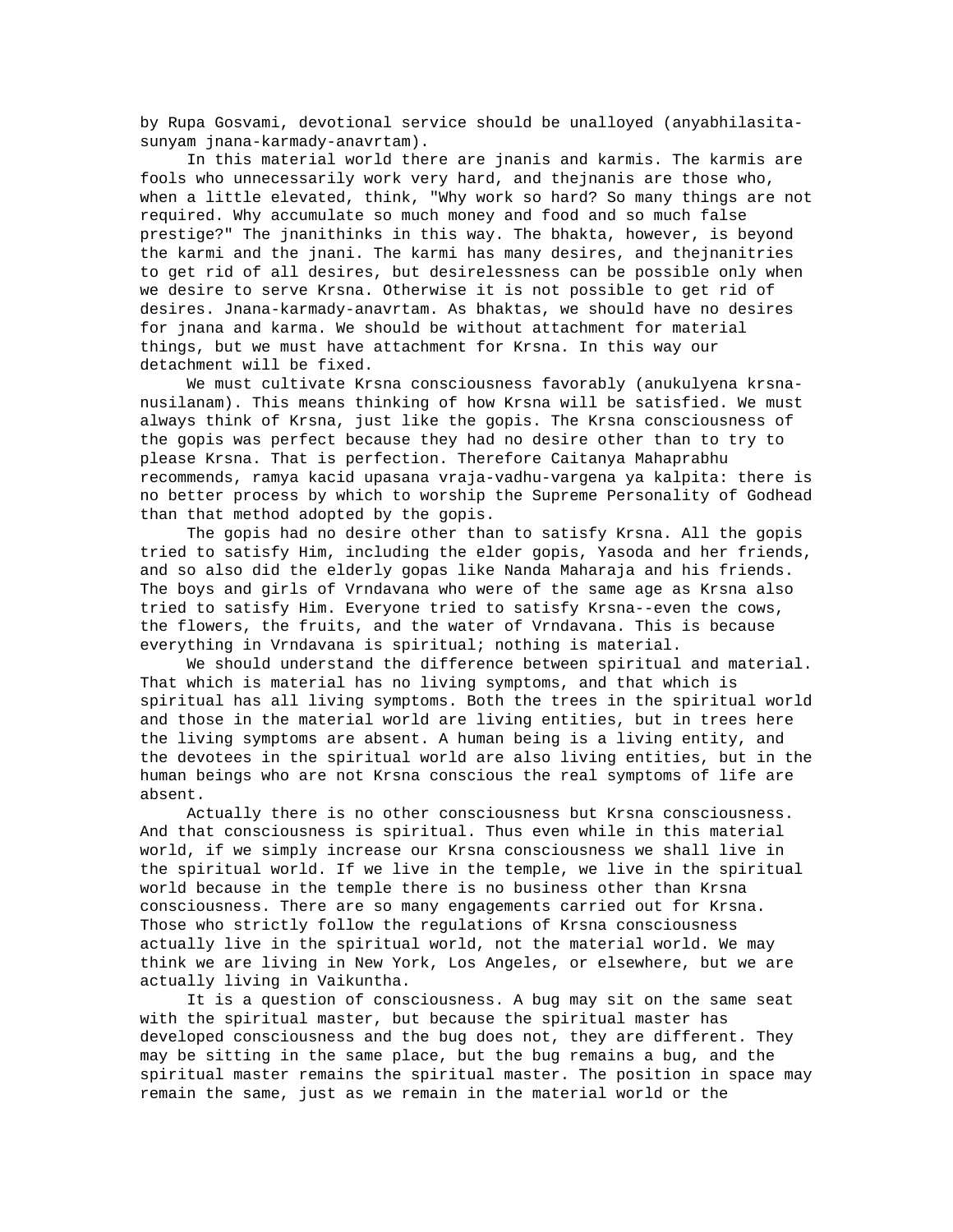by Rupa Gosvami, devotional service should be unalloyed (anyabhilasitasunyam jnana-karmady-anavrtam).

 In this material world there are jnanis and karmis. The karmis are fools who unnecessarily work very hard, and thejnanis are those who, when a little elevated, think, "Why work so hard? So many things are not required. Why accumulate so much money and food and so much false prestige?" The jnanithinks in this way. The bhakta, however, is beyond the karmi and the jnani. The karmi has many desires, and thejnanitries to get rid of all desires, but desirelessness can be possible only when we desire to serve Krsna. Otherwise it is not possible to get rid of desires. Jnana-karmady-anavrtam. As bhaktas, we should have no desires for jnana and karma. We should be without attachment for material things, but we must have attachment for Krsna. In this way our detachment will be fixed.

 We must cultivate Krsna consciousness favorably (anukulyena krsnanusilanam). This means thinking of how Krsna will be satisfied. We must always think of Krsna, just like the gopis. The Krsna consciousness of the gopis was perfect because they had no desire other than to try to please Krsna. That is perfection. Therefore Caitanya Mahaprabhu recommends, ramya kacid upasana vraja-vadhu-vargena ya kalpita: there is no better process by which to worship the Supreme Personality of Godhead than that method adopted by the gopis.

 The gopis had no desire other than to satisfy Krsna. All the gopis tried to satisfy Him, including the elder gopis, Yasoda and her friends, and so also did the elderly gopas like Nanda Maharaja and his friends. The boys and girls of Vrndavana who were of the same age as Krsna also tried to satisfy Him. Everyone tried to satisfy Krsna--even the cows, the flowers, the fruits, and the water of Vrndavana. This is because everything in Vrndavana is spiritual; nothing is material.

 We should understand the difference between spiritual and material. That which is material has no living symptoms, and that which is spiritual has all living symptoms. Both the trees in the spiritual world and those in the material world are living entities, but in trees here the living symptoms are absent. A human being is a living entity, and the devotees in the spiritual world are also living entities, but in the human beings who are not Krsna conscious the real symptoms of life are absent.

 Actually there is no other consciousness but Krsna consciousness. And that consciousness is spiritual. Thus even while in this material world, if we simply increase our Krsna consciousness we shall live in the spiritual world. If we live in the temple, we live in the spiritual world because in the temple there is no business other than Krsna consciousness. There are so many engagements carried out for Krsna. Those who strictly follow the regulations of Krsna consciousness actually live in the spiritual world, not the material world. We may think we are living in New York, Los Angeles, or elsewhere, but we are actually living in Vaikuntha.

 It is a question of consciousness. A bug may sit on the same seat with the spiritual master, but because the spiritual master has developed consciousness and the bug does not, they are different. They may be sitting in the same place, but the bug remains a bug, and the spiritual master remains the spiritual master. The position in space may remain the same, just as we remain in the material world or the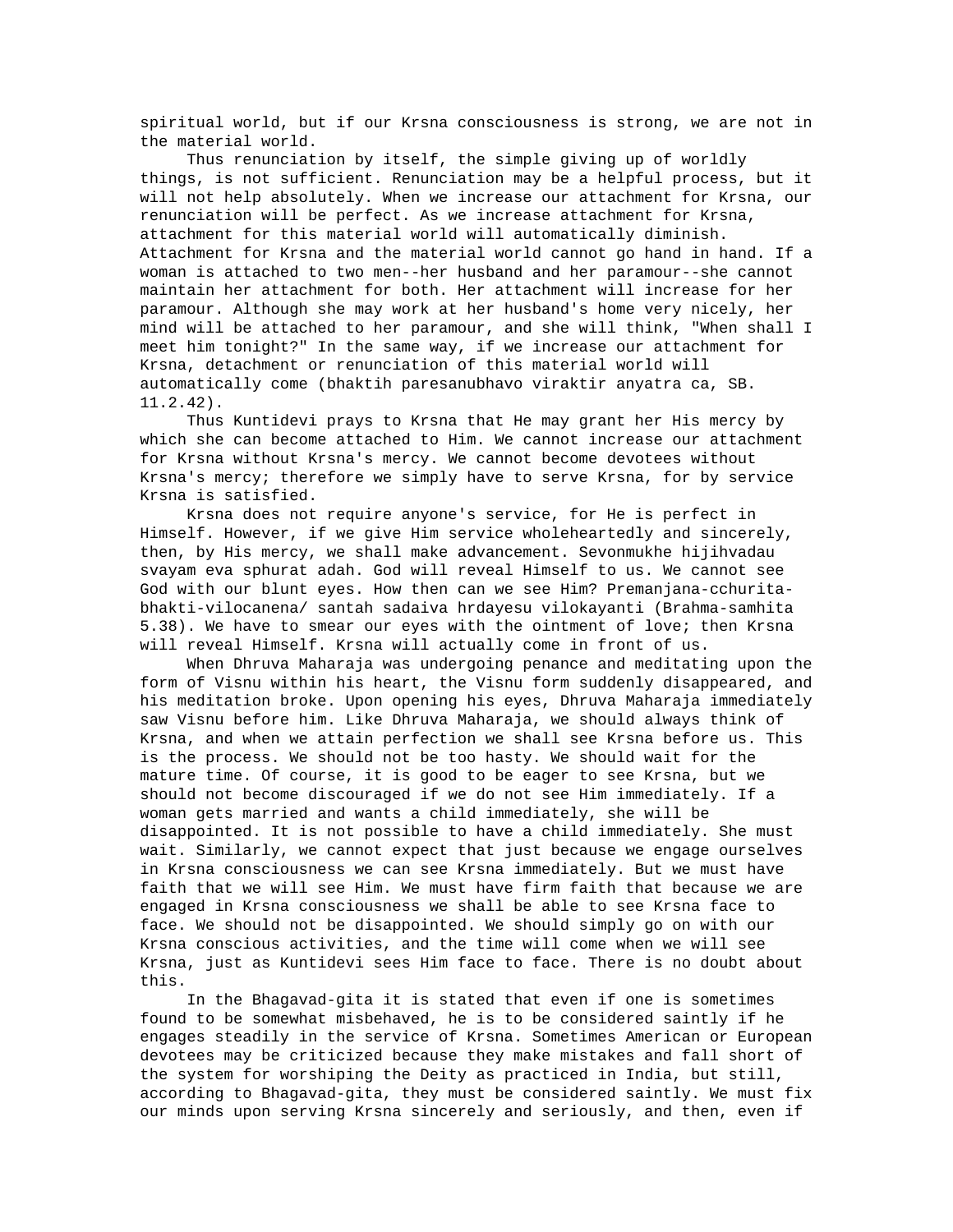spiritual world, but if our Krsna consciousness is strong, we are not in the material world.

 Thus renunciation by itself, the simple giving up of worldly things, is not sufficient. Renunciation may be a helpful process, but it will not help absolutely. When we increase our attachment for Krsna, our renunciation will be perfect. As we increase attachment for Krsna, attachment for this material world will automatically diminish. Attachment for Krsna and the material world cannot go hand in hand. If a woman is attached to two men--her husband and her paramour--she cannot maintain her attachment for both. Her attachment will increase for her paramour. Although she may work at her husband's home very nicely, her mind will be attached to her paramour, and she will think, "When shall I meet him tonight?" In the same way, if we increase our attachment for Krsna, detachment or renunciation of this material world will automatically come (bhaktih paresanubhavo viraktir anyatra ca, SB. 11.2.42).

 Thus Kuntidevi prays to Krsna that He may grant her His mercy by which she can become attached to Him. We cannot increase our attachment for Krsna without Krsna's mercy. We cannot become devotees without Krsna's mercy; therefore we simply have to serve Krsna, for by service Krsna is satisfied.

 Krsna does not require anyone's service, for He is perfect in Himself. However, if we give Him service wholeheartedly and sincerely, then, by His mercy, we shall make advancement. Sevonmukhe hijihvadau svayam eva sphurat adah. God will reveal Himself to us. We cannot see God with our blunt eyes. How then can we see Him? Premanjana-cchuritabhakti-vilocanena/ santah sadaiva hrdayesu vilokayanti (Brahma-samhita 5.38). We have to smear our eyes with the ointment of love; then Krsna will reveal Himself. Krsna will actually come in front of us.

 When Dhruva Maharaja was undergoing penance and meditating upon the form of Visnu within his heart, the Visnu form suddenly disappeared, and his meditation broke. Upon opening his eyes, Dhruva Maharaja immediately saw Visnu before him. Like Dhruva Maharaja, we should always think of Krsna, and when we attain perfection we shall see Krsna before us. This is the process. We should not be too hasty. We should wait for the mature time. Of course, it is good to be eager to see Krsna, but we should not become discouraged if we do not see Him immediately. If a woman gets married and wants a child immediately, she will be disappointed. It is not possible to have a child immediately. She must wait. Similarly, we cannot expect that just because we engage ourselves in Krsna consciousness we can see Krsna immediately. But we must have faith that we will see Him. We must have firm faith that because we are engaged in Krsna consciousness we shall be able to see Krsna face to face. We should not be disappointed. We should simply go on with our Krsna conscious activities, and the time will come when we will see Krsna, just as Kuntidevi sees Him face to face. There is no doubt about this.

 In the Bhagavad-gita it is stated that even if one is sometimes found to be somewhat misbehaved, he is to be considered saintly if he engages steadily in the service of Krsna. Sometimes American or European devotees may be criticized because they make mistakes and fall short of the system for worshiping the Deity as practiced in India, but still, according to Bhagavad-gita, they must be considered saintly. We must fix our minds upon serving Krsna sincerely and seriously, and then, even if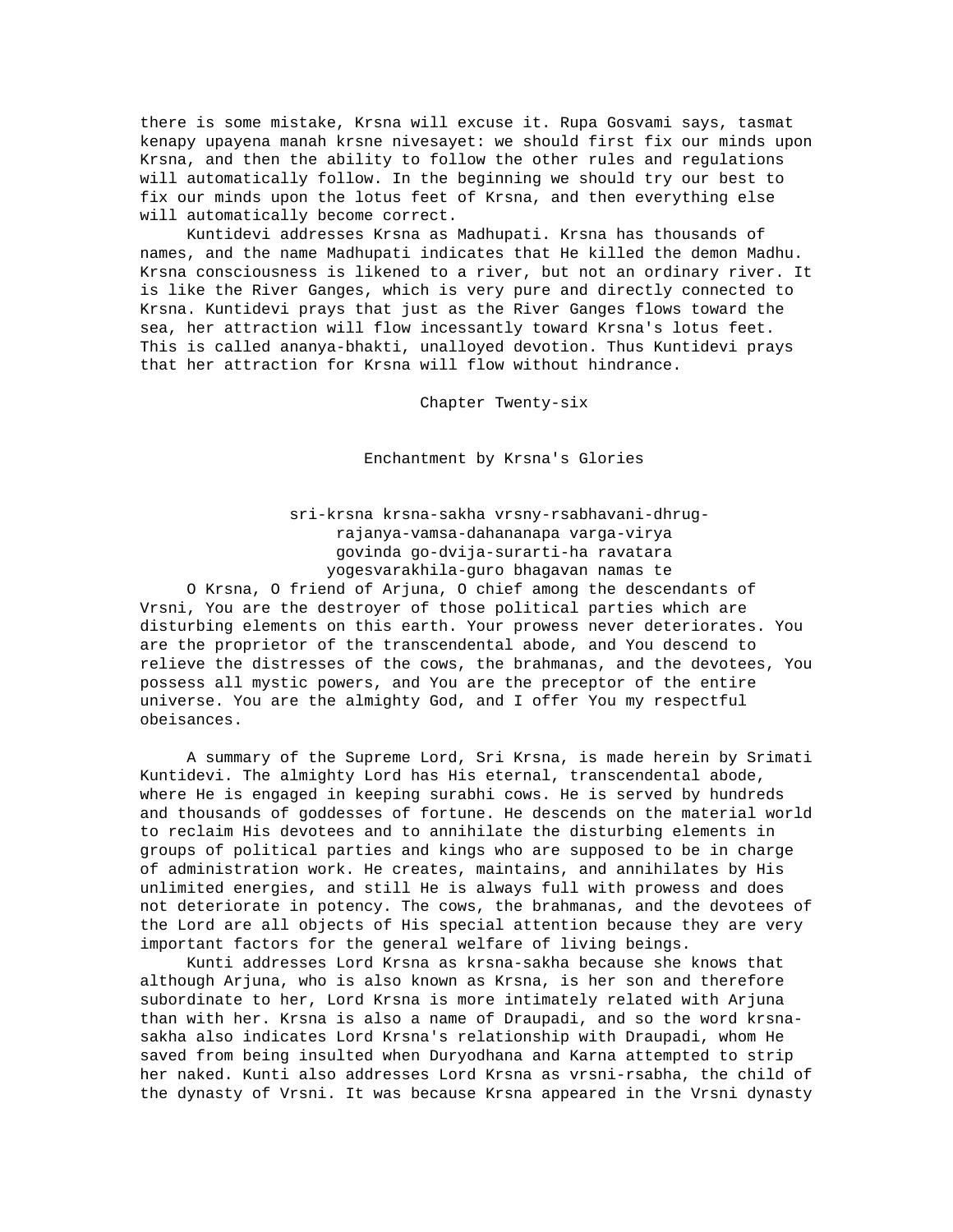there is some mistake, Krsna will excuse it. Rupa Gosvami says, tasmat kenapy upayena manah krsne nivesayet: we should first fix our minds upon Krsna, and then the ability to follow the other rules and regulations will automatically follow. In the beginning we should try our best to fix our minds upon the lotus feet of Krsna, and then everything else will automatically become correct.

 Kuntidevi addresses Krsna as Madhupati. Krsna has thousands of names, and the name Madhupati indicates that He killed the demon Madhu. Krsna consciousness is likened to a river, but not an ordinary river. It is like the River Ganges, which is very pure and directly connected to Krsna. Kuntidevi prays that just as the River Ganges flows toward the sea, her attraction will flow incessantly toward Krsna's lotus feet. This is called ananya-bhakti, unalloyed devotion. Thus Kuntidevi prays that her attraction for Krsna will flow without hindrance.

Chapter Twenty-six

Enchantment by Krsna's Glories

 sri-krsna krsna-sakha vrsny-rsabhavani-dhrug rajanya-vamsa-dahananapa varga-virya govinda go-dvija-surarti-ha ravatara yogesvarakhila-guro bhagavan namas te

 O Krsna, O friend of Arjuna, O chief among the descendants of Vrsni, You are the destroyer of those political parties which are disturbing elements on this earth. Your prowess never deteriorates. You are the proprietor of the transcendental abode, and You descend to relieve the distresses of the cows, the brahmanas, and the devotees, You possess all mystic powers, and You are the preceptor of the entire universe. You are the almighty God, and I offer You my respectful obeisances.

 A summary of the Supreme Lord, Sri Krsna, is made herein by Srimati Kuntidevi. The almighty Lord has His eternal, transcendental abode, where He is engaged in keeping surabhi cows. He is served by hundreds and thousands of goddesses of fortune. He descends on the material world to reclaim His devotees and to annihilate the disturbing elements in groups of political parties and kings who are supposed to be in charge of administration work. He creates, maintains, and annihilates by His unlimited energies, and still He is always full with prowess and does not deteriorate in potency. The cows, the brahmanas, and the devotees of the Lord are all objects of His special attention because they are very important factors for the general welfare of living beings.

 Kunti addresses Lord Krsna as krsna-sakha because she knows that although Arjuna, who is also known as Krsna, is her son and therefore subordinate to her, Lord Krsna is more intimately related with Arjuna than with her. Krsna is also a name of Draupadi, and so the word krsnasakha also indicates Lord Krsna's relationship with Draupadi, whom He saved from being insulted when Duryodhana and Karna attempted to strip her naked. Kunti also addresses Lord Krsna as vrsni-rsabha, the child of the dynasty of Vrsni. It was because Krsna appeared in the Vrsni dynasty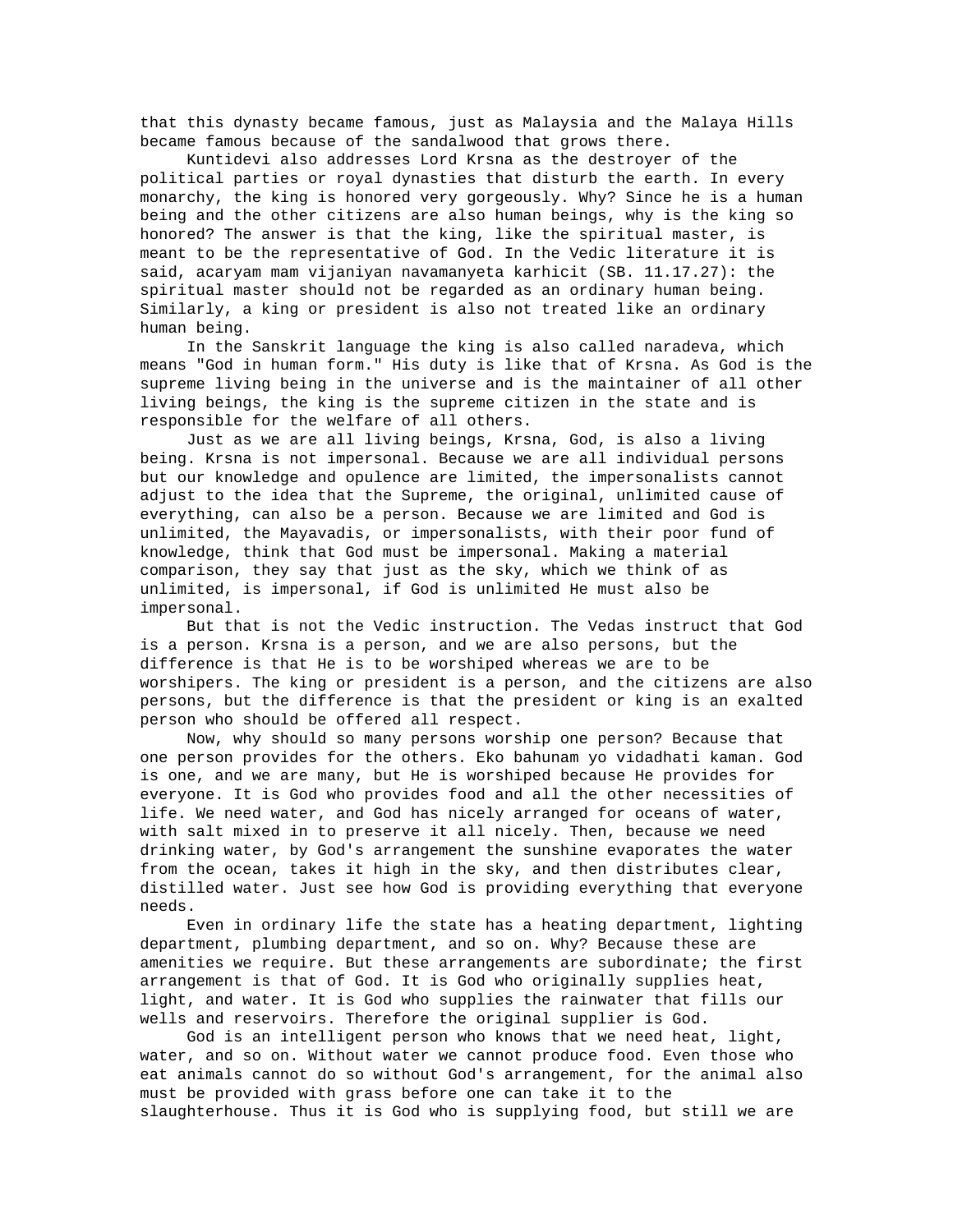that this dynasty became famous, just as Malaysia and the Malaya Hills became famous because of the sandalwood that grows there.

 Kuntidevi also addresses Lord Krsna as the destroyer of the political parties or royal dynasties that disturb the earth. In every monarchy, the king is honored very gorgeously. Why? Since he is a human being and the other citizens are also human beings, why is the king so honored? The answer is that the king, like the spiritual master, is meant to be the representative of God. In the Vedic literature it is said, acaryam mam vijaniyan navamanyeta karhicit (SB. 11.17.27): the spiritual master should not be regarded as an ordinary human being. Similarly, a king or president is also not treated like an ordinary human being.

 In the Sanskrit language the king is also called naradeva, which means "God in human form." His duty is like that of Krsna. As God is the supreme living being in the universe and is the maintainer of all other living beings, the king is the supreme citizen in the state and is responsible for the welfare of all others.

 Just as we are all living beings, Krsna, God, is also a living being. Krsna is not impersonal. Because we are all individual persons but our knowledge and opulence are limited, the impersonalists cannot adjust to the idea that the Supreme, the original, unlimited cause of everything, can also be a person. Because we are limited and God is unlimited, the Mayavadis, or impersonalists, with their poor fund of knowledge, think that God must be impersonal. Making a material comparison, they say that just as the sky, which we think of as unlimited, is impersonal, if God is unlimited He must also be impersonal.

 But that is not the Vedic instruction. The Vedas instruct that God is a person. Krsna is a person, and we are also persons, but the difference is that He is to be worshiped whereas we are to be worshipers. The king or president is a person, and the citizens are also persons, but the difference is that the president or king is an exalted person who should be offered all respect.

 Now, why should so many persons worship one person? Because that one person provides for the others. Eko bahunam yo vidadhati kaman. God is one, and we are many, but He is worshiped because He provides for everyone. It is God who provides food and all the other necessities of life. We need water, and God has nicely arranged for oceans of water, with salt mixed in to preserve it all nicely. Then, because we need drinking water, by God's arrangement the sunshine evaporates the water from the ocean, takes it high in the sky, and then distributes clear, distilled water. Just see how God is providing everything that everyone needs.

 Even in ordinary life the state has a heating department, lighting department, plumbing department, and so on. Why? Because these are amenities we require. But these arrangements are subordinate; the first arrangement is that of God. It is God who originally supplies heat, light, and water. It is God who supplies the rainwater that fills our wells and reservoirs. Therefore the original supplier is God.

 God is an intelligent person who knows that we need heat, light, water, and so on. Without water we cannot produce food. Even those who eat animals cannot do so without God's arrangement, for the animal also must be provided with grass before one can take it to the slaughterhouse. Thus it is God who is supplying food, but still we are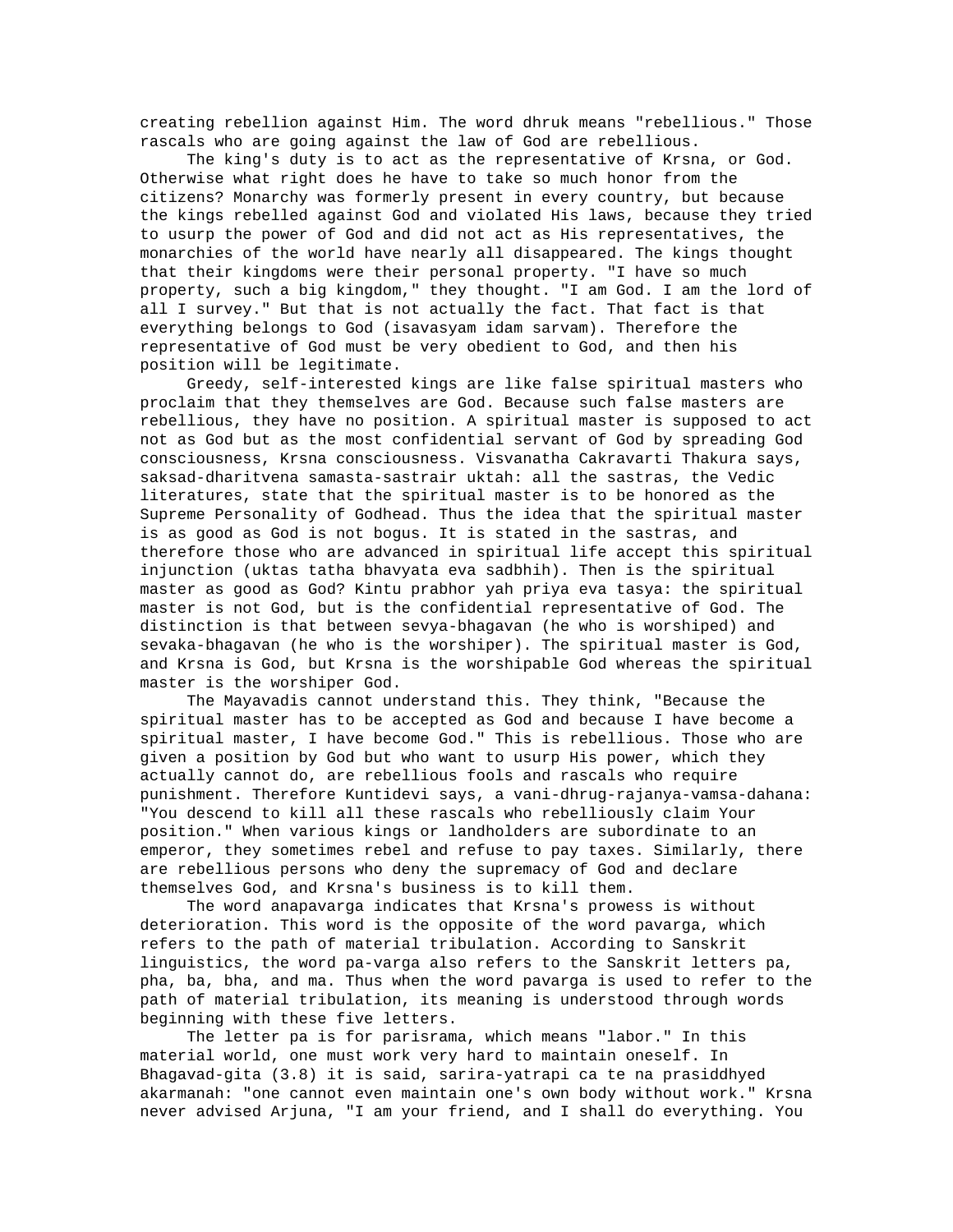creating rebellion against Him. The word dhruk means "rebellious." Those rascals who are going against the law of God are rebellious.

 The king's duty is to act as the representative of Krsna, or God. Otherwise what right does he have to take so much honor from the citizens? Monarchy was formerly present in every country, but because the kings rebelled against God and violated His laws, because they tried to usurp the power of God and did not act as His representatives, the monarchies of the world have nearly all disappeared. The kings thought that their kingdoms were their personal property. "I have so much property, such a big kingdom," they thought. "I am God. I am the lord of all I survey." But that is not actually the fact. That fact is that everything belongs to God (isavasyam idam sarvam). Therefore the representative of God must be very obedient to God, and then his position will be legitimate.

 Greedy, self-interested kings are like false spiritual masters who proclaim that they themselves are God. Because such false masters are rebellious, they have no position. A spiritual master is supposed to act not as God but as the most confidential servant of God by spreading God consciousness, Krsna consciousness. Visvanatha Cakravarti Thakura says, saksad-dharitvena samasta-sastrair uktah: all the sastras, the Vedic literatures, state that the spiritual master is to be honored as the Supreme Personality of Godhead. Thus the idea that the spiritual master is as good as God is not bogus. It is stated in the sastras, and therefore those who are advanced in spiritual life accept this spiritual injunction (uktas tatha bhavyata eva sadbhih). Then is the spiritual master as good as God? Kintu prabhor yah priya eva tasya: the spiritual master is not God, but is the confidential representative of God. The distinction is that between sevya-bhagavan (he who is worshiped) and sevaka-bhagavan (he who is the worshiper). The spiritual master is God, and Krsna is God, but Krsna is the worshipable God whereas the spiritual master is the worshiper God.

 The Mayavadis cannot understand this. They think, "Because the spiritual master has to be accepted as God and because I have become a spiritual master, I have become God." This is rebellious. Those who are given a position by God but who want to usurp His power, which they actually cannot do, are rebellious fools and rascals who require punishment. Therefore Kuntidevi says, a vani-dhrug-rajanya-vamsa-dahana: "You descend to kill all these rascals who rebelliously claim Your position." When various kings or landholders are subordinate to an emperor, they sometimes rebel and refuse to pay taxes. Similarly, there are rebellious persons who deny the supremacy of God and declare themselves God, and Krsna's business is to kill them.

 The word anapavarga indicates that Krsna's prowess is without deterioration. This word is the opposite of the word pavarga, which refers to the path of material tribulation. According to Sanskrit linguistics, the word pa-varga also refers to the Sanskrit letters pa, pha, ba, bha, and ma. Thus when the word pavarga is used to refer to the path of material tribulation, its meaning is understood through words beginning with these five letters.

 The letter pa is for parisrama, which means "labor." In this material world, one must work very hard to maintain oneself. In Bhagavad-gita (3.8) it is said, sarira-yatrapi ca te na prasiddhyed akarmanah: "one cannot even maintain one's own body without work." Krsna never advised Arjuna, "I am your friend, and I shall do everything. You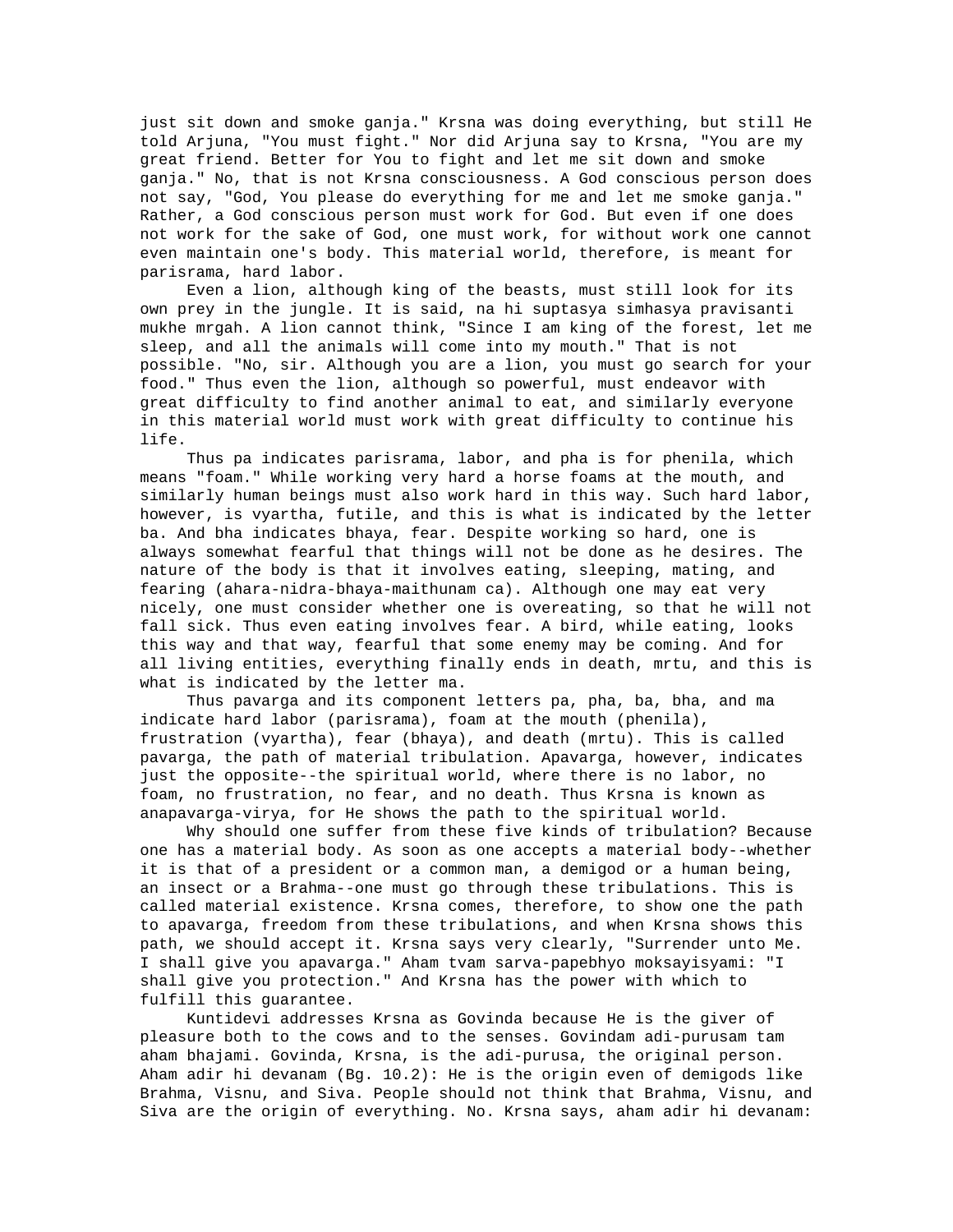just sit down and smoke ganja." Krsna was doing everything, but still He told Arjuna, "You must fight." Nor did Arjuna say to Krsna, "You are my great friend. Better for You to fight and let me sit down and smoke ganja." No, that is not Krsna consciousness. A God conscious person does not say, "God, You please do everything for me and let me smoke ganja." Rather, a God conscious person must work for God. But even if one does not work for the sake of God, one must work, for without work one cannot even maintain one's body. This material world, therefore, is meant for parisrama, hard labor.

 Even a lion, although king of the beasts, must still look for its own prey in the jungle. It is said, na hi suptasya simhasya pravisanti mukhe mrgah. A lion cannot think, "Since I am king of the forest, let me sleep, and all the animals will come into my mouth." That is not possible. "No, sir. Although you are a lion, you must go search for your food." Thus even the lion, although so powerful, must endeavor with great difficulty to find another animal to eat, and similarly everyone in this material world must work with great difficulty to continue his life.

 Thus pa indicates parisrama, labor, and pha is for phenila, which means "foam." While working very hard a horse foams at the mouth, and similarly human beings must also work hard in this way. Such hard labor, however, is vyartha, futile, and this is what is indicated by the letter ba. And bha indicates bhaya, fear. Despite working so hard, one is always somewhat fearful that things will not be done as he desires. The nature of the body is that it involves eating, sleeping, mating, and fearing (ahara-nidra-bhaya-maithunam ca). Although one may eat very nicely, one must consider whether one is overeating, so that he will not fall sick. Thus even eating involves fear. A bird, while eating, looks this way and that way, fearful that some enemy may be coming. And for all living entities, everything finally ends in death, mrtu, and this is what is indicated by the letter ma.

 Thus pavarga and its component letters pa, pha, ba, bha, and ma indicate hard labor (parisrama), foam at the mouth (phenila), frustration (vyartha), fear (bhaya), and death (mrtu). This is called pavarga, the path of material tribulation. Apavarga, however, indicates just the opposite--the spiritual world, where there is no labor, no foam, no frustration, no fear, and no death. Thus Krsna is known as anapavarga-virya, for He shows the path to the spiritual world.

 Why should one suffer from these five kinds of tribulation? Because one has a material body. As soon as one accepts a material body--whether it is that of a president or a common man, a demigod or a human being, an insect or a Brahma--one must go through these tribulations. This is called material existence. Krsna comes, therefore, to show one the path to apavarga, freedom from these tribulations, and when Krsna shows this path, we should accept it. Krsna says very clearly, "Surrender unto Me. I shall give you apavarga." Aham tvam sarva-papebhyo moksayisyami: "I shall give you protection." And Krsna has the power with which to fulfill this guarantee.

 Kuntidevi addresses Krsna as Govinda because He is the giver of pleasure both to the cows and to the senses. Govindam adi-purusam tam aham bhajami. Govinda, Krsna, is the adi-purusa, the original person. Aham adir hi devanam (Bg. 10.2): He is the origin even of demigods like Brahma, Visnu, and Siva. People should not think that Brahma, Visnu, and Siva are the origin of everything. No. Krsna says, aham adir hi devanam: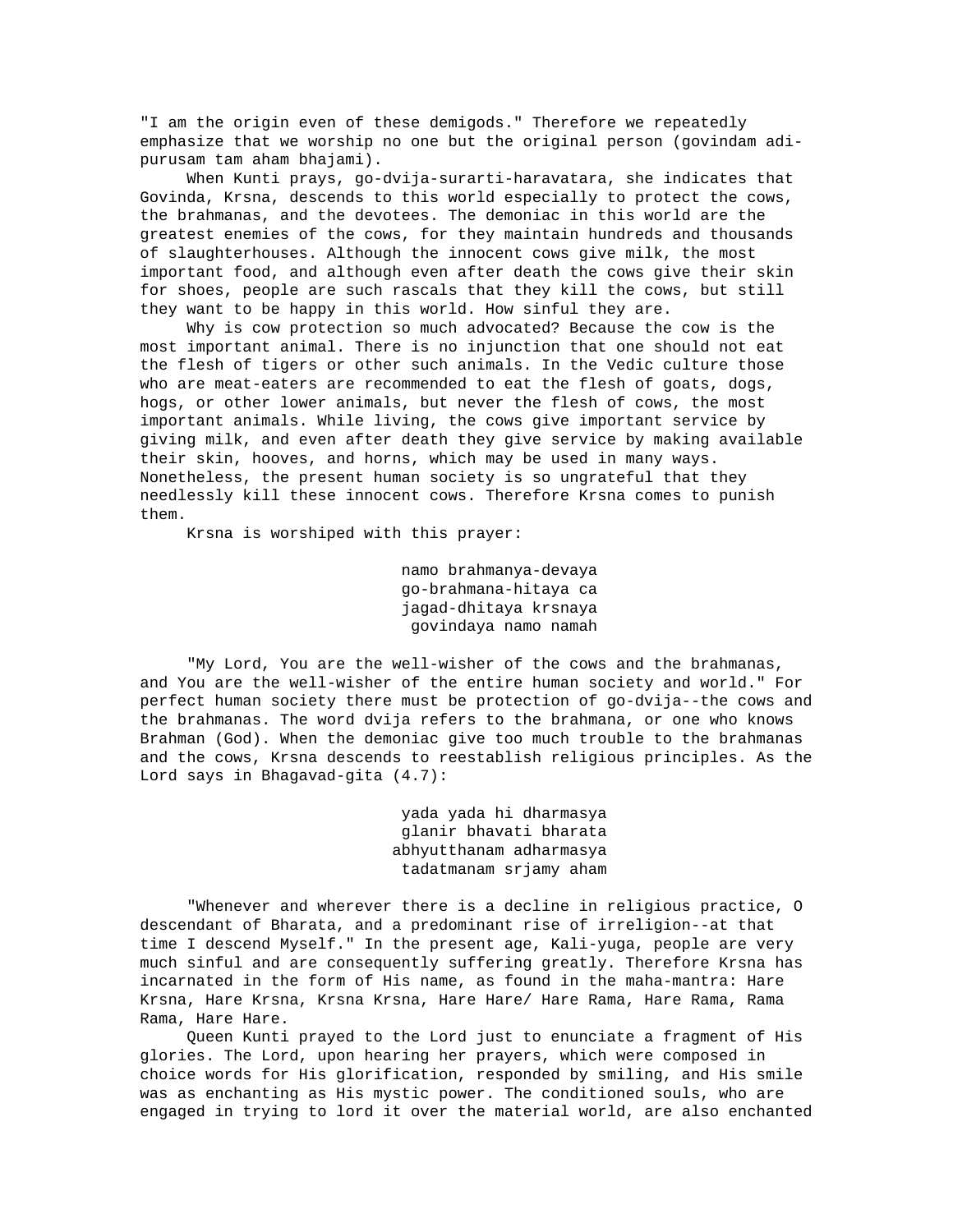"I am the origin even of these demigods." Therefore we repeatedly emphasize that we worship no one but the original person (govindam adipurusam tam aham bhajami).

 When Kunti prays, go-dvija-surarti-haravatara, she indicates that Govinda, Krsna, descends to this world especially to protect the cows, the brahmanas, and the devotees. The demoniac in this world are the greatest enemies of the cows, for they maintain hundreds and thousands of slaughterhouses. Although the innocent cows give milk, the most important food, and although even after death the cows give their skin for shoes, people are such rascals that they kill the cows, but still they want to be happy in this world. How sinful they are.

 Why is cow protection so much advocated? Because the cow is the most important animal. There is no injunction that one should not eat the flesh of tigers or other such animals. In the Vedic culture those who are meat-eaters are recommended to eat the flesh of goats, dogs, hogs, or other lower animals, but never the flesh of cows, the most important animals. While living, the cows give important service by giving milk, and even after death they give service by making available their skin, hooves, and horns, which may be used in many ways. Nonetheless, the present human society is so ungrateful that they needlessly kill these innocent cows. Therefore Krsna comes to punish them.

Krsna is worshiped with this prayer:

 namo brahmanya-devaya go-brahmana-hitaya ca jagad-dhitaya krsnaya govindaya namo namah

 "My Lord, You are the well-wisher of the cows and the brahmanas, and You are the well-wisher of the entire human society and world." For perfect human society there must be protection of go-dvija--the cows and the brahmanas. The word dvija refers to the brahmana, or one who knows Brahman (God). When the demoniac give too much trouble to the brahmanas and the cows, Krsna descends to reestablish religious principles. As the Lord says in Bhagavad-gita (4.7):

> yada yada hi dharmasya glanir bhavati bharata abhyutthanam adharmasya tadatmanam srjamy aham

 "Whenever and wherever there is a decline in religious practice, O descendant of Bharata, and a predominant rise of irreligion--at that time I descend Myself." In the present age, Kali-yuga, people are very much sinful and are consequently suffering greatly. Therefore Krsna has incarnated in the form of His name, as found in the maha-mantra: Hare Krsna, Hare Krsna, Krsna Krsna, Hare Hare/ Hare Rama, Hare Rama, Rama Rama, Hare Hare.

 Queen Kunti prayed to the Lord just to enunciate a fragment of His glories. The Lord, upon hearing her prayers, which were composed in choice words for His glorification, responded by smiling, and His smile was as enchanting as His mystic power. The conditioned souls, who are engaged in trying to lord it over the material world, are also enchanted